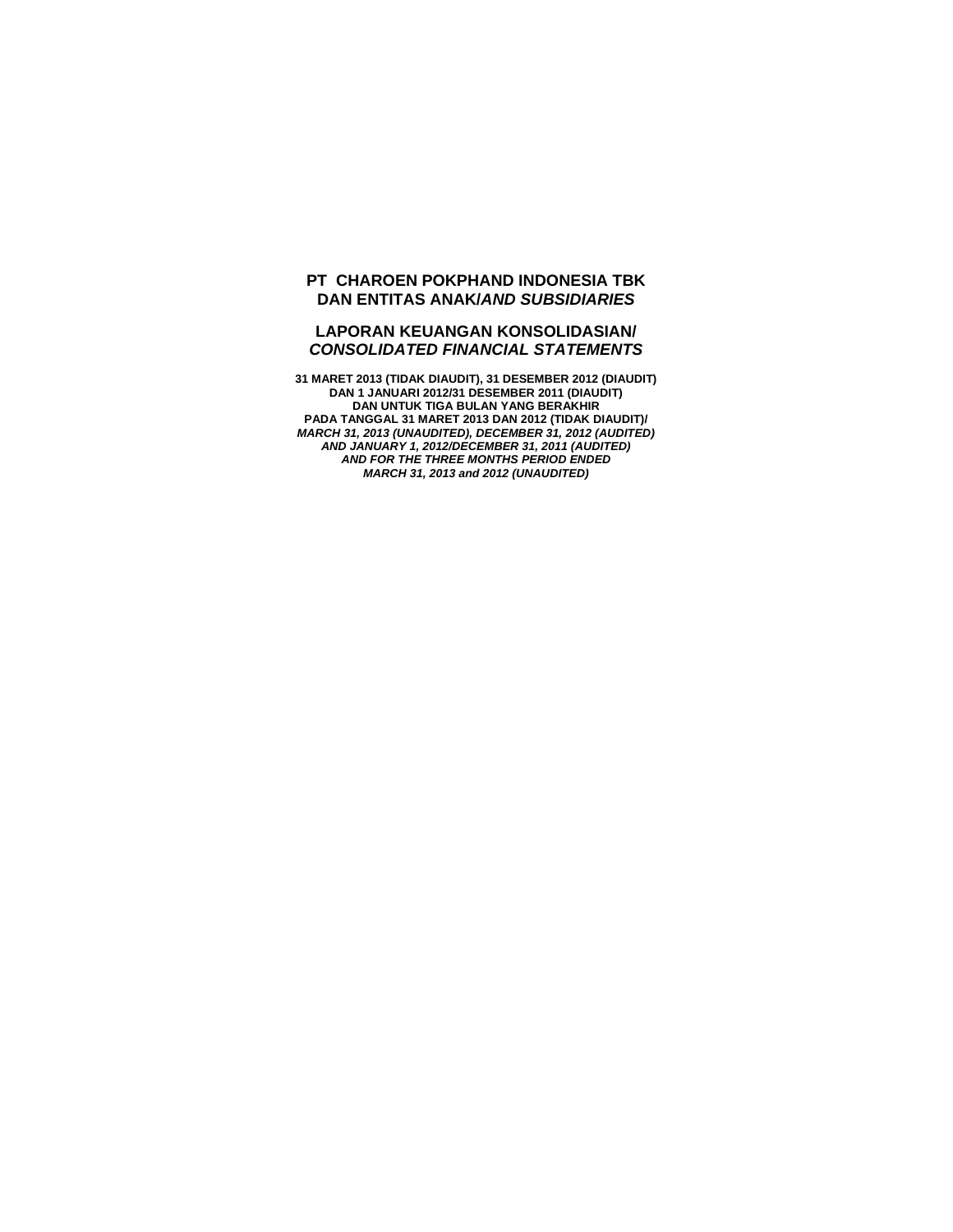# **PT CHAROEN POKPHAND INDONESIA TBK DAN ENTITAS ANAK/***AND SUBSIDIARIES*

# **LAPORAN KEUANGAN KONSOLIDASIAN/**  *CONSOLIDATED FINANCIAL STATEMENTS*

**31 MARET 2013 (TIDAK DIAUDIT), 31 DESEMBER 2012 (DIAUDIT) DAN 1 JANUARI 2012/31 DESEMBER 2011 (DIAUDIT) DAN UNTUK TIGA BULAN YANG BERAKHIR PADA TANGGAL 31 MARET 2013 DAN 2012 (TIDAK DIAUDIT)/**  *MARCH 31, 2013 (UNAUDITED), DECEMBER 31, 2012 (AUDITED) AND JANUARY 1, 2012/DECEMBER 31, 2011 (AUDITED) AND FOR THE THREE MONTHS PERIOD ENDED MARCH 31, 2013 and 2012 (UNAUDITED)*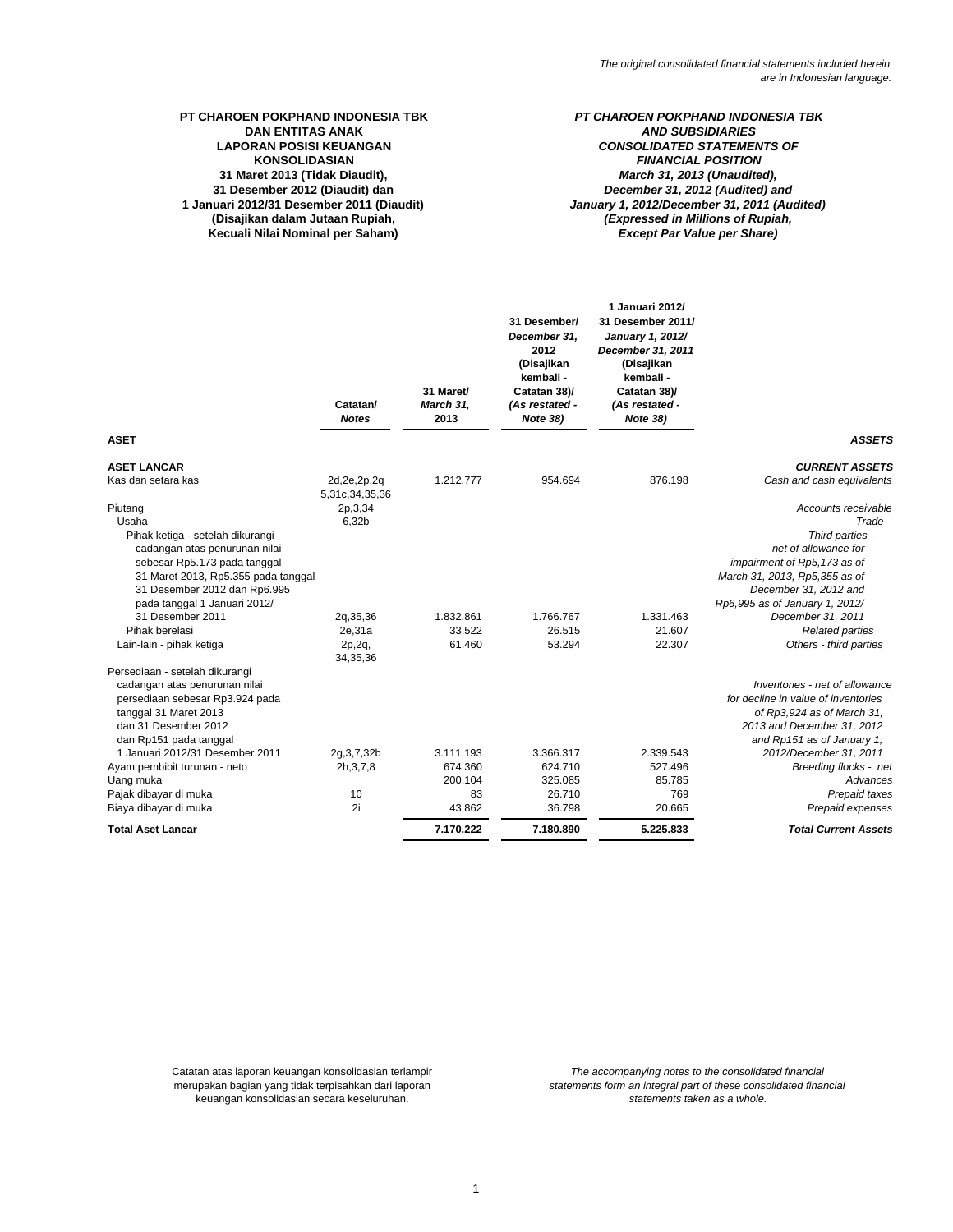# **31 Maret 2013 (Tidak Diaudit), 31 Desember 2012 (Diaudit) dan PT CHAROEN POKPHAND INDONESIA TBK DAN ENTITAS ANAK LAPORAN POSISI KEUANGAN 1 Januari 2012/31 Desember 2011 (Diaudit) KONSOLIDASIAN**

**(Disajikan dalam Jutaan Rupiah, Kecuali Nilai Nominal per Saham)**

### *PT CHAROEN POKPHAND INDONESIA TBK AND SUBSIDIARIES CONSOLIDATED STATEMENTS OF (Expressed in Millions of Rupiah, Except Par Value per Share) FINANCIAL POSITION March 31, 2013 (Unaudited), December 31, 2012 (Audited) and January 1, 2012/December 31, 2011 (Audited)*

|                                           | Catatan/<br><b>Notes</b>         | 31 Maret/<br>March 31,<br>2013 | 31 Desember/<br>December 31.<br>2012<br>(Disajikan<br>kembali -<br>Catatan 38)/<br>(As restated -<br>Note 38) | 1 Januari 2012/<br>31 Desember 2011/<br>January 1, 2012/<br>December 31, 2011<br>(Disajikan<br>kembali -<br>Catatan 38)/<br>(As restated -<br>Note 38) |                                     |
|-------------------------------------------|----------------------------------|--------------------------------|---------------------------------------------------------------------------------------------------------------|--------------------------------------------------------------------------------------------------------------------------------------------------------|-------------------------------------|
| <b>ASET</b>                               |                                  |                                |                                                                                                               |                                                                                                                                                        | <b>ASSETS</b>                       |
| <b>ASET LANCAR</b>                        |                                  |                                |                                                                                                               |                                                                                                                                                        | <b>CURRENT ASSETS</b>               |
| Kas dan setara kas                        | 2d, 2e, 2p, 2q<br>5,31c,34,35,36 | 1.212.777                      | 954.694                                                                                                       | 876.198                                                                                                                                                | Cash and cash equivalents           |
| Piutang                                   | 2p, 3, 34                        |                                |                                                                                                               |                                                                                                                                                        | Accounts receivable                 |
| Usaha                                     | 6,32b                            |                                |                                                                                                               |                                                                                                                                                        | Trade                               |
| Pihak ketiga - setelah dikurangi          |                                  |                                |                                                                                                               |                                                                                                                                                        | Third parties -                     |
| cadangan atas penurunan nilai             |                                  |                                |                                                                                                               |                                                                                                                                                        | net of allowance for                |
| sebesar Rp5.173 pada tanggal              |                                  |                                |                                                                                                               |                                                                                                                                                        | impairment of Rp5,173 as of         |
| 31 Maret 2013, Rp5.355 pada tanggal       |                                  |                                |                                                                                                               |                                                                                                                                                        | March 31, 2013, Rp5,355 as of       |
| 31 Desember 2012 dan Rp6.995              |                                  |                                |                                                                                                               |                                                                                                                                                        | December 31, 2012 and               |
| pada tanggal 1 Januari 2012/              |                                  |                                |                                                                                                               |                                                                                                                                                        | Rp6,995 as of January 1, 2012/      |
| 31 Desember 2011                          | 2g, 35, 36                       | 1.832.861                      | 1.766.767                                                                                                     | 1.331.463                                                                                                                                              | December 31, 2011                   |
| Pihak berelasi                            | 2e,31a                           | 33.522                         | 26.515                                                                                                        | 21.607                                                                                                                                                 | <b>Related parties</b>              |
| Lain-lain - pihak ketiga                  | 2p, 2q,<br>34, 35, 36            | 61.460                         | 53.294                                                                                                        | 22.307                                                                                                                                                 | Others - third parties              |
| Persediaan - setelah dikurangi            |                                  |                                |                                                                                                               |                                                                                                                                                        |                                     |
| cadangan atas penurunan nilai             |                                  |                                |                                                                                                               |                                                                                                                                                        | Inventories - net of allowance      |
| persediaan sebesar Rp3.924 pada           |                                  |                                |                                                                                                               |                                                                                                                                                        | for decline in value of inventories |
| tanggal 31 Maret 2013                     |                                  |                                |                                                                                                               |                                                                                                                                                        | of Rp3,924 as of March 31,          |
| dan 31 Desember 2012                      |                                  |                                |                                                                                                               |                                                                                                                                                        | 2013 and December 31, 2012          |
| dan Rp151 pada tanggal                    |                                  |                                |                                                                                                               |                                                                                                                                                        | and Rp151 as of January 1.          |
| 1 Januari 2012/31 Desember 2011           | 2g, 3, 7, 32b                    | 3.111.193                      | 3.366.317                                                                                                     | 2.339.543                                                                                                                                              | 2012/December 31, 2011              |
| Ayam pembibit turunan - neto<br>Uang muka | 2h, 3, 7, 8                      | 674.360<br>200.104             | 624.710<br>325.085                                                                                            | 527.496<br>85.785                                                                                                                                      | Breeding flocks - net<br>Advances   |
| Pajak dibayar di muka                     | 10                               | 83                             | 26.710                                                                                                        | 769                                                                                                                                                    | Prepaid taxes                       |
| Biaya dibayar di muka                     | 2i                               | 43.862                         | 36.798                                                                                                        | 20.665                                                                                                                                                 | Prepaid expenses                    |
| <b>Total Aset Lancar</b>                  |                                  | 7.170.222                      | 7.180.890                                                                                                     | 5.225.833                                                                                                                                              | <b>Total Current Assets</b>         |
|                                           |                                  |                                |                                                                                                               |                                                                                                                                                        |                                     |

keuangan konsolidasian secara keseluruhan. Catatan atas laporan keuangan konsolidasian terlampir merupakan bagian yang tidak terpisahkan dari laporan *statements form an integral part of these consolidated financial statements taken as a whole. The accompanying notes to the consolidated financial*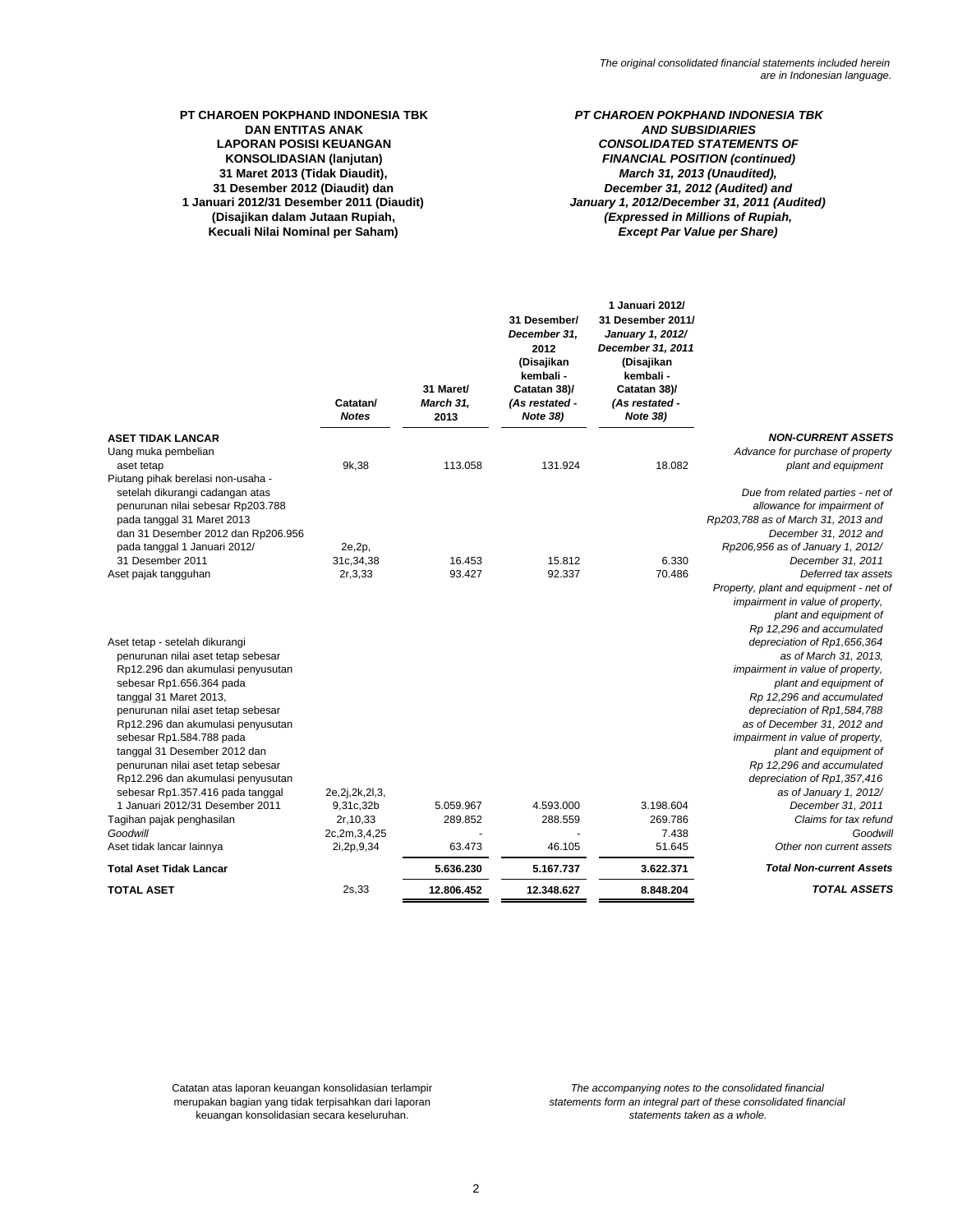# **31 Maret 2013 (Tidak Diaudit),** *March 31, 2013 (Unaudited),* **DAN ENTITAS ANAK<br>LAPORAN POSISI KEUANGAN 31 Desember 2012 (Diaudit) dan KONSOLIDASIAN (lanjutan)**

**Kecuali Nilai Nominal per Saham)**

# *December 31, 2012 (Audited) and* **PT CHAROEN POKPHAND INDONESIA TBK** *PT CHAROEN POKPHAND INDONESIA TBK* **LAPORAN POSISI KEUANGAN** *CONSOLIDATED STATEMENTS OF* **1 Januari 2012/31 Desember 2011 (Diaudit)** *January 1, 2012/December 31, 2011 (Audited)* **(Disajikan dalam Jutaan Rupiah,** *(Expressed in Millions of Rupiah, Except Par Value per Share) FINANCIAL POSITION (continued)*

|                                                                                                                                                                                                                                                                                                                                                                                                                       | Catatan/<br><b>Notes</b> | 31 Maret/<br>March 31,<br>2013 | 31 Desember/<br>December 31,<br>2012<br>(Disajikan<br>kembali -<br>Catatan 38)/<br>(As restated -<br><b>Note 38)</b> | 1 Januari 2012/<br>31 Desember 2011/<br>January 1, 2012/<br>December 31, 2011<br>(Disajikan<br>kembali -<br>Catatan 38)/<br>(As restated -<br><b>Note 38)</b> |                                                                                                                                                                                                                                                                                                                                                                                                |
|-----------------------------------------------------------------------------------------------------------------------------------------------------------------------------------------------------------------------------------------------------------------------------------------------------------------------------------------------------------------------------------------------------------------------|--------------------------|--------------------------------|----------------------------------------------------------------------------------------------------------------------|---------------------------------------------------------------------------------------------------------------------------------------------------------------|------------------------------------------------------------------------------------------------------------------------------------------------------------------------------------------------------------------------------------------------------------------------------------------------------------------------------------------------------------------------------------------------|
| ASET TIDAK LANCAR                                                                                                                                                                                                                                                                                                                                                                                                     |                          |                                |                                                                                                                      |                                                                                                                                                               | <b>NON-CURRENT ASSETS</b>                                                                                                                                                                                                                                                                                                                                                                      |
| Uang muka pembelian                                                                                                                                                                                                                                                                                                                                                                                                   |                          |                                |                                                                                                                      |                                                                                                                                                               | Advance for purchase of property                                                                                                                                                                                                                                                                                                                                                               |
| aset tetap                                                                                                                                                                                                                                                                                                                                                                                                            | 9k, 38                   | 113.058                        | 131.924                                                                                                              | 18.082                                                                                                                                                        | plant and equipment                                                                                                                                                                                                                                                                                                                                                                            |
| Piutang pihak berelasi non-usaha -<br>setelah dikurangi cadangan atas<br>penurunan nilai sebesar Rp203.788<br>pada tanggal 31 Maret 2013<br>dan 31 Desember 2012 dan Rp206.956<br>pada tanggal 1 Januari 2012/                                                                                                                                                                                                        | 2e, 2p,                  |                                |                                                                                                                      |                                                                                                                                                               | Due from related parties - net of<br>allowance for impairment of<br>Rp203,788 as of March 31, 2013 and<br>December 31, 2012 and<br>Rp206,956 as of January 1, 2012/                                                                                                                                                                                                                            |
| 31 Desember 2011                                                                                                                                                                                                                                                                                                                                                                                                      | 31c, 34, 38              | 16.453                         | 15.812                                                                                                               | 6.330                                                                                                                                                         | December 31, 2011                                                                                                                                                                                                                                                                                                                                                                              |
| Aset pajak tangguhan                                                                                                                                                                                                                                                                                                                                                                                                  | 2r, 3, 33                | 93.427                         | 92.337                                                                                                               | 70.486                                                                                                                                                        | Deferred tax assets<br>Property, plant and equipment - net of<br>impairment in value of property,<br>plant and equipment of                                                                                                                                                                                                                                                                    |
| Aset tetap - setelah dikurangi<br>penurunan nilai aset tetap sebesar<br>Rp12.296 dan akumulasi penyusutan<br>sebesar Rp1.656.364 pada<br>tanggal 31 Maret 2013,<br>penurunan nilai aset tetap sebesar<br>Rp12.296 dan akumulasi penyusutan<br>sebesar Rp1.584.788 pada<br>tanggal 31 Desember 2012 dan<br>penurunan nilai aset tetap sebesar<br>Rp12.296 dan akumulasi penyusutan<br>sebesar Rp1.357.416 pada tanggal | 2e, 2j, 2k, 2l, 3,       |                                |                                                                                                                      |                                                                                                                                                               | Rp 12,296 and accumulated<br>depreciation of Rp1,656,364<br>as of March 31, 2013,<br>impairment in value of property,<br>plant and equipment of<br>Rp 12,296 and accumulated<br>depreciation of Rp1,584,788<br>as of December 31, 2012 and<br>impairment in value of property,<br>plant and equipment of<br>Rp 12,296 and accumulated<br>depreciation of Rp1,357,416<br>as of January 1, 2012/ |
| 1 Januari 2012/31 Desember 2011                                                                                                                                                                                                                                                                                                                                                                                       | 9,31c,32b                | 5.059.967                      | 4.593.000                                                                                                            | 3.198.604                                                                                                                                                     | December 31, 2011                                                                                                                                                                                                                                                                                                                                                                              |
| Tagihan pajak penghasilan                                                                                                                                                                                                                                                                                                                                                                                             | 2r, 10, 33               | 289.852                        | 288.559                                                                                                              | 269.786                                                                                                                                                       | Claims for tax refund                                                                                                                                                                                                                                                                                                                                                                          |
| Goodwill                                                                                                                                                                                                                                                                                                                                                                                                              | 2c,2m,3,4,25             | 63.473                         | 46.105                                                                                                               | 7.438<br>51.645                                                                                                                                               | Goodwill<br>Other non current assets                                                                                                                                                                                                                                                                                                                                                           |
| Aset tidak lancar lainnya                                                                                                                                                                                                                                                                                                                                                                                             | 2i, 2p, 9, 34            |                                |                                                                                                                      |                                                                                                                                                               |                                                                                                                                                                                                                                                                                                                                                                                                |
| Total Aset Tidak Lancar                                                                                                                                                                                                                                                                                                                                                                                               |                          | 5.636.230                      | 5.167.737                                                                                                            | 3.622.371                                                                                                                                                     | <b>Total Non-current Assets</b>                                                                                                                                                                                                                                                                                                                                                                |
| TOTAL ASET                                                                                                                                                                                                                                                                                                                                                                                                            | 2s, 33                   | 12.806.452                     | 12.348.627                                                                                                           | 8.848.204                                                                                                                                                     | <b>TOTAL ASSETS</b>                                                                                                                                                                                                                                                                                                                                                                            |
|                                                                                                                                                                                                                                                                                                                                                                                                                       |                          |                                |                                                                                                                      |                                                                                                                                                               |                                                                                                                                                                                                                                                                                                                                                                                                |

Catatan atas laporan keuangan konsolidasian terlampir merupakan bagian yang tidak terpisahkan dari laporan keuangan konsolidasian secara keseluruhan.

*The accompanying notes to the consolidated financial statements taken as a whole. statements form an integral part of these consolidated financial*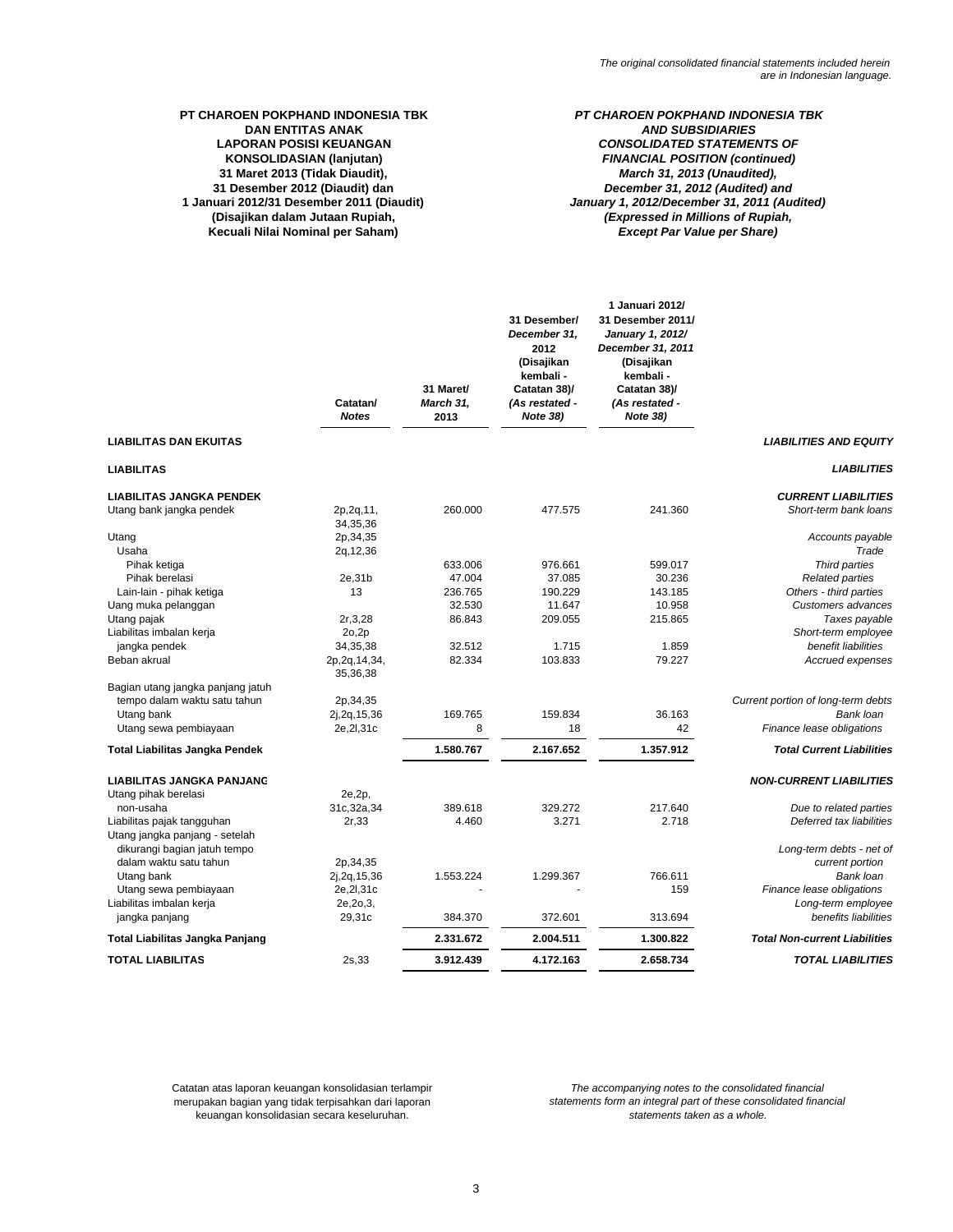# **31 Maret 2013 (Tidak Diaudit), DAN ENTITAS ANAK<br>LAPORAN POSISI KEUANGAN 31 Desember 2012 (Diaudit) dan** *December 31, 2012 (Audited) and*

**Kecuali Nilai Nominal per Saham)**

# **KONSOLIDASIAN (lanjutan)** *FINANCIAL POSITION (continued)* **PT CHAROEN POKPHAND INDONESIA TBK** *PT CHAROEN POKPHAND INDONESIA TBK* **LAPORAN POSISI KEUANGAN** *CONSOLIDATED STATEMENTS OF March 31, 2013 (Unaudited),* **1 Januari 2012/31 Desember 2011 (Diaudit)** *January 1, 2012/December 31, 2011 (Audited)* **(Disajikan dalam Jutaan Rupiah,** *(Expressed in Millions of Rupiah, Except Par Value per Share)*

|                                                                | Catatan/<br><b>Notes</b>                | 31 Maret/<br><b>March 31,</b><br>2013 | 31 Desember/<br>December 31,<br>2012<br>(Disajikan<br>kembali -<br>Catatan 38)/<br>(As restated -<br><b>Note 38)</b> | 1 Januari 2012/<br>31 Desember 2011/<br>January 1, 2012/<br>December 31, 2011<br>(Disajikan<br>kembali -<br>Catatan 38)/<br>(As restated -<br><b>Note 38)</b> |                                                    |
|----------------------------------------------------------------|-----------------------------------------|---------------------------------------|----------------------------------------------------------------------------------------------------------------------|---------------------------------------------------------------------------------------------------------------------------------------------------------------|----------------------------------------------------|
| <b>LIABILITAS DAN EKUITAS</b>                                  |                                         |                                       |                                                                                                                      |                                                                                                                                                               | <b>LIABILITIES AND EQUITY</b>                      |
| <b>LIABILITAS</b>                                              |                                         |                                       |                                                                                                                      |                                                                                                                                                               | <b>LIABILITIES</b>                                 |
| <b>LIABILITAS JANGKA PENDEK</b>                                |                                         |                                       |                                                                                                                      |                                                                                                                                                               | <b>CURRENT LIABILITIES</b>                         |
| Utang bank jangka pendek                                       | 2p, 2q, 11,<br>34, 35, 36               | 260.000                               | 477.575                                                                                                              | 241.360                                                                                                                                                       | Short-term bank loans                              |
| Utang<br>Usaha                                                 | 2p, 34, 35<br>2g, 12, 36                |                                       |                                                                                                                      |                                                                                                                                                               | Accounts payable<br>Trade                          |
| Pihak ketiga                                                   |                                         | 633.006                               | 976.661                                                                                                              | 599.017                                                                                                                                                       | Third parties                                      |
| Pihak berelasi                                                 | 2e,31b                                  | 47.004                                | 37.085                                                                                                               | 30.236                                                                                                                                                        | <b>Related parties</b>                             |
| Lain-lain - pihak ketiga                                       | 13                                      | 236.765                               | 190.229                                                                                                              | 143.185                                                                                                                                                       | Others - third parties                             |
| Uang muka pelanggan                                            |                                         | 32.530                                | 11.647                                                                                                               | 10.958                                                                                                                                                        | Customers advances                                 |
| Utang pajak                                                    | 2r, 3, 28                               | 86.843                                | 209.055                                                                                                              | 215.865                                                                                                                                                       | Taxes payable                                      |
| Liabilitas imbalan kerja                                       | 2o,2p                                   |                                       |                                                                                                                      |                                                                                                                                                               | Short-term employee<br>benefit liabilities         |
| jangka pendek<br>Beban akrual                                  | 34,35,38<br>2p, 2q, 14, 34,<br>35,36,38 | 32.512<br>82.334                      | 1.715<br>103.833                                                                                                     | 1.859<br>79.227                                                                                                                                               | Accrued expenses                                   |
| Bagian utang jangka panjang jatuh                              |                                         |                                       |                                                                                                                      |                                                                                                                                                               |                                                    |
| tempo dalam waktu satu tahun                                   | 2p, 34, 35                              |                                       |                                                                                                                      |                                                                                                                                                               | Current portion of long-term debts                 |
| Utang bank                                                     | 2j, 2g, 15, 36                          | 169.765                               | 159.834                                                                                                              | 36.163                                                                                                                                                        | Bank loan                                          |
| Utang sewa pembiayaan                                          | 2e, 2l, 31c                             | 8                                     | 18                                                                                                                   | 42                                                                                                                                                            | Finance lease obligations                          |
| Total Liabilitas Jangka Pendek                                 |                                         | 1.580.767                             | 2.167.652                                                                                                            | 1.357.912                                                                                                                                                     | <b>Total Current Liabilities</b>                   |
| <b>LIABILITAS JANGKA PANJANG</b>                               |                                         |                                       |                                                                                                                      |                                                                                                                                                               | <b>NON-CURRENT LIABILITIES</b>                     |
| Utang pihak berelasi<br>non-usaha                              | 2e,2p,                                  | 389.618                               | 329.272                                                                                                              | 217.640                                                                                                                                                       |                                                    |
| Liabilitas pajak tangguhan                                     | 31c, 32a, 34<br>2r,33                   | 4.460                                 | 3.271                                                                                                                | 2.718                                                                                                                                                         | Due to related parties<br>Deferred tax liabilities |
| Utang jangka panjang - setelah<br>dikurangi bagian jatuh tempo |                                         |                                       |                                                                                                                      |                                                                                                                                                               | Long-term debts - net of                           |
| dalam waktu satu tahun                                         | 2p, 34, 35                              |                                       |                                                                                                                      |                                                                                                                                                               | current portion                                    |
| Utang bank                                                     | 2j, 2g, 15, 36                          | 1.553.224                             | 1.299.367                                                                                                            | 766.611                                                                                                                                                       | Bank loan                                          |
| Utang sewa pembiayaan                                          | 2e, 2l, 31c                             |                                       |                                                                                                                      | 159                                                                                                                                                           | Finance lease obligations                          |
| Liabilitas imbalan kerja                                       | 2e, 2o, 3,                              |                                       |                                                                                                                      |                                                                                                                                                               | Long-term employee                                 |
| jangka panjang                                                 | 29,31c                                  | 384.370                               | 372.601                                                                                                              | 313.694                                                                                                                                                       | benefits liabilities                               |
| Total Liabilitas Jangka Panjang                                |                                         | 2.331.672                             | 2.004.511                                                                                                            | 1.300.822                                                                                                                                                     | <b>Total Non-current Liabilities</b>               |
| <b>TOTAL LIABILITAS</b>                                        | 2s,33                                   | 3.912.439                             | 4.172.163                                                                                                            | 2.658.734                                                                                                                                                     | <b>TOTAL LIABILITIES</b>                           |
|                                                                |                                         |                                       |                                                                                                                      |                                                                                                                                                               |                                                    |

Catatan atas laporan keuangan konsolidasian terlampir keuangan konsolidasian secara keseluruhan. merupakan bagian yang tidak terpisahkan dari laporan

*The accompanying notes to the consolidated financial statements form an integral part of these consolidated financial statements taken as a whole.*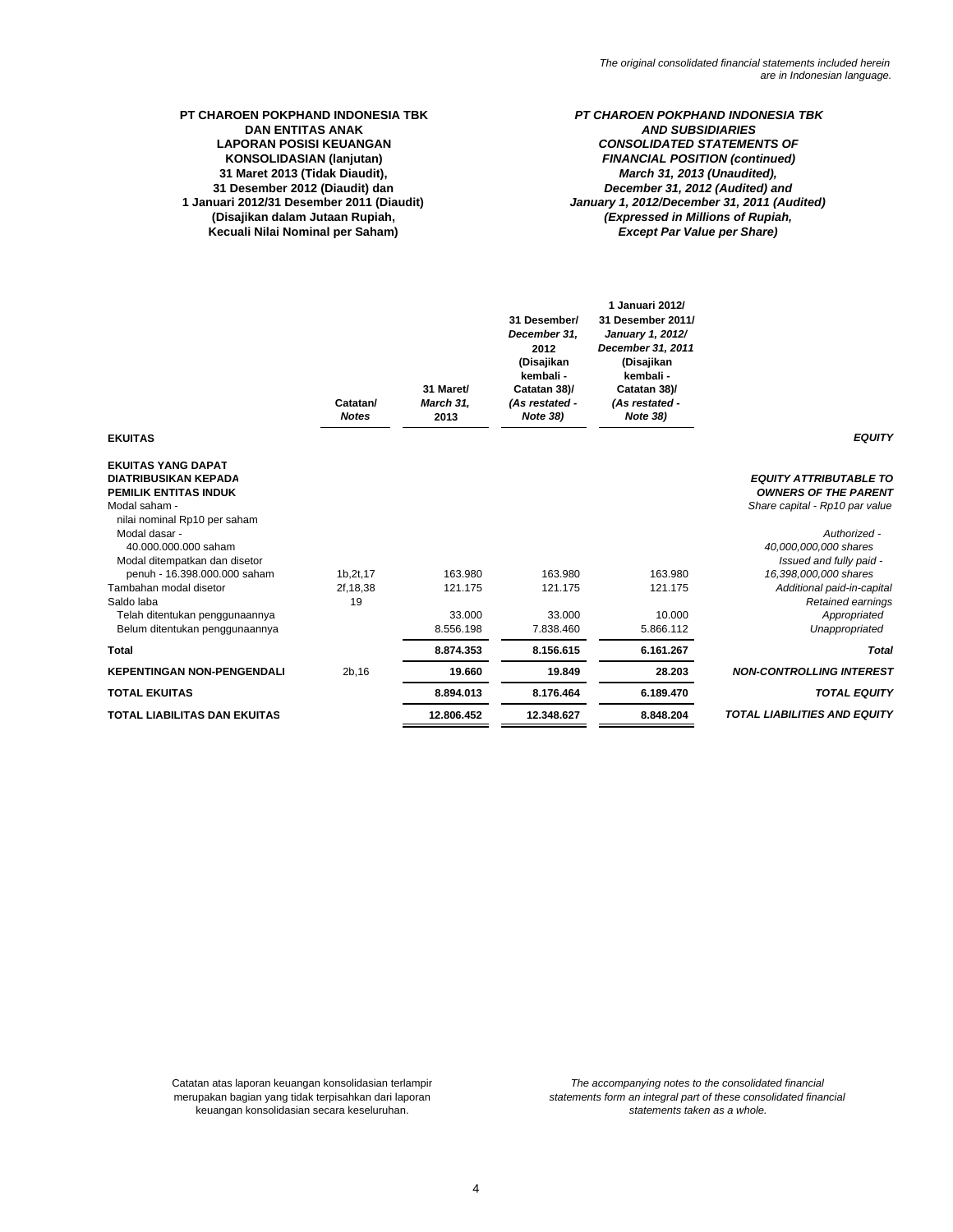# **PT CHAROEN POKPHAND INDONESIA TBK** *PT CHAROEN POKPHAND INDONESIA TBK* **DAN ENTITAS ANAK KONSOLIDASIAN (lanjutan) LAPORAN POSISI KEUANGAN 31 Maret 2013 (Tidak Diaudit),** *March 31, 2013 (Unaudited),* **31 Desember 2012 (Diaudit) dan**

**Kecuali Nilai Nominal per Saham)**

# *AND SUBSIDIARIES CONSOLIDATED STATEMENTS OF* **1 Januari 2012/31 Desember 2011 (Diaudit)** *January 1, 2012/December 31, 2011 (Audited)* **(Disajikan dalam Jutaan Rupiah,** *(Expressed in Millions of Rupiah, Except Par Value per Share) December 31, 2012 (Audited) and FINANCIAL POSITION (continued)*

|                                                                                                                                                                                                                                                                                                                                                          | Catatan/<br><b>Notes</b>       | 31 Maret/<br>March 31,<br>2013            | 31 Desember/<br>December 31,<br>2012<br>(Disajikan<br>kembali -<br>Catatan 38)/<br>(As restated -<br>Note 38) | 1 Januari 2012/<br>31 Desember 2011/<br>January 1, 2012/<br>December 31, 2011<br>(Disajikan<br>kembali -<br>Catatan 38)/<br>(As restated -<br>Note 38) |                                                                                                                                                                                                                                                                                  |
|----------------------------------------------------------------------------------------------------------------------------------------------------------------------------------------------------------------------------------------------------------------------------------------------------------------------------------------------------------|--------------------------------|-------------------------------------------|---------------------------------------------------------------------------------------------------------------|--------------------------------------------------------------------------------------------------------------------------------------------------------|----------------------------------------------------------------------------------------------------------------------------------------------------------------------------------------------------------------------------------------------------------------------------------|
| <b>EKUITAS</b>                                                                                                                                                                                                                                                                                                                                           |                                |                                           |                                                                                                               |                                                                                                                                                        | <b>EQUITY</b>                                                                                                                                                                                                                                                                    |
| <b>EKUITAS YANG DAPAT</b><br><b>DIATRIBUSIKAN KEPADA</b><br>PEMILIK ENTITAS INDUK<br>Modal saham -<br>nilai nominal Rp10 per saham<br>Modal dasar -<br>40.000.000.000 saham<br>Modal ditempatkan dan disetor<br>penuh - 16.398.000.000 saham<br>Tambahan modal disetor<br>Saldo laba<br>Telah ditentukan penggunaannya<br>Belum ditentukan penggunaannya | 1b, 2t, 17<br>2f, 18, 38<br>19 | 163.980<br>121.175<br>33,000<br>8.556.198 | 163.980<br>121.175<br>33.000<br>7.838.460                                                                     | 163.980<br>121.175<br>10.000<br>5.866.112                                                                                                              | <b>EQUITY ATTRIBUTABLE TO</b><br><b>OWNERS OF THE PARENT</b><br>Share capital - Rp10 par value<br>Authorized -<br>40,000,000,000 shares<br>Issued and fully paid -<br>16,398,000,000 shares<br>Additional paid-in-capital<br>Retained earnings<br>Appropriated<br>Unappropriated |
| <b>Total</b>                                                                                                                                                                                                                                                                                                                                             |                                | 8.874.353                                 | 8.156.615                                                                                                     | 6.161.267                                                                                                                                              | <b>Total</b>                                                                                                                                                                                                                                                                     |
| <b>KEPENTINGAN NON-PENGENDALI</b>                                                                                                                                                                                                                                                                                                                        | 2b, 16                         | 19.660                                    | 19.849                                                                                                        | 28.203                                                                                                                                                 | <b>NON-CONTROLLING INTEREST</b>                                                                                                                                                                                                                                                  |
| <b>TOTAL EKUITAS</b>                                                                                                                                                                                                                                                                                                                                     |                                | 8.894.013                                 | 8.176.464                                                                                                     | 6.189.470                                                                                                                                              | <b>TOTAL EQUITY</b>                                                                                                                                                                                                                                                              |
| <b>TOTAL LIABILITAS DAN EKUITAS</b>                                                                                                                                                                                                                                                                                                                      |                                | 12.806.452                                | 12.348.627                                                                                                    | 8.848.204                                                                                                                                              | <b>TOTAL LIABILITIES AND EQUITY</b>                                                                                                                                                                                                                                              |

keuangan konsolidasian secara keseluruhan. Catatan atas laporan keuangan konsolidasian terlampir merupakan bagian yang tidak terpisahkan dari laporan

*statements form an integral part of these consolidated financial statements taken as a whole. The accompanying notes to the consolidated financial*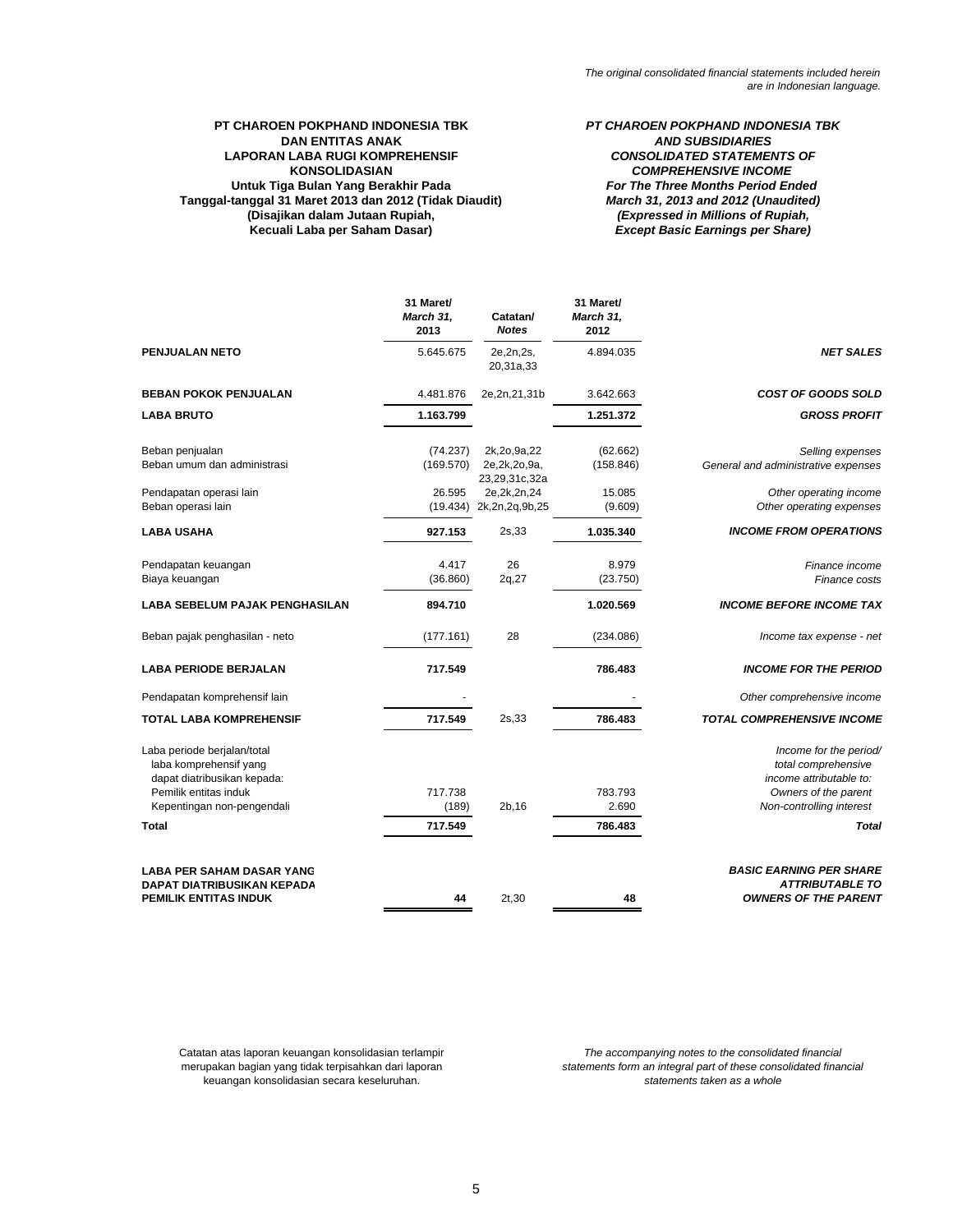### **PT CHAROEN POKPHAND INDONESIA TBK** *PT CHAROEN POKPHAND INDONESIA TBK* **DAN ENTITAS ANAK LAPORAN LABA RUGI KOMPREHENSIF KONSOLIDASIAN Untuk Tiga Bulan Yang Berakhir Pada Tanggal-tanggal 31 Maret 2013 dan 2012 (Tidak Diaudit) (Disajikan dalam Jutaan Rupiah, Kecuali Laba per Saham Dasar)**

*(Expressed in Millions of Rupiah, Except Basic Earnings per Share) CONSOLIDATED STATEMENTS OF COMPREHENSIVE INCOME For The Three Months Period Ended March 31, 2013 and 2012 (Unaudited)*

|                                                                                                                                             | 31 Maret/<br>March 31,<br>2013 | Catatan/<br><b>Notes</b>                        | 31 Maret/<br>March 31,<br>2012 |                                                                                                                              |
|---------------------------------------------------------------------------------------------------------------------------------------------|--------------------------------|-------------------------------------------------|--------------------------------|------------------------------------------------------------------------------------------------------------------------------|
| <b>PENJUALAN NETO</b>                                                                                                                       | 5.645.675                      | 2e, 2n, 2s,<br>20,31a,33                        | 4.894.035                      | <b>NET SALES</b>                                                                                                             |
| <b>BEBAN POKOK PENJUALAN</b>                                                                                                                | 4.481.876                      | 2e,2n,21,31b                                    | 3.642.663                      | <b>COST OF GOODS SOLD</b>                                                                                                    |
| <b>LABA BRUTO</b>                                                                                                                           | 1.163.799                      |                                                 | 1.251.372                      | <b>GROSS PROFIT</b>                                                                                                          |
| Beban penjualan<br>Beban umum dan administrasi                                                                                              | (74.237)<br>(169.570)          | 2k,2o,9a,22<br>2e, 2k, 2o, 9a,<br>23,29,31c,32a | (62.662)<br>(158.846)          | Selling expenses<br>General and administrative expenses                                                                      |
| Pendapatan operasi lain<br>Beban operasi lain                                                                                               | 26.595<br>(19.434)             | 2e, 2k, 2n, 24<br>2k,2n,2q,9b,25                | 15.085<br>(9.609)              | Other operating income<br>Other operating expenses                                                                           |
| <b>LABA USAHA</b>                                                                                                                           | 927.153                        | 2s,33                                           | 1.035.340                      | <b>INCOME FROM OPERATIONS</b>                                                                                                |
| Pendapatan keuangan<br>Biaya keuangan                                                                                                       | 4.417<br>(36.860)              | 26<br>2q,27                                     | 8.979<br>(23.750)              | Finance income<br>Finance costs                                                                                              |
| <b>LABA SEBELUM PAJAK PENGHASILAN</b>                                                                                                       | 894.710                        |                                                 | 1.020.569                      | <b>INCOME BEFORE INCOME TAX</b>                                                                                              |
| Beban pajak penghasilan - neto                                                                                                              | (177.161)                      | 28                                              | (234.086)                      | Income tax expense - net                                                                                                     |
| <b>LABA PERIODE BERJALAN</b>                                                                                                                | 717.549                        |                                                 | 786.483                        | <b>INCOME FOR THE PERIOD</b>                                                                                                 |
| Pendapatan komprehensif lain                                                                                                                |                                |                                                 |                                | Other comprehensive income                                                                                                   |
| <b>TOTAL LABA KOMPREHENSIF</b>                                                                                                              | 717.549                        | 2s,33                                           | 786.483                        | <b>TOTAL COMPREHENSIVE INCOME</b>                                                                                            |
| Laba periode berjalan/total<br>laba komprehensif yang<br>dapat diatribusikan kepada:<br>Pemilik entitas induk<br>Kepentingan non-pengendali | 717.738<br>(189)               | 2b, 16                                          | 783.793<br>2.690               | Income for the period/<br>total comprehensive<br>income attributable to:<br>Owners of the parent<br>Non-controlling interest |
| <b>Total</b>                                                                                                                                | 717.549                        |                                                 | 786.483                        | <b>Total</b>                                                                                                                 |
| <b>LABA PER SAHAM DASAR YANG</b><br>DAPAT DIATRIBUSIKAN KEPADA<br><b>PEMILIK ENTITAS INDUK</b>                                              | 44                             | 2t,30                                           | 48                             | <b>BASIC EARNING PER SHARE</b><br><b>ATTRIBUTABLE TO</b><br><b>OWNERS OF THE PARENT</b>                                      |

Catatan atas laporan keuangan konsolidasian terlampir merupakan bagian yang tidak terpisahkan dari laporan keuangan konsolidasian secara keseluruhan.

*statements form an integral part of these consolidated financial The accompanying notes to the consolidated financial*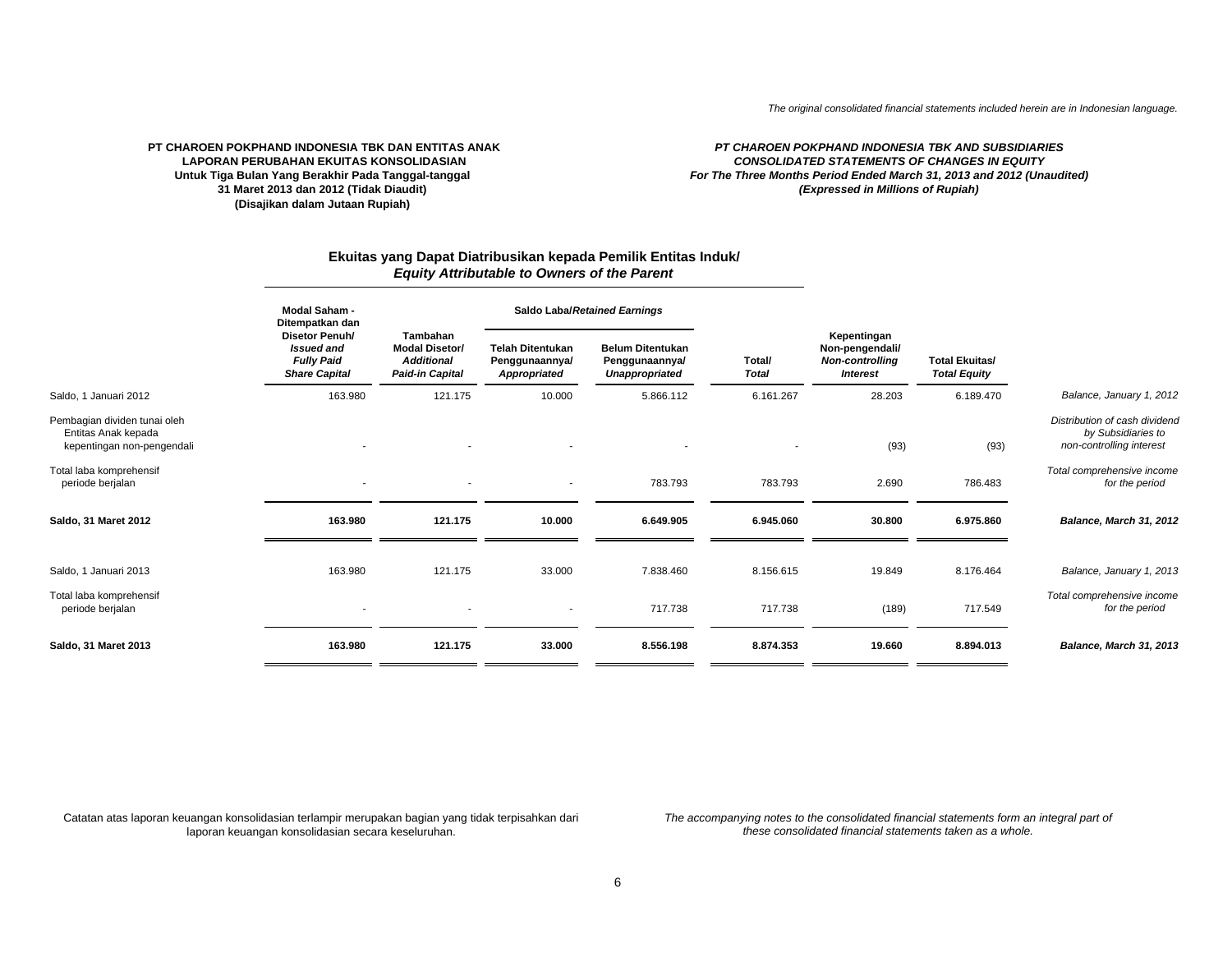### **PT CHAROEN POKPHAND INDONESIA TBK DAN ENTITAS ANAK LAPORAN PERUBAHAN EKUITAS KONSOLIDASIANUntuk Tiga Bulan Yang Berakhir Pada Tanggal-tanggal 31 Maret 2013 dan 2012 (Tidak Diaudit) (Disajikan dalam Jutaan Rupiah)**

### *CONSOLIDATED STATEMENTS OF CHANGES IN EQUITYPT CHAROEN POKPHAND INDONESIA TBK AND SUBSIDIARIES For The Three Months Period Ended March 31, 2013 and 2012 (Unaudited) (Expressed in Millions of Rupiah)*

# **Ekuitas yang Dapat Diatribusikan kepada Pemilik Entitas Induk/** *Equity Attributable to Owners of the Parent*

|                                                                                   | <b>Modal Saham -</b><br>Ditempatkan dan                                          |                                                                                  | Saldo Laba/Retained Earnings                              |                                                                    |                        |                                                                             |                                              |                                                                                 |  |
|-----------------------------------------------------------------------------------|----------------------------------------------------------------------------------|----------------------------------------------------------------------------------|-----------------------------------------------------------|--------------------------------------------------------------------|------------------------|-----------------------------------------------------------------------------|----------------------------------------------|---------------------------------------------------------------------------------|--|
|                                                                                   | Disetor Penuh/<br><b>Issued and</b><br><b>Fully Paid</b><br><b>Share Capital</b> | Tambahan<br><b>Modal Disetor/</b><br><b>Additional</b><br><b>Paid-in Capital</b> | <b>Telah Ditentukan</b><br>Penggunaannya/<br>Appropriated | <b>Belum Ditentukan</b><br>Penggunaannya/<br><b>Unappropriated</b> | Total/<br><b>Total</b> | Kepentingan<br>Non-pengendali/<br><b>Non-controlling</b><br><b>Interest</b> | <b>Total Ekuitas/</b><br><b>Total Equity</b> |                                                                                 |  |
| Saldo, 1 Januari 2012                                                             | 163.980                                                                          | 121.175                                                                          | 10.000                                                    | 5.866.112                                                          | 6.161.267              | 28.203                                                                      | 6.189.470                                    | Balance, January 1, 2012                                                        |  |
| Pembagian dividen tunai oleh<br>Entitas Anak kepada<br>kepentingan non-pengendali |                                                                                  |                                                                                  |                                                           |                                                                    |                        | (93)                                                                        | (93)                                         | Distribution of cash dividend<br>by Subsidiaries to<br>non-controlling interest |  |
| Total laba komprehensif<br>periode berjalan                                       |                                                                                  |                                                                                  | ٠                                                         | 783.793                                                            | 783.793                | 2.690                                                                       | 786.483                                      | Total comprehensive income<br>for the period                                    |  |
| Saldo, 31 Maret 2012                                                              | 163.980                                                                          | 121.175                                                                          | 10.000                                                    | 6.649.905                                                          | 6.945.060              | 30.800                                                                      | 6.975.860                                    | Balance, March 31, 2012                                                         |  |
|                                                                                   |                                                                                  |                                                                                  |                                                           |                                                                    |                        |                                                                             |                                              |                                                                                 |  |
| Saldo, 1 Januari 2013                                                             | 163.980                                                                          | 121.175                                                                          | 33.000                                                    | 7.838.460                                                          | 8.156.615              | 19.849                                                                      | 8.176.464                                    | Balance, January 1, 2013                                                        |  |
| Total laba komprehensif<br>periode berjalan                                       |                                                                                  |                                                                                  |                                                           | 717.738                                                            | 717.738                | (189)                                                                       | 717.549                                      | Total comprehensive income<br>for the period                                    |  |
| Saldo, 31 Maret 2013                                                              | 163.980                                                                          | 121.175                                                                          | 33.000                                                    | 8.556.198                                                          | 8.874.353              | 19.660                                                                      | 8.894.013                                    | Balance, March 31, 2013                                                         |  |

Catatan atas laporan keuangan konsolidasian terlampir merupakan bagian yang tidak terpisahkan dari *The accompanying notes to the consolidated financial statements form an integral part of* laporan keuangan konsolidasian secara keseluruhan.

*these consolidated financial statements taken as a whole.*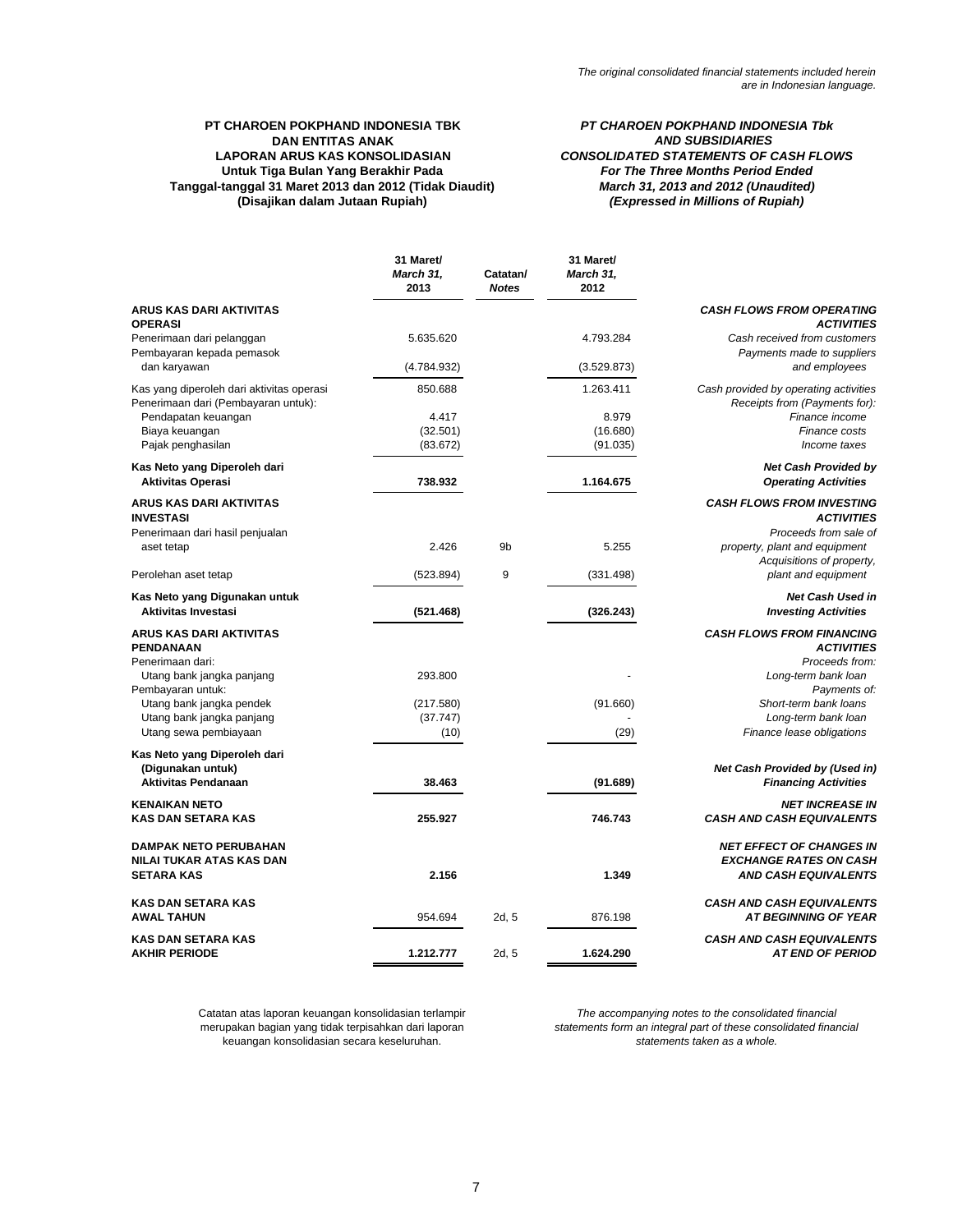# **Tanggal-tanggal 31 Maret 2013 dan 2012 (Tidak Diaudit) (Disajikan dalam Jutaan Rupiah) PT CHAROEN POKPHAND INDONESIA TBK DAN ENTITAS ANAK LAPORAN ARUS KAS KONSOLIDASIAN Untuk Tiga Bulan Yang Berakhir Pada**

*PT CHAROEN POKPHAND INDONESIA Tbk AND SUBSIDIARIES CONSOLIDATED STATEMENTS OF CASH FLOWS For The Three Months Period Ended March 31, 2013 and 2012 (Unaudited) (Expressed in Millions of Rupiah)*

|                                                                                                                                                                                                     | 31 Maret/<br><b>March 31,</b><br>2013    | Catatan/<br><b>Notes</b> | 31 Maret/<br>March 31,<br>2012 |                                                                                                                                                                                             |
|-----------------------------------------------------------------------------------------------------------------------------------------------------------------------------------------------------|------------------------------------------|--------------------------|--------------------------------|---------------------------------------------------------------------------------------------------------------------------------------------------------------------------------------------|
| ARUS KAS DARI AKTIVITAS<br><b>OPERASI</b>                                                                                                                                                           |                                          |                          |                                | <b>CASH FLOWS FROM OPERATING</b><br><b>ACTIVITIES</b>                                                                                                                                       |
| Penerimaan dari pelanggan<br>Pembayaran kepada pemasok                                                                                                                                              | 5.635.620                                |                          | 4.793.284                      | Cash received from customers<br>Payments made to suppliers                                                                                                                                  |
| dan karyawan                                                                                                                                                                                        | (4.784.932)                              |                          | (3.529.873)                    | and employees                                                                                                                                                                               |
| Kas yang diperoleh dari aktivitas operasi<br>Penerimaan dari (Pembayaran untuk):<br>Pendapatan keuangan<br>Biaya keuangan                                                                           | 850.688<br>4.417<br>(32.501)             |                          | 1.263.411<br>8.979<br>(16.680) | Cash provided by operating activities<br>Receipts from (Payments for):<br>Finance income<br>Finance costs                                                                                   |
| Pajak penghasilan                                                                                                                                                                                   | (83.672)                                 |                          | (91.035)                       | Income taxes                                                                                                                                                                                |
| Kas Neto yang Diperoleh dari<br><b>Aktivitas Operasi</b>                                                                                                                                            | 738.932                                  |                          | 1.164.675                      | <b>Net Cash Provided by</b><br><b>Operating Activities</b>                                                                                                                                  |
| <b>ARUS KAS DARI AKTIVITAS</b><br><b>INVESTASI</b><br>Penerimaan dari hasil penjualan<br>aset tetap                                                                                                 | 2.426                                    | 9 <sub>b</sub>           | 5.255                          | <b>CASH FLOWS FROM INVESTING</b><br><b>ACTIVITIES</b><br>Proceeds from sale of<br>property, plant and equipment                                                                             |
| Perolehan aset tetap                                                                                                                                                                                | (523.894)                                | 9                        | (331.498)                      | Acquisitions of property,<br>plant and equipment                                                                                                                                            |
| Kas Neto yang Digunakan untuk<br><b>Aktivitas Investasi</b>                                                                                                                                         | (521.468)                                |                          | (326.243)                      | <b>Net Cash Used in</b><br><b>Investing Activities</b>                                                                                                                                      |
| <b>ARUS KAS DARI AKTIVITAS</b><br>PENDANAAN<br>Penerimaan dari:<br>Utang bank jangka panjang<br>Pembayaran untuk:<br>Utang bank jangka pendek<br>Utang bank jangka panjang<br>Utang sewa pembiayaan | 293.800<br>(217.580)<br>(37.747)<br>(10) |                          | (91.660)<br>(29)               | <b>CASH FLOWS FROM FINANCING</b><br><b>ACTIVITIES</b><br>Proceeds from:<br>Long-term bank loan<br>Payments of:<br>Short-term bank loans<br>Long-term bank loan<br>Finance lease obligations |
| Kas Neto yang Diperoleh dari<br>(Digunakan untuk)<br><b>Aktivitas Pendanaan</b>                                                                                                                     | 38.463                                   |                          | (91.689)                       | Net Cash Provided by (Used in)<br><b>Financing Activities</b>                                                                                                                               |
| <b>KENAIKAN NETO</b><br><b>KAS DAN SETARA KAS</b>                                                                                                                                                   | 255.927                                  |                          | 746.743                        | <b>NET INCREASE IN</b><br><b>CASH AND CASH EQUIVALENTS</b>                                                                                                                                  |
| <b>DAMPAK NETO PERUBAHAN</b><br>NILAI TUKAR ATAS KAS DAN<br><b>SETARA KAS</b>                                                                                                                       | 2.156                                    |                          | 1.349                          | <b>NET EFFECT OF CHANGES IN</b><br><b>EXCHANGE RATES ON CASH</b><br><b>AND CASH EQUIVALENTS</b>                                                                                             |
| <b>KAS DAN SETARA KAS</b><br><b>AWAL TAHUN</b>                                                                                                                                                      | 954.694                                  | 2d, 5                    | 876.198                        | <b>CASH AND CASH EQUIVALENTS</b><br><b>AT BEGINNING OF YEAR</b>                                                                                                                             |
| <b>KAS DAN SETARA KAS</b><br><b>AKHIR PERIODE</b>                                                                                                                                                   | 1.212.777                                | 2d.5                     | 1.624.290                      | <b>CASH AND CASH EQUIVALENTS</b><br><b>AT END OF PERIOD</b>                                                                                                                                 |

Catatan atas laporan keuangan konsolidasian terlampir merupakan bagian yang tidak terpisahkan dari laporan keuangan konsolidasian secara keseluruhan.

*The accompanying notes to the consolidated financial statements form an integral part of these consolidated financial statements taken as a whole.*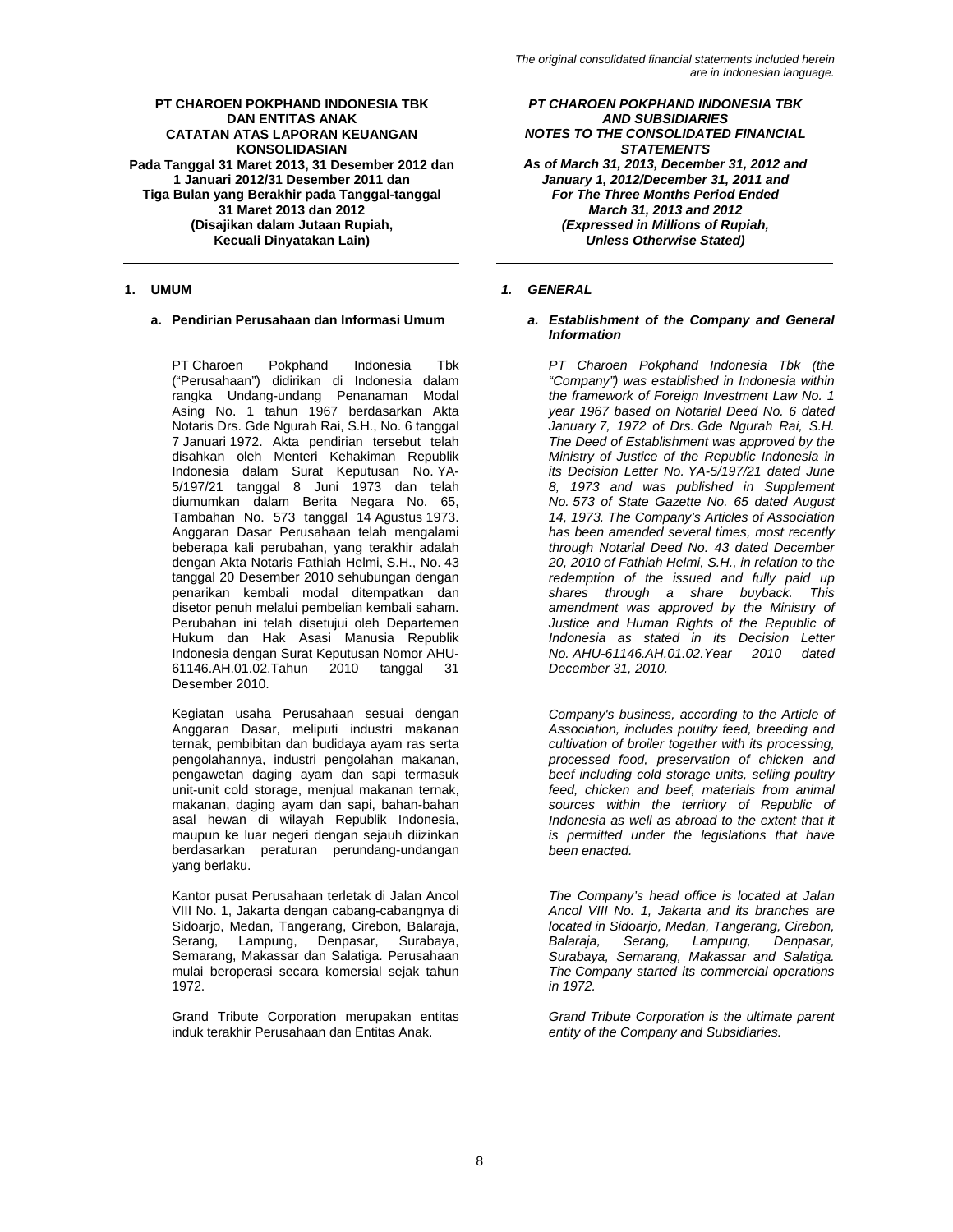PT Charoen Pokphand Indonesia Tbk ("Perusahaan") didirikan di Indonesia dalam rangka Undang-undang Penanaman Modal Asing No. 1 tahun 1967 berdasarkan Akta Notaris Drs. Gde Ngurah Rai, S.H., No. 6 tanggal 7 Januari 1972. Akta pendirian tersebut telah disahkan oleh Menteri Kehakiman Republik Indonesia dalam Surat Keputusan No. YA-5/197/21 tanggal 8 Juni 1973 dan telah diumumkan dalam Berita Negara No. 65, Tambahan No. 573 tanggal 14 Agustus 1973. Anggaran Dasar Perusahaan telah mengalami beberapa kali perubahan, yang terakhir adalah dengan Akta Notaris Fathiah Helmi, S.H., No. 43 tanggal 20 Desember 2010 sehubungan dengan penarikan kembali modal ditempatkan dan disetor penuh melalui pembelian kembali saham. Perubahan ini telah disetujui oleh Departemen Hukum dan Hak Asasi Manusia Republik Indonesia dengan Surat Keputusan Nomor AHU-61146.AH.01.02.Tahun 2010 tanggal 31 Desember 2010.

Kegiatan usaha Perusahaan sesuai dengan Anggaran Dasar, meliputi industri makanan ternak, pembibitan dan budidaya ayam ras serta pengolahannya, industri pengolahan makanan, pengawetan daging ayam dan sapi termasuk unit-unit cold storage, menjual makanan ternak, makanan, daging ayam dan sapi, bahan-bahan asal hewan di wilayah Republik Indonesia, maupun ke luar negeri dengan sejauh diizinkan berdasarkan peraturan perundang-undangan yang berlaku.

Kantor pusat Perusahaan terletak di Jalan Ancol VIII No. 1, Jakarta dengan cabang-cabangnya di Sidoarjo, Medan, Tangerang, Cirebon, Balaraja, Serang, Lampung, Denpasar, Surabaya, Semarang, Makassar dan Salatiga. Perusahaan mulai beroperasi secara komersial sejak tahun 1972.

Grand Tribute Corporation merupakan entitas induk terakhir Perusahaan dan Entitas Anak.

*PT CHAROEN POKPHAND INDONESIA TBK AND SUBSIDIARIES NOTES TO THE CONSOLIDATED FINANCIAL STATEMENTS As of March 31, 2013, December 31, 2012 and January 1, 2012/December 31, 2011 and For The Three Months Period Ended March 31, 2013 and 2012 (Expressed in Millions of Rupiah, Unless Otherwise Stated)* 

# **1. UMUM** *1. GENERAL*

# **a. Pendirian Perusahaan dan Informasi Umum** *a. Establishment of the Company and General Information*

*PT Charoen Pokphand Indonesia Tbk (the "Company") was established in Indonesia within the framework of Foreign Investment Law No. 1 year 1967 based on Notarial Deed No. 6 dated January 7, 1972 of Drs. Gde Ngurah Rai, S.H. The Deed of Establishment was approved by the Ministry of Justice of the Republic Indonesia in its Decision Letter No. YA-5/197/21 dated June 8, 1973 and was published in Supplement No. 573 of State Gazette No. 65 dated August 14, 1973. The Company's Articles of Association has been amended several times, most recently through Notarial Deed No. 43 dated December 20, 2010 of Fathiah Helmi, S.H., in relation to the redemption of the issued and fully paid up shares through a share buyback. This amendment was approved by the Ministry of Justice and Human Rights of the Republic of Indonesia as stated in its Decision Letter No. AHU-61146.AH.01.02.Year 2010 dated December 31, 2010.* 

*Company's business, according to the Article of Association, includes poultry feed, breeding and cultivation of broiler together with its processing, processed food, preservation of chicken and beef including cold storage units, selling poultry feed, chicken and beef, materials from animal sources within the territory of Republic of Indonesia as well as abroad to the extent that it is permitted under the legislations that have been enacted.* 

*The Company's head office is located at Jalan Ancol VIII No. 1, Jakarta and its branches are located in Sidoarjo, Medan, Tangerang, Cirebon, Balaraja, Serang, Lampung, Denpasar, Surabaya, Semarang, Makassar and Salatiga. The Company started its commercial operations in 1972.* 

*Grand Tribute Corporation is the ultimate parent entity of the Company and Subsidiaries.*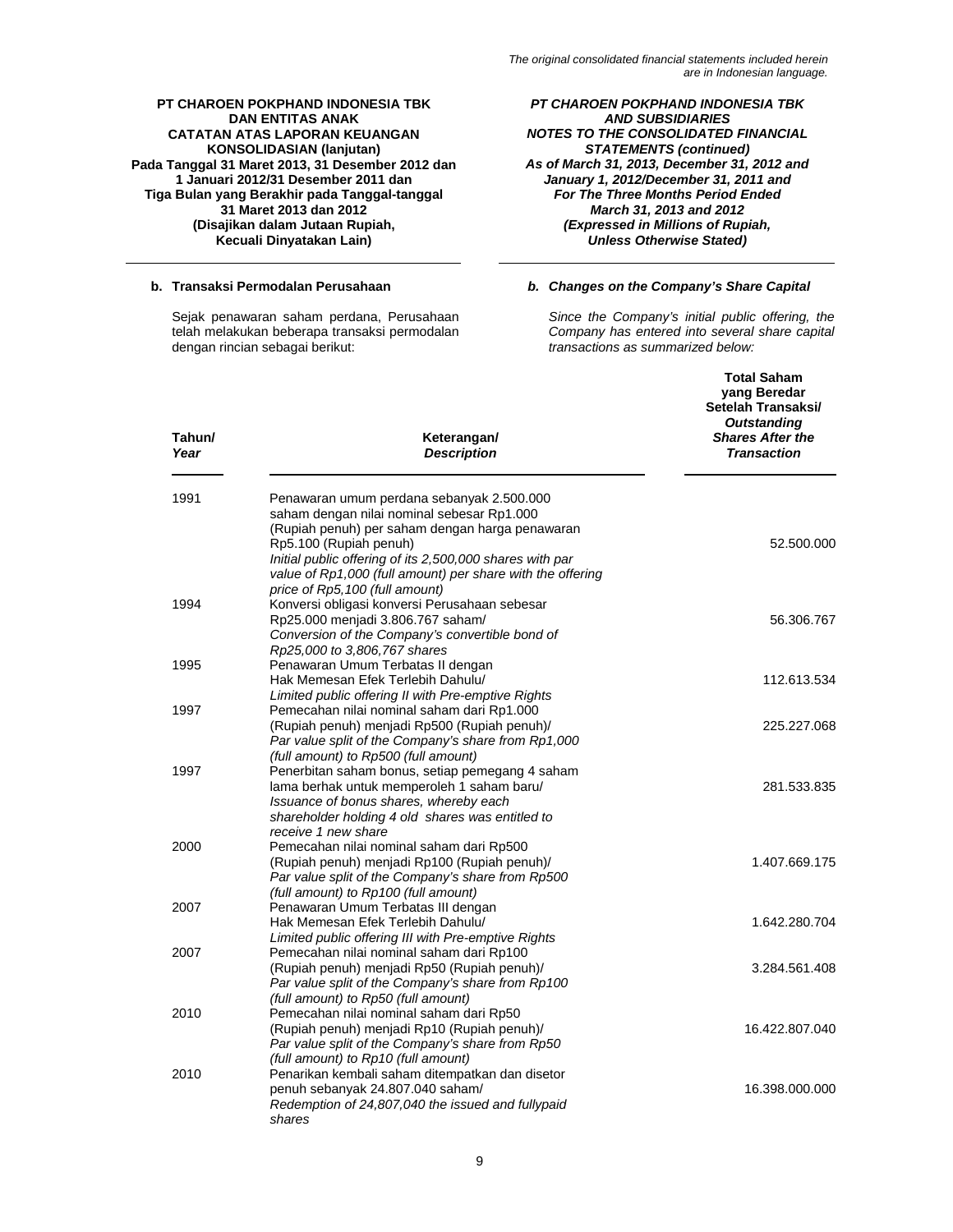# *PT CHAROEN POKPHAND INDONESIA TBK AND SUBSIDIARIES NOTES TO THE CONSOLIDATED FINANCIAL STATEMENTS (continued) As of March 31, 2013, December 31, 2012 and January 1, 2012/December 31, 2011 and For The Three Months Period Ended March 31, 2013 and 2012 (Expressed in Millions of Rupiah, Unless Otherwise Stated)*

# **b. Transaksi Permodalan Perusahaan** *b. Changes on the Company's Share Capital*

*Since the Company's initial public offering, the Company has entered into several share capital transactions as summarized below:* 

| Tahun/<br>Keterangan/<br>Year<br><b>Description</b>                                                     | yang Beredar<br>Setelah Transaksi/<br><b>Outstanding</b><br><b>Shares After the</b><br><b>Transaction</b> |
|---------------------------------------------------------------------------------------------------------|-----------------------------------------------------------------------------------------------------------|
| 1991<br>Penawaran umum perdana sebanyak 2.500.000                                                       |                                                                                                           |
| saham dengan nilai nominal sebesar Rp1.000<br>(Rupiah penuh) per saham dengan harga penawaran           |                                                                                                           |
| Rp5.100 (Rupiah penuh)                                                                                  | 52.500.000                                                                                                |
| Initial public offering of its 2,500,000 shares with par                                                |                                                                                                           |
| value of Rp1,000 (full amount) per share with the offering                                              |                                                                                                           |
| price of Rp5, 100 (full amount)                                                                         |                                                                                                           |
| Konversi obligasi konversi Perusahaan sebesar<br>1994                                                   |                                                                                                           |
| Rp25.000 menjadi 3.806.767 saham/<br>Conversion of the Company's convertible bond of                    | 56.306.767                                                                                                |
| Rp25,000 to 3,806,767 shares                                                                            |                                                                                                           |
| Penawaran Umum Terbatas II dengan<br>1995                                                               |                                                                                                           |
| Hak Memesan Efek Terlebih Dahulu/                                                                       | 112.613.534                                                                                               |
| Limited public offering II with Pre-emptive Rights                                                      |                                                                                                           |
| Pemecahan nilai nominal saham dari Rp1.000<br>1997                                                      |                                                                                                           |
| (Rupiah penuh) menjadi Rp500 (Rupiah penuh)/                                                            | 225.227.068                                                                                               |
| Par value split of the Company's share from Rp1,000                                                     |                                                                                                           |
| (full amount) to Rp500 (full amount)                                                                    |                                                                                                           |
| 1997<br>Penerbitan saham bonus, setiap pemegang 4 saham<br>lama berhak untuk memperoleh 1 saham baru/   | 281.533.835                                                                                               |
| Issuance of bonus shares, whereby each                                                                  |                                                                                                           |
| shareholder holding 4 old shares was entitled to                                                        |                                                                                                           |
| receive 1 new share                                                                                     |                                                                                                           |
| Pemecahan nilai nominal saham dari Rp500<br>2000                                                        |                                                                                                           |
| (Rupiah penuh) menjadi Rp100 (Rupiah penuh)/                                                            | 1.407.669.175                                                                                             |
| Par value split of the Company's share from Rp500                                                       |                                                                                                           |
| (full amount) to Rp100 (full amount)                                                                    |                                                                                                           |
| Penawaran Umum Terbatas III dengan<br>2007                                                              |                                                                                                           |
| Hak Memesan Efek Terlebih Dahulu/                                                                       | 1.642.280.704                                                                                             |
| Limited public offering III with Pre-emptive Rights<br>Pemecahan nilai nominal saham dari Rp100<br>2007 |                                                                                                           |
| (Rupiah penuh) menjadi Rp50 (Rupiah penuh)/                                                             | 3.284.561.408                                                                                             |
| Par value split of the Company's share from Rp100                                                       |                                                                                                           |
| (full amount) to Rp50 (full amount)                                                                     |                                                                                                           |
| 2010<br>Pemecahan nilai nominal saham dari Rp50                                                         |                                                                                                           |
| (Rupiah penuh) menjadi Rp10 (Rupiah penuh)/                                                             | 16.422.807.040                                                                                            |
| Par value split of the Company's share from Rp50                                                        |                                                                                                           |
| (full amount) to Rp10 (full amount)                                                                     |                                                                                                           |
| 2010<br>Penarikan kembali saham ditempatkan dan disetor                                                 |                                                                                                           |
| penuh sebanyak 24.807.040 saham/<br>Redemption of 24,807,040 the issued and fullypaid                   | 16.398.000.000                                                                                            |
| shares                                                                                                  |                                                                                                           |

Sejak penawaran saham perdana, Perusahaan telah melakukan beberapa transaksi permodalan dengan rincian sebagai berikut: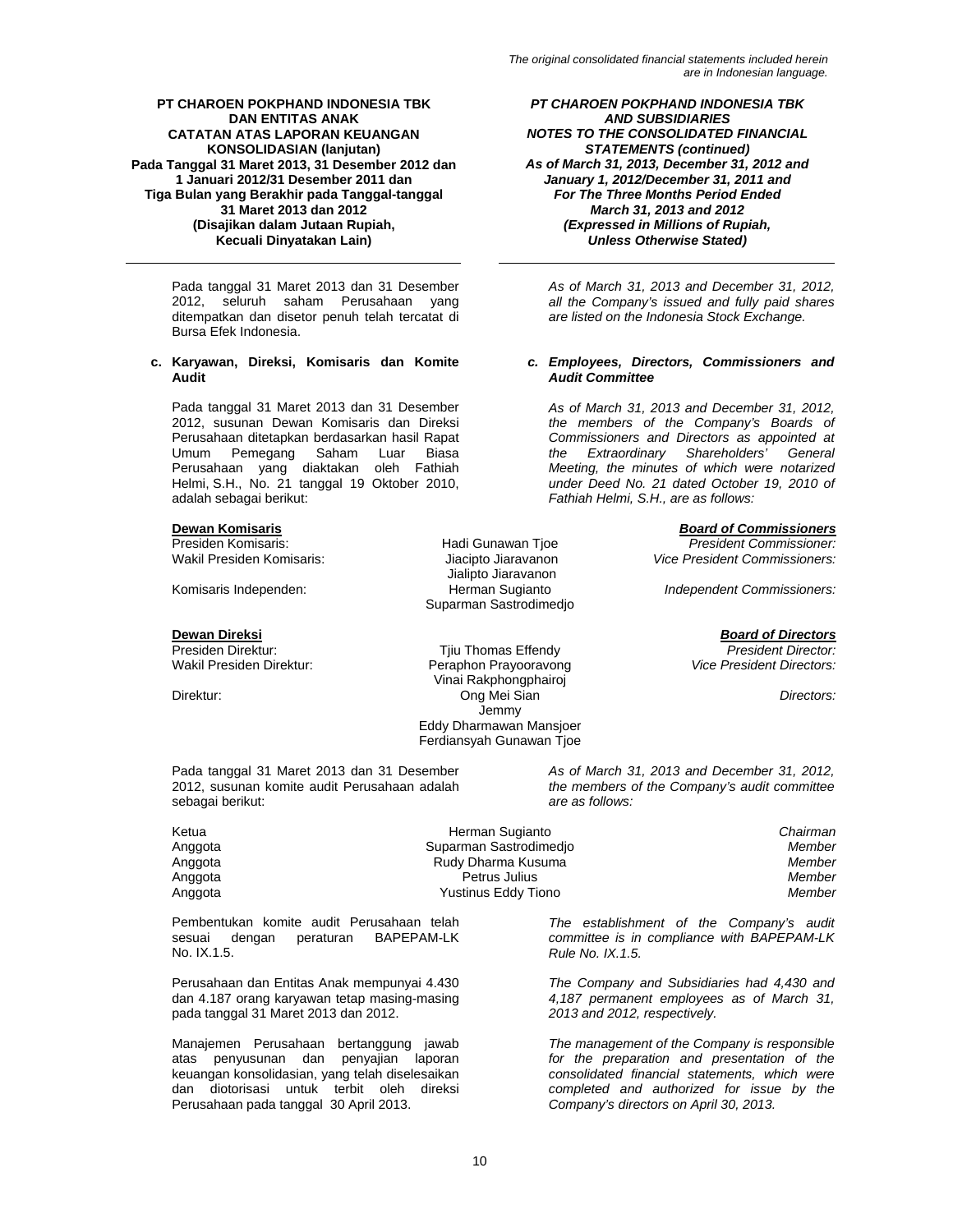Pada tanggal 31 Maret 2013 dan 31 Desember 2012, seluruh saham Perusahaan yang ditempatkan dan disetor penuh telah tercatat di Bursa Efek Indonesia.

# **c. Karyawan, Direksi, Komisaris dan Komite Audit**

Pada tanggal 31 Maret 2013 dan 31 Desember 2012, susunan Dewan Komisaris dan Direksi Perusahaan ditetapkan berdasarkan hasil Rapat<br>Umum Pemegang Saham Luar Biasa Luar Biasa Perusahaan yang diaktakan oleh Fathiah Helmi, S.H., No. 21 tanggal 19 Oktober 2010, adalah sebagai berikut:

sebagai berikut:

Jialipto Jiaravanon<br>Komisaris Independen: The Herman Sugianto Suparman Sastrodimedjo

**Dewan Direksi** *Board of Directors* Presiden Direktur: Tjiu Thomas Effendy *President Director:*  Peraphon Prayooravong Vinai Rakphongphairoj Direktur: Ong Mei Sian *Directors:* **Jemmy**  Eddy Dharmawan Mansjoer Ferdiansyah Gunawan Tjoe

*PT CHAROEN POKPHAND INDONESIA TBK AND SUBSIDIARIES NOTES TO THE CONSOLIDATED FINANCIAL STATEMENTS (continued) As of March 31, 2013, December 31, 2012 and January 1, 2012/December 31, 2011 and For The Three Months Period Ended March 31, 2013 and 2012 (Expressed in Millions of Rupiah, Unless Otherwise Stated)* 

*As of March 31, 2013 and December 31, 2012, all the Company's issued and fully paid shares are listed on the Indonesia Stock Exchange.* 

### *c. Employees, Directors, Commissioners and Audit Committee*

*As of March 31, 2013 and December 31, 2012, the members of the Company's Boards of Commissioners and Directors as appointed at*  Shareholders' *Meeting, the minutes of which were notarized under Deed No. 21 dated October 19, 2010 of Fathiah Helmi, S.H., are as follows:* 

**Dewan Komisaris** *Board of Commissioners*

Presiden Komisaris: Hadi Gunawan Tjoe *President Commissioner:*  **Vice President Commissioners:** 

**Independent Commissioners:** 

*As of March 31, 2013 and December 31, 2012, the members of the Company's audit committee are as follows:* 

| Herman Sugianto        | Chairman |
|------------------------|----------|
| Suparman Sastrodimedio | Member   |
| Rudy Dharma Kusuma     | Member   |
| Petrus Julius          | Member   |
| Yustinus Eddy Tiono    | Member   |
|                        |          |

Pembentukan komite audit Perusahaan telah sesuai dengan peraturan BAPEPAM-LK No. IX.1.5.

Pada tanggal 31 Maret 2013 dan 31 Desember 2012, susunan komite audit Perusahaan adalah

Perusahaan dan Entitas Anak mempunyai 4.430 dan 4.187 orang karyawan tetap masing-masing pada tanggal 31 Maret 2013 dan 2012.

Manajemen Perusahaan bertanggung jawab atas penyusunan dan penyajian laporan keuangan konsolidasian, yang telah diselesaikan dan diotorisasi untuk terbit oleh direksi Perusahaan pada tanggal 30 April 2013.

*The establishment of the Company's audit committee is in compliance with BAPEPAM-LK Rule No. IX.1.5.* 

*The Company and Subsidiaries had 4,430 and 4,187 permanent employees as of March 31, 2013 and 2012, respectively.* 

*The management of the Company is responsible for the preparation and presentation of the consolidated financial statements, which were completed and authorized for issue by the Company's directors on April 30, 2013.*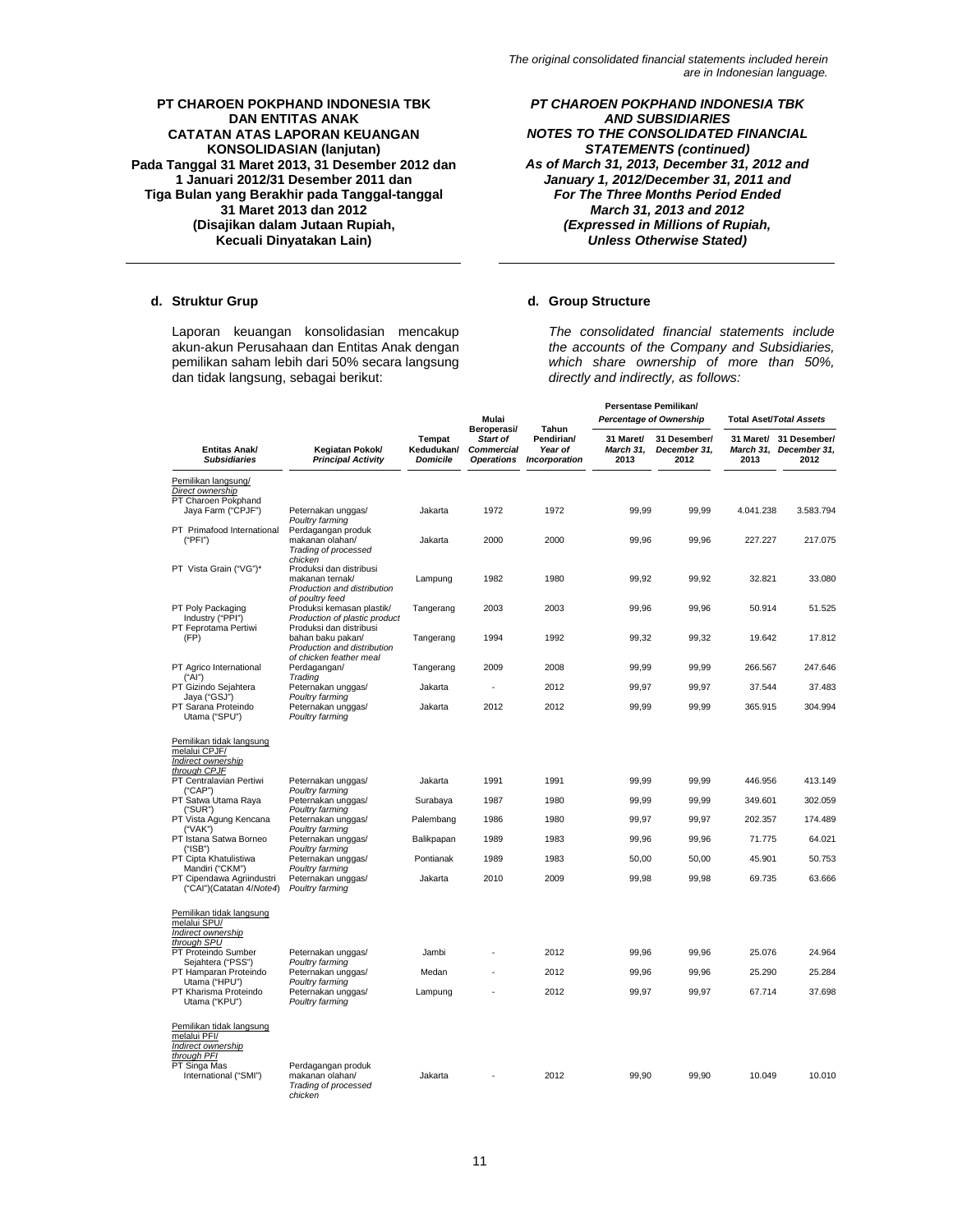Laporan keuangan konsolidasian mencakup akun-akun Perusahaan dan Entitas Anak dengan pemilikan saham lebih dari 50% secara langsung dan tidak langsung, sebagai berikut:

*PT CHAROEN POKPHAND INDONESIA TBK AND SUBSIDIARIES NOTES TO THE CONSOLIDATED FINANCIAL STATEMENTS (continued) As of March 31, 2013, December 31, 2012 and January 1, 2012/December 31, 2011 and For The Three Months Period Ended March 31, 2013 and 2012 (Expressed in Millions of Rupiah, Unless Otherwise Stated)* 

# d. Struktur Grup d. Group Structure

*The consolidated financial statements include the accounts of the Company and Subsidiaries, which share ownership of more than 50%, directly and indirectly, as follows:* 

|                                                                                               |                                                                               |                                                | Mulai<br>Beroperasi/<br>Start of<br><b>Commercial</b><br><b>Operations</b> | Tahun<br>Pendirian/<br>Year of<br>Incorporation | Persentase Pemilikan/<br><b>Percentage of Ownership</b> |                                      | <b>Total Aset/Total Assets</b> |                                      |
|-----------------------------------------------------------------------------------------------|-------------------------------------------------------------------------------|------------------------------------------------|----------------------------------------------------------------------------|-------------------------------------------------|---------------------------------------------------------|--------------------------------------|--------------------------------|--------------------------------------|
| <b>Entitas Anak/</b><br><b>Subsidiaries</b>                                                   | Kegiatan Pokok/<br><b>Principal Activity</b>                                  | <b>Tempat</b><br>Kedudukan/<br><b>Domicile</b> |                                                                            |                                                 | 31 Maret/<br>March 31,<br>2013                          | 31 Desember/<br>December 31.<br>2012 | 31 Maret/<br>March 31,<br>2013 | 31 Desember/<br>December 31.<br>2012 |
| Pemilikan langsung/                                                                           |                                                                               |                                                |                                                                            |                                                 |                                                         |                                      |                                |                                      |
| Direct ownership<br>PT Charoen Pokphand<br>Jaya Farm ("CPJF")                                 | Peternakan unggas/<br>Poultry farming                                         | Jakarta                                        | 1972                                                                       | 1972                                            | 99,99                                                   | 99,99                                | 4.041.238                      | 3.583.794                            |
| PT Primafood International<br>("PFI")                                                         | Perdagangan produk<br>makanan olahan/<br>Trading of processed<br>chicken      | Jakarta                                        | 2000                                                                       | 2000                                            | 99,96                                                   | 99,96                                | 227.227                        | 217.075                              |
| PT Vista Grain ("VG")*                                                                        | Produksi dan distribusi<br>makanan ternak/<br>Production and distribution     | Lampung                                        | 1982                                                                       | 1980                                            | 99,92                                                   | 99,92                                | 32.821                         | 33.080                               |
| PT Poly Packaging<br>Industry ("PPI")                                                         | of poultry feed<br>Produksi kemasan plastik/<br>Production of plastic product | Tangerang                                      | 2003                                                                       | 2003                                            | 99,96                                                   | 99,96                                | 50.914                         | 51.525                               |
| PT Feprotama Pertiwi<br>(FP)                                                                  | Produksi dan distribusi<br>bahan baku pakan/<br>Production and distribution   | Tangerang                                      | 1994                                                                       | 1992                                            | 99,32                                                   | 99,32                                | 19.642                         | 17.812                               |
| PT Agrico International                                                                       | of chicken feather meal<br>Perdagangan/                                       | Tangerang                                      | 2009                                                                       | 2008                                            | 99,99                                                   | 99,99                                | 266.567                        | 247.646                              |
| ("Al")<br>PT Gizindo Sejahtera                                                                | Trading<br>Peternakan unggas/                                                 | Jakarta                                        |                                                                            | 2012                                            | 99,97                                                   | 99,97                                | 37.544                         | 37.483                               |
| Jaya ("GSJ")<br>PT Sarana Proteindo<br>Utama ("SPU")                                          | Poultry farming<br>Peternakan unggas/<br>Poultry farming                      | Jakarta                                        | 2012                                                                       | 2012                                            | 99,99                                                   | 99,99                                | 365.915                        | 304.994                              |
| Pemilikan tidak langsung<br>melalui CPJF/<br>Indirect ownership<br>through CPJF               |                                                                               |                                                |                                                                            |                                                 |                                                         |                                      |                                |                                      |
| PT Centralavian Pertiwi<br>("CAP")                                                            | Peternakan unggas/<br>Poultry farming                                         | Jakarta                                        | 1991                                                                       | 1991                                            | 99,99                                                   | 99,99                                | 446.956                        | 413.149                              |
| PT Satwa Utama Raya<br>("SUR")                                                                | Peternakan unggas/<br>Poultry farming                                         | Surabaya                                       | 1987                                                                       | 1980                                            | 99,99                                                   | 99,99                                | 349.601                        | 302.059                              |
| PT Vista Agung Kencana<br>("VAK")                                                             | Peternakan unggas/<br>Poultry farming                                         | Palembang                                      | 1986                                                                       | 1980                                            | 99,97                                                   | 99,97                                | 202.357                        | 174.489                              |
| PT Istana Satwa Borneo<br>("ISB")                                                             | Peternakan unggas/<br>Poultry farming                                         | Balikpapan                                     | 1989                                                                       | 1983                                            | 99,96                                                   | 99,96                                | 71.775                         | 64.021                               |
| PT Cipta Khatulistiwa<br>Mandiri ("CKM")                                                      | Peternakan unggas/                                                            | Pontianak                                      | 1989                                                                       | 1983                                            | 50,00                                                   | 50,00                                | 45.901                         | 50.753                               |
| PT Cipendawa Agriindustri<br>("CAI")(Catatan 4/Note4)                                         | Poultry farming<br>Peternakan unggas/<br>Poultry farming                      | Jakarta                                        | 2010                                                                       | 2009                                            | 99,98                                                   | 99,98                                | 69.735                         | 63.666                               |
| Pemilikan tidak langsung<br>melalui SPU/<br>Indirect ownership                                |                                                                               |                                                |                                                                            |                                                 |                                                         |                                      |                                |                                      |
| through SPU<br>PT Proteindo Sumber                                                            | Peternakan unggas/                                                            | Jambi                                          |                                                                            | 2012                                            | 99,96                                                   | 99,96                                | 25.076                         | 24.964                               |
| Sejahtera ("PSS")<br>PT Hamparan Proteindo                                                    | Poultry farming<br>Peternakan unggas/                                         | Medan                                          |                                                                            | 2012                                            | 99,96                                                   | 99,96                                | 25.290                         | 25.284                               |
| Utama ("HPU")<br>PT Kharisma Proteindo<br>Utama ("KPU")                                       | Poultry farming<br>Peternakan unggas/<br>Poultry farming                      | Lampung                                        |                                                                            | 2012                                            | 99.97                                                   | 99.97                                | 67.714                         | 37.698                               |
| Pemilikan tidak langsung<br>melalui PFI/<br>Indirect ownership<br>through PFI<br>PT Singa Mas | Perdagangan produk                                                            |                                                |                                                                            |                                                 |                                                         |                                      |                                |                                      |
| International ("SMI")                                                                         | makanan olahan/<br>Trading of processed<br>chicken                            | Jakarta                                        |                                                                            | 2012                                            | 99,90                                                   | 99,90                                | 10.049                         | 10.010                               |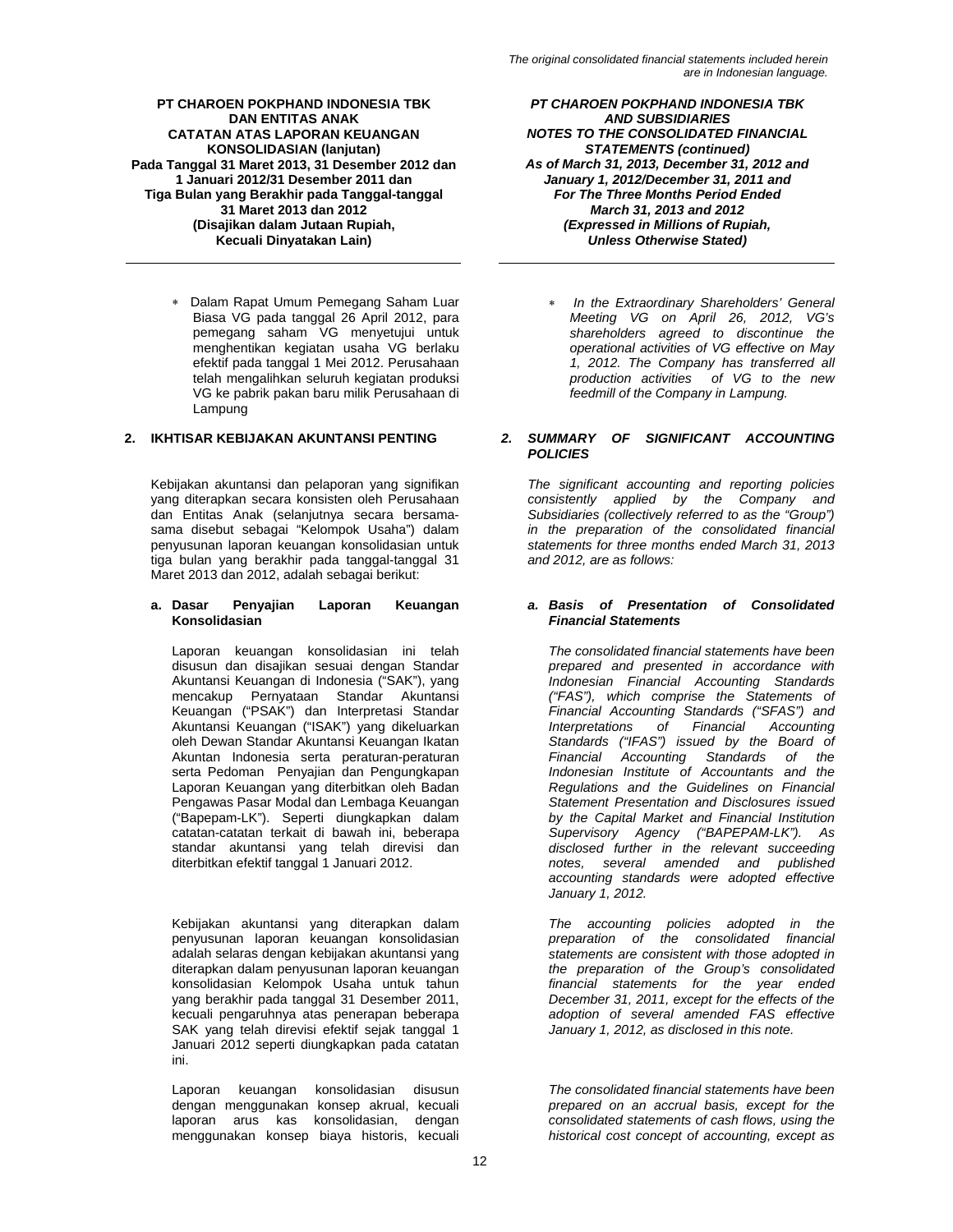∗ Dalam Rapat Umum Pemegang Saham Luar Biasa VG pada tanggal 26 April 2012, para pemegang saham VG menyetujui untuk menghentikan kegiatan usaha VG berlaku efektif pada tanggal 1 Mei 2012. Perusahaan telah mengalihkan seluruh kegiatan produksi VG ke pabrik pakan baru milik Perusahaan di Lampung

Kebijakan akuntansi dan pelaporan yang signifikan yang diterapkan secara konsisten oleh Perusahaan dan Entitas Anak (selanjutnya secara bersamasama disebut sebagai "Kelompok Usaha") dalam penyusunan laporan keuangan konsolidasian untuk tiga bulan yang berakhir pada tanggal-tanggal 31 Maret 2013 dan 2012, adalah sebagai berikut:

# **a. Dasar Penyajian Laporan Keuangan Konsolidasian**

Laporan keuangan konsolidasian ini telah disusun dan disajikan sesuai dengan Standar Akuntansi Keuangan di Indonesia ("SAK"), yang mencakup Pernyataan Standar Akuntansi Keuangan ("PSAK") dan Interpretasi Standar Akuntansi Keuangan ("ISAK") yang dikeluarkan oleh Dewan Standar Akuntansi Keuangan Ikatan Akuntan Indonesia serta peraturan-peraturan serta Pedoman Penyajian dan Pengungkapan Laporan Keuangan yang diterbitkan oleh Badan Pengawas Pasar Modal dan Lembaga Keuangan ("Bapepam-LK"). Seperti diungkapkan dalam catatan-catatan terkait di bawah ini, beberapa standar akuntansi yang telah direvisi dan diterbitkan efektif tanggal 1 Januari 2012.

Kebijakan akuntansi yang diterapkan dalam penyusunan laporan keuangan konsolidasian adalah selaras dengan kebijakan akuntansi yang diterapkan dalam penyusunan laporan keuangan konsolidasian Kelompok Usaha untuk tahun yang berakhir pada tanggal 31 Desember 2011, kecuali pengaruhnya atas penerapan beberapa SAK yang telah direvisi efektif sejak tanggal 1 Januari 2012 seperti diungkapkan pada catatan ini.

Laporan keuangan konsolidasian disusun dengan menggunakan konsep akrual, kecuali laporan arus kas konsolidasian, dengan menggunakan konsep biaya historis, kecuali

*PT CHAROEN POKPHAND INDONESIA TBK AND SUBSIDIARIES NOTES TO THE CONSOLIDATED FINANCIAL STATEMENTS (continued) As of March 31, 2013, December 31, 2012 and January 1, 2012/December 31, 2011 and For The Three Months Period Ended March 31, 2013 and 2012 (Expressed in Millions of Rupiah, Unless Otherwise Stated)* 

∗ *In the Extraordinary Shareholders' General Meeting VG on April 26, 2012, VG's shareholders agreed to discontinue the operational activities of VG effective on May 1, 2012. The Company has transferred all production activities of VG to the new feedmill of the Company in Lampung.* 

# **2. IKHTISAR KEBIJAKAN AKUNTANSI PENTING** *2. SUMMARY OF SIGNIFICANT ACCOUNTING POLICIES*

*The significant accounting and reporting policies consistently applied by the Company and Subsidiaries (collectively referred to as the "Group") in the preparation of the consolidated financial statements for three months ended March 31, 2013 and 2012, are as follows:* 

# *a. Basis of Presentation of Consolidated Financial Statements*

*The consolidated financial statements have been prepared and presented in accordance with Indonesian Financial Accounting Standards ("FAS"), which comprise the Statements of Financial Accounting Standards ("SFAS") and Interpretations of Financial Accounting Standards ("IFAS") issued by the Board of Financial Accounting Standards of the Indonesian Institute of Accountants and the Regulations and the Guidelines on Financial Statement Presentation and Disclosures issued by the Capital Market and Financial Institution Supervisory Agency ("BAPEPAM-LK"). As disclosed further in the relevant succeeding notes, several amended and published accounting standards were adopted effective January 1, 2012.* 

*The accounting policies adopted in the preparation of the consolidated financial statements are consistent with those adopted in the preparation of the Group's consolidated financial statements for the year ended December 31, 2011, except for the effects of the adoption of several amended FAS effective January 1, 2012, as disclosed in this note.* 

*The consolidated financial statements have been prepared on an accrual basis, except for the consolidated statements of cash flows, using the historical cost concept of accounting, except as*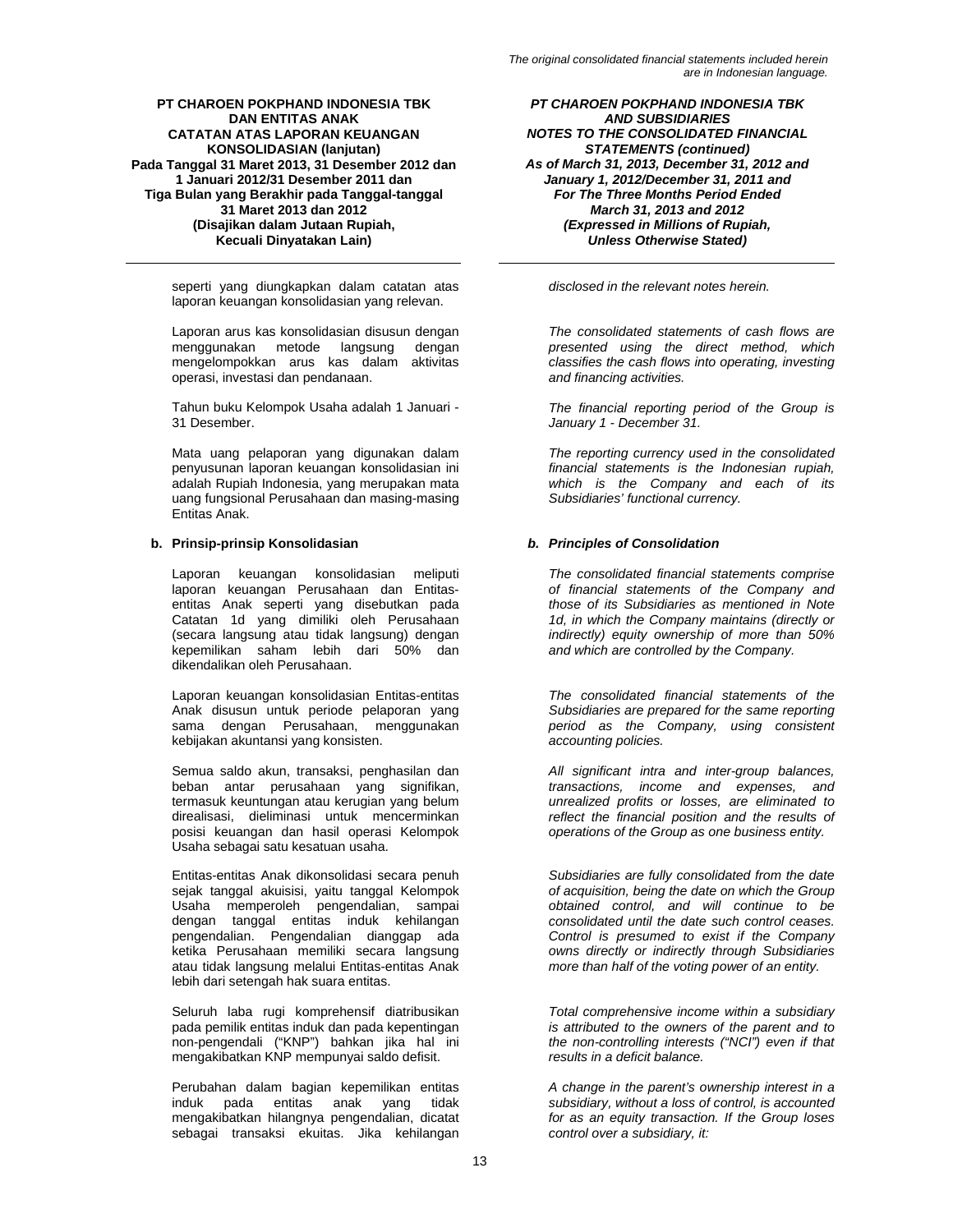seperti yang diungkapkan dalam catatan atas laporan keuangan konsolidasian yang relevan.

Laporan arus kas konsolidasian disusun dengan menggunakan metode langsung dengan mengelompokkan arus kas dalam aktivitas operasi, investasi dan pendanaan.

Tahun buku Kelompok Usaha adalah 1 Januari - 31 Desember.

Mata uang pelaporan yang digunakan dalam penyusunan laporan keuangan konsolidasian ini adalah Rupiah Indonesia, yang merupakan mata uang fungsional Perusahaan dan masing-masing Entitas Anak.

# **b. Prinsip-prinsip Konsolidasian** *b. Principles of Consolidation*

Laporan keuangan konsolidasian meliputi laporan keuangan Perusahaan dan Entitasentitas Anak seperti yang disebutkan pada Catatan 1d yang dimiliki oleh Perusahaan (secara langsung atau tidak langsung) dengan kepemilikan saham lebih dari 50% dan dikendalikan oleh Perusahaan.

Laporan keuangan konsolidasian Entitas-entitas Anak disusun untuk periode pelaporan yang sama dengan Perusahaan, menggunakan kebijakan akuntansi yang konsisten.

Semua saldo akun, transaksi, penghasilan dan beban antar perusahaan yang signifikan, termasuk keuntungan atau kerugian yang belum direalisasi, dieliminasi untuk mencerminkan posisi keuangan dan hasil operasi Kelompok Usaha sebagai satu kesatuan usaha.

Entitas-entitas Anak dikonsolidasi secara penuh sejak tanggal akuisisi, yaitu tanggal Kelompok Usaha memperoleh pengendalian, sampai dengan tanggal entitas induk kehilangan pengendalian. Pengendalian dianggap ada ketika Perusahaan memiliki secara langsung atau tidak langsung melalui Entitas-entitas Anak lebih dari setengah hak suara entitas.

Seluruh laba rugi komprehensif diatribusikan pada pemilik entitas induk dan pada kepentingan non-pengendali ("KNP") bahkan jika hal ini mengakibatkan KNP mempunyai saldo defisit.

Perubahan dalam bagian kepemilikan entitas induk pada entitas anak yang tidak mengakibatkan hilangnya pengendalian, dicatat sebagai transaksi ekuitas. Jika kehilangan

*PT CHAROEN POKPHAND INDONESIA TBK AND SUBSIDIARIES NOTES TO THE CONSOLIDATED FINANCIAL STATEMENTS (continued) As of March 31, 2013, December 31, 2012 and January 1, 2012/December 31, 2011 and For The Three Months Period Ended March 31, 2013 and 2012 (Expressed in Millions of Rupiah, Unless Otherwise Stated)* 

*disclosed in the relevant notes herein.* 

*The consolidated statements of cash flows are presented using the direct method, which classifies the cash flows into operating, investing and financing activities.* 

*The financial reporting period of the Group is January 1 - December 31.* 

*The reporting currency used in the consolidated financial statements is the Indonesian rupiah, which is the Company and each of its Subsidiaries' functional currency.* 

*The consolidated financial statements comprise of financial statements of the Company and those of its Subsidiaries as mentioned in Note 1d, in which the Company maintains (directly or indirectly) equity ownership of more than 50% and which are controlled by the Company.* 

*The consolidated financial statements of the Subsidiaries are prepared for the same reporting period as the Company, using consistent accounting policies.* 

*All significant intra and inter-group balances, transactions, income and expenses, and unrealized profits or losses, are eliminated to reflect the financial position and the results of operations of the Group as one business entity.* 

*Subsidiaries are fully consolidated from the date of acquisition, being the date on which the Group obtained control, and will continue to be consolidated until the date such control ceases. Control is presumed to exist if the Company owns directly or indirectly through Subsidiaries more than half of the voting power of an entity.* 

*Total comprehensive income within a subsidiary is attributed to the owners of the parent and to the non-controlling interests ("NCI") even if that results in a deficit balance.* 

*A change in the parent's ownership interest in a subsidiary, without a loss of control, is accounted for as an equity transaction. If the Group loses control over a subsidiary, it:*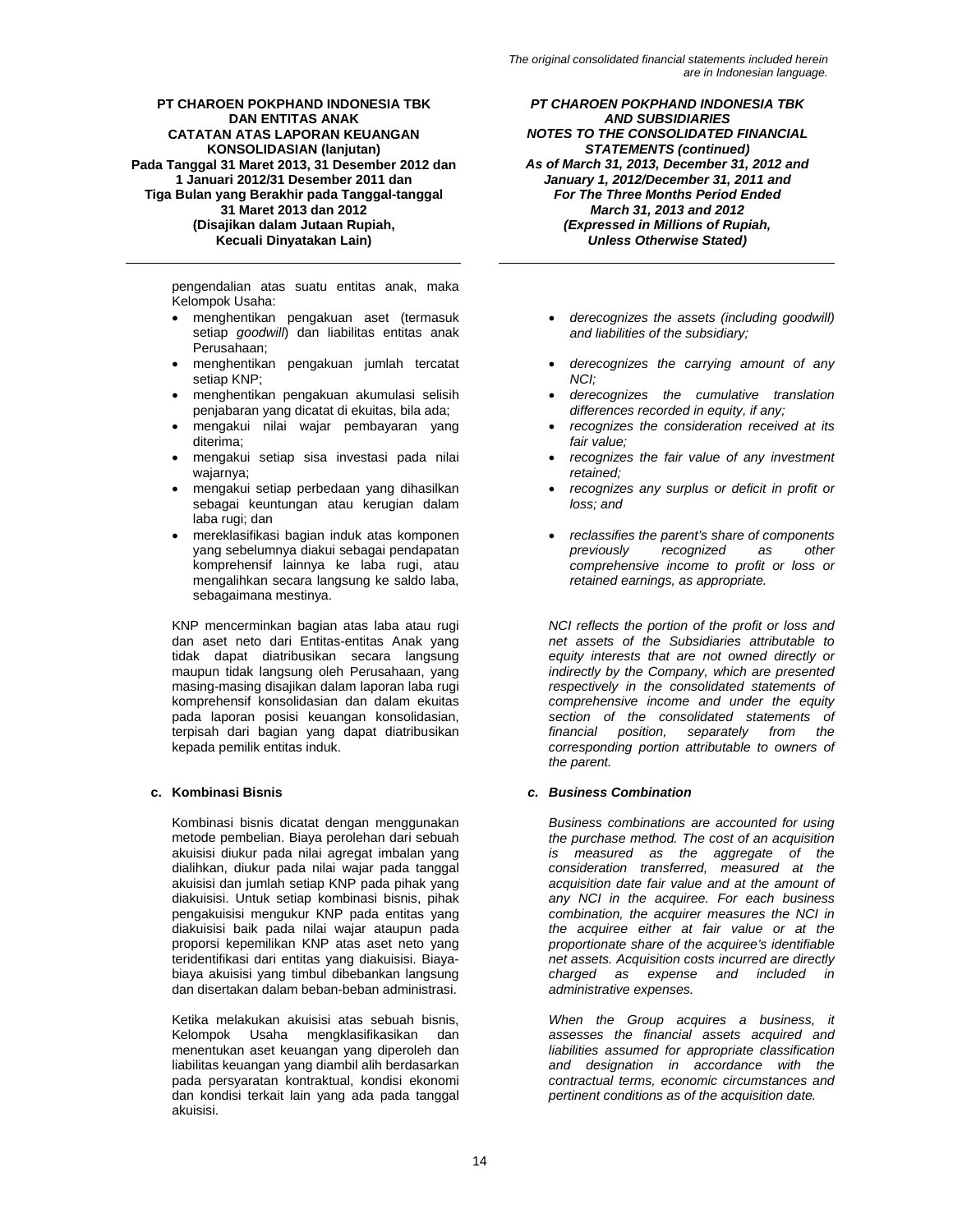pengendalian atas suatu entitas anak, maka Kelompok Usaha:

- menghentikan pengakuan aset (termasuk setiap *goodwill*) dan liabilitas entitas anak Perusahaan;
- menghentikan pengakuan jumlah tercatat setiap KNP;
- menghentikan pengakuan akumulasi selisih penjabaran yang dicatat di ekuitas, bila ada;
- mengakui nilai wajar pembayaran yang diterima;
- mengakui setiap sisa investasi pada nilai wajarnya;
- mengakui setiap perbedaan yang dihasilkan sebagai keuntungan atau kerugian dalam laba rugi; dan
- mereklasifikasi bagian induk atas komponen yang sebelumnya diakui sebagai pendapatan komprehensif lainnya ke laba rugi, atau mengalihkan secara langsung ke saldo laba, sebagaimana mestinya.

KNP mencerminkan bagian atas laba atau rugi dan aset neto dari Entitas-entitas Anak yang tidak dapat diatribusikan secara langsung maupun tidak langsung oleh Perusahaan, yang masing-masing disajikan dalam laporan laba rugi komprehensif konsolidasian dan dalam ekuitas pada laporan posisi keuangan konsolidasian, terpisah dari bagian yang dapat diatribusikan kepada pemilik entitas induk.

Kombinasi bisnis dicatat dengan menggunakan metode pembelian. Biaya perolehan dari sebuah akuisisi diukur pada nilai agregat imbalan yang dialihkan, diukur pada nilai wajar pada tanggal akuisisi dan jumlah setiap KNP pada pihak yang diakuisisi. Untuk setiap kombinasi bisnis, pihak pengakuisisi mengukur KNP pada entitas yang diakuisisi baik pada nilai wajar ataupun pada proporsi kepemilikan KNP atas aset neto yang teridentifikasi dari entitas yang diakuisisi. Biayabiaya akuisisi yang timbul dibebankan langsung dan disertakan dalam beban-beban administrasi.

Ketika melakukan akuisisi atas sebuah bisnis, Kelompok Usaha mengklasifikasikan dan menentukan aset keuangan yang diperoleh dan liabilitas keuangan yang diambil alih berdasarkan pada persyaratan kontraktual, kondisi ekonomi dan kondisi terkait lain yang ada pada tanggal akuisisi.

*PT CHAROEN POKPHAND INDONESIA TBK AND SUBSIDIARIES NOTES TO THE CONSOLIDATED FINANCIAL STATEMENTS (continued) As of March 31, 2013, December 31, 2012 and January 1, 2012/December 31, 2011 and For The Three Months Period Ended March 31, 2013 and 2012 (Expressed in Millions of Rupiah, Unless Otherwise Stated)* 

- *derecognizes the assets (including goodwill) and liabilities of the subsidiary;*
- *derecognizes the carrying amount of any NCI;*
- *derecognizes the cumulative translation differences recorded in equity, if any;*
- *recognizes the consideration received at its fair value;*
- *recognizes the fair value of any investment retained;*
- *recognizes any surplus or deficit in profit or loss; and*
- *reclassifies the parent's share of components previously recognized as other comprehensive income to profit or loss or retained earnings, as appropriate.*

*NCI reflects the portion of the profit or loss and net assets of the Subsidiaries attributable to equity interests that are not owned directly or indirectly by the Company, which are presented respectively in the consolidated statements of comprehensive income and under the equity section of the consolidated statements of financial position, separately from the corresponding portion attributable to owners of the parent.* 

# **c. Kombinasi Bisnis** *c. Business Combination*

*Business combinations are accounted for using the purchase method. The cost of an acquisition is measured as the aggregate of the consideration transferred, measured at the acquisition date fair value and at the amount of any NCI in the acquiree. For each business combination, the acquirer measures the NCI in the acquiree either at fair value or at the proportionate share of the acquiree's identifiable net assets. Acquisition costs incurred are directly charged as expense and included in administrative expenses.* 

*When the Group acquires a business, it assesses the financial assets acquired and liabilities assumed for appropriate classification and designation in accordance with the contractual terms, economic circumstances and pertinent conditions as of the acquisition date.*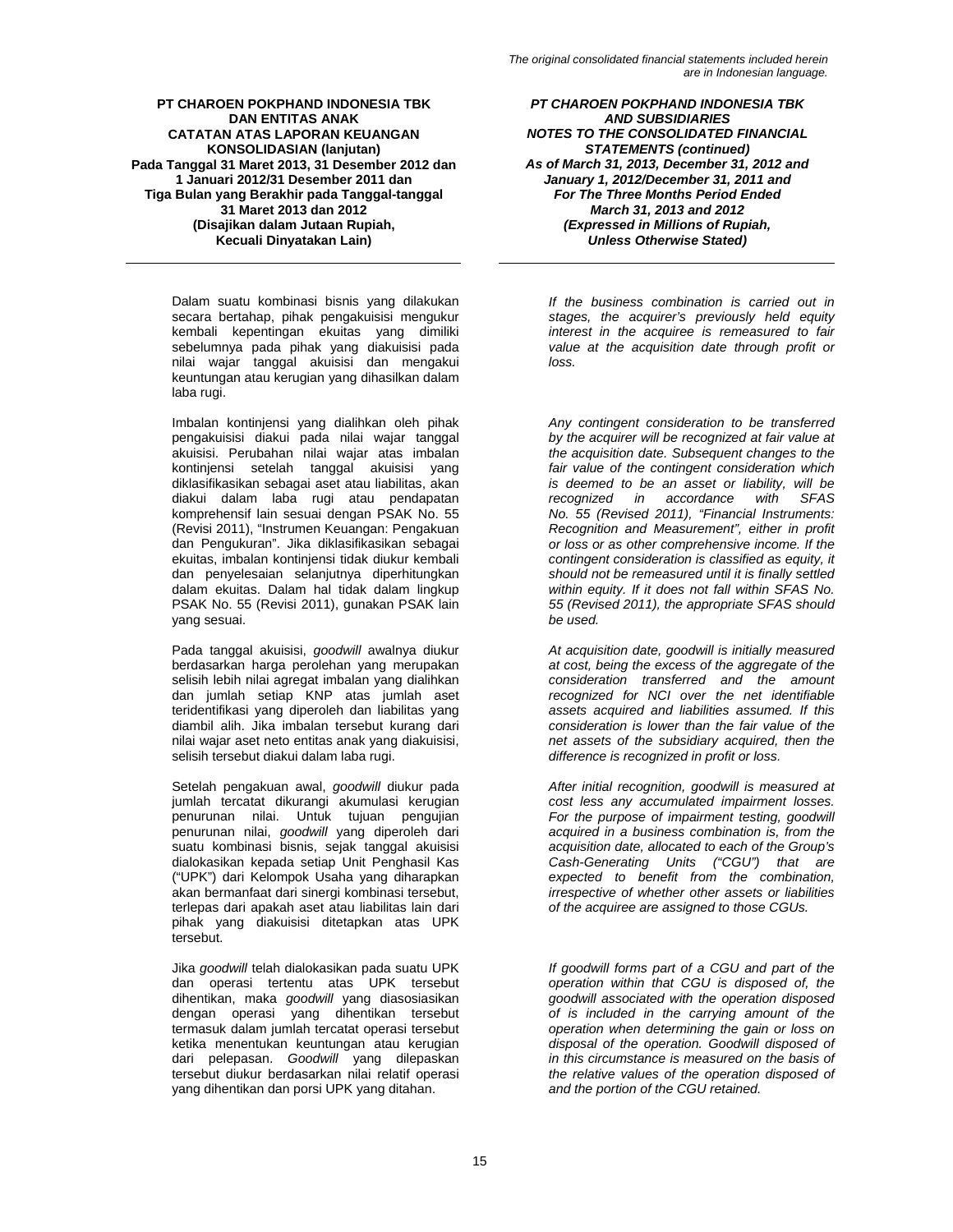Dalam suatu kombinasi bisnis yang dilakukan secara bertahap, pihak pengakuisisi mengukur kembali kepentingan ekuitas yang dimiliki sebelumnya pada pihak yang diakuisisi pada nilai wajar tanggal akuisisi dan mengakui keuntungan atau kerugian yang dihasilkan dalam laba rugi.

Imbalan kontinjensi yang dialihkan oleh pihak pengakuisisi diakui pada nilai wajar tanggal akuisisi. Perubahan nilai wajar atas imbalan kontinjensi setelah tanggal akuisisi yang diklasifikasikan sebagai aset atau liabilitas, akan diakui dalam laba rugi atau pendapatan komprehensif lain sesuai dengan PSAK No. 55 (Revisi 2011), "Instrumen Keuangan: Pengakuan dan Pengukuran". Jika diklasifikasikan sebagai ekuitas, imbalan kontinjensi tidak diukur kembali dan penyelesaian selanjutnya diperhitungkan dalam ekuitas. Dalam hal tidak dalam lingkup PSAK No. 55 (Revisi 2011), gunakan PSAK lain yang sesuai.

Pada tanggal akuisisi, *goodwill* awalnya diukur berdasarkan harga perolehan yang merupakan selisih lebih nilai agregat imbalan yang dialihkan dan jumlah setiap KNP atas jumlah aset teridentifikasi yang diperoleh dan liabilitas yang diambil alih. Jika imbalan tersebut kurang dari nilai wajar aset neto entitas anak yang diakuisisi, selisih tersebut diakui dalam laba rugi.

Setelah pengakuan awal, *goodwill* diukur pada jumlah tercatat dikurangi akumulasi kerugian penurunan nilai. Untuk tujuan pengujian penurunan nilai, *goodwill* yang diperoleh dari suatu kombinasi bisnis, sejak tanggal akuisisi dialokasikan kepada setiap Unit Penghasil Kas ("UPK") dari Kelompok Usaha yang diharapkan akan bermanfaat dari sinergi kombinasi tersebut, terlepas dari apakah aset atau liabilitas lain dari pihak yang diakuisisi ditetapkan atas UPK tersebut.

Jika *goodwill* telah dialokasikan pada suatu UPK dan operasi tertentu atas UPK tersebut dihentikan, maka *goodwill* yang diasosiasikan dengan operasi yang dihentikan tersebut termasuk dalam jumlah tercatat operasi tersebut ketika menentukan keuntungan atau kerugian dari pelepasan. *Goodwill* yang dilepaskan tersebut diukur berdasarkan nilai relatif operasi yang dihentikan dan porsi UPK yang ditahan.

*PT CHAROEN POKPHAND INDONESIA TBK AND SUBSIDIARIES NOTES TO THE CONSOLIDATED FINANCIAL STATEMENTS (continued) As of March 31, 2013, December 31, 2012 and January 1, 2012/December 31, 2011 and For The Three Months Period Ended March 31, 2013 and 2012 (Expressed in Millions of Rupiah, Unless Otherwise Stated)* 

*If the business combination is carried out in stages, the acquirer's previously held equity interest in the acquiree is remeasured to fair value at the acquisition date through profit or loss.* 

*Any contingent consideration to be transferred by the acquirer will be recognized at fair value at the acquisition date. Subsequent changes to the fair value of the contingent consideration which is deemed to be an asset or liability, will be recognized in accordance No. 55 (Revised 2011), "Financial Instruments: Recognition and Measurement", either in profit or loss or as other comprehensive income. If the contingent consideration is classified as equity, it should not be remeasured until it is finally settled within equity. If it does not fall within SFAS No. 55 (Revised 2011), the appropriate SFAS should be used.* 

*At acquisition date, goodwill is initially measured at cost, being the excess of the aggregate of the consideration transferred and the amount recognized for NCI over the net identifiable assets acquired and liabilities assumed. If this consideration is lower than the fair value of the net assets of the subsidiary acquired, then the difference is recognized in profit or loss.* 

*After initial recognition, goodwill is measured at cost less any accumulated impairment losses. For the purpose of impairment testing, goodwill acquired in a business combination is, from the acquisition date, allocated to each of the Group's Cash-Generating Units ("CGU") that are expected to benefit from the combination, irrespective of whether other assets or liabilities of the acquiree are assigned to those CGUs.* 

*If goodwill forms part of a CGU and part of the operation within that CGU is disposed of, the goodwill associated with the operation disposed of is included in the carrying amount of the operation when determining the gain or loss on disposal of the operation. Goodwill disposed of in this circumstance is measured on the basis of the relative values of the operation disposed of and the portion of the CGU retained.*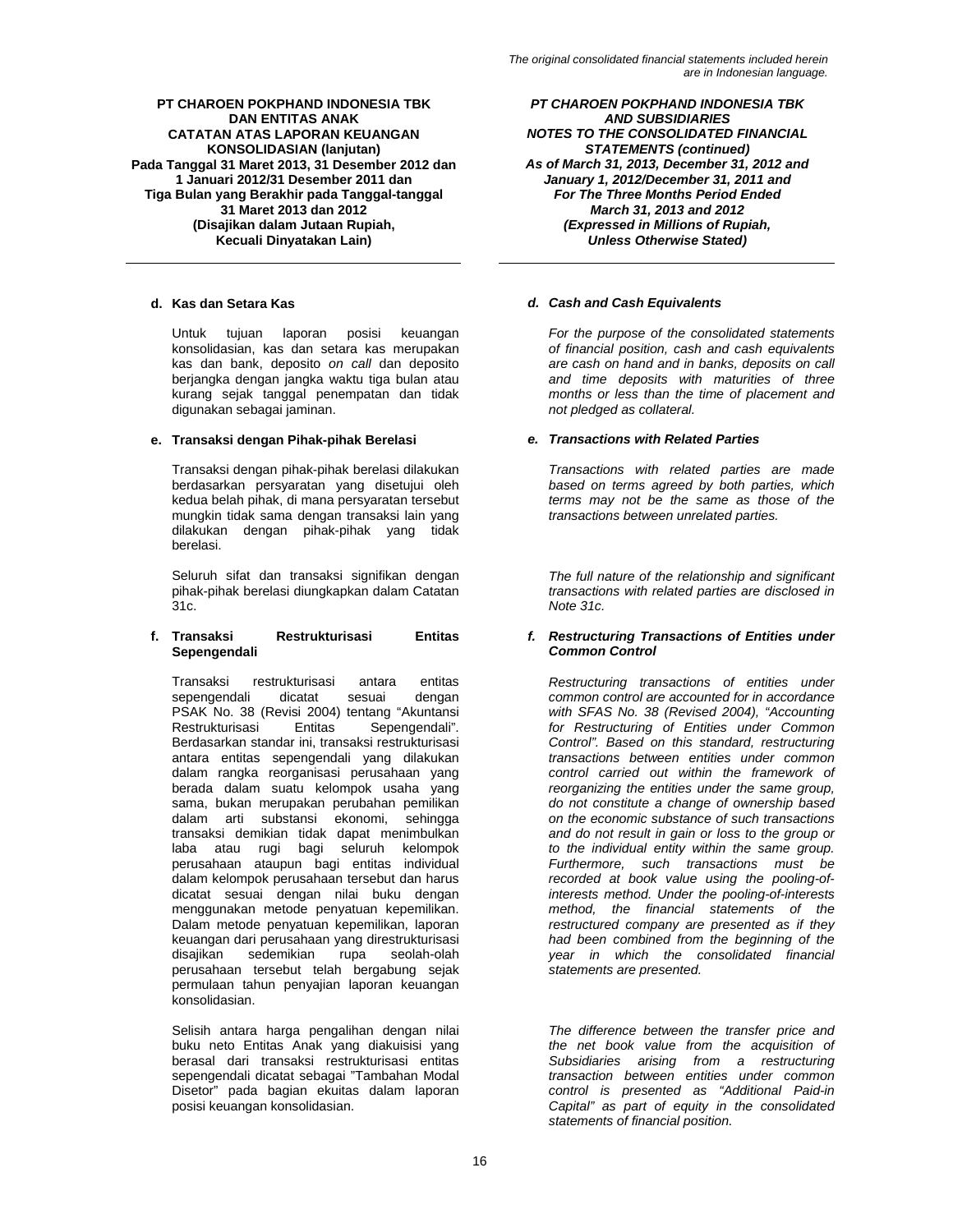Untuk tujuan laporan posisi keuangan konsolidasian, kas dan setara kas merupakan kas dan bank, deposito *on call* dan deposito berjangka dengan jangka waktu tiga bulan atau kurang sejak tanggal penempatan dan tidak digunakan sebagai jaminan.

# **e. Transaksi dengan Pihak-pihak Berelasi** *e. Transactions with Related Parties*

Transaksi dengan pihak-pihak berelasi dilakukan berdasarkan persyaratan yang disetujui oleh kedua belah pihak, di mana persyaratan tersebut mungkin tidak sama dengan transaksi lain yang dilakukan dengan pihak-pihak yang tidak berelasi.

Seluruh sifat dan transaksi signifikan dengan pihak-pihak berelasi diungkapkan dalam Catatan 31c.

# **f. Transaksi Restrukturisasi Entitas Sepengendali**

Transaksi restrukturisasi antara entitas sepengendali dicatat sesuai dengan PSAK No. 38 (Revisi 2004) tentang "Akuntansi Entitas Sepengendali". Berdasarkan standar ini, transaksi restrukturisasi antara entitas sepengendali yang dilakukan dalam rangka reorganisasi perusahaan yang berada dalam suatu kelompok usaha yang sama, bukan merupakan perubahan pemilikan dalam arti substansi ekonomi, sehingga transaksi demikian tidak dapat menimbulkan laba atau rugi bagi seluruh kelompok perusahaan ataupun bagi entitas individual dalam kelompok perusahaan tersebut dan harus dicatat sesuai dengan nilai buku dengan menggunakan metode penyatuan kepemilikan. Dalam metode penyatuan kepemilikan, laporan keuangan dari perusahaan yang direstrukturisasi<br>disajikan sedemikian rupa seolah-olah sedemikian perusahaan tersebut telah bergabung sejak permulaan tahun penyajian laporan keuangan konsolidasian.

Selisih antara harga pengalihan dengan nilai buku neto Entitas Anak yang diakuisisi yang berasal dari transaksi restrukturisasi entitas sepengendali dicatat sebagai "Tambahan Modal Disetor" pada bagian ekuitas dalam laporan posisi keuangan konsolidasian.

*PT CHAROEN POKPHAND INDONESIA TBK AND SUBSIDIARIES NOTES TO THE CONSOLIDATED FINANCIAL STATEMENTS (continued) As of March 31, 2013, December 31, 2012 and January 1, 2012/December 31, 2011 and For The Three Months Period Ended March 31, 2013 and 2012 (Expressed in Millions of Rupiah, Unless Otherwise Stated)* 

# **d. Kas dan Setara Kas** *d. Cash and Cash Equivalents*

*For the purpose of the consolidated statements of financial position, cash and cash equivalents are cash on hand and in banks, deposits on call and time deposits with maturities of three months or less than the time of placement and not pledged as collateral.* 

*Transactions with related parties are made based on terms agreed by both parties, which terms may not be the same as those of the transactions between unrelated parties.* 

*The full nature of the relationship and significant transactions with related parties are disclosed in Note 31c.* 

### *f. Restructuring Transactions of Entities under Common Control*

*Restructuring transactions of entities under common control are accounted for in accordance with SFAS No. 38 (Revised 2004), "Accounting for Restructuring of Entities under Common Control". Based on this standard, restructuring transactions between entities under common control carried out within the framework of reorganizing the entities under the same group, do not constitute a change of ownership based on the economic substance of such transactions and do not result in gain or loss to the group or to the individual entity within the same group. Furthermore, such transactions must be recorded at book value using the pooling-ofinterests method. Under the pooling-of-interests method, the financial statements of the restructured company are presented as if they had been combined from the beginning of the year in which the consolidated financial statements are presented.* 

*The difference between the transfer price and the net book value from the acquisition of Subsidiaries arising from a restructuring transaction between entities under common control is presented as "Additional Paid-in Capital" as part of equity in the consolidated statements of financial position.*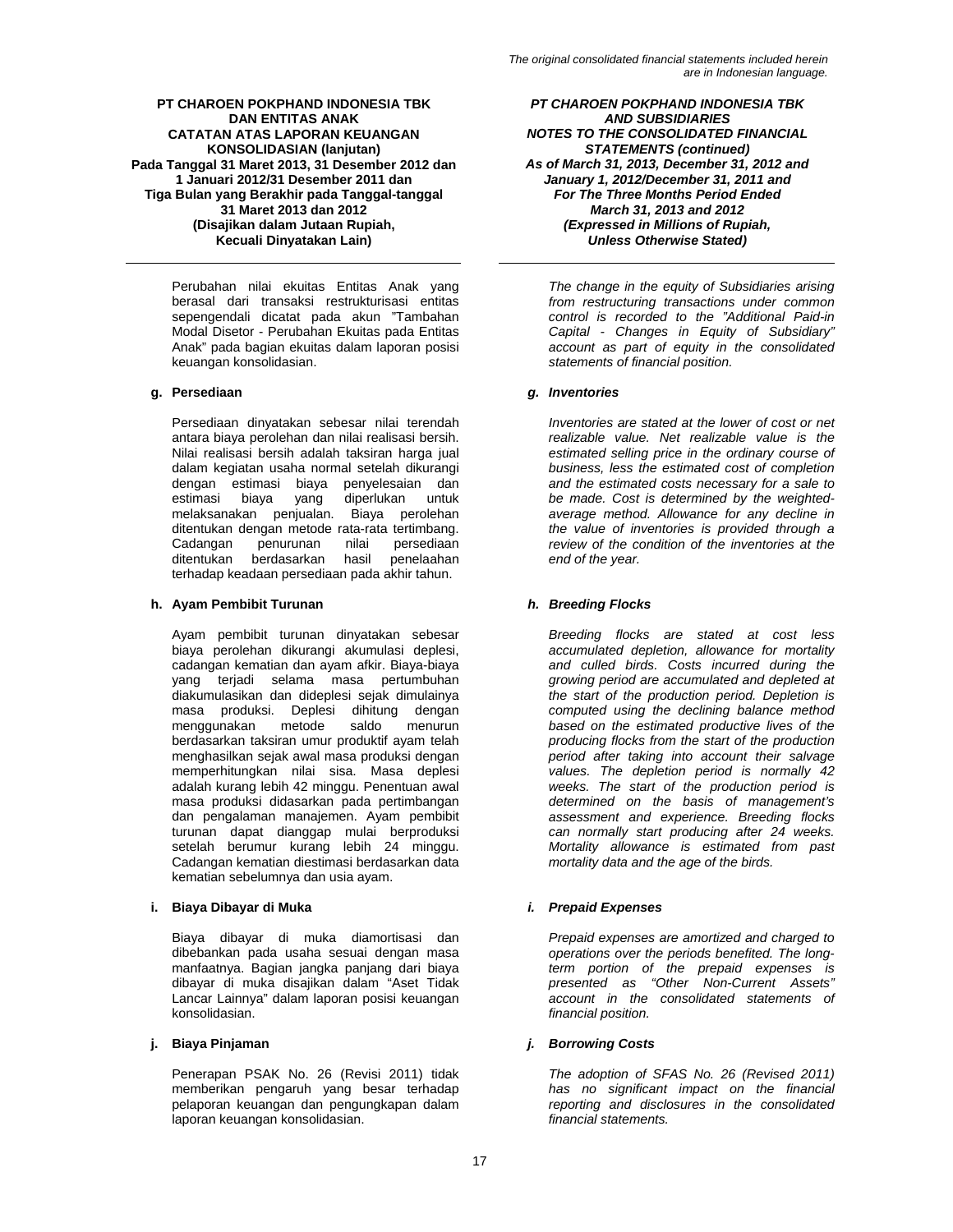Perubahan nilai ekuitas Entitas Anak yang berasal dari transaksi restrukturisasi entitas sepengendali dicatat pada akun "Tambahan Modal Disetor - Perubahan Ekuitas pada Entitas Anak" pada bagian ekuitas dalam laporan posisi keuangan konsolidasian.

Persediaan dinyatakan sebesar nilai terendah antara biaya perolehan dan nilai realisasi bersih. Nilai realisasi bersih adalah taksiran harga jual dalam kegiatan usaha normal setelah dikurangi dengan estimasi biaya penyelesaian dan<br>estimasi biaya yang diperlukan untuk diperlukan untuk melaksanakan penjualan. Biaya perolehan ditentukan dengan metode rata-rata tertimbang.<br>Cadangan penurunan nilai persediaan nilai persediaan<br>hasil penelaahan ditentukan berdasarkan terhadap keadaan persediaan pada akhir tahun.

# **h. Ayam Pembibit Turunan** *h. Breeding Flocks*

Ayam pembibit turunan dinyatakan sebesar biaya perolehan dikurangi akumulasi deplesi, cadangan kematian dan ayam afkir. Biaya-biaya yang terjadi selama masa pertumbuhan diakumulasikan dan dideplesi sejak dimulainya masa produksi. Deplesi dihitung dengan<br>menggunakan metode saldo menurun menggunakan berdasarkan taksiran umur produktif ayam telah menghasilkan sejak awal masa produksi dengan memperhitungkan nilai sisa. Masa deplesi adalah kurang lebih 42 minggu. Penentuan awal masa produksi didasarkan pada pertimbangan dan pengalaman manajemen. Ayam pembibit turunan dapat dianggap mulai berproduksi setelah berumur kurang lebih 24 minggu. Cadangan kematian diestimasi berdasarkan data kematian sebelumnya dan usia ayam.

# **i. Biaya Dibayar di Muka** *i. Prepaid Expenses*

Biaya dibayar di muka diamortisasi dan dibebankan pada usaha sesuai dengan masa manfaatnya. Bagian jangka panjang dari biaya dibayar di muka disajikan dalam "Aset Tidak Lancar Lainnya" dalam laporan posisi keuangan konsolidasian.

Penerapan PSAK No. 26 (Revisi 2011) tidak memberikan pengaruh yang besar terhadap pelaporan keuangan dan pengungkapan dalam laporan keuangan konsolidasian.

*PT CHAROEN POKPHAND INDONESIA TBK AND SUBSIDIARIES NOTES TO THE CONSOLIDATED FINANCIAL STATEMENTS (continued) As of March 31, 2013, December 31, 2012 and January 1, 2012/December 31, 2011 and For The Three Months Period Ended March 31, 2013 and 2012 (Expressed in Millions of Rupiah, Unless Otherwise Stated)* 

*The change in the equity of Subsidiaries arising from restructuring transactions under common control is recorded to the "Additional Paid-in Capital - Changes in Equity of Subsidiary" account as part of equity in the consolidated statements of financial position.* 

# **g. Persediaan** *g. Inventories*

*Inventories are stated at the lower of cost or net realizable value. Net realizable value is the estimated selling price in the ordinary course of business, less the estimated cost of completion and the estimated costs necessary for a sale to be made. Cost is determined by the weightedaverage method. Allowance for any decline in the value of inventories is provided through a review of the condition of the inventories at the end of the year.* 

*Breeding flocks are stated at cost less accumulated depletion, allowance for mortality and culled birds. Costs incurred during the growing period are accumulated and depleted at the start of the production period. Depletion is computed using the declining balance method based on the estimated productive lives of the producing flocks from the start of the production period after taking into account their salvage values. The depletion period is normally 42 weeks. The start of the production period is determined on the basis of management's assessment and experience. Breeding flocks can normally start producing after 24 weeks. Mortality allowance is estimated from past mortality data and the age of the birds.* 

*Prepaid expenses are amortized and charged to operations over the periods benefited. The longterm portion of the prepaid expenses is presented as "Other Non-Current Assets" account in the consolidated statements of financial position.* 

# **j. Biaya Pinjaman** *j. Borrowing Costs*

*The adoption of SFAS No. 26 (Revised 2011) has no significant impact on the financial reporting and disclosures in the consolidated financial statements.*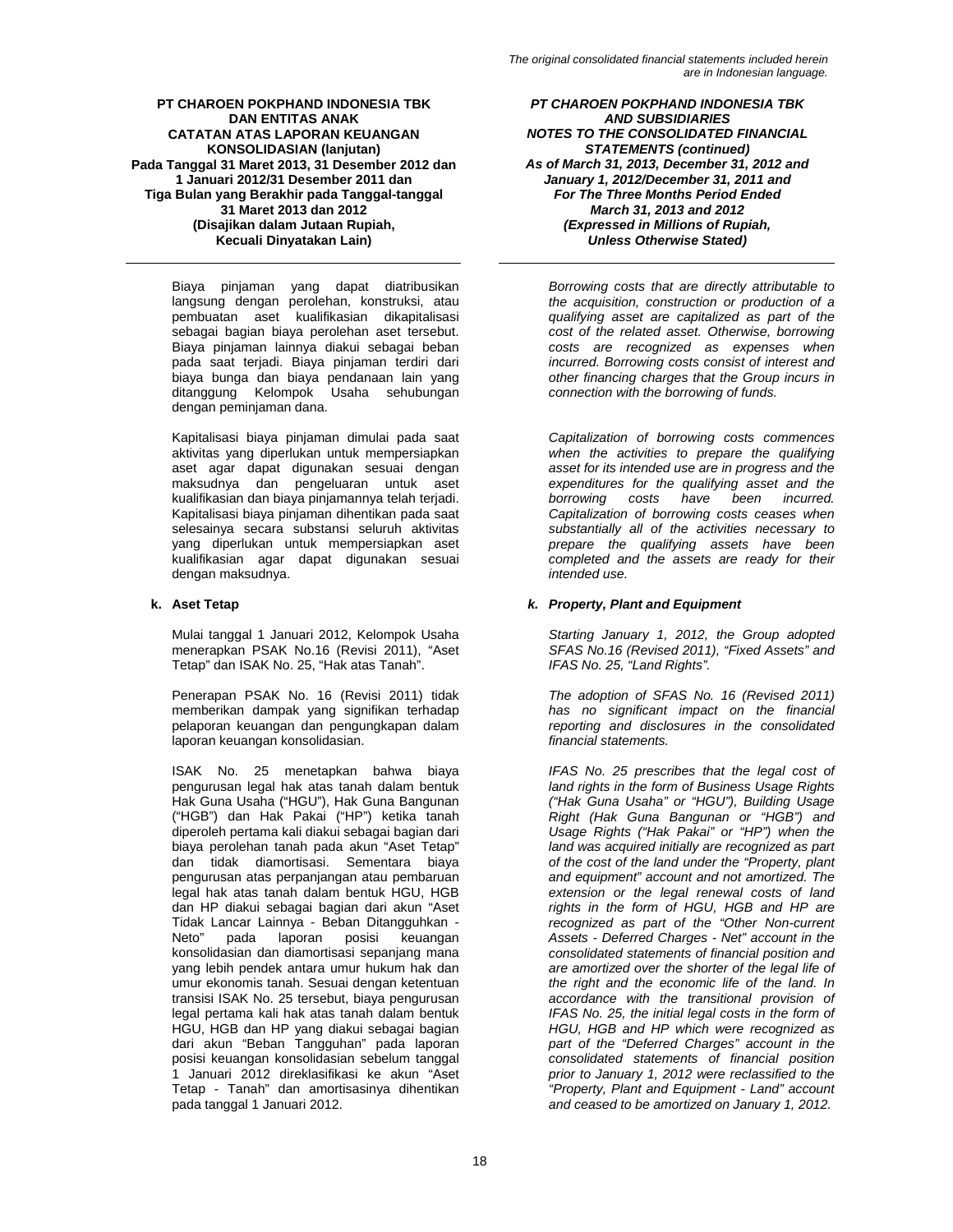Biaya pinjaman yang dapat diatribusikan langsung dengan perolehan, konstruksi, atau pembuatan aset kualifikasian dikapitalisasi sebagai bagian biaya perolehan aset tersebut. Biaya pinjaman lainnya diakui sebagai beban pada saat terjadi. Biaya pinjaman terdiri dari biaya bunga dan biaya pendanaan lain yang ditanggung Kelompok Usaha sehubungan dengan peminjaman dana.

Kapitalisasi biaya pinjaman dimulai pada saat aktivitas yang diperlukan untuk mempersiapkan aset agar dapat digunakan sesuai dengan maksudnya dan pengeluaran untuk aset kualifikasian dan biaya pinjamannya telah terjadi. Kapitalisasi biaya pinjaman dihentikan pada saat selesainya secara substansi seluruh aktivitas yang diperlukan untuk mempersiapkan aset kualifikasian agar dapat digunakan sesuai dengan maksudnya.

Mulai tanggal 1 Januari 2012, Kelompok Usaha menerapkan PSAK No.16 (Revisi 2011), "Aset Tetap" dan ISAK No. 25, "Hak atas Tanah".

Penerapan PSAK No. 16 (Revisi 2011) tidak memberikan dampak yang signifikan terhadap pelaporan keuangan dan pengungkapan dalam laporan keuangan konsolidasian.

ISAK No. 25 menetapkan bahwa biaya pengurusan legal hak atas tanah dalam bentuk Hak Guna Usaha ("HGU"), Hak Guna Bangunan ("HGB") dan Hak Pakai ("HP") ketika tanah diperoleh pertama kali diakui sebagai bagian dari biaya perolehan tanah pada akun "Aset Tetap" dan tidak diamortisasi. Sementara biaya pengurusan atas perpanjangan atau pembaruan legal hak atas tanah dalam bentuk HGU, HGB dan HP diakui sebagai bagian dari akun "Aset Tidak Lancar Lainnya - Beban Ditangguhkan - Neto" pada laporan posisi keuangan konsolidasian dan diamortisasi sepanjang mana yang lebih pendek antara umur hukum hak dan umur ekonomis tanah. Sesuai dengan ketentuan transisi ISAK No. 25 tersebut, biaya pengurusan legal pertama kali hak atas tanah dalam bentuk HGU, HGB dan HP yang diakui sebagai bagian dari akun "Beban Tangguhan" pada laporan posisi keuangan konsolidasian sebelum tanggal 1 Januari 2012 direklasifikasi ke akun "Aset Tetap - Tanah" dan amortisasinya dihentikan pada tanggal 1 Januari 2012.

*PT CHAROEN POKPHAND INDONESIA TBK AND SUBSIDIARIES NOTES TO THE CONSOLIDATED FINANCIAL STATEMENTS (continued) As of March 31, 2013, December 31, 2012 and January 1, 2012/December 31, 2011 and For The Three Months Period Ended March 31, 2013 and 2012 (Expressed in Millions of Rupiah, Unless Otherwise Stated)* 

*Borrowing costs that are directly attributable to the acquisition, construction or production of a qualifying asset are capitalized as part of the cost of the related asset. Otherwise, borrowing costs are recognized as expenses when incurred. Borrowing costs consist of interest and other financing charges that the Group incurs in connection with the borrowing of funds.* 

*Capitalization of borrowing costs commences when the activities to prepare the qualifying asset for its intended use are in progress and the expenditures for the qualifying asset and the borrowing costs have been incurred. Capitalization of borrowing costs ceases when substantially all of the activities necessary to prepare the qualifying assets have been completed and the assets are ready for their intended use.* 

# **k. Aset Tetap** *k. Property, Plant and Equipment*

*Starting January 1, 2012, the Group adopted SFAS No.16 (Revised 2011), "Fixed Assets" and IFAS No. 25, "Land Rights".* 

*The adoption of SFAS No. 16 (Revised 2011) has no significant impact on the financial reporting and disclosures in the consolidated financial statements.* 

*IFAS No. 25 prescribes that the legal cost of land rights in the form of Business Usage Rights ("Hak Guna Usaha" or "HGU"), Building Usage Right (Hak Guna Bangunan or "HGB") and Usage Rights ("Hak Pakai" or "HP") when the land was acquired initially are recognized as part of the cost of the land under the "Property, plant and equipment" account and not amortized. The extension or the legal renewal costs of land rights in the form of HGU, HGB and HP are recognized as part of the "Other Non-current Assets - Deferred Charges - Net" account in the consolidated statements of financial position and are amortized over the shorter of the legal life of the right and the economic life of the land. In accordance with the transitional provision of IFAS No. 25, the initial legal costs in the form of HGU, HGB and HP which were recognized as part of the "Deferred Charges" account in the consolidated statements of financial position prior to January 1, 2012 were reclassified to the "Property, Plant and Equipment - Land" account and ceased to be amortized on January 1, 2012.*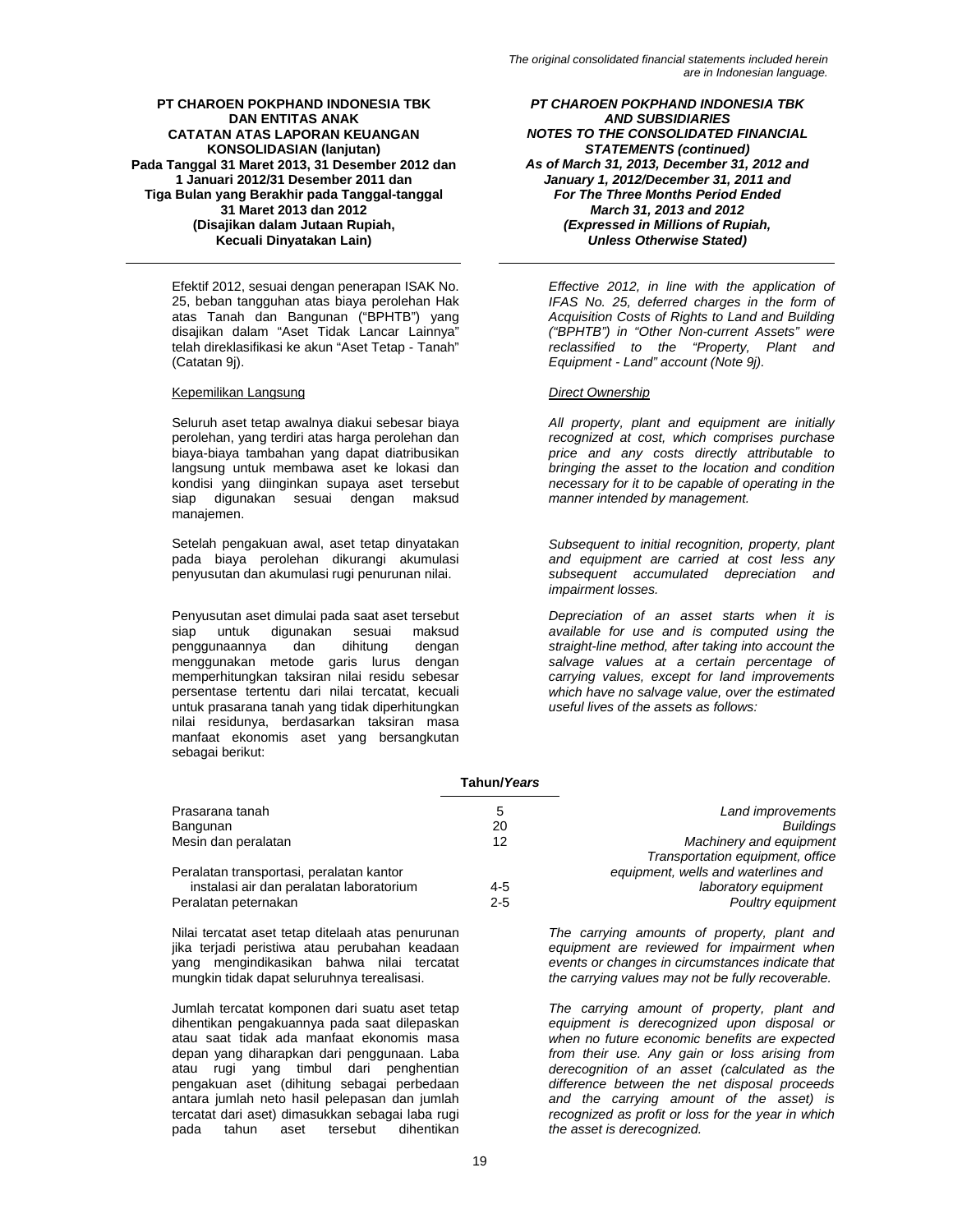Efektif 2012, sesuai dengan penerapan ISAK No. 25, beban tangguhan atas biaya perolehan Hak atas Tanah dan Bangunan ("BPHTB") yang disajikan dalam "Aset Tidak Lancar Lainnya" telah direklasifikasi ke akun "Aset Tetap - Tanah" (Catatan 9j).

# Kepemilikan Langsung *Direct Ownership*

Seluruh aset tetap awalnya diakui sebesar biaya perolehan, yang terdiri atas harga perolehan dan biaya-biaya tambahan yang dapat diatribusikan langsung untuk membawa aset ke lokasi dan kondisi yang diinginkan supaya aset tersebut siap digunakan sesuai dengan maksud manajemen.

Setelah pengakuan awal, aset tetap dinyatakan pada biaya perolehan dikurangi akumulasi penyusutan dan akumulasi rugi penurunan nilai.

Penyusutan aset dimulai pada saat aset tersebut siap untuk digunakan sesuai maksud<br>penggunaannya dan dihitung dengan penggunaannya dan dihitung dengan menggunakan metode garis lurus dengan memperhitungkan taksiran nilai residu sebesar persentase tertentu dari nilai tercatat, kecuali untuk prasarana tanah yang tidak diperhitungkan nilai residunya, berdasarkan taksiran masa manfaat ekonomis aset yang bersangkutan sebagai berikut:

*PT CHAROEN POKPHAND INDONESIA TBK AND SUBSIDIARIES NOTES TO THE CONSOLIDATED FINANCIAL STATEMENTS (continued) As of March 31, 2013, December 31, 2012 and January 1, 2012/December 31, 2011 and For The Three Months Period Ended March 31, 2013 and 2012 (Expressed in Millions of Rupiah, Unless Otherwise Stated)* 

*Effective 2012, in line with the application of IFAS No. 25, deferred charges in the form of Acquisition Costs of Rights to Land and Building ("BPHTB") in "Other Non-current Assets" were reclassified to the "Property, Plant and Equipment - Land" account (Note 9j).* 

*All property, plant and equipment are initially recognized at cost, which comprises purchase price and any costs directly attributable to bringing the asset to the location and condition necessary for it to be capable of operating in the manner intended by management.* 

*Subsequent to initial recognition, property, plant and equipment are carried at cost less any subsequent accumulated depreciation and impairment losses.* 

*Depreciation of an asset starts when it is available for use and is computed using the straight-line method, after taking into account the salvage values at a certain percentage of carrying values, except for land improvements which have no salvage value, over the estimated useful lives of the assets as follows:* 

|                                          | Tahun/Years |                                     |
|------------------------------------------|-------------|-------------------------------------|
| Prasarana tanah                          | 5           | Land improvements                   |
| Bangunan                                 | 20          | <b>Buildings</b>                    |
| Mesin dan peralatan                      | 12          | Machinery and equipment             |
|                                          |             | Transportation equipment, office    |
| Peralatan transportasi, peralatan kantor |             | equipment, wells and waterlines and |
| instalasi air dan peralatan laboratorium | $4 - 5$     | laboratory equipment                |
| Peralatan peternakan                     | $2 - 5$     | Poultry equipment                   |

Nilai tercatat aset tetap ditelaah atas penurunan jika terjadi peristiwa atau perubahan keadaan yang mengindikasikan bahwa nilai tercatat mungkin tidak dapat seluruhnya terealisasi.

Jumlah tercatat komponen dari suatu aset tetap dihentikan pengakuannya pada saat dilepaskan atau saat tidak ada manfaat ekonomis masa depan yang diharapkan dari penggunaan. Laba atau rugi yang timbul dari penghentian pengakuan aset (dihitung sebagai perbedaan antara jumlah neto hasil pelepasan dan jumlah tercatat dari aset) dimasukkan sebagai laba rugi pada tahun aset tersebut dihentikan

*The carrying amounts of property, plant and equipment are reviewed for impairment when events or changes in circumstances indicate that the carrying values may not be fully recoverable.* 

*The carrying amount of property, plant and equipment is derecognized upon disposal or when no future economic benefits are expected from their use. Any gain or loss arising from derecognition of an asset (calculated as the difference between the net disposal proceeds and the carrying amount of the asset) is recognized as profit or loss for the year in which the asset is derecognized.*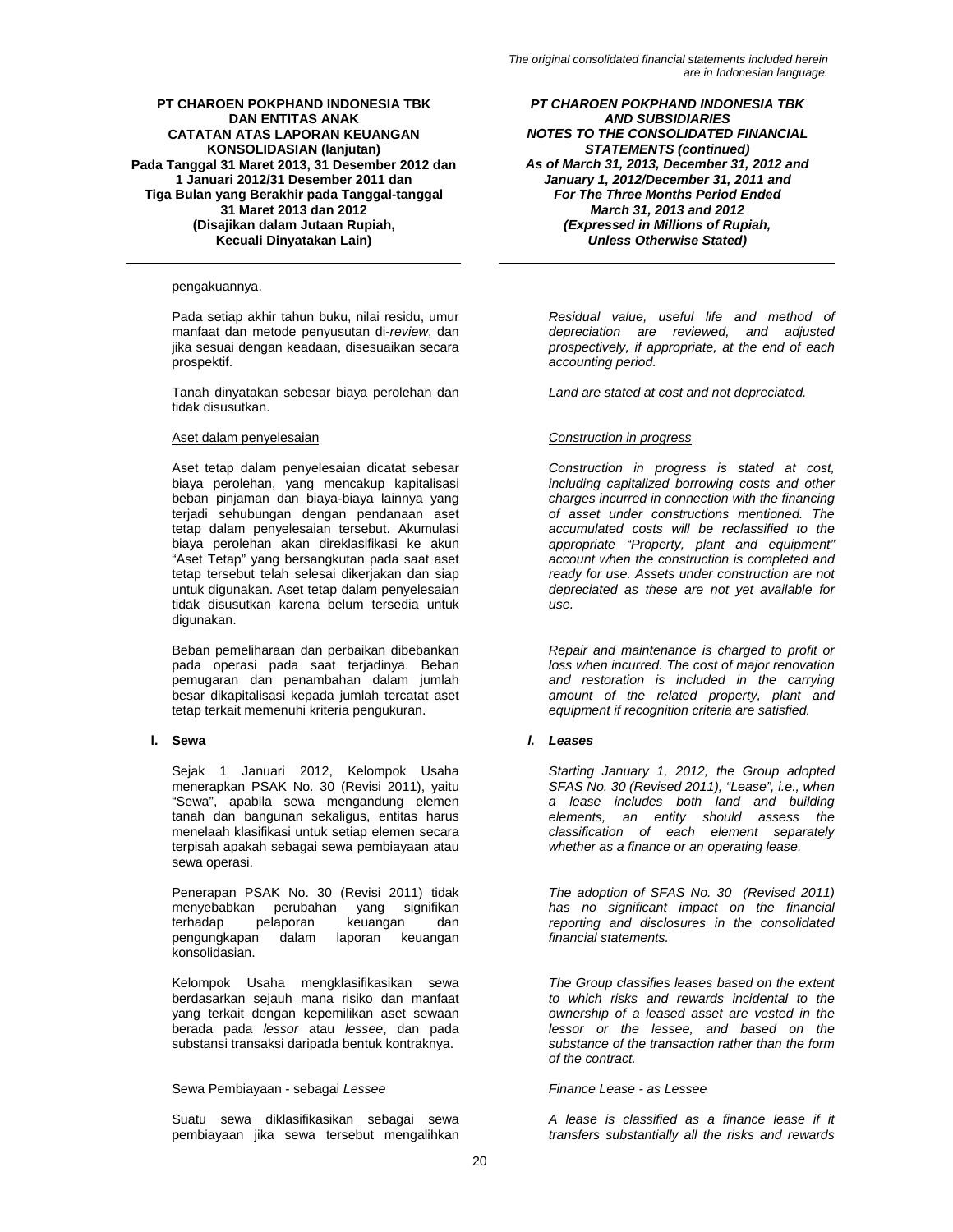### pengakuannya.

Pada setiap akhir tahun buku, nilai residu, umur manfaat dan metode penyusutan di-*review*, dan jika sesuai dengan keadaan, disesuaikan secara prospektif.

Tanah dinyatakan sebesar biaya perolehan dan tidak disusutkan.

Aset tetap dalam penyelesaian dicatat sebesar biaya perolehan, yang mencakup kapitalisasi beban pinjaman dan biaya-biaya lainnya yang terjadi sehubungan dengan pendanaan aset tetap dalam penyelesaian tersebut. Akumulasi biaya perolehan akan direklasifikasi ke akun "Aset Tetap" yang bersangkutan pada saat aset tetap tersebut telah selesai dikerjakan dan siap untuk digunakan. Aset tetap dalam penyelesaian tidak disusutkan karena belum tersedia untuk digunakan.

Beban pemeliharaan dan perbaikan dibebankan pada operasi pada saat terjadinya. Beban pemugaran dan penambahan dalam jumlah besar dikapitalisasi kepada jumlah tercatat aset tetap terkait memenuhi kriteria pengukuran.

Sejak 1 Januari 2012, Kelompok Usaha menerapkan PSAK No. 30 (Revisi 2011), yaitu "Sewa", apabila sewa mengandung elemen tanah dan bangunan sekaligus, entitas harus menelaah klasifikasi untuk setiap elemen secara terpisah apakah sebagai sewa pembiayaan atau sewa operasi.

Penerapan PSAK No. 30 (Revisi 2011) tidak menyebabkan perubahan yang signifikan terhadap pelaporan keuangan dan pengungkapan dalam laporan keuangan konsolidasian.

Kelompok Usaha mengklasifikasikan sewa berdasarkan sejauh mana risiko dan manfaat yang terkait dengan kepemilikan aset sewaan berada pada *lessor* atau *lessee*, dan pada substansi transaksi daripada bentuk kontraknya.

# Sewa Pembiayaan - sebagai *Lessee Finance Lease - as Lessee*

Suatu sewa diklasifikasikan sebagai sewa pembiayaan jika sewa tersebut mengalihkan

*PT CHAROEN POKPHAND INDONESIA TBK AND SUBSIDIARIES NOTES TO THE CONSOLIDATED FINANCIAL STATEMENTS (continued) As of March 31, 2013, December 31, 2012 and January 1, 2012/December 31, 2011 and For The Three Months Period Ended March 31, 2013 and 2012 (Expressed in Millions of Rupiah, Unless Otherwise Stated)* 

*Residual value, useful life and method of depreciation are reviewed, and adjusted prospectively, if appropriate, at the end of each accounting period.* 

*Land are stated at cost and not depreciated.* 

# Aset dalam penyelesaian *Construction in progress*

*Construction in progress is stated at cost, including capitalized borrowing costs and other charges incurred in connection with the financing of asset under constructions mentioned. The accumulated costs will be reclassified to the appropriate "Property, plant and equipment" account when the construction is completed and ready for use. Assets under construction are not depreciated as these are not yet available for use.* 

*Repair and maintenance is charged to profit or loss when incurred. The cost of major renovation and restoration is included in the carrying amount of the related property, plant and equipment if recognition criteria are satisfied.* 

# **l. Sewa** *l. Leases*

*Starting January 1, 2012, the Group adopted SFAS No. 30 (Revised 2011), "Lease", i.e., when a lease includes both land and building elements, an entity should assess the classification of each element separately whether as a finance or an operating lease.* 

*The adoption of SFAS No. 30 (Revised 2011) has no significant impact on the financial reporting and disclosures in the consolidated financial statements.* 

*The Group classifies leases based on the extent to which risks and rewards incidental to the ownership of a leased asset are vested in the lessor or the lessee, and based on the substance of the transaction rather than the form of the contract.* 

*A lease is classified as a finance lease if it transfers substantially all the risks and rewards*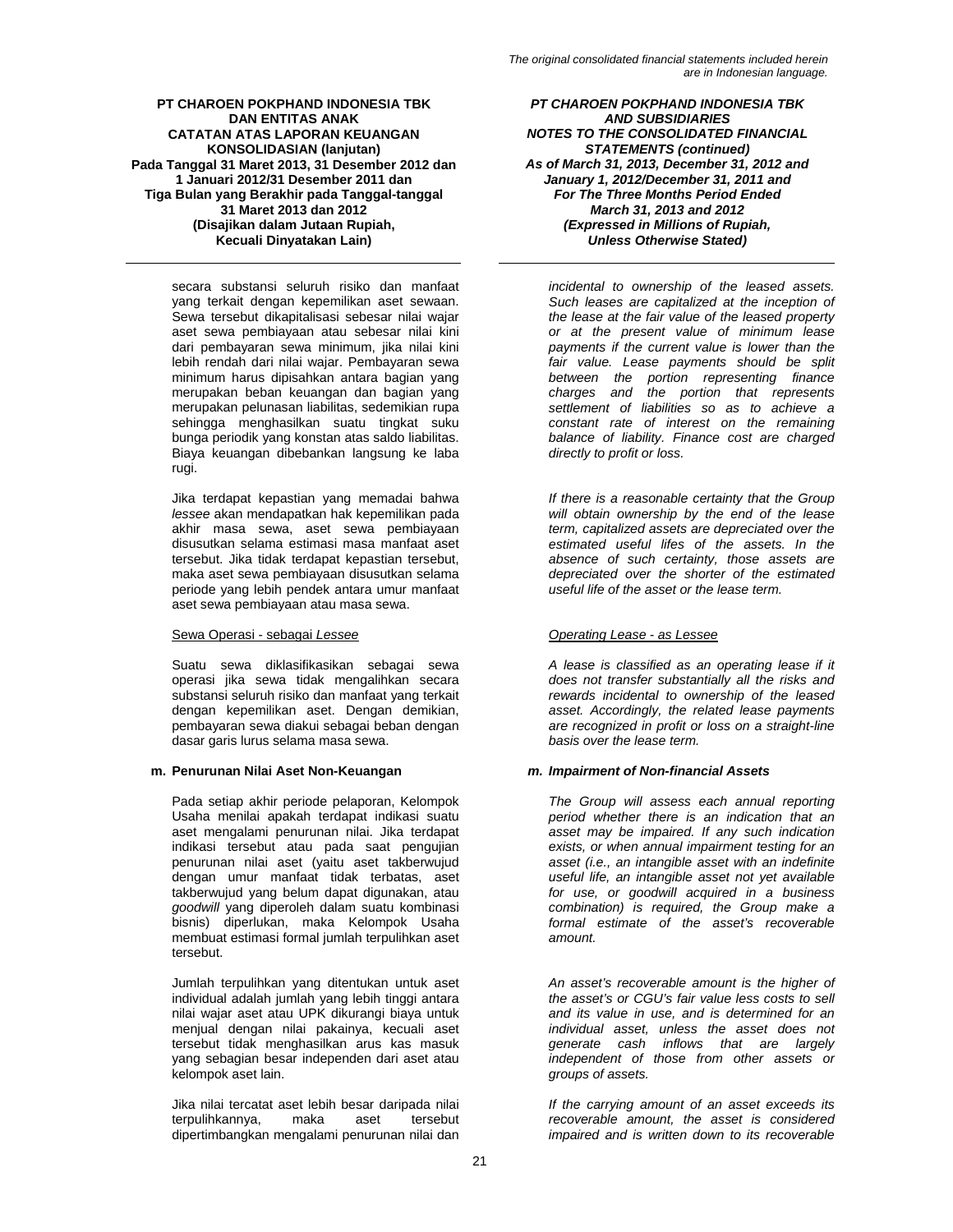secara substansi seluruh risiko dan manfaat yang terkait dengan kepemilikan aset sewaan. Sewa tersebut dikapitalisasi sebesar nilai wajar aset sewa pembiayaan atau sebesar nilai kini dari pembayaran sewa minimum, jika nilai kini lebih rendah dari nilai wajar. Pembayaran sewa minimum harus dipisahkan antara bagian yang merupakan beban keuangan dan bagian yang merupakan pelunasan liabilitas, sedemikian rupa sehingga menghasilkan suatu tingkat suku bunga periodik yang konstan atas saldo liabilitas. Biaya keuangan dibebankan langsung ke laba rugi.

Jika terdapat kepastian yang memadai bahwa *lessee* akan mendapatkan hak kepemilikan pada akhir masa sewa, aset sewa pembiayaan disusutkan selama estimasi masa manfaat aset tersebut. Jika tidak terdapat kepastian tersebut, maka aset sewa pembiayaan disusutkan selama periode yang lebih pendek antara umur manfaat aset sewa pembiayaan atau masa sewa.

# Sewa Operasi - sebagai *Lessee Operating Lease - as Lessee*

Suatu sewa diklasifikasikan sebagai sewa operasi jika sewa tidak mengalihkan secara substansi seluruh risiko dan manfaat yang terkait dengan kepemilikan aset. Dengan demikian, pembayaran sewa diakui sebagai beban dengan dasar garis lurus selama masa sewa.

# **m. Penurunan Nilai Aset Non-Keuangan** *m. Impairment of Non-financial Assets*

Pada setiap akhir periode pelaporan, Kelompok Usaha menilai apakah terdapat indikasi suatu aset mengalami penurunan nilai. Jika terdapat indikasi tersebut atau pada saat pengujian penurunan nilai aset (yaitu aset takberwujud dengan umur manfaat tidak terbatas, aset takberwujud yang belum dapat digunakan, atau *goodwill* yang diperoleh dalam suatu kombinasi bisnis) diperlukan, maka Kelompok Usaha membuat estimasi formal jumlah terpulihkan aset tersebut.

Jumlah terpulihkan yang ditentukan untuk aset individual adalah jumlah yang lebih tinggi antara nilai wajar aset atau UPK dikurangi biaya untuk menjual dengan nilai pakainya, kecuali aset tersebut tidak menghasilkan arus kas masuk yang sebagian besar independen dari aset atau kelompok aset lain.

Jika nilai tercatat aset lebih besar daripada nilai terpulihkannya, maka aset tersebut dipertimbangkan mengalami penurunan nilai dan

*PT CHAROEN POKPHAND INDONESIA TBK AND SUBSIDIARIES NOTES TO THE CONSOLIDATED FINANCIAL STATEMENTS (continued) As of March 31, 2013, December 31, 2012 and January 1, 2012/December 31, 2011 and For The Three Months Period Ended March 31, 2013 and 2012 (Expressed in Millions of Rupiah, Unless Otherwise Stated)* 

*incidental to ownership of the leased assets. Such leases are capitalized at the inception of the lease at the fair value of the leased property or at the present value of minimum lease payments if the current value is lower than the fair value. Lease payments should be split between the portion representing finance charges and the portion that represents settlement of liabilities so as to achieve a constant rate of interest on the remaining balance of liability. Finance cost are charged directly to profit or loss.* 

*If there is a reasonable certainty that the Group will obtain ownership by the end of the lease term, capitalized assets are depreciated over the estimated useful lifes of the assets. In the absence of such certainty, those assets are depreciated over the shorter of the estimated useful life of the asset or the lease term.* 

*A lease is classified as an operating lease if it does not transfer substantially all the risks and rewards incidental to ownership of the leased asset. Accordingly, the related lease payments are recognized in profit or loss on a straight-line basis over the lease term.* 

*The Group will assess each annual reporting period whether there is an indication that an asset may be impaired. If any such indication exists, or when annual impairment testing for an asset (i.e., an intangible asset with an indefinite useful life, an intangible asset not yet available for use, or goodwill acquired in a business combination) is required, the Group make a formal estimate of the asset's recoverable amount.* 

*An asset's recoverable amount is the higher of the asset's or CGU's fair value less costs to sell and its value in use, and is determined for an individual asset, unless the asset does not generate cash inflows that are largely independent of those from other assets or groups of assets.* 

*If the carrying amount of an asset exceeds its recoverable amount, the asset is considered impaired and is written down to its recoverable*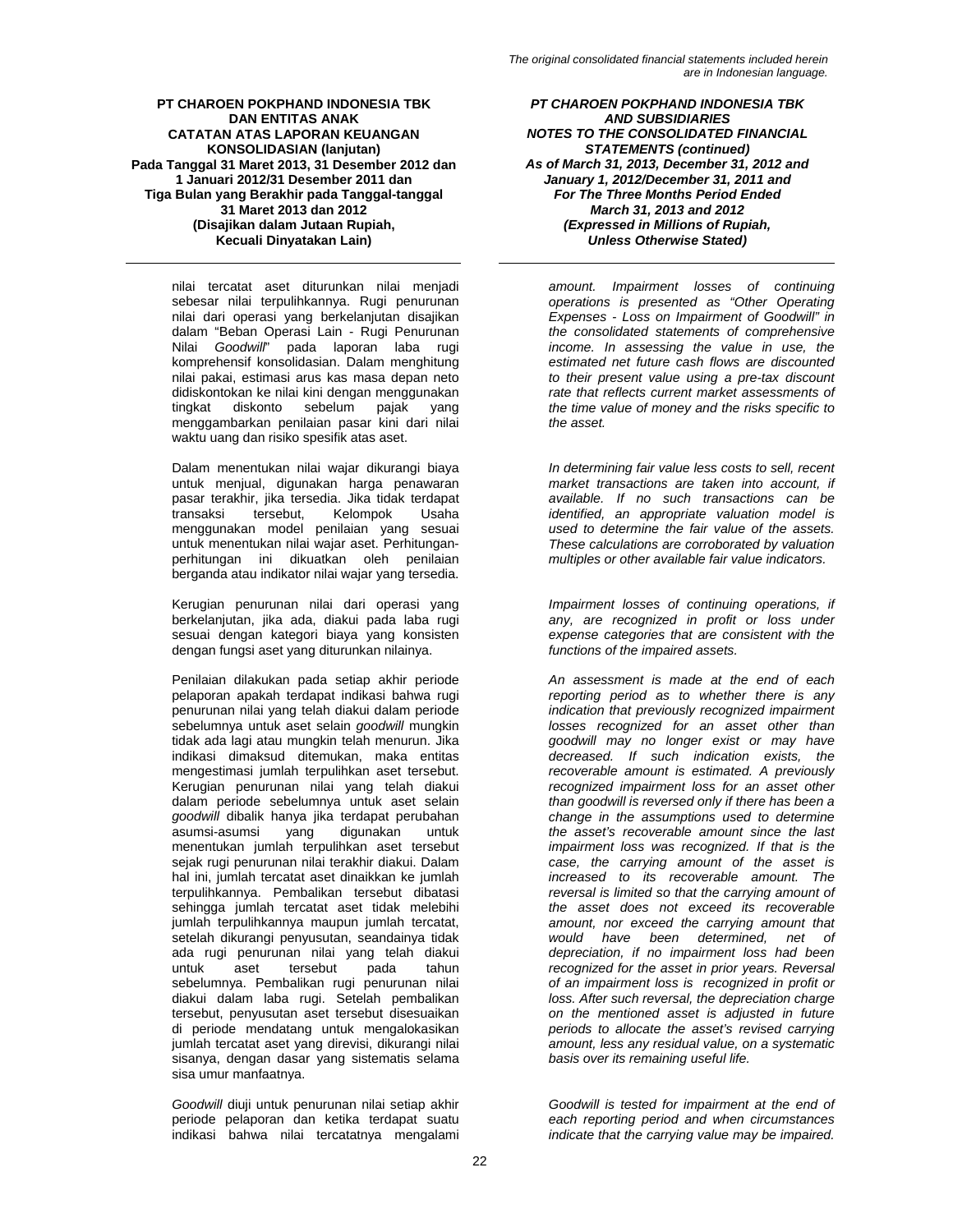nilai tercatat aset diturunkan nilai menjadi sebesar nilai terpulihkannya. Rugi penurunan nilai dari operasi yang berkelanjutan disajikan dalam "Beban Operasi Lain - Rugi Penurunan Nilai *Goodwill*" pada laporan laba rugi komprehensif konsolidasian. Dalam menghitung nilai pakai, estimasi arus kas masa depan neto didiskontokan ke nilai kini dengan menggunakan tingkat diskonto sebelum pajak yang menggambarkan penilaian pasar kini dari nilai waktu uang dan risiko spesifik atas aset.

Dalam menentukan nilai wajar dikurangi biaya untuk menjual, digunakan harga penawaran pasar terakhir, jika tersedia. Jika tidak terdapat Kelompok Usaha menggunakan model penilaian yang sesuai untuk menentukan nilai wajar aset. Perhitunganperhitungan ini dikuatkan oleh penilaian berganda atau indikator nilai wajar yang tersedia.

Kerugian penurunan nilai dari operasi yang berkelanjutan, jika ada, diakui pada laba rugi sesuai dengan kategori biaya yang konsisten dengan fungsi aset yang diturunkan nilainya.

Penilaian dilakukan pada setiap akhir periode pelaporan apakah terdapat indikasi bahwa rugi penurunan nilai yang telah diakui dalam periode sebelumnya untuk aset selain *goodwill* mungkin tidak ada lagi atau mungkin telah menurun. Jika indikasi dimaksud ditemukan, maka entitas mengestimasi jumlah terpulihkan aset tersebut. Kerugian penurunan nilai yang telah diakui dalam periode sebelumnya untuk aset selain *goodwill* dibalik hanya jika terdapat perubahan asumsi-asumsi yang digunakan untuk menentukan jumlah terpulihkan aset tersebut sejak rugi penurunan nilai terakhir diakui. Dalam hal ini, jumlah tercatat aset dinaikkan ke jumlah terpulihkannya. Pembalikan tersebut dibatasi sehingga jumlah tercatat aset tidak melebihi jumlah terpulihkannya maupun jumlah tercatat, setelah dikurangi penyusutan, seandainya tidak ada rugi penurunan nilai yang telah diakui untuk aset tersebut pada tahun sebelumnya. Pembalikan rugi penurunan nilai diakui dalam laba rugi. Setelah pembalikan tersebut, penyusutan aset tersebut disesuaikan di periode mendatang untuk mengalokasikan jumlah tercatat aset yang direvisi, dikurangi nilai sisanya, dengan dasar yang sistematis selama sisa umur manfaatnya.

*Goodwill* diuji untuk penurunan nilai setiap akhir periode pelaporan dan ketika terdapat suatu indikasi bahwa nilai tercatatnya mengalami

*PT CHAROEN POKPHAND INDONESIA TBK AND SUBSIDIARIES NOTES TO THE CONSOLIDATED FINANCIAL STATEMENTS (continued) As of March 31, 2013, December 31, 2012 and January 1, 2012/December 31, 2011 and For The Three Months Period Ended March 31, 2013 and 2012 (Expressed in Millions of Rupiah, Unless Otherwise Stated)* 

*amount. Impairment losses of continuing operations is presented as "Other Operating Expenses - Loss on Impairment of Goodwill" in the consolidated statements of comprehensive income. In assessing the value in use, the estimated net future cash flows are discounted to their present value using a pre-tax discount rate that reflects current market assessments of the time value of money and the risks specific to the asset.* 

*In determining fair value less costs to sell, recent market transactions are taken into account, if available. If no such transactions can be identified, an appropriate valuation model is used to determine the fair value of the assets. These calculations are corroborated by valuation multiples or other available fair value indicators.* 

*Impairment losses of continuing operations, if any, are recognized in profit or loss under expense categories that are consistent with the functions of the impaired assets.* 

*An assessment is made at the end of each reporting period as to whether there is any indication that previously recognized impairment losses recognized for an asset other than goodwill may no longer exist or may have decreased. If such indication exists, the recoverable amount is estimated. A previously recognized impairment loss for an asset other than goodwill is reversed only if there has been a change in the assumptions used to determine the asset's recoverable amount since the last impairment loss was recognized. If that is the case, the carrying amount of the asset is increased to its recoverable amount. The reversal is limited so that the carrying amount of the asset does not exceed its recoverable amount, nor exceed the carrying amount that would have been determined, net of depreciation, if no impairment loss had been recognized for the asset in prior years. Reversal of an impairment loss is recognized in profit or loss. After such reversal, the depreciation charge on the mentioned asset is adjusted in future periods to allocate the asset's revised carrying amount, less any residual value, on a systematic basis over its remaining useful life.* 

*Goodwill is tested for impairment at the end of each reporting period and when circumstances indicate that the carrying value may be impaired.*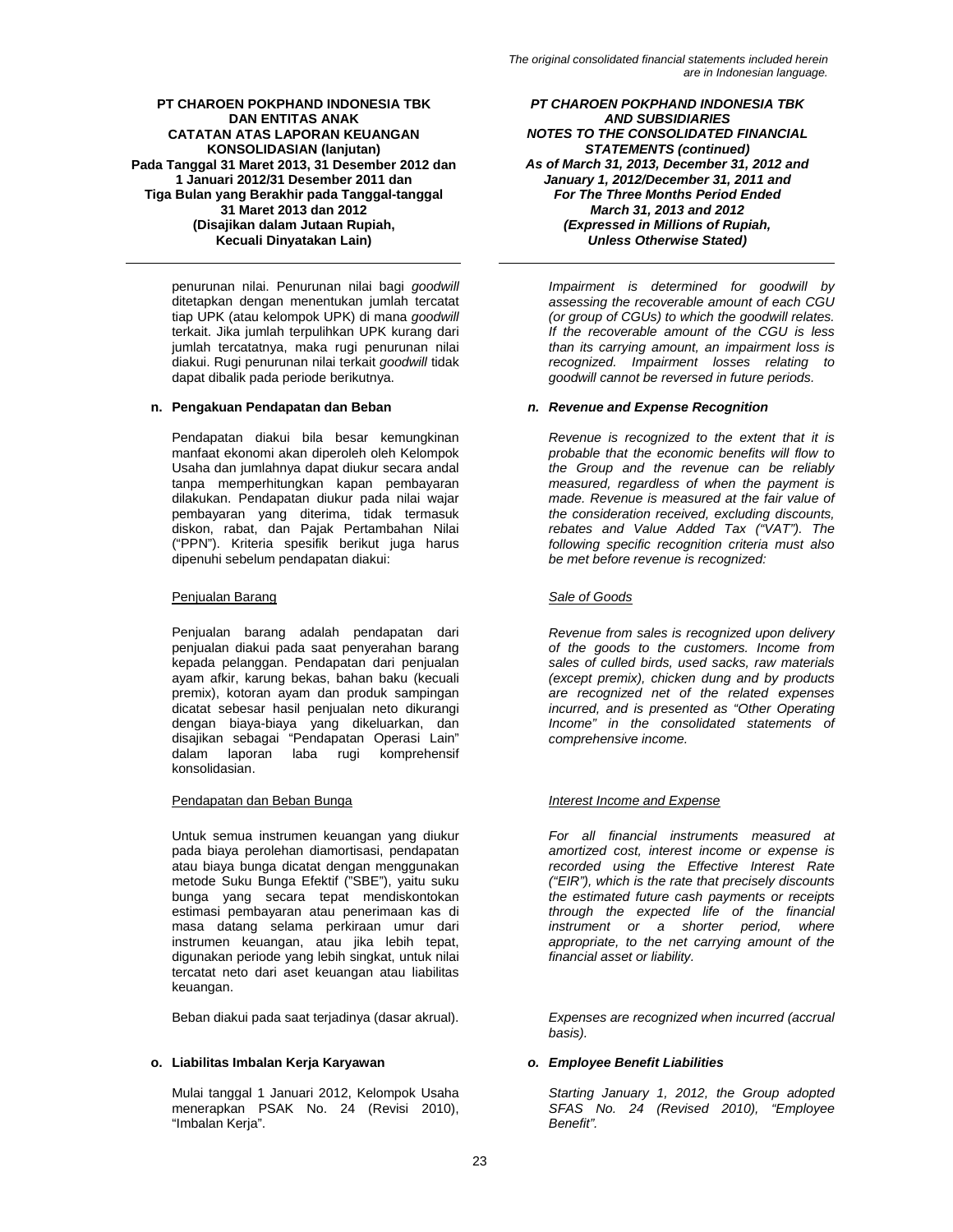penurunan nilai. Penurunan nilai bagi *goodwill* ditetapkan dengan menentukan jumlah tercatat tiap UPK (atau kelompok UPK) di mana *goodwill* terkait. Jika jumlah terpulihkan UPK kurang dari jumlah tercatatnya, maka rugi penurunan nilai diakui. Rugi penurunan nilai terkait *goodwill* tidak dapat dibalik pada periode berikutnya.

Pendapatan diakui bila besar kemungkinan manfaat ekonomi akan diperoleh oleh Kelompok Usaha dan jumlahnya dapat diukur secara andal tanpa memperhitungkan kapan pembayaran dilakukan. Pendapatan diukur pada nilai wajar pembayaran yang diterima, tidak termasuk diskon, rabat, dan Pajak Pertambahan Nilai ("PPN"). Kriteria spesifik berikut juga harus dipenuhi sebelum pendapatan diakui:

# Penjualan Barang *Sale of Goods*

Penjualan barang adalah pendapatan dari penjualan diakui pada saat penyerahan barang kepada pelanggan. Pendapatan dari penjualan ayam afkir, karung bekas, bahan baku (kecuali premix), kotoran ayam dan produk sampingan dicatat sebesar hasil penjualan neto dikurangi dengan biaya-biaya yang dikeluarkan, dan disajikan sebagai "Pendapatan Operasi Lain" dalam laporan laba rugi komprehensif konsolidasian.

# Pendapatan dan Beban Bunga *Interest Income and Expense*

Untuk semua instrumen keuangan yang diukur pada biaya perolehan diamortisasi, pendapatan atau biaya bunga dicatat dengan menggunakan metode Suku Bunga Efektif ("SBE"), yaitu suku bunga yang secara tepat mendiskontokan estimasi pembayaran atau penerimaan kas di masa datang selama perkiraan umur dari instrumen keuangan, atau jika lebih tepat, digunakan periode yang lebih singkat, untuk nilai tercatat neto dari aset keuangan atau liabilitas keuangan.

Beban diakui pada saat terjadinya (dasar akrual). *Expenses are recognized when incurred (accrual* 

# **o. Liabilitas Imbalan Kerja Karyawan** *o. Employee Benefit Liabilities*

Mulai tanggal 1 Januari 2012, Kelompok Usaha menerapkan PSAK No. 24 (Revisi 2010), "Imbalan Kerja".

*PT CHAROEN POKPHAND INDONESIA TBK AND SUBSIDIARIES NOTES TO THE CONSOLIDATED FINANCIAL STATEMENTS (continued) As of March 31, 2013, December 31, 2012 and January 1, 2012/December 31, 2011 and For The Three Months Period Ended March 31, 2013 and 2012 (Expressed in Millions of Rupiah, Unless Otherwise Stated)* 

*Impairment is determined for goodwill by assessing the recoverable amount of each CGU (or group of CGUs) to which the goodwill relates. If the recoverable amount of the CGU is less than its carrying amount, an impairment loss is recognized. Impairment losses relating to goodwill cannot be reversed in future periods.* 

# **n. Pengakuan Pendapatan dan Beban** *n. Revenue and Expense Recognition*

*Revenue is recognized to the extent that it is probable that the economic benefits will flow to the Group and the revenue can be reliably measured, regardless of when the payment is made. Revenue is measured at the fair value of the consideration received, excluding discounts, rebates and Value Added Tax ("VAT"). The following specific recognition criteria must also be met before revenue is recognized:* 

*Revenue from sales is recognized upon delivery of the goods to the customers. Income from sales of culled birds, used sacks, raw materials (except premix), chicken dung and by products are recognized net of the related expenses incurred, and is presented as "Other Operating Income" in the consolidated statements of comprehensive income.* 

*For all financial instruments measured at amortized cost, interest income or expense is recorded using the Effective Interest Rate ("EIR"), which is the rate that precisely discounts the estimated future cash payments or receipts through the expected life of the financial instrument or a shorter period, where appropriate, to the net carrying amount of the financial asset or liability.* 

*basis).* 

*Starting January 1, 2012, the Group adopted SFAS No. 24 (Revised 2010), "Employee Benefit".*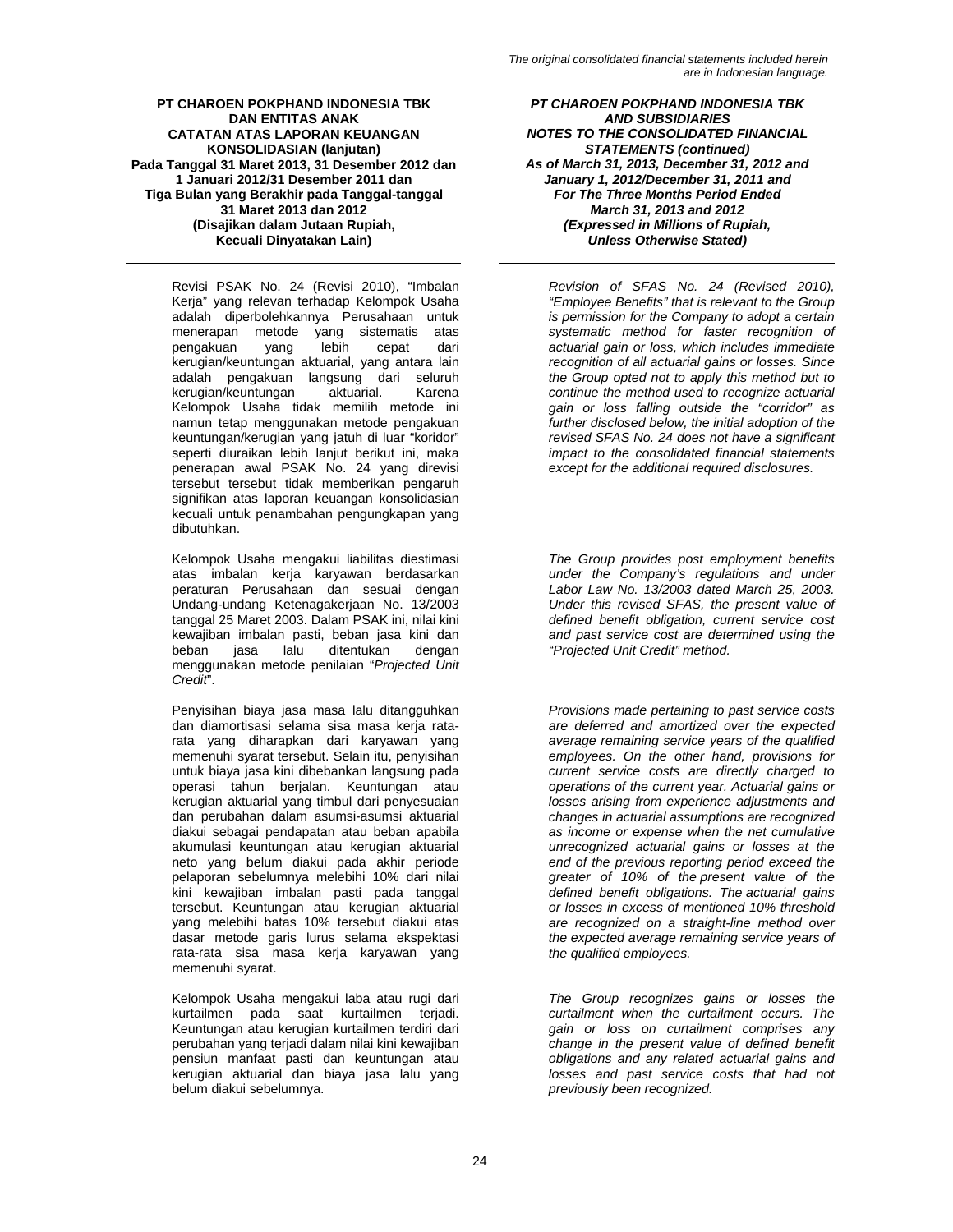Revisi PSAK No. 24 (Revisi 2010), "Imbalan Kerja" yang relevan terhadap Kelompok Usaha adalah diperbolehkannya Perusahaan untuk menerapan metode yang sistematis atas pengakuan yang lebih cepat dari kerugian/keuntungan aktuarial, yang antara lain adalah pengakuan langsung dari seluruh<br>kerugian/keuntungan aktuarial. Karena kerugian/keuntungan aktuarial. Karena Kelompok Usaha tidak memilih metode ini namun tetap menggunakan metode pengakuan keuntungan/kerugian yang jatuh di luar "koridor" seperti diuraikan lebih lanjut berikut ini, maka penerapan awal PSAK No. 24 yang direvisi tersebut tersebut tidak memberikan pengaruh signifikan atas laporan keuangan konsolidasian kecuali untuk penambahan pengungkapan yang dibutuhkan.

Kelompok Usaha mengakui liabilitas diestimasi atas imbalan kerja karyawan berdasarkan peraturan Perusahaan dan sesuai dengan Undang-undang Ketenagakerjaan No. 13/2003 tanggal 25 Maret 2003. Dalam PSAK ini, nilai kini kewajiban imbalan pasti, beban jasa kini dan ditentukan menggunakan metode penilaian "*Projected Unit Credit*".

Penyisihan biaya jasa masa lalu ditangguhkan dan diamortisasi selama sisa masa kerja ratarata yang diharapkan dari karyawan yang memenuhi syarat tersebut. Selain itu, penyisihan untuk biaya jasa kini dibebankan langsung pada operasi tahun berjalan. Keuntungan atau kerugian aktuarial yang timbul dari penyesuaian dan perubahan dalam asumsi-asumsi aktuarial diakui sebagai pendapatan atau beban apabila akumulasi keuntungan atau kerugian aktuarial neto yang belum diakui pada akhir periode pelaporan sebelumnya melebihi 10% dari nilai kini kewajiban imbalan pasti pada tanggal tersebut. Keuntungan atau kerugian aktuarial yang melebihi batas 10% tersebut diakui atas dasar metode garis lurus selama ekspektasi rata-rata sisa masa kerja karyawan yang memenuhi syarat.

Kelompok Usaha mengakui laba atau rugi dari kurtailmen pada saat kurtailmen terjadi. Keuntungan atau kerugian kurtailmen terdiri dari perubahan yang terjadi dalam nilai kini kewajiban pensiun manfaat pasti dan keuntungan atau kerugian aktuarial dan biaya jasa lalu yang belum diakui sebelumnya.

*PT CHAROEN POKPHAND INDONESIA TBK AND SUBSIDIARIES NOTES TO THE CONSOLIDATED FINANCIAL STATEMENTS (continued) As of March 31, 2013, December 31, 2012 and January 1, 2012/December 31, 2011 and For The Three Months Period Ended March 31, 2013 and 2012 (Expressed in Millions of Rupiah, Unless Otherwise Stated)* 

*Revision of SFAS No. 24 (Revised 2010), "Employee Benefits" that is relevant to the Group is permission for the Company to adopt a certain systematic method for faster recognition of actuarial gain or loss, which includes immediate recognition of all actuarial gains or losses. Since the Group opted not to apply this method but to continue the method used to recognize actuarial gain or loss falling outside the "corridor" as further disclosed below, the initial adoption of the revised SFAS No. 24 does not have a significant impact to the consolidated financial statements except for the additional required disclosures.* 

*The Group provides post employment benefits under the Company's regulations and under Labor Law No. 13/2003 dated March 25, 2003. Under this revised SFAS, the present value of defined benefit obligation, current service cost and past service cost are determined using the "Projected Unit Credit" method.* 

*Provisions made pertaining to past service costs are deferred and amortized over the expected average remaining service years of the qualified employees. On the other hand, provisions for current service costs are directly charged to operations of the current year. Actuarial gains or losses arising from experience adjustments and changes in actuarial assumptions are recognized as income or expense when the net cumulative unrecognized actuarial gains or losses at the end of the previous reporting period exceed the greater of 10% of the present value of the defined benefit obligations. The actuarial gains or losses in excess of mentioned 10% threshold are recognized on a straight-line method over the expected average remaining service years of the qualified employees.* 

*The Group recognizes gains or losses the curtailment when the curtailment occurs. The gain or loss on curtailment comprises any change in the present value of defined benefit obligations and any related actuarial gains and losses and past service costs that had not previously been recognized.*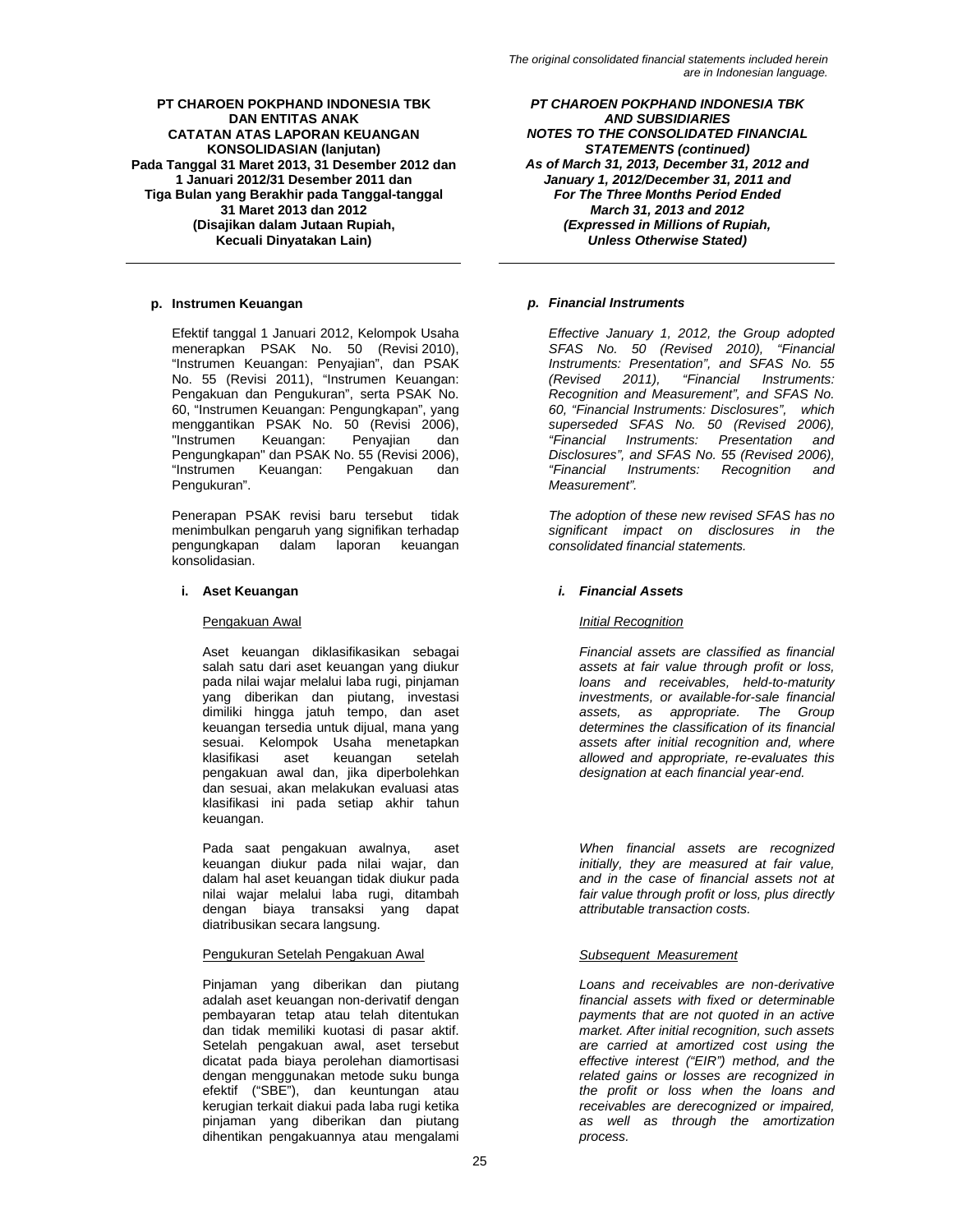Efektif tanggal 1 Januari 2012, Kelompok Usaha menerapkan PSAK No. 50 (Revisi 2010), "Instrumen Keuangan: Penyajian", dan PSAK No. 55 (Revisi 2011), "Instrumen Keuangan: Pengakuan dan Pengukuran", serta PSAK No. 60, "Instrumen Keuangan: Pengungkapan", yang menggantikan PSAK No. 50 (Revisi 2006), "Instrumen Keuangan: Penyajian dan Pengungkapan" dan PSAK No. 55 (Revisi 2006), "Instrumen Keuangan: Pengakuan dan Pengukuran".

Penerapan PSAK revisi baru tersebut tidak menimbulkan pengaruh yang signifikan terhadap pengungkapan dalam laporan keuangan konsolidasian.

Aset keuangan diklasifikasikan sebagai salah satu dari aset keuangan yang diukur pada nilai wajar melalui laba rugi, pinjaman yang diberikan dan piutang, investasi dimiliki hingga jatuh tempo, dan aset keuangan tersedia untuk dijual, mana yang sesuai. Kelompok Usaha menetapkan<br>klasifikasi aset keuangan setelah klasifikasi aset pengakuan awal dan, jika diperbolehkan dan sesuai, akan melakukan evaluasi atas klasifikasi ini pada setiap akhir tahun keuangan.

Pada saat pengakuan awalnya, aset keuangan diukur pada nilai wajar, dan dalam hal aset keuangan tidak diukur pada nilai wajar melalui laba rugi, ditambah dengan biaya transaksi yang dapat diatribusikan secara langsung.

# Pengukuran Setelah Pengakuan Awal *Subsequent Measurement*

Pinjaman yang diberikan dan piutang adalah aset keuangan non-derivatif dengan pembayaran tetap atau telah ditentukan dan tidak memiliki kuotasi di pasar aktif. Setelah pengakuan awal, aset tersebut dicatat pada biaya perolehan diamortisasi dengan menggunakan metode suku bunga efektif ("SBE"), dan keuntungan atau kerugian terkait diakui pada laba rugi ketika pinjaman yang diberikan dan piutang dihentikan pengakuannya atau mengalami

*PT CHAROEN POKPHAND INDONESIA TBK AND SUBSIDIARIES NOTES TO THE CONSOLIDATED FINANCIAL STATEMENTS (continued) As of March 31, 2013, December 31, 2012 and January 1, 2012/December 31, 2011 and For The Three Months Period Ended March 31, 2013 and 2012 (Expressed in Millions of Rupiah, Unless Otherwise Stated)* 

# **p. Instrumen Keuangan** *p. Financial Instruments*

*Effective January 1, 2012, the Group adopted SFAS No. 50 (Revised 2010), "Financial Instruments: Presentation", and SFAS No. 55 (Revised 2011), "Financial Instruments: Recognition and Measurement", and SFAS No. 60, "Financial Instruments: Disclosures", which superseded SFAS No. 50 (Revised 2006), "Financial Instruments: Presentation and Disclosures", and SFAS No. 55 (Revised 2006), "Financial Instruments: Recognition and Measurement".* 

*The adoption of these new revised SFAS has no significant impact on disclosures in the consolidated financial statements.* 

# **i. Aset Keuangan** *i. Financial Assets*

# Pengakuan Awal *Initial Recognition*

*Financial assets are classified as financial assets at fair value through profit or loss, loans and receivables, held-to-maturity investments, or available-for-sale financial assets, as appropriate. The Group determines the classification of its financial assets after initial recognition and, where allowed and appropriate, re-evaluates this designation at each financial year-end.* 

*When financial assets are recognized initially, they are measured at fair value, and in the case of financial assets not at fair value through profit or loss, plus directly attributable transaction costs.* 

*Loans and receivables are non-derivative financial assets with fixed or determinable payments that are not quoted in an active market. After initial recognition, such assets are carried at amortized cost using the effective interest ("EIR") method, and the related gains or losses are recognized in the profit or loss when the loans and receivables are derecognized or impaired, as well as through the amortization process.*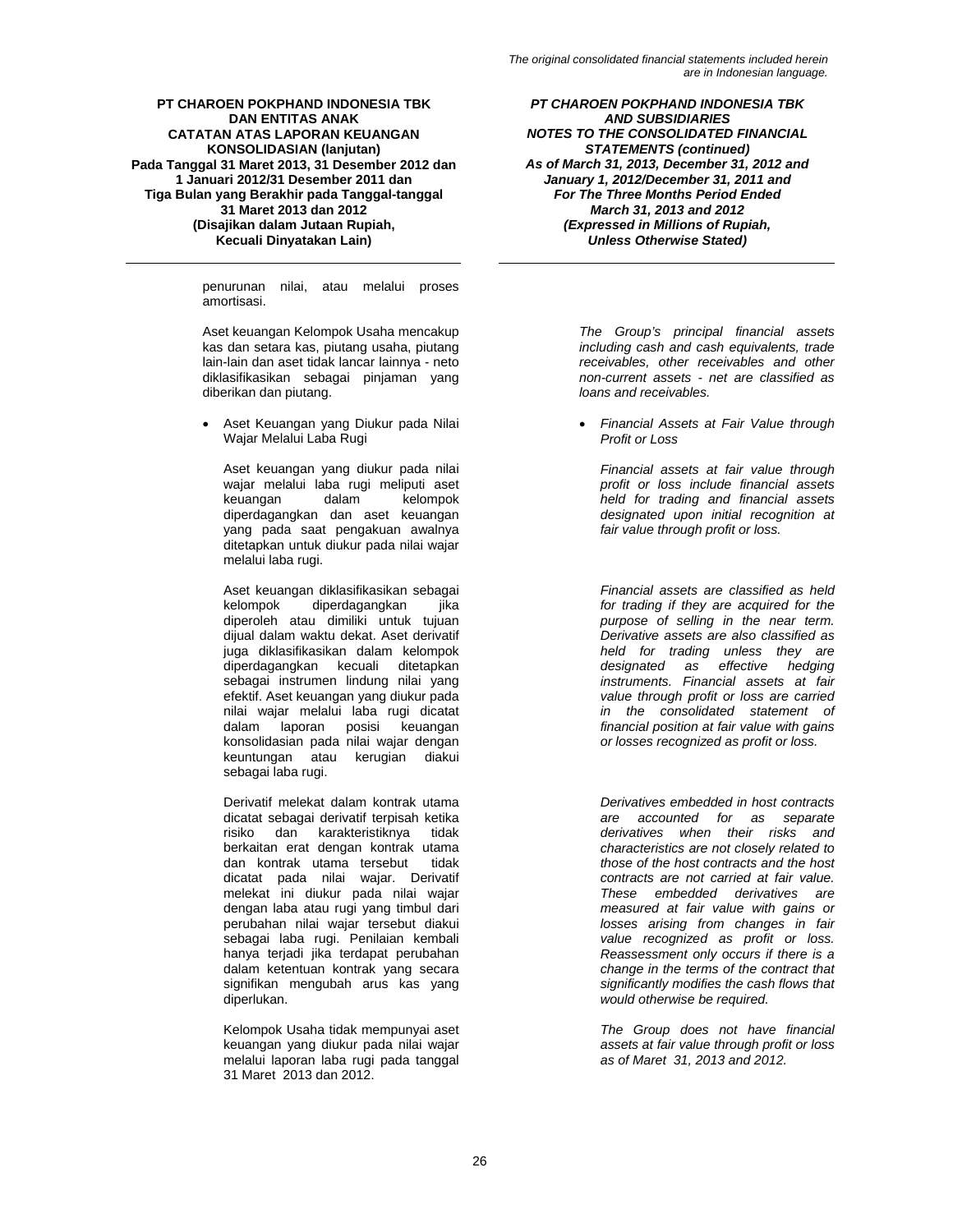penurunan nilai, atau melalui proses amortisasi.

Aset keuangan Kelompok Usaha mencakup kas dan setara kas, piutang usaha, piutang lain-lain dan aset tidak lancar lainnya - neto diklasifikasikan sebagai pinjaman yang diberikan dan piutang.

• Aset Keuangan yang Diukur pada Nilai Wajar Melalui Laba Rugi

Aset keuangan yang diukur pada nilai wajar melalui laba rugi meliputi aset keuangan dalam kelompok diperdagangkan dan aset keuangan yang pada saat pengakuan awalnya ditetapkan untuk diukur pada nilai wajar melalui laba rugi.

Aset keuangan diklasifikasikan sebagai<br>kelompok diperdagangkan iika diperdagangkan jika diperoleh atau dimiliki untuk tujuan dijual dalam waktu dekat. Aset derivatif juga diklasifikasikan dalam kelompok diperdagangkan kecuali ditetapkan sebagai instrumen lindung nilai yang efektif. Aset keuangan yang diukur pada nilai wajar melalui laba rugi dicatat dalam laporan posisi keuangan konsolidasian pada nilai wajar dengan keuntungan atau kerugian diakui sebagai laba rugi.

Derivatif melekat dalam kontrak utama dicatat sebagai derivatif terpisah ketika risiko dan karakteristiknya tidak berkaitan erat dengan kontrak utama dan kontrak utama tersebut tidak dicatat pada nilai wajar. Derivatif melekat ini diukur pada nilai wajar dengan laba atau rugi yang timbul dari perubahan nilai wajar tersebut diakui sebagai laba rugi. Penilaian kembali hanya terjadi jika terdapat perubahan dalam ketentuan kontrak yang secara signifikan mengubah arus kas yang diperlukan.

Kelompok Usaha tidak mempunyai aset keuangan yang diukur pada nilai wajar melalui laporan laba rugi pada tanggal 31 Maret 2013 dan 2012.

*PT CHAROEN POKPHAND INDONESIA TBK AND SUBSIDIARIES NOTES TO THE CONSOLIDATED FINANCIAL STATEMENTS (continued) As of March 31, 2013, December 31, 2012 and January 1, 2012/December 31, 2011 and For The Three Months Period Ended March 31, 2013 and 2012 (Expressed in Millions of Rupiah, Unless Otherwise Stated)* 

> *The Group's principal financial assets including cash and cash equivalents, trade receivables, other receivables and other non-current assets - net are classified as loans and receivables.*

> • *Financial Assets at Fair Value through Profit or Loss*

*Financial assets at fair value through profit or loss include financial assets held for trading and financial assets designated upon initial recognition at fair value through profit or loss.* 

*Financial assets are classified as held for trading if they are acquired for the purpose of selling in the near term. Derivative assets are also classified as held for trading unless they are designated as effective hedging instruments. Financial assets at fair value through profit or loss are carried in the consolidated statement of financial position at fair value with gains or losses recognized as profit or loss.* 

*Derivatives embedded in host contracts are accounted for as separate derivatives when their risks and characteristics are not closely related to those of the host contracts and the host contracts are not carried at fair value. These embedded derivatives are measured at fair value with gains or losses arising from changes in fair value recognized as profit or loss. Reassessment only occurs if there is a change in the terms of the contract that significantly modifies the cash flows that would otherwise be required.* 

*The Group does not have financial assets at fair value through profit or loss as of Maret 31, 2013 and 2012.*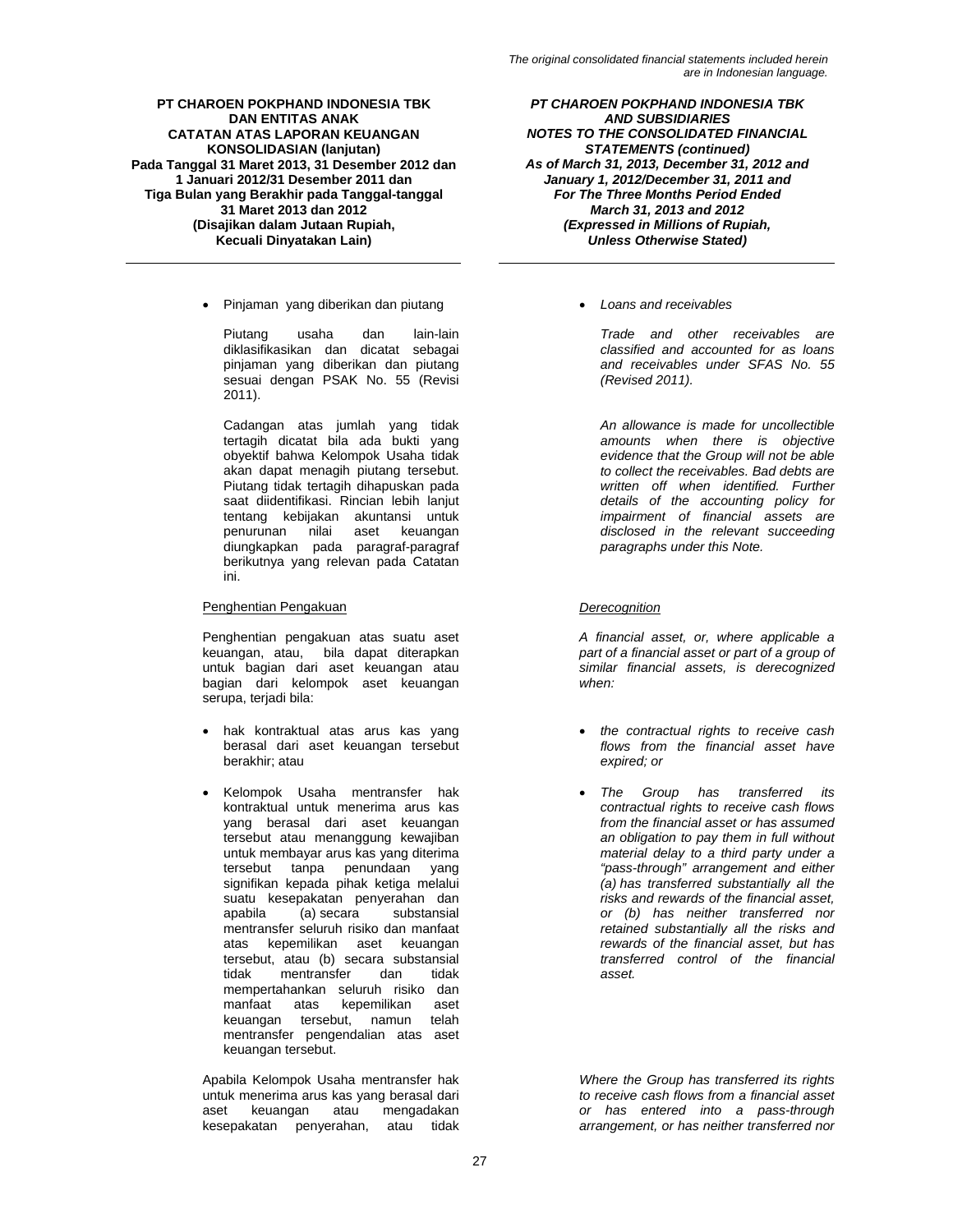• Pinjaman yang diberikan dan piutang • *Loans and receivables* 

Piutang usaha dan lain-lain diklasifikasikan dan dicatat sebagai pinjaman yang diberikan dan piutang sesuai dengan PSAK No. 55 (Revisi 2011).

Cadangan atas jumlah yang tidak tertagih dicatat bila ada bukti yang obyektif bahwa Kelompok Usaha tidak akan dapat menagih piutang tersebut. Piutang tidak tertagih dihapuskan pada saat diidentifikasi. Rincian lebih lanjut tentang kebijakan akuntansi untuk penurunan nilai aset keuangan diungkapkan pada paragraf-paragraf berikutnya yang relevan pada Catatan ini.

# Penghentian Pengakuan *Derecognition*

Penghentian pengakuan atas suatu aset keuangan, atau, bila dapat diterapkan untuk bagian dari aset keuangan atau bagian dari kelompok aset keuangan serupa, terjadi bila:

- hak kontraktual atas arus kas yang berasal dari aset keuangan tersebut berakhir; atau
- Kelompok Usaha mentransfer hak kontraktual untuk menerima arus kas yang berasal dari aset keuangan tersebut atau menanggung kewajiban untuk membayar arus kas yang diterima tersebut tanpa penundaan yang signifikan kepada pihak ketiga melalui suatu kesepakatan penyerahan dan<br>apabila (a) secara substansial substansial mentransfer seluruh risiko dan manfaat atas kepemilikan aset keuangan tersebut, atau (b) secara substansial<br>tidak mentransfer dan tidak mentransfer mempertahankan seluruh risiko dan<br>manfaat atas kepemilikan aset manfaat atas kepemilikan aset<br>keuangan tersebut, namun telah keuangan tersebut, namun mentransfer pengendalian atas aset keuangan tersebut.

Apabila Kelompok Usaha mentransfer hak untuk menerima arus kas yang berasal dari aset keuangan atau mengadakan kesepakatan penyerahan, atau tidak

*PT CHAROEN POKPHAND INDONESIA TBK AND SUBSIDIARIES NOTES TO THE CONSOLIDATED FINANCIAL STATEMENTS (continued) As of March 31, 2013, December 31, 2012 and January 1, 2012/December 31, 2011 and For The Three Months Period Ended March 31, 2013 and 2012 (Expressed in Millions of Rupiah, Unless Otherwise Stated)* 

*Trade and other receivables are classified and accounted for as loans and receivables under SFAS No. 55 (Revised 2011).* 

*An allowance is made for uncollectible amounts when there is objective evidence that the Group will not be able to collect the receivables. Bad debts are written off when identified. Further details of the accounting policy for impairment of financial assets are disclosed in the relevant succeeding paragraphs under this Note.* 

*A financial asset, or, where applicable a part of a financial asset or part of a group of similar financial assets, is derecognized when:* 

- *the contractual rights to receive cash flows from the financial asset have expired; or*
- *The Group has transferred its contractual rights to receive cash flows from the financial asset or has assumed an obligation to pay them in full without material delay to a third party under a "pass-through" arrangement and either (a) has transferred substantially all the risks and rewards of the financial asset, or (b) has neither transferred nor retained substantially all the risks and rewards of the financial asset, but has transferred control of the financial asset.*

*Where the Group has transferred its rights to receive cash flows from a financial asset or has entered into a pass-through arrangement, or has neither transferred nor*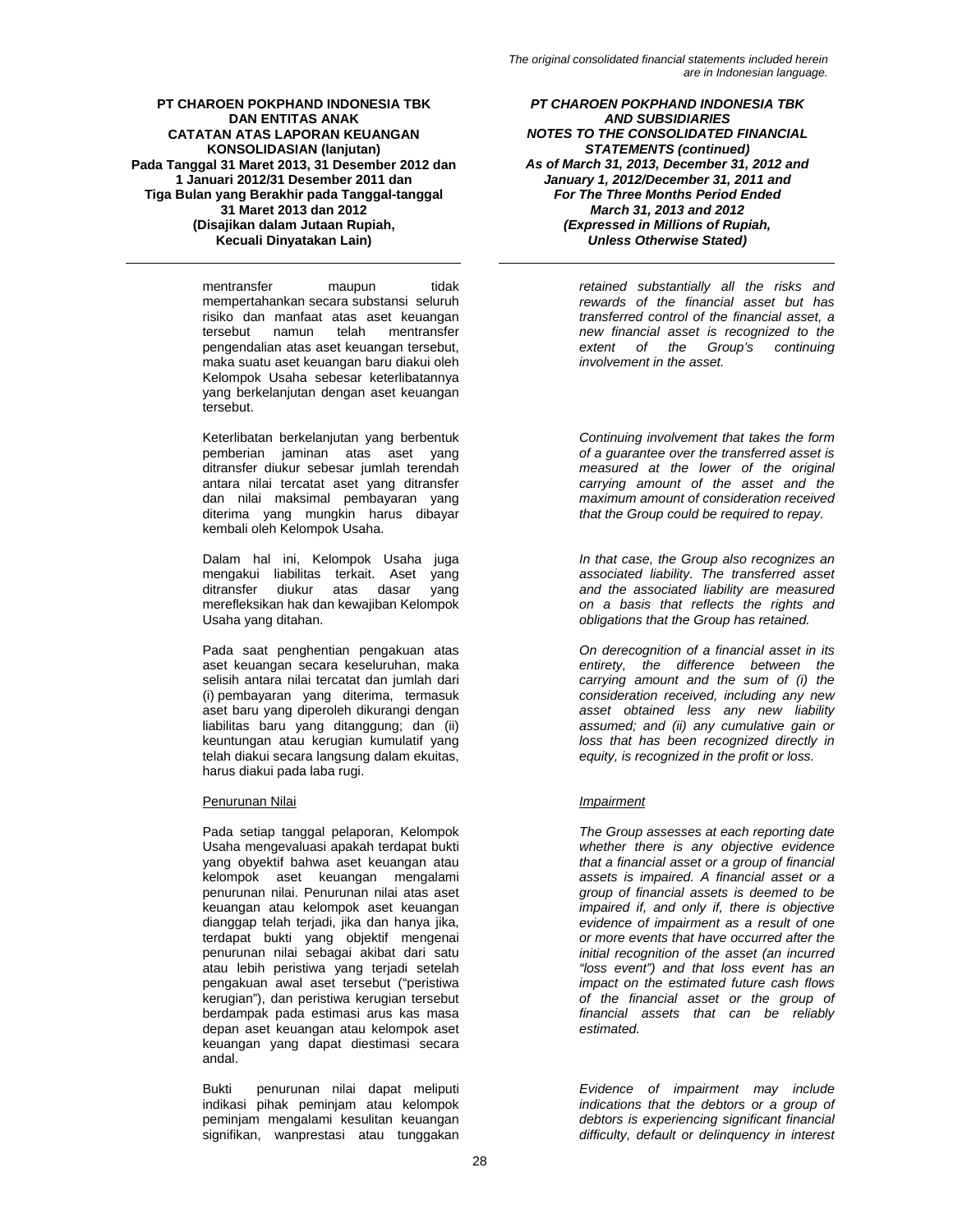mentransfer maupun tidak mempertahankan secara substansi seluruh risiko dan manfaat atas aset keuangan tersebut namun telah mentransfer pengendalian atas aset keuangan tersebut, maka suatu aset keuangan baru diakui oleh Kelompok Usaha sebesar keterlibatannya yang berkelanjutan dengan aset keuangan tersebut.

Keterlibatan berkelanjutan yang berbentuk pemberian jaminan atas aset yang ditransfer diukur sebesar jumlah terendah antara nilai tercatat aset yang ditransfer dan nilai maksimal pembayaran yang diterima yang mungkin harus dibayar kembali oleh Kelompok Usaha.

Dalam hal ini, Kelompok Usaha juga mengakui liabilitas terkait. Aset yang<br>ditransfer diukur atas dasar yang ditransfer diukur atas dasar merefleksikan hak dan kewajiban Kelompok Usaha yang ditahan.

Pada saat penghentian pengakuan atas aset keuangan secara keseluruhan, maka selisih antara nilai tercatat dan jumlah dari (i) pembayaran yang diterima, termasuk aset baru yang diperoleh dikurangi dengan liabilitas baru yang ditanggung; dan (ii) keuntungan atau kerugian kumulatif yang telah diakui secara langsung dalam ekuitas, harus diakui pada laba rugi.

# Penurunan Nilai *Impairment*

Pada setiap tanggal pelaporan, Kelompok Usaha mengevaluasi apakah terdapat bukti yang obyektif bahwa aset keuangan atau kelompok aset keuangan mengalami penurunan nilai. Penurunan nilai atas aset keuangan atau kelompok aset keuangan dianggap telah terjadi, jika dan hanya jika, terdapat bukti yang objektif mengenai penurunan nilai sebagai akibat dari satu atau lebih peristiwa yang terjadi setelah pengakuan awal aset tersebut ("peristiwa kerugian"), dan peristiwa kerugian tersebut berdampak pada estimasi arus kas masa depan aset keuangan atau kelompok aset keuangan yang dapat diestimasi secara andal.

Bukti penurunan nilai dapat meliputi indikasi pihak peminjam atau kelompok peminjam mengalami kesulitan keuangan signifikan, wanprestasi atau tunggakan

*PT CHAROEN POKPHAND INDONESIA TBK AND SUBSIDIARIES NOTES TO THE CONSOLIDATED FINANCIAL STATEMENTS (continued) As of March 31, 2013, December 31, 2012 and January 1, 2012/December 31, 2011 and For The Three Months Period Ended March 31, 2013 and 2012 (Expressed in Millions of Rupiah, Unless Otherwise Stated)* 

> *retained substantially all the risks and rewards of the financial asset but has transferred control of the financial asset, a new financial asset is recognized to the extent of the Group's continuing involvement in the asset.*

> *Continuing involvement that takes the form of a guarantee over the transferred asset is measured at the lower of the original carrying amount of the asset and the maximum amount of consideration received that the Group could be required to repay.*

> *In that case, the Group also recognizes an associated liability. The transferred asset and the associated liability are measured on a basis that reflects the rights and obligations that the Group has retained.*

> *On derecognition of a financial asset in its entirety, the difference between the carrying amount and the sum of (i) the consideration received, including any new asset obtained less any new liability assumed; and (ii) any cumulative gain or loss that has been recognized directly in equity, is recognized in the profit or loss.*

*The Group assesses at each reporting date whether there is any objective evidence that a financial asset or a group of financial assets is impaired. A financial asset or a group of financial assets is deemed to be impaired if, and only if, there is objective evidence of impairment as a result of one or more events that have occurred after the initial recognition of the asset (an incurred "loss event") and that loss event has an impact on the estimated future cash flows of the financial asset or the group of financial assets that can be reliably estimated.* 

*Evidence of impairment may include indications that the debtors or a group of debtors is experiencing significant financial difficulty, default or delinquency in interest*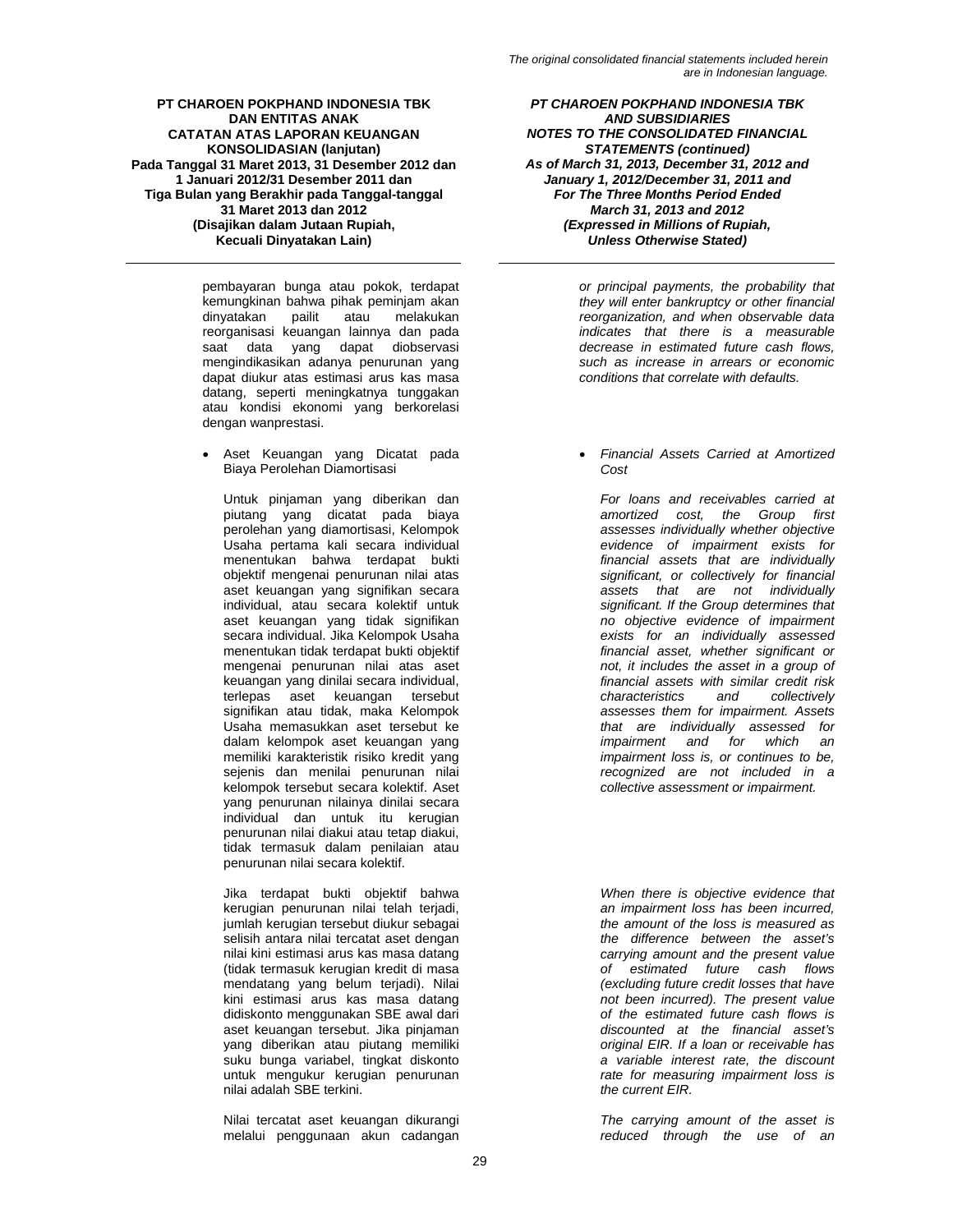pembayaran bunga atau pokok, terdapat kemungkinan bahwa pihak peminjam akan<br>dinyatakan pailit atau melakukan dinyatakan pailit atau melakukan reorganisasi keuangan lainnya dan pada saat data yang dapat diobservasi mengindikasikan adanya penurunan yang dapat diukur atas estimasi arus kas masa datang, seperti meningkatnya tunggakan atau kondisi ekonomi yang berkorelasi dengan wanprestasi.

• Aset Keuangan yang Dicatat pada Biaya Perolehan Diamortisasi

Untuk pinjaman yang diberikan dan piutang yang dicatat pada biaya perolehan yang diamortisasi, Kelompok Usaha pertama kali secara individual menentukan bahwa terdapat bukti objektif mengenai penurunan nilai atas aset keuangan yang signifikan secara individual, atau secara kolektif untuk aset keuangan yang tidak signifikan secara individual. Jika Kelompok Usaha menentukan tidak terdapat bukti objektif mengenai penurunan nilai atas aset keuangan yang dinilai secara individual, terlepas aset keuangan tersebut signifikan atau tidak, maka Kelompok Usaha memasukkan aset tersebut ke dalam kelompok aset keuangan yang memiliki karakteristik risiko kredit yang sejenis dan menilai penurunan nilai kelompok tersebut secara kolektif. Aset yang penurunan nilainya dinilai secara individual dan untuk itu kerugian penurunan nilai diakui atau tetap diakui, tidak termasuk dalam penilaian atau penurunan nilai secara kolektif.

Jika terdapat bukti objektif bahwa kerugian penurunan nilai telah terjadi, jumlah kerugian tersebut diukur sebagai selisih antara nilai tercatat aset dengan nilai kini estimasi arus kas masa datang (tidak termasuk kerugian kredit di masa mendatang yang belum terjadi). Nilai kini estimasi arus kas masa datang didiskonto menggunakan SBE awal dari aset keuangan tersebut. Jika pinjaman yang diberikan atau piutang memiliki suku bunga variabel, tingkat diskonto untuk mengukur kerugian penurunan nilai adalah SBE terkini.

Nilai tercatat aset keuangan dikurangi melalui penggunaan akun cadangan

*PT CHAROEN POKPHAND INDONESIA TBK AND SUBSIDIARIES NOTES TO THE CONSOLIDATED FINANCIAL STATEMENTS (continued) As of March 31, 2013, December 31, 2012 and January 1, 2012/December 31, 2011 and For The Three Months Period Ended March 31, 2013 and 2012 (Expressed in Millions of Rupiah, Unless Otherwise Stated)* 

> *or principal payments, the probability that they will enter bankruptcy or other financial reorganization, and when observable data indicates that there is a measurable decrease in estimated future cash flows, such as increase in arrears or economic conditions that correlate with defaults.*

• *Financial Assets Carried at Amortized Cost* 

*For loans and receivables carried at amortized cost, the Group first assesses individually whether objective evidence of impairment exists for financial assets that are individually significant, or collectively for financial assets that are not individually significant. If the Group determines that no objective evidence of impairment exists for an individually assessed financial asset, whether significant or not, it includes the asset in a group of financial assets with similar credit risk characteristics and collectively assesses them for impairment. Assets that are individually assessed for impairment and for which an impairment loss is, or continues to be, recognized are not included in a collective assessment or impairment.* 

*When there is objective evidence that an impairment loss has been incurred, the amount of the loss is measured as the difference between the asset's carrying amount and the present value of estimated future cash flows (excluding future credit losses that have not been incurred). The present value of the estimated future cash flows is discounted at the financial asset's original EIR. If a loan or receivable has a variable interest rate, the discount rate for measuring impairment loss is the current EIR.* 

*The carrying amount of the asset is reduced through the use of an*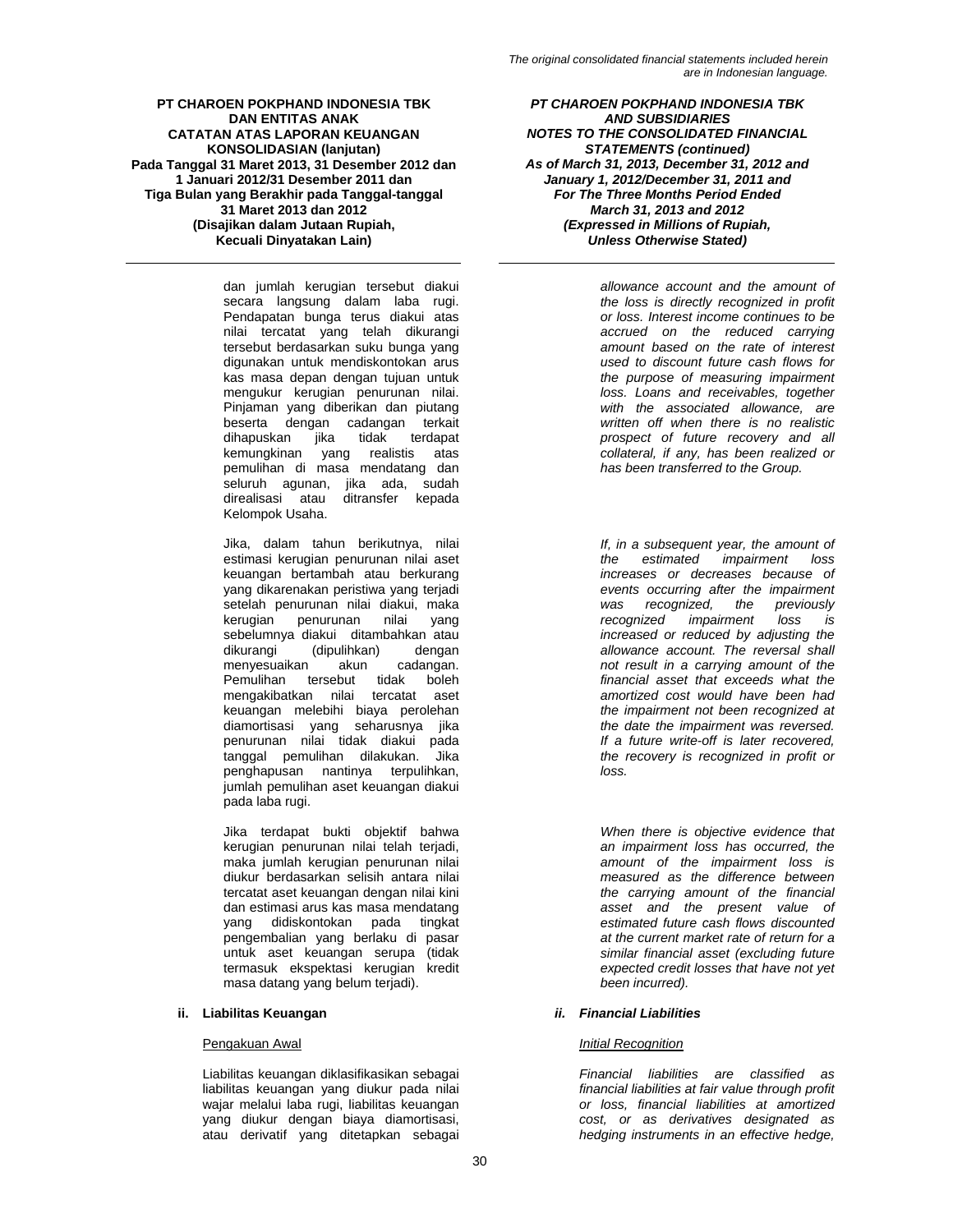dan jumlah kerugian tersebut diakui secara langsung dalam laba rugi. Pendapatan bunga terus diakui atas nilai tercatat yang telah dikurangi tersebut berdasarkan suku bunga yang digunakan untuk mendiskontokan arus kas masa depan dengan tujuan untuk mengukur kerugian penurunan nilai. Pinjaman yang diberikan dan piutang beserta dengan cadangan terkait<br>dihapuskan jika tidak terdapat dihapuskan kemungkinan yang realistis atas pemulihan di masa mendatang dan seluruh agunan, jika ada, sudah direalisasi atau ditransfer kepada Kelompok Usaha.

Jika, dalam tahun berikutnya, nilai estimasi kerugian penurunan nilai aset keuangan bertambah atau berkurang yang dikarenakan peristiwa yang terjadi setelah penurunan nilai diakui, maka kerugian penurunan nilai yang sebelumnya diakui ditambahkan atau<br>dikurangi (dipulihkan) dengan (dipulihkan) dengan<br>akun cadangan. menyesuaikan Pemulihan tersebut tidak boleh mengakibatkan nilai tercatat aset keuangan melebihi biaya perolehan diamortisasi yang seharusnya jika penurunan nilai tidak diakui pada tanggal pemulihan dilakukan. Jika penghapusan nantinya terpulihkan, jumlah pemulihan aset keuangan diakui pada laba rugi.

Jika terdapat bukti objektif bahwa kerugian penurunan nilai telah terjadi, maka jumlah kerugian penurunan nilai diukur berdasarkan selisih antara nilai tercatat aset keuangan dengan nilai kini dan estimasi arus kas masa mendatang yang didiskontokan pada tingkat pengembalian yang berlaku di pasar untuk aset keuangan serupa (tidak termasuk ekspektasi kerugian kredit masa datang yang belum terjadi).

# **ii. Liabilitas Keuangan** *ii. Financial Liabilities*

Liabilitas keuangan diklasifikasikan sebagai liabilitas keuangan yang diukur pada nilai wajar melalui laba rugi, liabilitas keuangan yang diukur dengan biaya diamortisasi, atau derivatif yang ditetapkan sebagai

*PT CHAROEN POKPHAND INDONESIA TBK AND SUBSIDIARIES NOTES TO THE CONSOLIDATED FINANCIAL STATEMENTS (continued) As of March 31, 2013, December 31, 2012 and January 1, 2012/December 31, 2011 and For The Three Months Period Ended March 31, 2013 and 2012 (Expressed in Millions of Rupiah, Unless Otherwise Stated)* 

> *allowance account and the amount of the loss is directly recognized in profit or loss. Interest income continues to be accrued on the reduced carrying amount based on the rate of interest used to discount future cash flows for the purpose of measuring impairment loss. Loans and receivables, together with the associated allowance, are written off when there is no realistic prospect of future recovery and all collateral, if any, has been realized or has been transferred to the Group.*

> *If, in a subsequent year, the amount of the estimated impairment loss increases or decreases because of events occurring after the impairment was recognized, the previously recognized impairment loss is increased or reduced by adjusting the allowance account. The reversal shall not result in a carrying amount of the financial asset that exceeds what the amortized cost would have been had the impairment not been recognized at the date the impairment was reversed. If a future write-off is later recovered, the recovery is recognized in profit or loss.*

> *When there is objective evidence that an impairment loss has occurred, the amount of the impairment loss is measured as the difference between the carrying amount of the financial asset and the present value of estimated future cash flows discounted at the current market rate of return for a similar financial asset (excluding future expected credit losses that have not yet been incurred).*

# Pengakuan Awal *Initial Recognition*

*Financial liabilities are classified as financial liabilities at fair value through profit or loss, financial liabilities at amortized cost, or as derivatives designated as hedging instruments in an effective hedge,*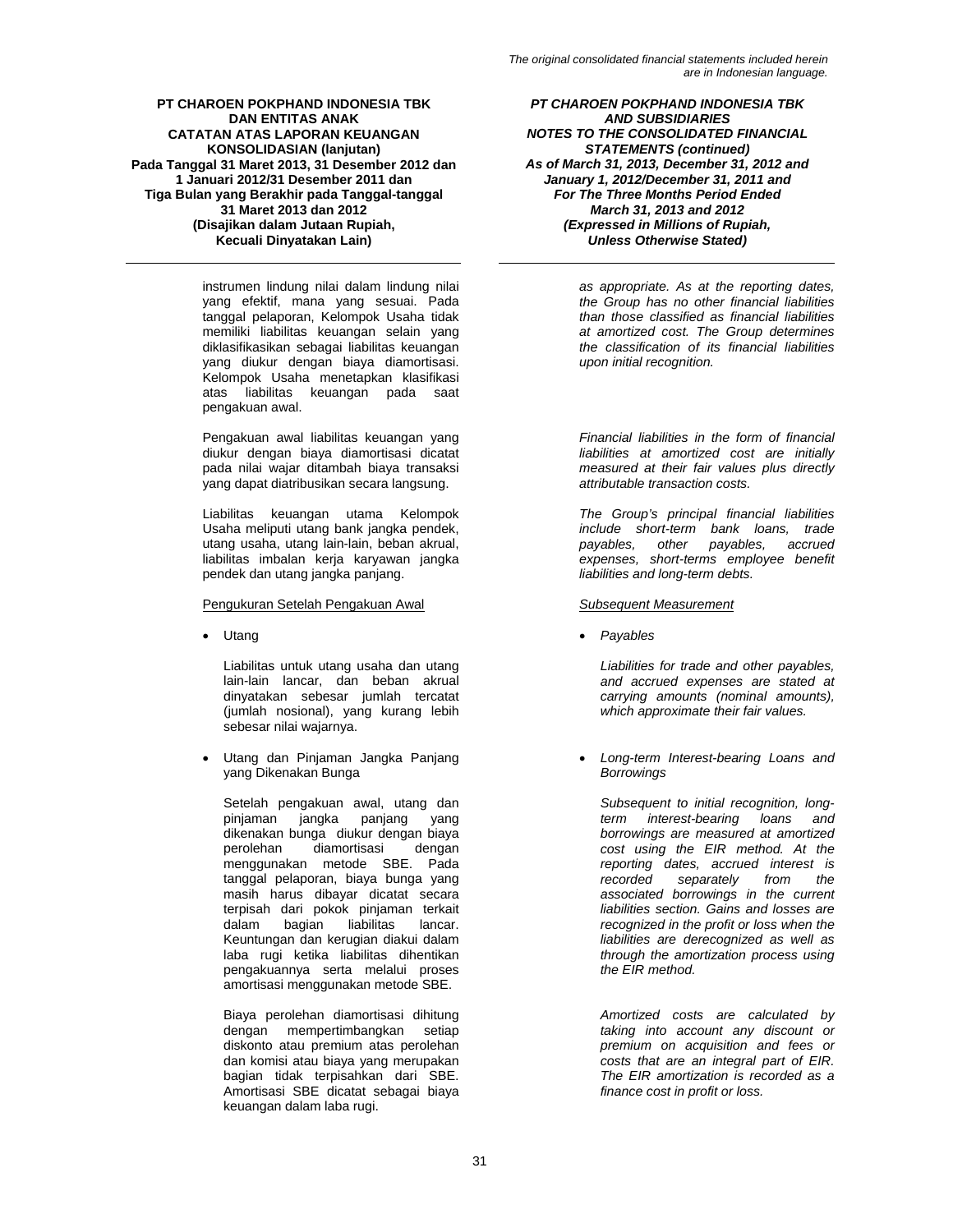instrumen lindung nilai dalam lindung nilai yang efektif, mana yang sesuai. Pada tanggal pelaporan, Kelompok Usaha tidak memiliki liabilitas keuangan selain yang diklasifikasikan sebagai liabilitas keuangan yang diukur dengan biaya diamortisasi. Kelompok Usaha menetapkan klasifikasi atas liabilitas keuangan pada saat pengakuan awal.

Pengakuan awal liabilitas keuangan yang diukur dengan biaya diamortisasi dicatat pada nilai wajar ditambah biaya transaksi yang dapat diatribusikan secara langsung.

Liabilitas keuangan utama Kelompok Usaha meliputi utang bank jangka pendek, utang usaha, utang lain-lain, beban akrual, liabilitas imbalan kerja karyawan jangka pendek dan utang jangka panjang.

### Pengukuran Setelah Pengakuan Awal *Subsequent Measurement*

Liabilitas untuk utang usaha dan utang lain-lain lancar, dan beban akrual dinyatakan sebesar jumlah tercatat (jumlah nosional), yang kurang lebih sebesar nilai wajarnya.

• Utang dan Pinjaman Jangka Panjang yang Dikenakan Bunga

Setelah pengakuan awal, utang dan pinjaman jangka panjang yang dikenakan bunga diukur dengan biaya<br>perolehan diamortisasi dengan diamortisasi dengan menggunakan metode SBE. Pada tanggal pelaporan, biaya bunga yang masih harus dibayar dicatat secara terpisah dari pokok pinjaman terkait<br>dalam bagian liabilitas lancar. liabilitas lancar. Keuntungan dan kerugian diakui dalam laba rugi ketika liabilitas dihentikan pengakuannya serta melalui proses amortisasi menggunakan metode SBE.

Biaya perolehan diamortisasi dihitung dengan mempertimbangkan setiap diskonto atau premium atas perolehan dan komisi atau biaya yang merupakan bagian tidak terpisahkan dari SBE. Amortisasi SBE dicatat sebagai biaya keuangan dalam laba rugi.

*PT CHAROEN POKPHAND INDONESIA TBK AND SUBSIDIARIES NOTES TO THE CONSOLIDATED FINANCIAL STATEMENTS (continued) As of March 31, 2013, December 31, 2012 and January 1, 2012/December 31, 2011 and For The Three Months Period Ended March 31, 2013 and 2012 (Expressed in Millions of Rupiah, Unless Otherwise Stated)* 

> *as appropriate. As at the reporting dates, the Group has no other financial liabilities than those classified as financial liabilities at amortized cost. The Group determines the classification of its financial liabilities upon initial recognition.*

> *Financial liabilities in the form of financial liabilities at amortized cost are initially measured at their fair values plus directly attributable transaction costs.*

> *The Group's principal financial liabilities include short-term bank loans, trade payables, expenses, short-terms employee benefit liabilities and long-term debts.*

• Utang • *Payables* 

*Liabilities for trade and other payables, and accrued expenses are stated at carrying amounts (nominal amounts), which approximate their fair values.* 

• *Long-term Interest-bearing Loans and Borrowings* 

*Subsequent to initial recognition, longterm interest-bearing loans and borrowings are measured at amortized cost using the EIR method. At the reporting dates, accrued interest is recorded separately from the associated borrowings in the current liabilities section. Gains and losses are recognized in the profit or loss when the liabilities are derecognized as well as through the amortization process using the EIR method.* 

*Amortized costs are calculated by taking into account any discount or premium on acquisition and fees or costs that are an integral part of EIR. The EIR amortization is recorded as a finance cost in profit or loss.*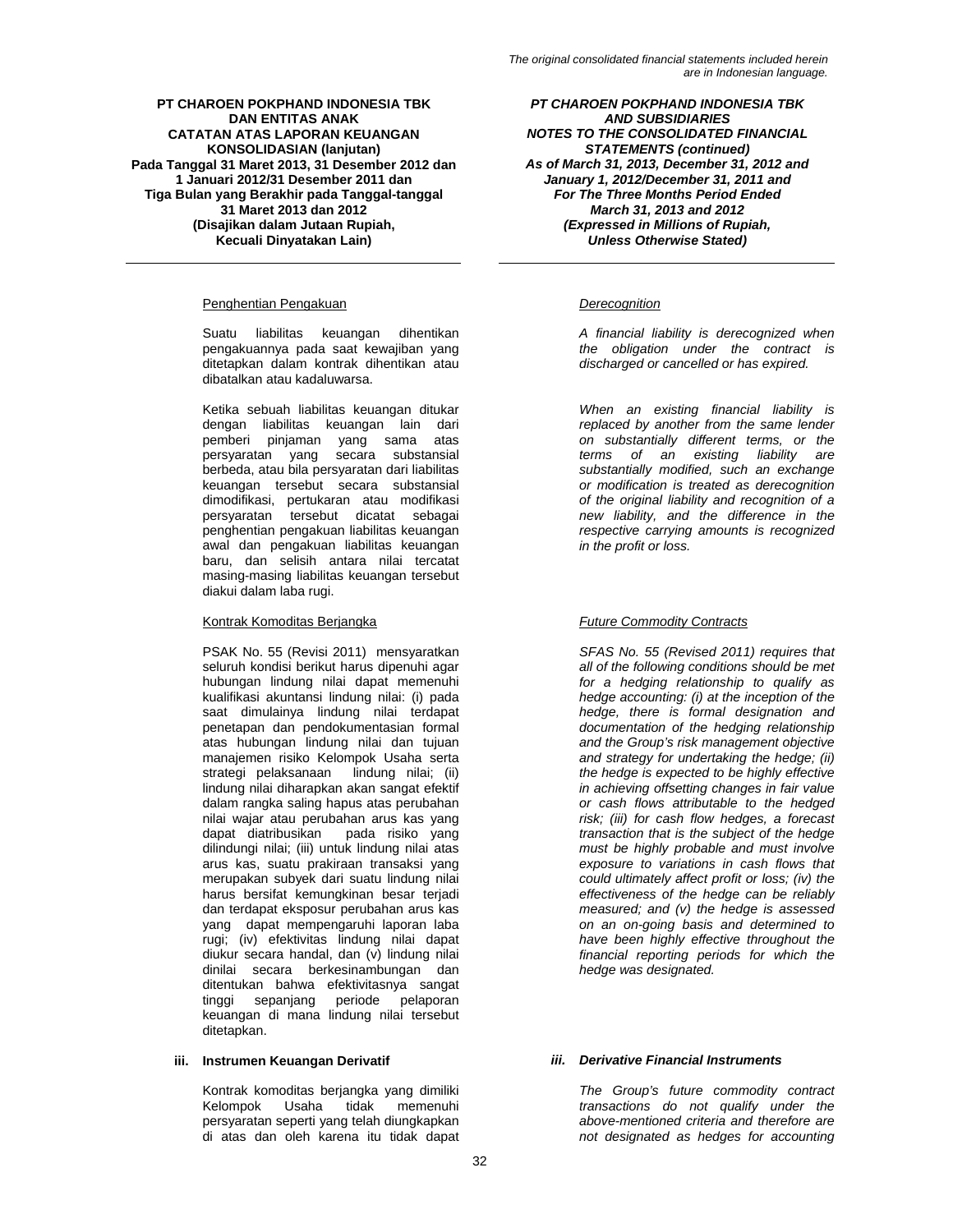# Penghentian Pengakuan *Derecognition*

Suatu liabilitas keuangan dihentikan pengakuannya pada saat kewajiban yang ditetapkan dalam kontrak dihentikan atau dibatalkan atau kadaluwarsa.

Ketika sebuah liabilitas keuangan ditukar dengan liabilitas keuangan lain dari pemberi pinjaman yang sama atas persyaratan yang secara substansial berbeda, atau bila persyaratan dari liabilitas keuangan tersebut secara substansial dimodifikasi, pertukaran atau modifikasi persyaratan tersebut dicatat sebagai penghentian pengakuan liabilitas keuangan awal dan pengakuan liabilitas keuangan baru, dan selisih antara nilai tercatat masing-masing liabilitas keuangan tersebut diakui dalam laba rugi.

# Kontrak Komoditas Berjangka *Future Commodity Contracts*

PSAK No. 55 (Revisi 2011) mensyaratkan seluruh kondisi berikut harus dipenuhi agar hubungan lindung nilai dapat memenuhi kualifikasi akuntansi lindung nilai: (i) pada saat dimulainya lindung nilai terdapat penetapan dan pendokumentasian formal atas hubungan lindung nilai dan tujuan manajemen risiko Kelompok Usaha serta strategi pelaksanaan lindung nilai; (ii) lindung nilai diharapkan akan sangat efektif dalam rangka saling hapus atas perubahan nilai wajar atau perubahan arus kas yang dapat diatribusikan pada risiko yang dilindungi nilai; (iii) untuk lindung nilai atas arus kas, suatu prakiraan transaksi yang merupakan subyek dari suatu lindung nilai harus bersifat kemungkinan besar terjadi dan terdapat eksposur perubahan arus kas yang dapat mempengaruhi laporan laba rugi; (iv) efektivitas lindung nilai dapat diukur secara handal, dan (v) lindung nilai dinilai secara berkesinambungan dan ditentukan bahwa efektivitasnya sangat tinggi sepanjang periode pelaporan keuangan di mana lindung nilai tersebut ditetapkan.

Kontrak komoditas berjangka yang dimiliki memenuhi persyaratan seperti yang telah diungkapkan di atas dan oleh karena itu tidak dapat

*PT CHAROEN POKPHAND INDONESIA TBK AND SUBSIDIARIES NOTES TO THE CONSOLIDATED FINANCIAL STATEMENTS (continued) As of March 31, 2013, December 31, 2012 and January 1, 2012/December 31, 2011 and For The Three Months Period Ended March 31, 2013 and 2012 (Expressed in Millions of Rupiah, Unless Otherwise Stated)* 

*A financial liability is derecognized when the obligation under the contract is discharged or cancelled or has expired.* 

*When an existing financial liability is replaced by another from the same lender on substantially different terms, or the terms of an existing liability are substantially modified, such an exchange or modification is treated as derecognition of the original liability and recognition of a new liability, and the difference in the respective carrying amounts is recognized in the profit or loss.* 

*SFAS No. 55 (Revised 2011) requires that all of the following conditions should be met for a hedging relationship to qualify as hedge accounting: (i) at the inception of the hedge, there is formal designation and documentation of the hedging relationship and the Group's risk management objective and strategy for undertaking the hedge; (ii) the hedge is expected to be highly effective in achieving offsetting changes in fair value or cash flows attributable to the hedged risk; (iii) for cash flow hedges, a forecast transaction that is the subject of the hedge must be highly probable and must involve exposure to variations in cash flows that could ultimately affect profit or loss; (iv) the effectiveness of the hedge can be reliably measured; and (v) the hedge is assessed on an on-going basis and determined to have been highly effective throughout the financial reporting periods for which the hedge was designated.* 

# **iii. Instrumen Keuangan Derivatif** *iii. Derivative Financial Instruments*

*The Group's future commodity contract transactions do not qualify under the above-mentioned criteria and therefore are not designated as hedges for accounting*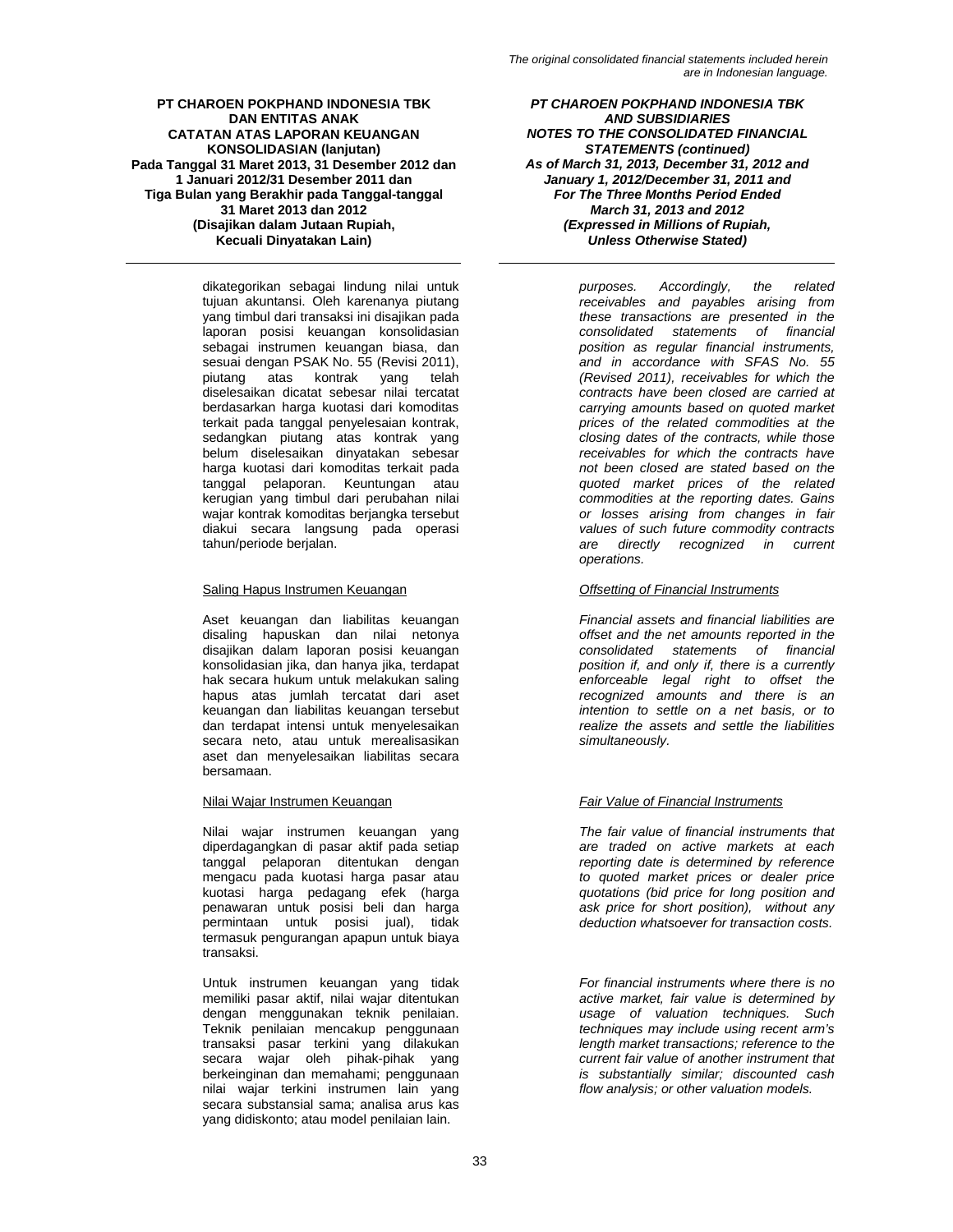dikategorikan sebagai lindung nilai untuk tujuan akuntansi. Oleh karenanya piutang yang timbul dari transaksi ini disajikan pada laporan posisi keuangan konsolidasian sebagai instrumen keuangan biasa, dan sesuai dengan PSAK No. 55 (Revisi 2011), piutang atas kontrak yang telah diselesaikan dicatat sebesar nilai tercatat berdasarkan harga kuotasi dari komoditas terkait pada tanggal penyelesaian kontrak, sedangkan piutang atas kontrak yang belum diselesaikan dinyatakan sebesar harga kuotasi dari komoditas terkait pada tanggal pelaporan. Keuntungan atau kerugian yang timbul dari perubahan nilai wajar kontrak komoditas berjangka tersebut diakui secara langsung pada operasi tahun/periode berjalan.

# Saling Hapus Instrumen Keuangan *Offsetting of Financial Instruments*

Aset keuangan dan liabilitas keuangan disaling hapuskan dan nilai netonya disajikan dalam laporan posisi keuangan konsolidasian jika, dan hanya jika, terdapat hak secara hukum untuk melakukan saling hapus atas jumlah tercatat dari aset keuangan dan liabilitas keuangan tersebut dan terdapat intensi untuk menyelesaikan secara neto, atau untuk merealisasikan aset dan menyelesaikan liabilitas secara bersamaan.

Nilai wajar instrumen keuangan yang diperdagangkan di pasar aktif pada setiap tanggal pelaporan ditentukan dengan mengacu pada kuotasi harga pasar atau kuotasi harga pedagang efek (harga penawaran untuk posisi beli dan harga permintaan untuk posisi jual), tidak termasuk pengurangan apapun untuk biaya transaksi.

Untuk instrumen keuangan yang tidak memiliki pasar aktif, nilai wajar ditentukan dengan menggunakan teknik penilaian. Teknik penilaian mencakup penggunaan transaksi pasar terkini yang dilakukan secara wajar oleh pihak-pihak yang berkeinginan dan memahami; penggunaan nilai wajar terkini instrumen lain yang secara substansial sama; analisa arus kas yang didiskonto; atau model penilaian lain.

*PT CHAROEN POKPHAND INDONESIA TBK AND SUBSIDIARIES NOTES TO THE CONSOLIDATED FINANCIAL STATEMENTS (continued) As of March 31, 2013, December 31, 2012 and January 1, 2012/December 31, 2011 and For The Three Months Period Ended March 31, 2013 and 2012 (Expressed in Millions of Rupiah, Unless Otherwise Stated)* 

> *purposes. Accordingly, the related receivables and payables arising from these transactions are presented in the consolidated statements of financial position as regular financial instruments, and in accordance with SFAS No. 55 (Revised 2011), receivables for which the contracts have been closed are carried at carrying amounts based on quoted market prices of the related commodities at the closing dates of the contracts, while those receivables for which the contracts have not been closed are stated based on the quoted market prices of the related commodities at the reporting dates. Gains or losses arising from changes in fair values of such future commodity contracts are directly recognized in current operations.*

*Financial assets and financial liabilities are offset and the net amounts reported in the consolidated statements of financial position if, and only if, there is a currently enforceable legal right to offset the recognized amounts and there is an intention to settle on a net basis, or to realize the assets and settle the liabilities simultaneously.* 

# Nilai Wajar Instrumen Keuangan *Fair Value of Financial Instruments*

*The fair value of financial instruments that are traded on active markets at each reporting date is determined by reference to quoted market prices or dealer price quotations (bid price for long position and ask price for short position), without any deduction whatsoever for transaction costs.* 

*For financial instruments where there is no active market, fair value is determined by usage of valuation techniques. Such techniques may include using recent arm's length market transactions; reference to the current fair value of another instrument that is substantially similar; discounted cash flow analysis; or other valuation models.*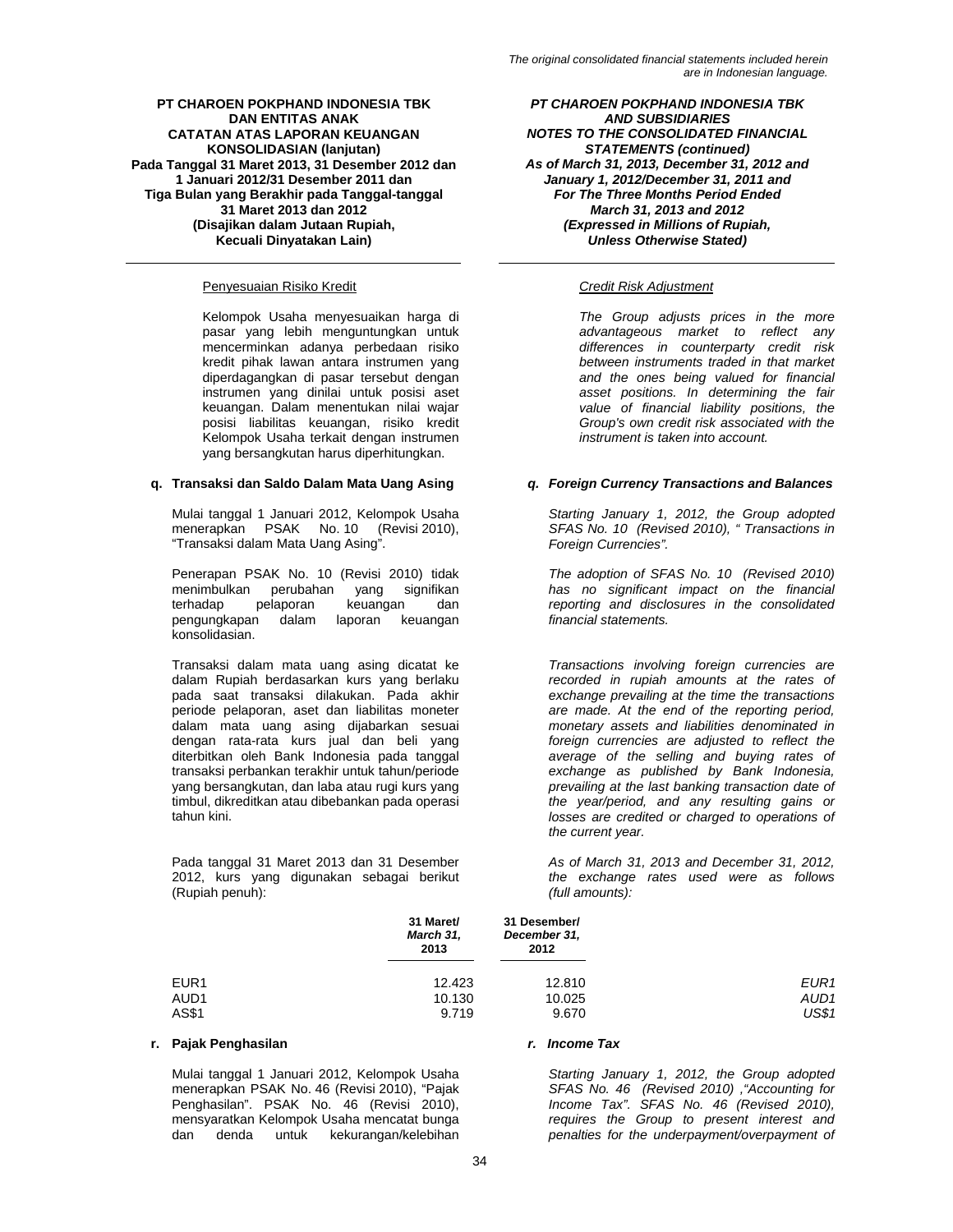# Penyesuaian Risiko Kredit *Credit Risk Adjustment*

Kelompok Usaha menyesuaikan harga di pasar yang lebih menguntungkan untuk mencerminkan adanya perbedaan risiko kredit pihak lawan antara instrumen yang diperdagangkan di pasar tersebut dengan instrumen yang dinilai untuk posisi aset keuangan. Dalam menentukan nilai wajar posisi liabilitas keuangan, risiko kredit Kelompok Usaha terkait dengan instrumen yang bersangkutan harus diperhitungkan.

Mulai tanggal 1 Januari 2012, Kelompok Usaha menerapkan PSAK No. 10 (Revisi 2010), "Transaksi dalam Mata Uang Asing".

Penerapan PSAK No. 10 (Revisi 2010) tidak menimbulkan perubahan yang signifikan terhadap pelaporan keuangan dan pengungkapan dalam laporan keuangan konsolidasian.

Transaksi dalam mata uang asing dicatat ke dalam Rupiah berdasarkan kurs yang berlaku pada saat transaksi dilakukan. Pada akhir periode pelaporan, aset dan liabilitas moneter dalam mata uang asing dijabarkan sesuai dengan rata-rata kurs jual dan beli yang diterbitkan oleh Bank Indonesia pada tanggal transaksi perbankan terakhir untuk tahun/periode yang bersangkutan, dan laba atau rugi kurs yang timbul, dikreditkan atau dibebankan pada operasi tahun kini.

Pada tanggal 31 Maret 2013 dan 31 Desember 2012, kurs yang digunakan sebagai berikut (Rupiah penuh):

*PT CHAROEN POKPHAND INDONESIA TBK AND SUBSIDIARIES NOTES TO THE CONSOLIDATED FINANCIAL STATEMENTS (continued) As of March 31, 2013, December 31, 2012 and January 1, 2012/December 31, 2011 and For The Three Months Period Ended March 31, 2013 and 2012 (Expressed in Millions of Rupiah, Unless Otherwise Stated)* 

*The Group adjusts prices in the more advantageous market to reflect any differences in counterparty credit risk between instruments traded in that market and the ones being valued for financial asset positions. In determining the fair value of financial liability positions, the Group's own credit risk associated with the instrument is taken into account.* 

# **q. Transaksi dan Saldo Dalam Mata Uang Asing** *q. Foreign Currency Transactions and Balances*

*Starting January 1, 2012, the Group adopted SFAS No. 10 (Revised 2010), " Transactions in Foreign Currencies".* 

*The adoption of SFAS No. 10 (Revised 2010) has no significant impact on the financial reporting and disclosures in the consolidated financial statements.* 

*Transactions involving foreign currencies are recorded in rupiah amounts at the rates of exchange prevailing at the time the transactions are made. At the end of the reporting period, monetary assets and liabilities denominated in foreign currencies are adjusted to reflect the average of the selling and buying rates of exchange as published by Bank Indonesia, prevailing at the last banking transaction date of the year/period, and any resulting gains or losses are credited or charged to operations of the current year.* 

*As of March 31, 2013 and December 31, 2012, the exchange rates used were as follows (full amounts):* 

|                  | 31 Maret/<br>March 31,<br>2013 | 31 Desember/<br>December 31,<br>2012 |                  |
|------------------|--------------------------------|--------------------------------------|------------------|
| EUR <sub>1</sub> | 12.423                         | 12.810                               | EUR1             |
| AUD <sub>1</sub> | 10.130                         | 10.025                               | AUD <sub>1</sub> |
| AS\$1            | 9.719                          | 9.670                                | <b>US\$1</b>     |

# **r. Pajak Penghasilan** *r. Income Tax*

Mulai tanggal 1 Januari 2012, Kelompok Usaha menerapkan PSAK No. 46 (Revisi 2010), "Pajak Penghasilan". PSAK No. 46 (Revisi 2010), mensyaratkan Kelompok Usaha mencatat bunga dan denda untuk kekurangan/kelebihan

*Starting January 1, 2012, the Group adopted SFAS No. 46 (Revised 2010) ,"Accounting for Income Tax". SFAS No. 46 (Revised 2010), requires the Group to present interest and penalties for the underpayment/overpayment of*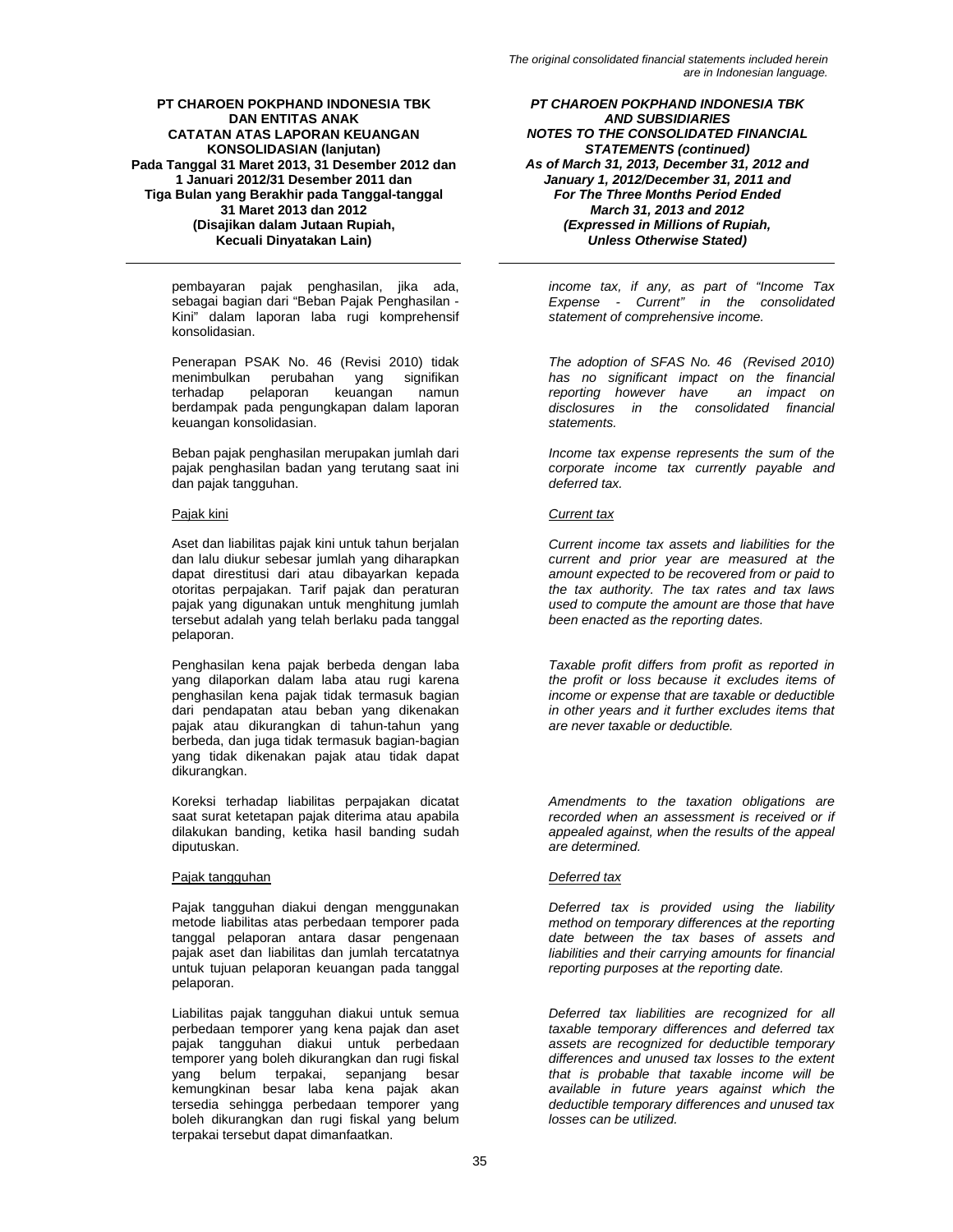pembayaran pajak penghasilan, jika ada, sebagai bagian dari "Beban Pajak Penghasilan - Kini" dalam laporan laba rugi komprehensif konsolidasian.

Penerapan PSAK No. 46 (Revisi 2010) tidak menimbulkan perubahan yang signifikan terhadap pelaporan keuangan namun berdampak pada pengungkapan dalam laporan keuangan konsolidasian.

Beban pajak penghasilan merupakan jumlah dari pajak penghasilan badan yang terutang saat ini dan pajak tangguhan.

Aset dan liabilitas pajak kini untuk tahun berjalan dan lalu diukur sebesar jumlah yang diharapkan dapat direstitusi dari atau dibayarkan kepada otoritas perpajakan. Tarif pajak dan peraturan pajak yang digunakan untuk menghitung jumlah tersebut adalah yang telah berlaku pada tanggal pelaporan.

Penghasilan kena pajak berbeda dengan laba yang dilaporkan dalam laba atau rugi karena penghasilan kena pajak tidak termasuk bagian dari pendapatan atau beban yang dikenakan pajak atau dikurangkan di tahun-tahun yang berbeda, dan juga tidak termasuk bagian-bagian yang tidak dikenakan pajak atau tidak dapat dikurangkan.

Koreksi terhadap liabilitas perpajakan dicatat saat surat ketetapan pajak diterima atau apabila dilakukan banding, ketika hasil banding sudah diputuskan.

# Pajak tangguhan *Deferred tax*

Pajak tangguhan diakui dengan menggunakan metode liabilitas atas perbedaan temporer pada tanggal pelaporan antara dasar pengenaan pajak aset dan liabilitas dan jumlah tercatatnya untuk tujuan pelaporan keuangan pada tanggal pelaporan.

Liabilitas pajak tangguhan diakui untuk semua perbedaan temporer yang kena pajak dan aset pajak tangguhan diakui untuk perbedaan temporer yang boleh dikurangkan dan rugi fiskal yang belum terpakai, sepanjang besar kemungkinan besar laba kena pajak akan tersedia sehingga perbedaan temporer yang boleh dikurangkan dan rugi fiskal yang belum terpakai tersebut dapat dimanfaatkan.

*PT CHAROEN POKPHAND INDONESIA TBK AND SUBSIDIARIES NOTES TO THE CONSOLIDATED FINANCIAL STATEMENTS (continued) As of March 31, 2013, December 31, 2012 and January 1, 2012/December 31, 2011 and For The Three Months Period Ended March 31, 2013 and 2012 (Expressed in Millions of Rupiah, Unless Otherwise Stated)* 

*income tax, if any, as part of "Income Tax Expense - Current" in the consolidated statement of comprehensive income.* 

*The adoption of SFAS No. 46 (Revised 2010) has no significant impact on the financial reporting however have disclosures in the consolidated financial statements.* 

*Income tax expense represents the sum of the corporate income tax currently payable and deferred tax.* 

# Pajak kini *Current tax*

*Current income tax assets and liabilities for the current and prior year are measured at the amount expected to be recovered from or paid to the tax authority. The tax rates and tax laws used to compute the amount are those that have been enacted as the reporting dates.* 

*Taxable profit differs from profit as reported in the profit or loss because it excludes items of income or expense that are taxable or deductible in other years and it further excludes items that are never taxable or deductible.* 

*Amendments to the taxation obligations are recorded when an assessment is received or if appealed against, when the results of the appeal are determined.* 

*Deferred tax is provided using the liability method on temporary differences at the reporting date between the tax bases of assets and liabilities and their carrying amounts for financial reporting purposes at the reporting date.* 

*Deferred tax liabilities are recognized for all taxable temporary differences and deferred tax assets are recognized for deductible temporary differences and unused tax losses to the extent that is probable that taxable income will be available in future years against which the deductible temporary differences and unused tax losses can be utilized.*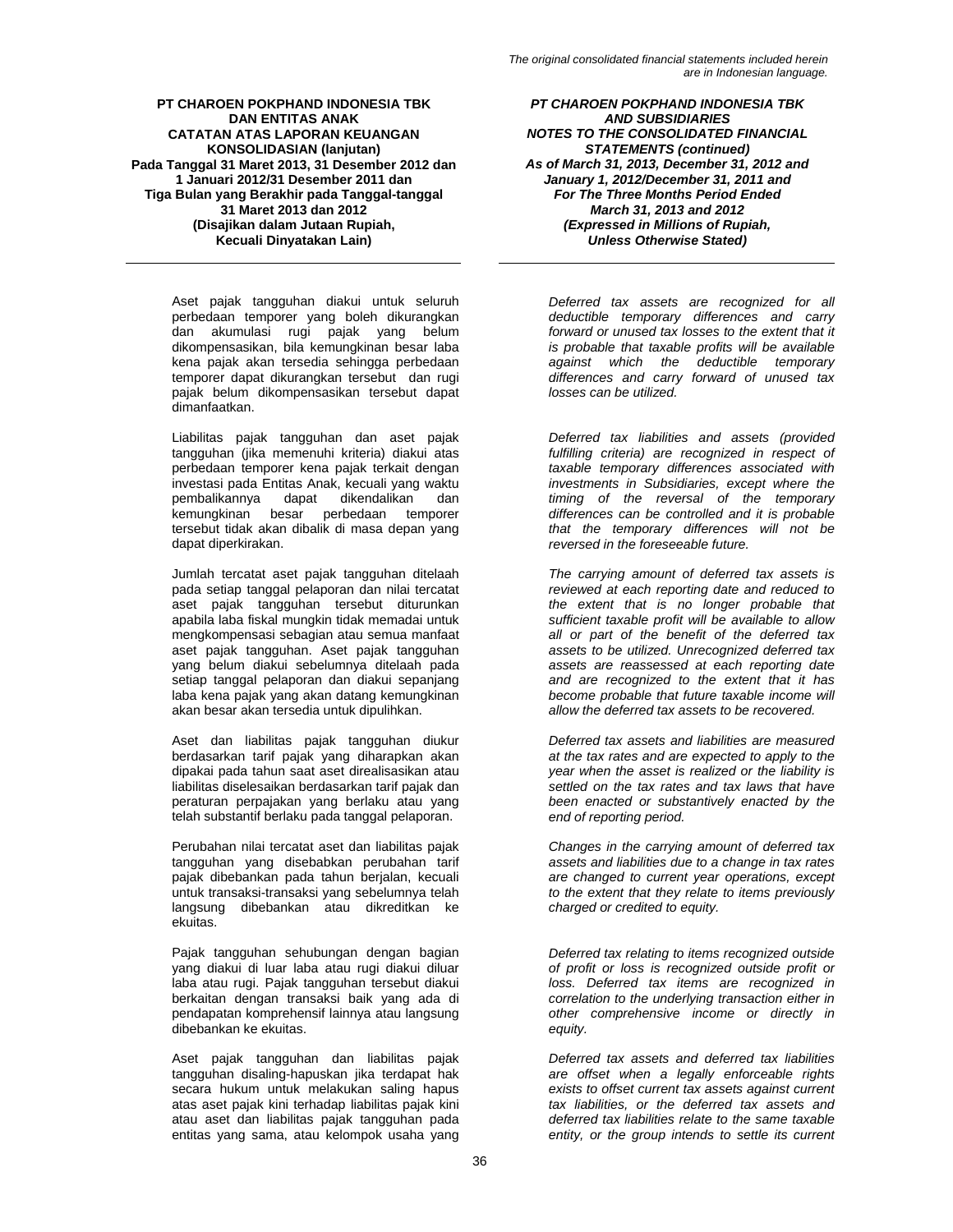Aset pajak tangguhan diakui untuk seluruh perbedaan temporer yang boleh dikurangkan dan akumulasi rugi pajak yang belum dikompensasikan, bila kemungkinan besar laba kena pajak akan tersedia sehingga perbedaan temporer dapat dikurangkan tersebut dan rugi pajak belum dikompensasikan tersebut dapat dimanfaatkan.

Liabilitas pajak tangguhan dan aset pajak tangguhan (jika memenuhi kriteria) diakui atas perbedaan temporer kena pajak terkait dengan investasi pada Entitas Anak, kecuali yang waktu pembalikannya dapat dikendalikan dan kemungkinan besar perbedaan temporer tersebut tidak akan dibalik di masa depan yang dapat diperkirakan.

Jumlah tercatat aset pajak tangguhan ditelaah pada setiap tanggal pelaporan dan nilai tercatat aset pajak tangguhan tersebut diturunkan apabila laba fiskal mungkin tidak memadai untuk mengkompensasi sebagian atau semua manfaat aset pajak tangguhan. Aset pajak tangguhan yang belum diakui sebelumnya ditelaah pada setiap tanggal pelaporan dan diakui sepanjang laba kena pajak yang akan datang kemungkinan akan besar akan tersedia untuk dipulihkan.

Aset dan liabilitas pajak tangguhan diukur berdasarkan tarif pajak yang diharapkan akan dipakai pada tahun saat aset direalisasikan atau liabilitas diselesaikan berdasarkan tarif pajak dan peraturan perpajakan yang berlaku atau yang telah substantif berlaku pada tanggal pelaporan.

Perubahan nilai tercatat aset dan liabilitas pajak tangguhan yang disebabkan perubahan tarif pajak dibebankan pada tahun berjalan, kecuali untuk transaksi-transaksi yang sebelumnya telah langsung dibebankan atau dikreditkan ke ekuitas.

Pajak tangguhan sehubungan dengan bagian yang diakui di luar laba atau rugi diakui diluar laba atau rugi. Pajak tangguhan tersebut diakui berkaitan dengan transaksi baik yang ada di pendapatan komprehensif lainnya atau langsung dibebankan ke ekuitas.

Aset pajak tangguhan dan liabilitas pajak tangguhan disaling-hapuskan jika terdapat hak secara hukum untuk melakukan saling hapus atas aset pajak kini terhadap liabilitas pajak kini atau aset dan liabilitas pajak tangguhan pada entitas yang sama, atau kelompok usaha yang

*PT CHAROEN POKPHAND INDONESIA TBK AND SUBSIDIARIES NOTES TO THE CONSOLIDATED FINANCIAL STATEMENTS (continued) As of March 31, 2013, December 31, 2012 and January 1, 2012/December 31, 2011 and For The Three Months Period Ended March 31, 2013 and 2012 (Expressed in Millions of Rupiah, Unless Otherwise Stated)* 

*Deferred tax assets are recognized for all deductible temporary differences and carry forward or unused tax losses to the extent that it is probable that taxable profits will be available against which the deductible temporary differences and carry forward of unused tax losses can be utilized.* 

*Deferred tax liabilities and assets (provided fulfilling criteria) are recognized in respect of taxable temporary differences associated with investments in Subsidiaries, except where the timing of the reversal of the temporary differences can be controlled and it is probable that the temporary differences will not be reversed in the foreseeable future.* 

*The carrying amount of deferred tax assets is reviewed at each reporting date and reduced to the extent that is no longer probable that sufficient taxable profit will be available to allow all or part of the benefit of the deferred tax assets to be utilized. Unrecognized deferred tax assets are reassessed at each reporting date and are recognized to the extent that it has become probable that future taxable income will allow the deferred tax assets to be recovered.* 

*Deferred tax assets and liabilities are measured at the tax rates and are expected to apply to the year when the asset is realized or the liability is settled on the tax rates and tax laws that have been enacted or substantively enacted by the end of reporting period.* 

*Changes in the carrying amount of deferred tax assets and liabilities due to a change in tax rates are changed to current year operations, except to the extent that they relate to items previously charged or credited to equity.* 

*Deferred tax relating to items recognized outside of profit or loss is recognized outside profit or loss. Deferred tax items are recognized in correlation to the underlying transaction either in other comprehensive income or directly in equity.* 

*Deferred tax assets and deferred tax liabilities are offset when a legally enforceable rights exists to offset current tax assets against current tax liabilities, or the deferred tax assets and deferred tax liabilities relate to the same taxable entity, or the group intends to settle its current*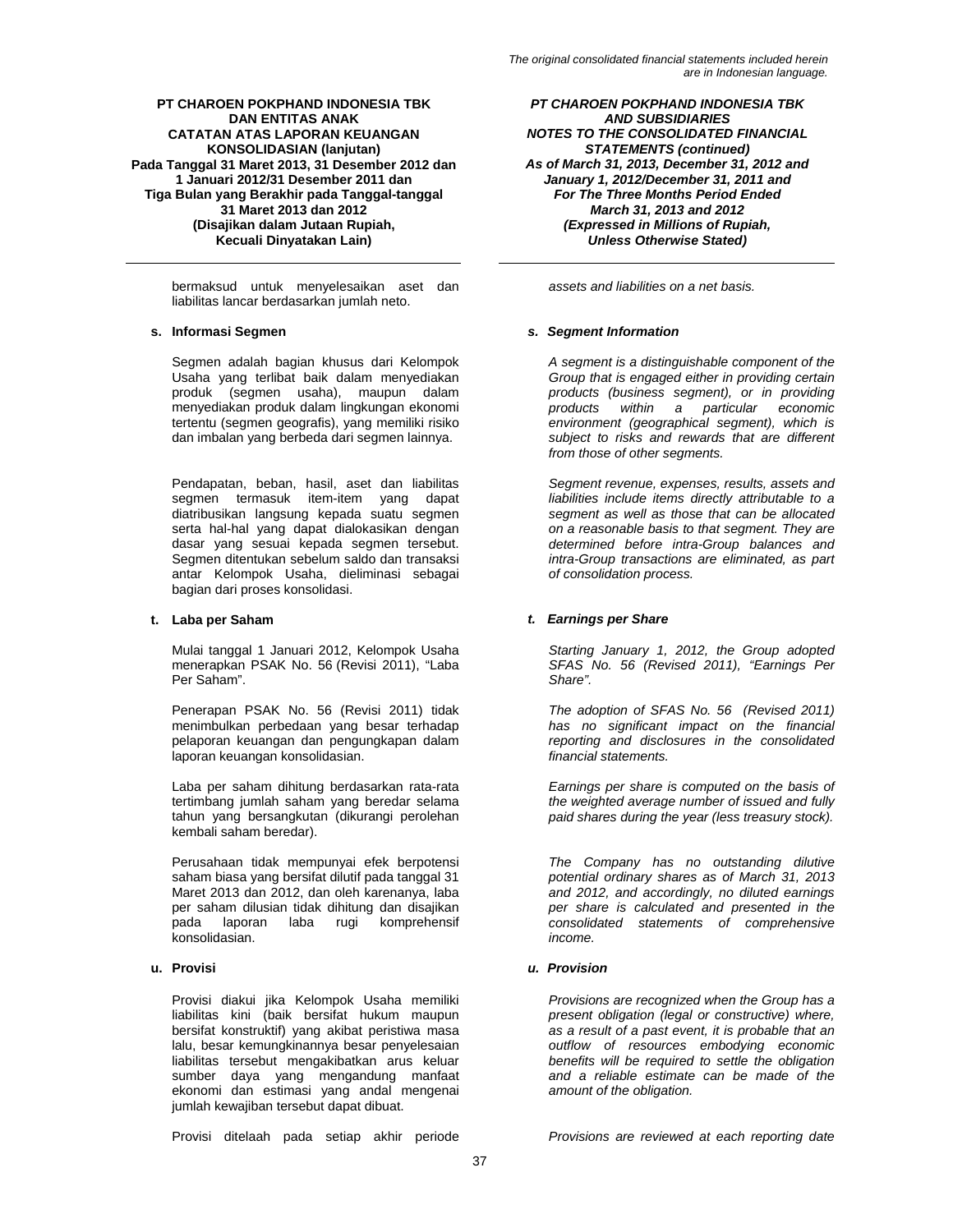bermaksud untuk menyelesaikan aset dan liabilitas lancar berdasarkan jumlah neto.

Segmen adalah bagian khusus dari Kelompok Usaha yang terlibat baik dalam menyediakan produk (segmen usaha), maupun dalam menyediakan produk dalam lingkungan ekonomi tertentu (segmen geografis), yang memiliki risiko dan imbalan yang berbeda dari segmen lainnya.

Pendapatan, beban, hasil, aset dan liabilitas segmen termasuk item-item yang dapat diatribusikan langsung kepada suatu segmen serta hal-hal yang dapat dialokasikan dengan dasar yang sesuai kepada segmen tersebut. Segmen ditentukan sebelum saldo dan transaksi antar Kelompok Usaha, dieliminasi sebagai bagian dari proses konsolidasi.

Mulai tanggal 1 Januari 2012, Kelompok Usaha menerapkan PSAK No. 56 (Revisi 2011), "Laba Per Saham".

Penerapan PSAK No. 56 (Revisi 2011) tidak menimbulkan perbedaan yang besar terhadap pelaporan keuangan dan pengungkapan dalam laporan keuangan konsolidasian.

Laba per saham dihitung berdasarkan rata-rata tertimbang jumlah saham yang beredar selama tahun yang bersangkutan (dikurangi perolehan kembali saham beredar).

Perusahaan tidak mempunyai efek berpotensi saham biasa yang bersifat dilutif pada tanggal 31 Maret 2013 dan 2012, dan oleh karenanya, laba per saham dilusian tidak dihitung dan disajikan pada laporan laba rugi komprehensif konsolidasian.

Provisi diakui jika Kelompok Usaha memiliki liabilitas kini (baik bersifat hukum maupun bersifat konstruktif) yang akibat peristiwa masa lalu, besar kemungkinannya besar penyelesaian liabilitas tersebut mengakibatkan arus keluar sumber daya yang mengandung manfaat ekonomi dan estimasi yang andal mengenai jumlah kewajiban tersebut dapat dibuat.

Provisi ditelaah pada setiap akhir periode *Provisions are reviewed at each reporting date* 

*PT CHAROEN POKPHAND INDONESIA TBK AND SUBSIDIARIES NOTES TO THE CONSOLIDATED FINANCIAL STATEMENTS (continued) As of March 31, 2013, December 31, 2012 and January 1, 2012/December 31, 2011 and For The Three Months Period Ended March 31, 2013 and 2012 (Expressed in Millions of Rupiah, Unless Otherwise Stated)* 

*assets and liabilities on a net basis.* 

# **s. Informasi Segmen** *s. Segment Information*

*A segment is a distinguishable component of the Group that is engaged either in providing certain products (business segment), or in providing products within a particular economic environment (geographical segment), which is subject to risks and rewards that are different from those of other segments.* 

*Segment revenue, expenses, results, assets and liabilities include items directly attributable to a segment as well as those that can be allocated on a reasonable basis to that segment. They are determined before intra-Group balances and intra-Group transactions are eliminated, as part of consolidation process.* 

# **t. Laba per Saham** *t. Earnings per Share*

*Starting January 1, 2012, the Group adopted SFAS No. 56 (Revised 2011), "Earnings Per Share".* 

*The adoption of SFAS No. 56 (Revised 2011) has no significant impact on the financial reporting and disclosures in the consolidated financial statements.* 

*Earnings per share is computed on the basis of the weighted average number of issued and fully paid shares during the year (less treasury stock).* 

*The Company has no outstanding dilutive potential ordinary shares as of March 31, 2013 and 2012, and accordingly, no diluted earnings per share is calculated and presented in the consolidated statements of comprehensive income.* 

# **u. Provisi** *u. Provision*

*Provisions are recognized when the Group has a present obligation (legal or constructive) where, as a result of a past event, it is probable that an outflow of resources embodying economic benefits will be required to settle the obligation and a reliable estimate can be made of the amount of the obligation.*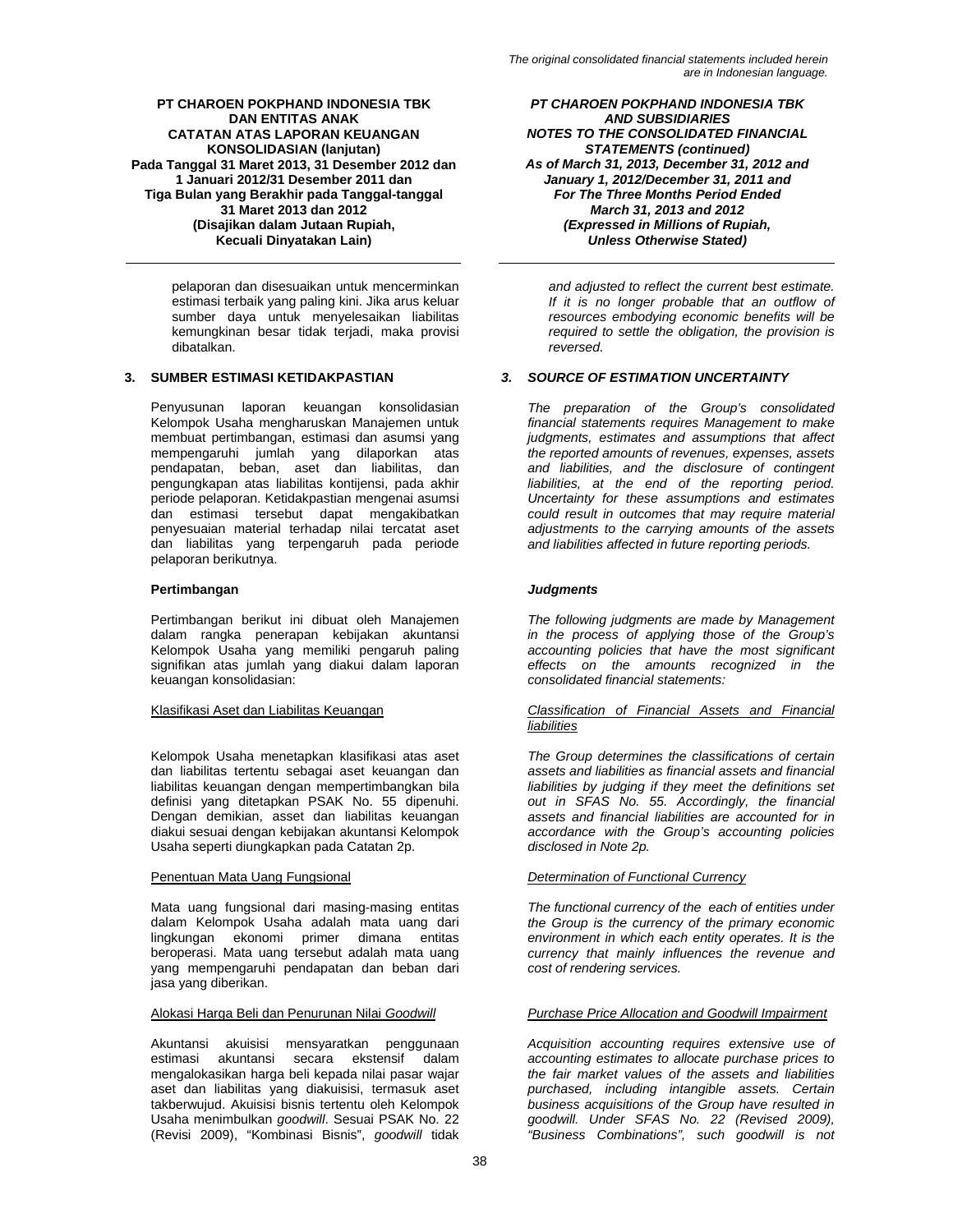pelaporan dan disesuaikan untuk mencerminkan estimasi terbaik yang paling kini. Jika arus keluar sumber daya untuk menyelesaikan liabilitas kemungkinan besar tidak terjadi, maka provisi dibatalkan.

Penyusunan laporan keuangan konsolidasian Kelompok Usaha mengharuskan Manajemen untuk membuat pertimbangan, estimasi dan asumsi yang mempengaruhi jumlah yang dilaporkan atas pendapatan, beban, aset dan liabilitas, dan pengungkapan atas liabilitas kontijensi, pada akhir periode pelaporan. Ketidakpastian mengenai asumsi dan estimasi tersebut dapat mengakibatkan penyesuaian material terhadap nilai tercatat aset dan liabilitas yang terpengaruh pada periode pelaporan berikutnya.

# **Pertimbangan** *Judgments*

Pertimbangan berikut ini dibuat oleh Manajemen dalam rangka penerapan kebijakan akuntansi Kelompok Usaha yang memiliki pengaruh paling signifikan atas jumlah yang diakui dalam laporan keuangan konsolidasian:

Kelompok Usaha menetapkan klasifikasi atas aset dan liabilitas tertentu sebagai aset keuangan dan liabilitas keuangan dengan mempertimbangkan bila definisi yang ditetapkan PSAK No. 55 dipenuhi. Dengan demikian, asset dan liabilitas keuangan diakui sesuai dengan kebijakan akuntansi Kelompok Usaha seperti diungkapkan pada Catatan 2p.

Mata uang fungsional dari masing-masing entitas dalam Kelompok Usaha adalah mata uang dari lingkungan ekonomi primer dimana entitas beroperasi. Mata uang tersebut adalah mata uang yang mempengaruhi pendapatan dan beban dari jasa yang diberikan.

Akuntansi akuisisi mensyaratkan penggunaan estimasi akuntansi secara ekstensif dalam mengalokasikan harga beli kepada nilai pasar wajar aset dan liabilitas yang diakuisisi, termasuk aset takberwujud. Akuisisi bisnis tertentu oleh Kelompok Usaha menimbulkan *goodwill*. Sesuai PSAK No. 22 (Revisi 2009), "Kombinasi Bisnis", *goodwill* tidak

*PT CHAROEN POKPHAND INDONESIA TBK AND SUBSIDIARIES NOTES TO THE CONSOLIDATED FINANCIAL STATEMENTS (continued) As of March 31, 2013, December 31, 2012 and January 1, 2012/December 31, 2011 and For The Three Months Period Ended March 31, 2013 and 2012 (Expressed in Millions of Rupiah, Unless Otherwise Stated)* 

*and adjusted to reflect the current best estimate. If it is no longer probable that an outflow of resources embodying economic benefits will be required to settle the obligation, the provision is reversed.* 

# **3. SUMBER ESTIMASI KETIDAKPASTIAN** *3. SOURCE OF ESTIMATION UNCERTAINTY*

*The preparation of the Group's consolidated financial statements requires Management to make judgments, estimates and assumptions that affect the reported amounts of revenues, expenses, assets and liabilities, and the disclosure of contingent liabilities, at the end of the reporting period. Uncertainty for these assumptions and estimates could result in outcomes that may require material adjustments to the carrying amounts of the assets and liabilities affected in future reporting periods.* 

*The following judgments are made by Management in the process of applying those of the Group's accounting policies that have the most significant effects on the amounts recognized in the consolidated financial statements:* 

# Klasifikasi Aset dan Liabilitas Keuangan *Classification of Financial Assets and Financial liabilities*

*The Group determines the classifications of certain assets and liabilities as financial assets and financial liabilities by judging if they meet the definitions set out in SFAS No. 55. Accordingly, the financial assets and financial liabilities are accounted for in accordance with the Group's accounting policies disclosed in Note 2p.* 

# Penentuan Mata Uang Fungsional *Determination of Functional Currency*

*The functional currency of the each of entities under the Group is the currency of the primary economic environment in which each entity operates. It is the currency that mainly influences the revenue and cost of rendering services.* 

# Alokasi Harga Beli dan Penurunan Nilai *Goodwill Purchase Price Allocation and Goodwill Impairment*

*Acquisition accounting requires extensive use of accounting estimates to allocate purchase prices to the fair market values of the assets and liabilities purchased, including intangible assets. Certain business acquisitions of the Group have resulted in goodwill. Under SFAS No. 22 (Revised 2009), "Business Combinations", such goodwill is not*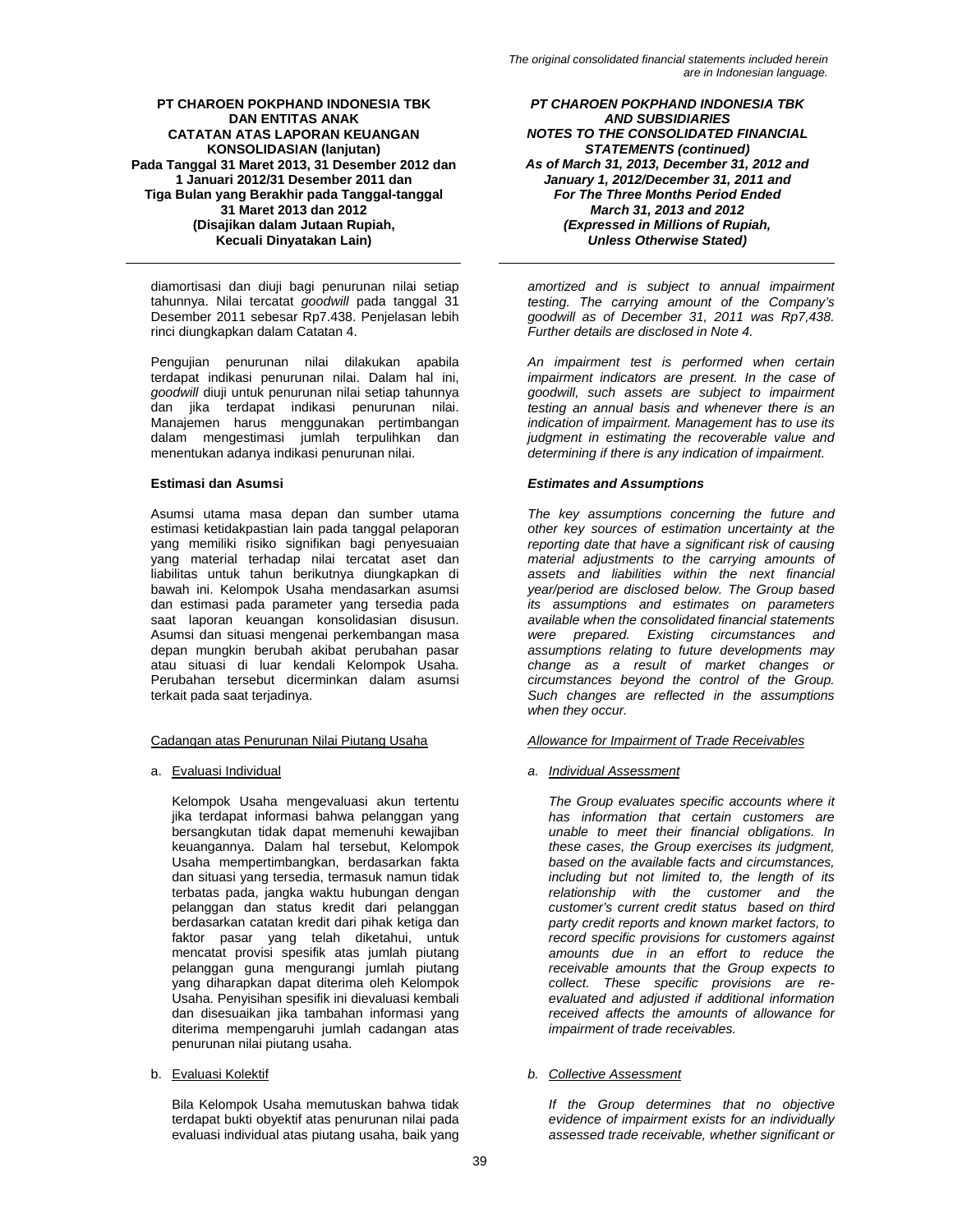diamortisasi dan diuji bagi penurunan nilai setiap tahunnya. Nilai tercatat *goodwill* pada tanggal 31 Desember 2011 sebesar Rp7.438. Penjelasan lebih rinci diungkapkan dalam Catatan 4.

Pengujian penurunan nilai dilakukan apabila terdapat indikasi penurunan nilai. Dalam hal ini, *goodwill* diuji untuk penurunan nilai setiap tahunnya dan jika terdapat indikasi penurunan nilai. Manajemen harus menggunakan pertimbangan dalam mengestimasi jumlah terpulihkan dan menentukan adanya indikasi penurunan nilai.

Asumsi utama masa depan dan sumber utama estimasi ketidakpastian lain pada tanggal pelaporan yang memiliki risiko signifikan bagi penyesuaian yang material terhadap nilai tercatat aset dan liabilitas untuk tahun berikutnya diungkapkan di bawah ini. Kelompok Usaha mendasarkan asumsi dan estimasi pada parameter yang tersedia pada saat laporan keuangan konsolidasian disusun. Asumsi dan situasi mengenai perkembangan masa depan mungkin berubah akibat perubahan pasar atau situasi di luar kendali Kelompok Usaha. Perubahan tersebut dicerminkan dalam asumsi terkait pada saat terjadinya.

Kelompok Usaha mengevaluasi akun tertentu jika terdapat informasi bahwa pelanggan yang bersangkutan tidak dapat memenuhi kewajiban keuangannya. Dalam hal tersebut, Kelompok Usaha mempertimbangkan, berdasarkan fakta dan situasi yang tersedia, termasuk namun tidak terbatas pada, jangka waktu hubungan dengan pelanggan dan status kredit dari pelanggan berdasarkan catatan kredit dari pihak ketiga dan faktor pasar yang telah diketahui, untuk mencatat provisi spesifik atas jumlah piutang pelanggan guna mengurangi jumlah piutang yang diharapkan dapat diterima oleh Kelompok Usaha. Penyisihan spesifik ini dievaluasi kembali dan disesuaikan jika tambahan informasi yang diterima mempengaruhi jumlah cadangan atas penurunan nilai piutang usaha.

Bila Kelompok Usaha memutuskan bahwa tidak terdapat bukti obyektif atas penurunan nilai pada evaluasi individual atas piutang usaha, baik yang

*PT CHAROEN POKPHAND INDONESIA TBK AND SUBSIDIARIES NOTES TO THE CONSOLIDATED FINANCIAL STATEMENTS (continued) As of March 31, 2013, December 31, 2012 and January 1, 2012/December 31, 2011 and For The Three Months Period Ended March 31, 2013 and 2012 (Expressed in Millions of Rupiah, Unless Otherwise Stated)* 

*amortized and is subject to annual impairment testing. The carrying amount of the Company's goodwill as of December 31, 2011 was Rp7,438. Further details are disclosed in Note 4.* 

*An impairment test is performed when certain impairment indicators are present. In the case of goodwill, such assets are subject to impairment testing an annual basis and whenever there is an indication of impairment. Management has to use its judgment in estimating the recoverable value and determining if there is any indication of impairment.* 

# **Estimasi dan Asumsi** *Estimates and Assumptions*

*The key assumptions concerning the future and other key sources of estimation uncertainty at the reporting date that have a significant risk of causing material adjustments to the carrying amounts of assets and liabilities within the next financial year/period are disclosed below. The Group based its assumptions and estimates on parameters available when the consolidated financial statements were prepared. Existing circumstances and assumptions relating to future developments may change as a result of market changes or circumstances beyond the control of the Group. Such changes are reflected in the assumptions when they occur.* 

# Cadangan atas Penurunan Nilai Piutang Usaha *Allowance for Impairment of Trade Receivables*

a. Evaluasi Individual *a. Individual Assessment*

*The Group evaluates specific accounts where it has information that certain customers are unable to meet their financial obligations. In these cases, the Group exercises its judgment, based on the available facts and circumstances, including but not limited to, the length of its relationship with the customer and the customer's current credit status based on third party credit reports and known market factors, to record specific provisions for customers against amounts due in an effort to reduce the receivable amounts that the Group expects to collect. These specific provisions are reevaluated and adjusted if additional information received affects the amounts of allowance for impairment of trade receivables.* 

# b. Evaluasi Kolektif *b. Collective Assessment*

*If the Group determines that no objective evidence of impairment exists for an individually assessed trade receivable, whether significant or*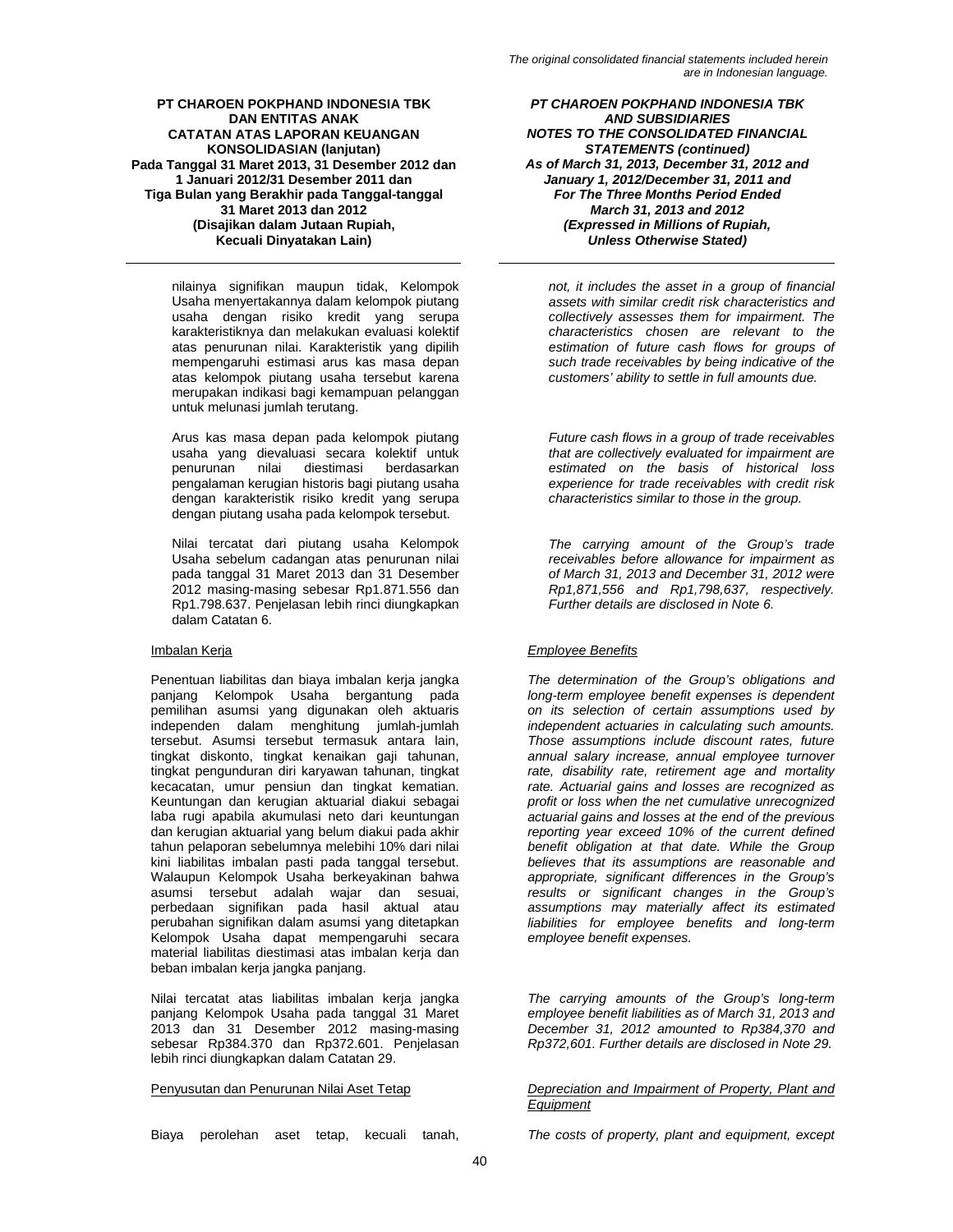nilainya signifikan maupun tidak, Kelompok Usaha menyertakannya dalam kelompok piutang usaha dengan risiko kredit yang serupa karakteristiknya dan melakukan evaluasi kolektif atas penurunan nilai. Karakteristik yang dipilih mempengaruhi estimasi arus kas masa depan atas kelompok piutang usaha tersebut karena merupakan indikasi bagi kemampuan pelanggan untuk melunasi jumlah terutang.

Arus kas masa depan pada kelompok piutang usaha yang dievaluasi secara kolektif untuk penurunan nilai diestimasi berdasarkan pengalaman kerugian historis bagi piutang usaha dengan karakteristik risiko kredit yang serupa dengan piutang usaha pada kelompok tersebut.

Nilai tercatat dari piutang usaha Kelompok Usaha sebelum cadangan atas penurunan nilai pada tanggal 31 Maret 2013 dan 31 Desember 2012 masing-masing sebesar Rp1.871.556 dan Rp1.798.637. Penjelasan lebih rinci diungkapkan dalam Catatan 6.

Penentuan liabilitas dan biaya imbalan kerja jangka panjang Kelompok Usaha bergantung pada pemilihan asumsi yang digunakan oleh aktuaris independen dalam menghitung jumlah-jumlah tersebut. Asumsi tersebut termasuk antara lain, tingkat diskonto, tingkat kenaikan gaji tahunan, tingkat pengunduran diri karyawan tahunan, tingkat kecacatan, umur pensiun dan tingkat kematian. Keuntungan dan kerugian aktuarial diakui sebagai laba rugi apabila akumulasi neto dari keuntungan dan kerugian aktuarial yang belum diakui pada akhir tahun pelaporan sebelumnya melebihi 10% dari nilai kini liabilitas imbalan pasti pada tanggal tersebut. Walaupun Kelompok Usaha berkeyakinan bahwa asumsi tersebut adalah wajar dan sesuai, perbedaan signifikan pada hasil aktual atau perubahan signifikan dalam asumsi yang ditetapkan Kelompok Usaha dapat mempengaruhi secara material liabilitas diestimasi atas imbalan kerja dan beban imbalan kerja jangka panjang.

Nilai tercatat atas liabilitas imbalan kerja jangka panjang Kelompok Usaha pada tanggal 31 Maret 2013 dan 31 Desember 2012 masing-masing sebesar Rp384.370 dan Rp372.601. Penjelasan lebih rinci diungkapkan dalam Catatan 29.

Biaya perolehan aset tetap, kecuali tanah, *The costs of property, plant and equipment, except* 

*PT CHAROEN POKPHAND INDONESIA TBK AND SUBSIDIARIES NOTES TO THE CONSOLIDATED FINANCIAL STATEMENTS (continued) As of March 31, 2013, December 31, 2012 and January 1, 2012/December 31, 2011 and For The Three Months Period Ended March 31, 2013 and 2012 (Expressed in Millions of Rupiah, Unless Otherwise Stated)* 

*not, it includes the asset in a group of financial assets with similar credit risk characteristics and collectively assesses them for impairment. The characteristics chosen are relevant to the estimation of future cash flows for groups of such trade receivables by being indicative of the customers' ability to settle in full amounts due.* 

*Future cash flows in a group of trade receivables that are collectively evaluated for impairment are estimated on the basis of historical loss experience for trade receivables with credit risk characteristics similar to those in the group.* 

*The carrying amount of the Group's trade receivables before allowance for impairment as of March 31, 2013 and December 31, 2012 were Rp1,871,556 and Rp1,798,637, respectively. Further details are disclosed in Note 6.* 

# Imbalan Kerja *Employee Benefits*

*The determination of the Group's obligations and long-term employee benefit expenses is dependent on its selection of certain assumptions used by independent actuaries in calculating such amounts. Those assumptions include discount rates, future annual salary increase, annual employee turnover rate, disability rate, retirement age and mortality rate. Actuarial gains and losses are recognized as profit or loss when the net cumulative unrecognized actuarial gains and losses at the end of the previous reporting year exceed 10% of the current defined benefit obligation at that date. While the Group believes that its assumptions are reasonable and appropriate, significant differences in the Group's results or significant changes in the Group's assumptions may materially affect its estimated liabilities for employee benefits and long-term employee benefit expenses.* 

*The carrying amounts of the Group's long-term employee benefit liabilities as of March 31, 2013 and December 31, 2012 amounted to Rp384,370 and Rp372,601. Further details are disclosed in Note 29.* 

# Penyusutan dan Penurunan Nilai Aset Tetap *Depreciation and Impairment of Property, Plant and Equipment*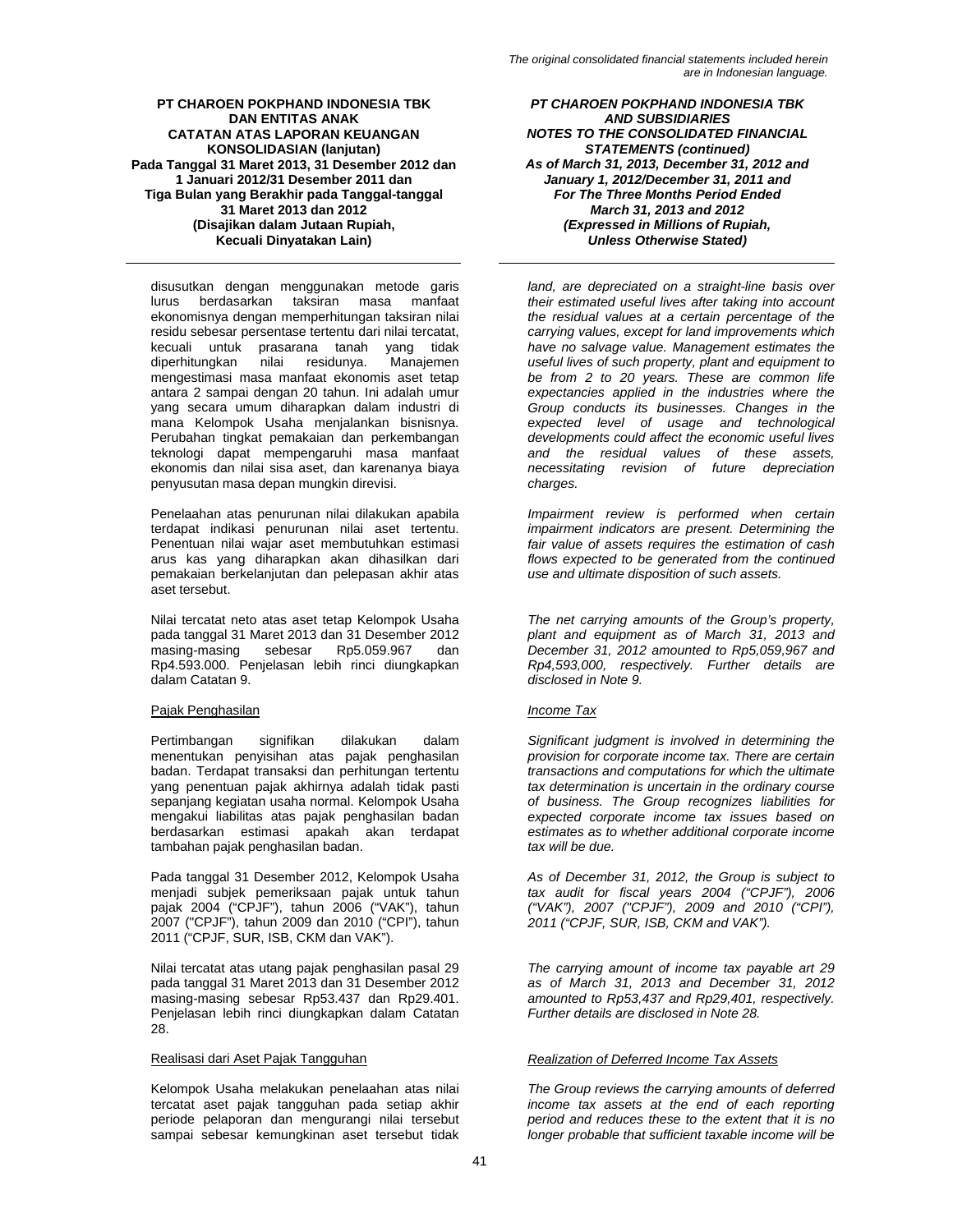disusutkan dengan menggunakan metode garis lurus berdasarkan taksiran masa manfaat ekonomisnya dengan memperhitungan taksiran nilai residu sebesar persentase tertentu dari nilai tercatat, kecuali untuk prasarana tanah yang tidak diperhitungkan nilai residunya. mengestimasi masa manfaat ekonomis aset tetap antara 2 sampai dengan 20 tahun. Ini adalah umur yang secara umum diharapkan dalam industri di mana Kelompok Usaha menjalankan bisnisnya. Perubahan tingkat pemakaian dan perkembangan teknologi dapat mempengaruhi masa manfaat ekonomis dan nilai sisa aset, dan karenanya biaya penyusutan masa depan mungkin direvisi.

Penelaahan atas penurunan nilai dilakukan apabila terdapat indikasi penurunan nilai aset tertentu. Penentuan nilai wajar aset membutuhkan estimasi arus kas yang diharapkan akan dihasilkan dari pemakaian berkelanjutan dan pelepasan akhir atas aset tersebut.

Nilai tercatat neto atas aset tetap Kelompok Usaha pada tanggal 31 Maret 2013 dan 31 Desember 2012 masing-masing sebesar Rp5.059.967 dan Rp4.593.000. Penjelasan lebih rinci diungkapkan dalam Catatan 9.

# Pajak Penghasilan *Income Tax*

Pertimbangan signifikan dilakukan dalam menentukan penyisihan atas pajak penghasilan badan. Terdapat transaksi dan perhitungan tertentu yang penentuan pajak akhirnya adalah tidak pasti sepanjang kegiatan usaha normal. Kelompok Usaha mengakui liabilitas atas pajak penghasilan badan berdasarkan estimasi apakah akan terdapat tambahan pajak penghasilan badan.

Pada tanggal 31 Desember 2012, Kelompok Usaha menjadi subjek pemeriksaan pajak untuk tahun pajak 2004 ("CPJF"), tahun 2006 ("VAK"), tahun 2007 ("CPJF"), tahun 2009 dan 2010 ("CPI"), tahun 2011 ("CPJF, SUR, ISB, CKM dan VAK").

Nilai tercatat atas utang pajak penghasilan pasal 29 pada tanggal 31 Maret 2013 dan 31 Desember 2012 masing-masing sebesar Rp53.437 dan Rp29.401. Penjelasan lebih rinci diungkapkan dalam Catatan 28.

Kelompok Usaha melakukan penelaahan atas nilai tercatat aset pajak tangguhan pada setiap akhir periode pelaporan dan mengurangi nilai tersebut sampai sebesar kemungkinan aset tersebut tidak

*PT CHAROEN POKPHAND INDONESIA TBK AND SUBSIDIARIES NOTES TO THE CONSOLIDATED FINANCIAL STATEMENTS (continued) As of March 31, 2013, December 31, 2012 and January 1, 2012/December 31, 2011 and For The Three Months Period Ended March 31, 2013 and 2012 (Expressed in Millions of Rupiah, Unless Otherwise Stated)* 

*land, are depreciated on a straight-line basis over their estimated useful lives after taking into account the residual values at a certain percentage of the carrying values, except for land improvements which have no salvage value. Management estimates the useful lives of such property, plant and equipment to be from 2 to 20 years. These are common life expectancies applied in the industries where the Group conducts its businesses. Changes in the expected level of usage and technological developments could affect the economic useful lives and the residual values of these assets, necessitating revision of future depreciation charges.* 

*Impairment review is performed when certain impairment indicators are present. Determining the fair value of assets requires the estimation of cash flows expected to be generated from the continued use and ultimate disposition of such assets.* 

*The net carrying amounts of the Group's property, plant and equipment as of March 31, 2013 and December 31, 2012 amounted to Rp5,059,967 and Rp4,593,000, respectively. Further details are disclosed in Note 9.* 

*Significant judgment is involved in determining the provision for corporate income tax. There are certain transactions and computations for which the ultimate tax determination is uncertain in the ordinary course of business. The Group recognizes liabilities for expected corporate income tax issues based on estimates as to whether additional corporate income tax will be due.* 

*As of December 31, 2012, the Group is subject to tax audit for fiscal years 2004 ("CPJF"), 2006 ("VAK"), 2007 ("CPJF"), 2009 and 2010 ("CPI"), 2011 ("CPJF, SUR, ISB, CKM and VAK").* 

*The carrying amount of income tax payable art 29 as of March 31, 2013 and December 31, 2012 amounted to Rp53,437 and Rp29,401, respectively. Further details are disclosed in Note 28.* 

# Realisasi dari Aset Pajak Tangguhan *Realization of Deferred Income Tax Assets*

*The Group reviews the carrying amounts of deferred income tax assets at the end of each reporting period and reduces these to the extent that it is no longer probable that sufficient taxable income will be*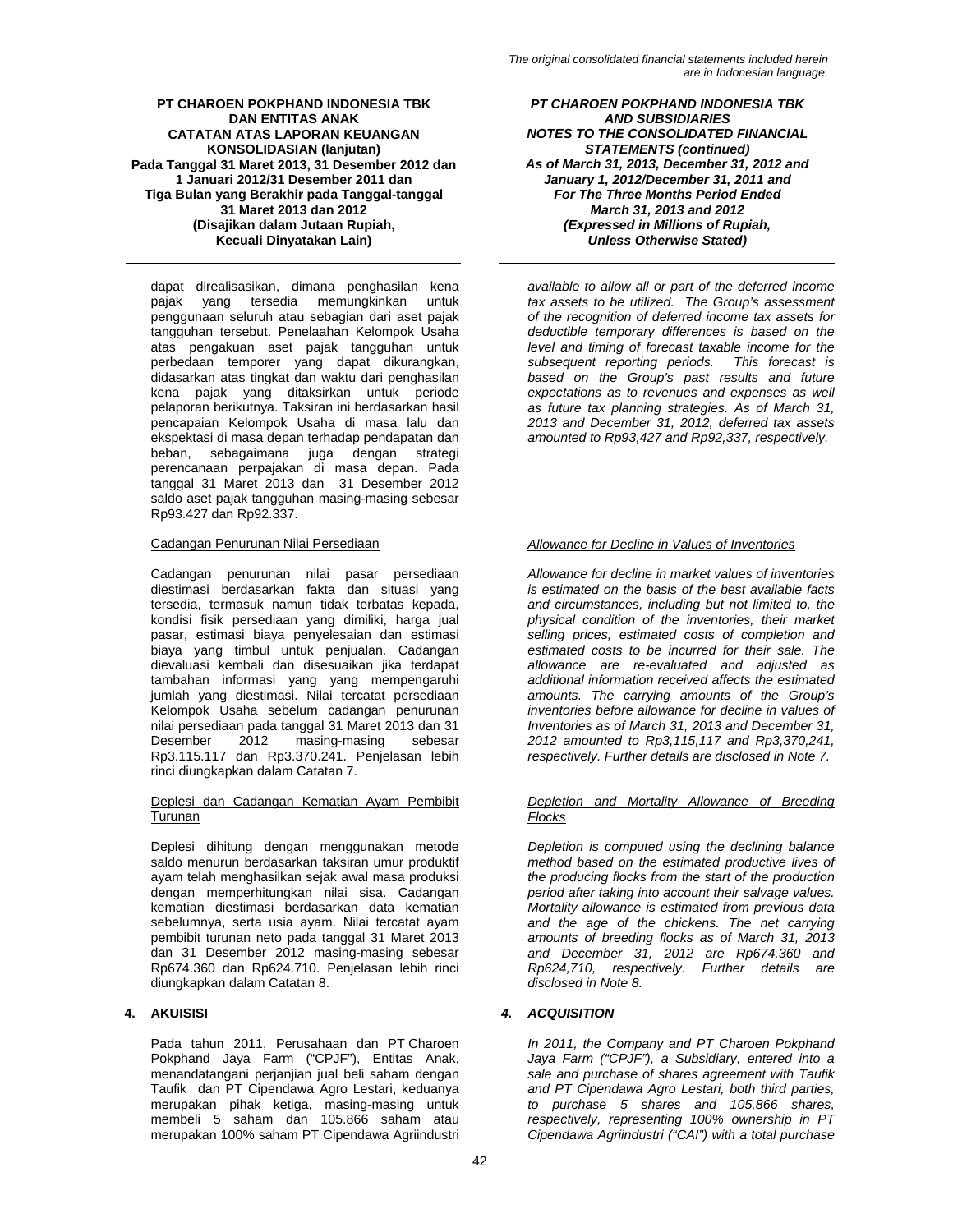dapat direalisasikan, dimana penghasilan kena pajak yang tersedia memungkinkan untuk penggunaan seluruh atau sebagian dari aset pajak tangguhan tersebut. Penelaahan Kelompok Usaha atas pengakuan aset pajak tangguhan untuk perbedaan temporer yang dapat dikurangkan, didasarkan atas tingkat dan waktu dari penghasilan kena pajak yang ditaksirkan untuk periode pelaporan berikutnya. Taksiran ini berdasarkan hasil pencapaian Kelompok Usaha di masa lalu dan ekspektasi di masa depan terhadap pendapatan dan beban, sebagaimana juga dengan strategi perencanaan perpajakan di masa depan. Pada tanggal 31 Maret 2013 dan 31 Desember 2012 saldo aset pajak tangguhan masing-masing sebesar Rp93.427 dan Rp92.337.

Cadangan penurunan nilai pasar persediaan diestimasi berdasarkan fakta dan situasi yang tersedia, termasuk namun tidak terbatas kepada, kondisi fisik persediaan yang dimiliki, harga jual pasar, estimasi biaya penyelesaian dan estimasi biaya yang timbul untuk penjualan. Cadangan dievaluasi kembali dan disesuaikan jika terdapat tambahan informasi yang yang mempengaruhi jumlah yang diestimasi. Nilai tercatat persediaan Kelompok Usaha sebelum cadangan penurunan nilai persediaan pada tanggal 31 Maret 2013 dan 31 Desember 2012 masing-masing sebesar Rp3.115.117 dan Rp3.370.241. Penjelasan lebih rinci diungkapkan dalam Catatan 7.

### Deplesi dan Cadangan Kematian Ayam Pembibit Turunan

Deplesi dihitung dengan menggunakan metode saldo menurun berdasarkan taksiran umur produktif ayam telah menghasilkan sejak awal masa produksi dengan memperhitungkan nilai sisa. Cadangan kematian diestimasi berdasarkan data kematian sebelumnya, serta usia ayam. Nilai tercatat ayam pembibit turunan neto pada tanggal 31 Maret 2013 dan 31 Desember 2012 masing-masing sebesar Rp674.360 dan Rp624.710. Penjelasan lebih rinci diungkapkan dalam Catatan 8.

Pada tahun 2011, Perusahaan dan PT Charoen Pokphand Jaya Farm ("CPJF"), Entitas Anak, menandatangani perjanjian jual beli saham dengan Taufik dan PT Cipendawa Agro Lestari, keduanya merupakan pihak ketiga, masing-masing untuk membeli 5 saham dan 105.866 saham atau merupakan 100% saham PT Cipendawa Agriindustri

*PT CHAROEN POKPHAND INDONESIA TBK AND SUBSIDIARIES NOTES TO THE CONSOLIDATED FINANCIAL STATEMENTS (continued) As of March 31, 2013, December 31, 2012 and January 1, 2012/December 31, 2011 and For The Three Months Period Ended March 31, 2013 and 2012 (Expressed in Millions of Rupiah, Unless Otherwise Stated)* 

*available to allow all or part of the deferred income tax assets to be utilized. The Group's assessment of the recognition of deferred income tax assets for deductible temporary differences is based on the level and timing of forecast taxable income for the subsequent reporting periods. This forecast is based on the Group's past results and future expectations as to revenues and expenses as well as future tax planning strategies. As of March 31, 2013 and December 31, 2012, deferred tax assets amounted to Rp93,427 and Rp92,337, respectively.* 

# Cadangan Penurunan Nilai Persediaan *Allowance for Decline in Values of Inventories*

*Allowance for decline in market values of inventories is estimated on the basis of the best available facts and circumstances, including but not limited to, the physical condition of the inventories, their market selling prices, estimated costs of completion and estimated costs to be incurred for their sale. The allowance are re-evaluated and adjusted as additional information received affects the estimated amounts. The carrying amounts of the Group's inventories before allowance for decline in values of Inventories as of March 31, 2013 and December 31, 2012 amounted to Rp3,115,117 and Rp3,370,241, respectively. Further details are disclosed in Note 7.* 

# *Depletion and Mortality Allowance of Breeding Flocks*

*Depletion is computed using the declining balance method based on the estimated productive lives of the producing flocks from the start of the production period after taking into account their salvage values. Mortality allowance is estimated from previous data and the age of the chickens. The net carrying amounts of breeding flocks as of March 31, 2013 and December 31, 2012 are Rp674,360 and Rp624,710, respectively. Further details are disclosed in Note 8.* 

# **4. AKUISISI** *4. ACQUISITION*

*In 2011, the Company and PT Charoen Pokphand Jaya Farm ("CPJF"), a Subsidiary, entered into a sale and purchase of shares agreement with Taufik and PT Cipendawa Agro Lestari, both third parties, to purchase 5 shares and 105,866 shares, respectively, representing 100% ownership in PT Cipendawa Agriindustri ("CAI") with a total purchase*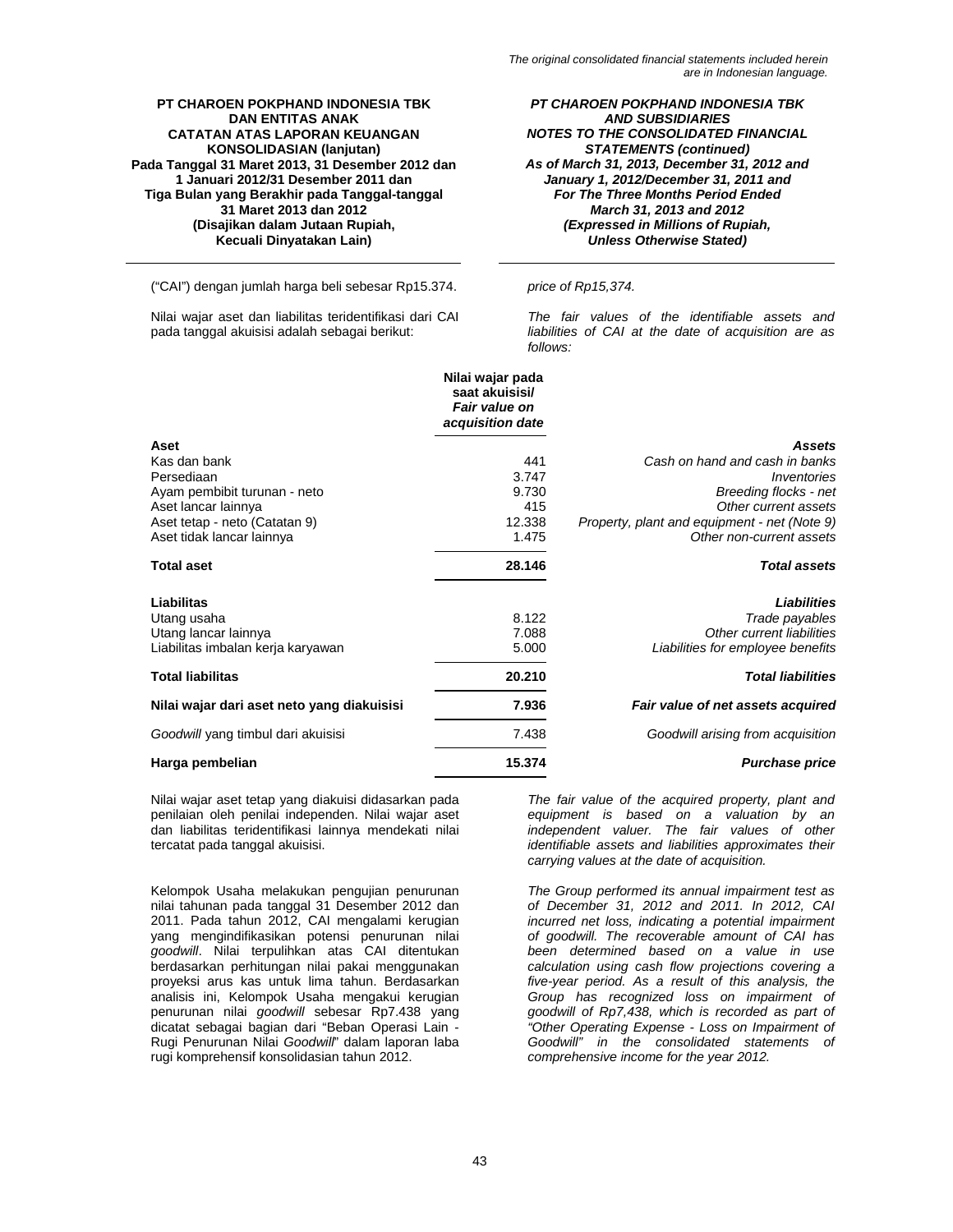*PT CHAROEN POKPHAND INDONESIA TBK AND SUBSIDIARIES NOTES TO THE CONSOLIDATED FINANCIAL STATEMENTS (continued) As of March 31, 2013, December 31, 2012 and January 1, 2012/December 31, 2011 and For The Three Months Period Ended March 31, 2013 and 2012 (Expressed in Millions of Rupiah, Unless Otherwise Stated)* 

("CAI") dengan jumlah harga beli sebesar Rp15.374. *price of Rp15,374.* 

Nilai wajar aset dan liabilitas teridentifikasi dari CAI pada tanggal akuisisi adalah sebagai berikut:

*The fair values of the identifiable assets and liabilities of CAI at the date of acquisition are as follows:* 

|                                            | Nilai wajar pada<br>saat akuisisi/<br><b>Fair value on</b><br>acquisition date |                                              |
|--------------------------------------------|--------------------------------------------------------------------------------|----------------------------------------------|
| Aset                                       |                                                                                | <b>Assets</b>                                |
| Kas dan bank                               | 441                                                                            | Cash on hand and cash in banks               |
| Persediaan                                 | 3.747                                                                          | <i><u><b>Inventories</b></u></i>             |
| Ayam pembibit turunan - neto               | 9.730                                                                          | Breeding flocks - net                        |
| Aset lancar lainnya                        | 415                                                                            | Other current assets                         |
| Aset tetap - neto (Catatan 9)              | 12.338                                                                         | Property, plant and equipment - net (Note 9) |
| Aset tidak lancar lainnya                  | 1.475                                                                          | Other non-current assets                     |
| <b>Total aset</b>                          | 28.146                                                                         | <b>Total assets</b>                          |
| Liabilitas                                 |                                                                                | <b>Liabilities</b>                           |
| Utang usaha                                | 8.122                                                                          | Trade payables                               |
| Utang lancar lainnya                       | 7.088                                                                          | Other current liabilities                    |
| Liabilitas imbalan kerja karyawan          | 5.000                                                                          | Liabilities for employee benefits            |
| <b>Total liabilitas</b>                    | 20.210                                                                         | <b>Total liabilities</b>                     |
| Nilai wajar dari aset neto yang diakuisisi | 7.936                                                                          | Fair value of net assets acquired            |
| Goodwill yang timbul dari akuisisi         | 7.438                                                                          | Goodwill arising from acquisition            |
| Harga pembelian                            | 15.374                                                                         | <b>Purchase price</b>                        |

Nilai wajar aset tetap yang diakuisi didasarkan pada penilaian oleh penilai independen. Nilai wajar aset dan liabilitas teridentifikasi lainnya mendekati nilai tercatat pada tanggal akuisisi.

Kelompok Usaha melakukan pengujian penurunan nilai tahunan pada tanggal 31 Desember 2012 dan 2011. Pada tahun 2012, CAI mengalami kerugian yang mengindifikasikan potensi penurunan nilai *goodwill*. Nilai terpulihkan atas CAI ditentukan berdasarkan perhitungan nilai pakai menggunakan proyeksi arus kas untuk lima tahun. Berdasarkan analisis ini, Kelompok Usaha mengakui kerugian penurunan nilai *goodwill* sebesar Rp7.438 yang dicatat sebagai bagian dari "Beban Operasi Lain - Rugi Penurunan Nilai *Goodwill*" dalam laporan laba rugi komprehensif konsolidasian tahun 2012.

*The fair value of the acquired property, plant and equipment is based on a valuation by an independent valuer. The fair values of other identifiable assets and liabilities approximates their carrying values at the date of acquisition.*

*The Group performed its annual impairment test as of December 31, 2012 and 2011. In 2012, CAI incurred net loss, indicating a potential impairment of goodwill. The recoverable amount of CAI has been determined based on a value in use calculation using cash flow projections covering a five-year period. As a result of this analysis, the Group has recognized loss on impairment of goodwill of Rp7,438, which is recorded as part of "Other Operating Expense - Loss on Impairment of Goodwill" in the consolidated statements of comprehensive income for the year 2012.*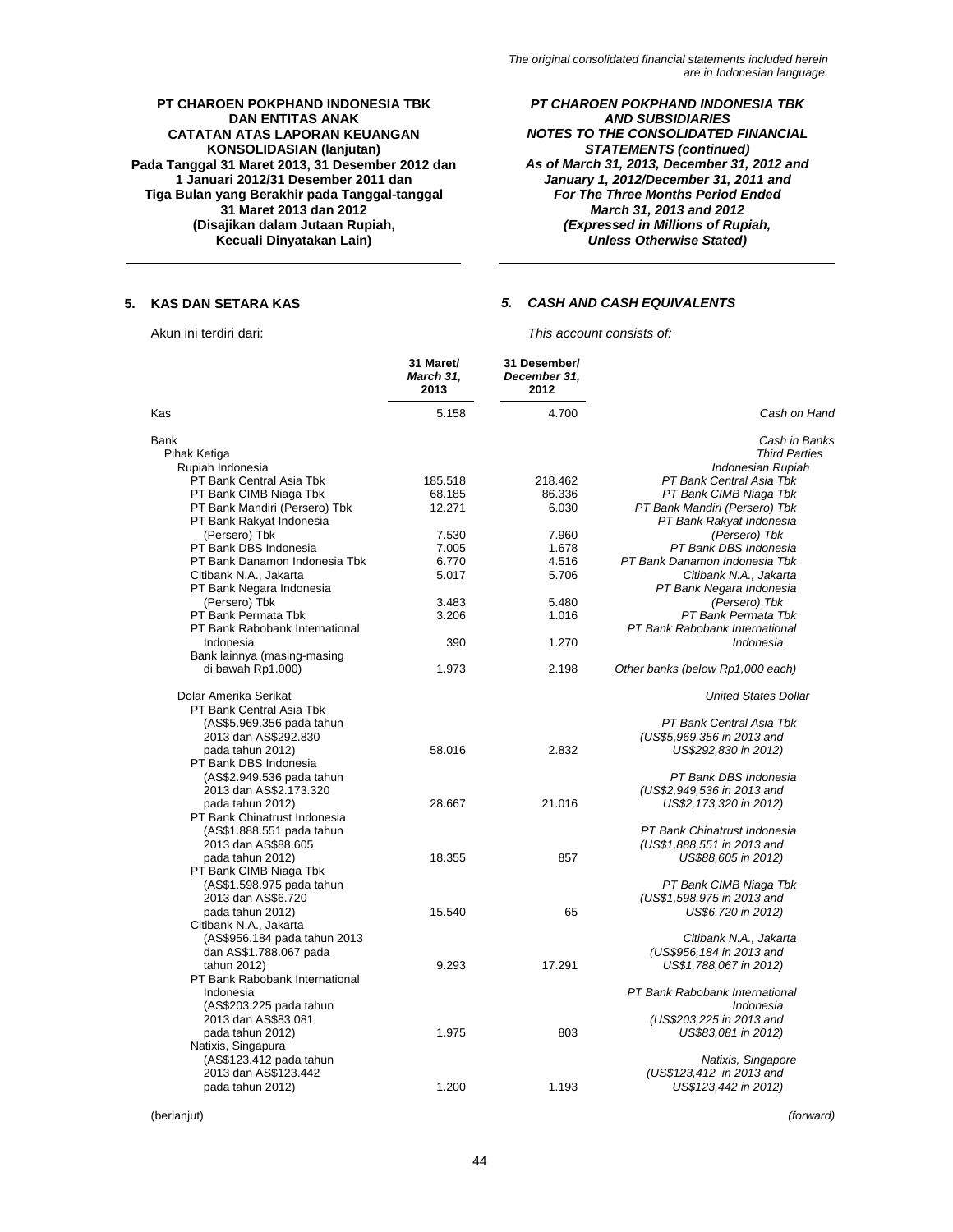*PT CHAROEN POKPHAND INDONESIA TBK AND SUBSIDIARIES NOTES TO THE CONSOLIDATED FINANCIAL STATEMENTS (continued) As of March 31, 2013, December 31, 2012 and January 1, 2012/December 31, 2011 and For The Three Months Period Ended March 31, 2013 and 2012 (Expressed in Millions of Rupiah, Unless Otherwise Stated)* 

# **5. KAS DAN SETARA KAS** *5. CASH AND CASH EQUIVALENTS*

Akun ini terdiri dari: *This account consists of:* 

|                                                | 31 Maret/<br>March 31,<br>2013 | 31 Desember/<br>December 31,<br>2012 |                                  |
|------------------------------------------------|--------------------------------|--------------------------------------|----------------------------------|
| Ƙas                                            | 5.158                          | 4.700                                | Cash on Hand                     |
| Bank                                           |                                |                                      | Cash in Banks                    |
| Pihak Ketiga                                   |                                |                                      | <b>Third Parties</b>             |
| Rupiah Indonesia                               |                                |                                      | Indonesian Rupiah                |
| PT Bank Central Asia Tbk                       | 185.518                        | 218.462                              | PT Bank Central Asia Tbk         |
| PT Bank CIMB Niaga Tbk                         | 68.185                         | 86.336                               | PT Bank CIMB Niaga Tbk           |
| PT Bank Mandiri (Persero) Tbk                  | 12.271                         | 6.030                                | PT Bank Mandiri (Persero) Tbk    |
| PT Bank Rakyat Indonesia                       |                                |                                      | PT Bank Rakyat Indonesia         |
| (Persero) Tbk                                  | 7.530                          | 7.960                                | (Persero) Tbk                    |
| PT Bank DBS Indonesia                          | 7.005                          | 1.678                                | PT Bank DBS Indonesia            |
| PT Bank Danamon Indonesia Tbk                  | 6.770                          | 4.516                                | PT Bank Danamon Indonesia Tbk    |
| Citibank N.A., Jakarta                         | 5.017                          | 5.706                                | Citibank N.A., Jakarta           |
| PT Bank Negara Indonesia                       |                                |                                      | PT Bank Negara Indonesia         |
| (Persero) Tbk                                  | 3.483                          | 5.480                                | (Persero) Tbk                    |
| PT Bank Permata Tbk                            | 3.206                          | 1.016                                | PT Bank Permata Tbk              |
| PT Bank Rabobank International                 |                                |                                      | PT Bank Rabobank International   |
| Indonesia                                      | 390                            | 1.270                                | Indonesia                        |
| Bank lainnya (masing-masing                    |                                |                                      |                                  |
| di bawah Rp1.000)                              | 1.973                          | 2.198                                | Other banks (below Rp1,000 each) |
| Dolar Amerika Serikat                          |                                |                                      | <b>United States Dollar</b>      |
| PT Bank Central Asia Tbk                       |                                |                                      |                                  |
| (AS\$5.969.356 pada tahun                      |                                |                                      | PT Bank Central Asia Tbk         |
| 2013 dan AS\$292.830                           |                                |                                      | (US\$5,969,356 in 2013 and       |
| pada tahun 2012)                               | 58.016                         | 2.832                                | US\$292,830 in 2012)             |
| PT Bank DBS Indonesia                          |                                |                                      |                                  |
| (AS\$2.949.536 pada tahun                      |                                |                                      | PT Bank DBS Indonesia            |
| 2013 dan AS\$2.173.320                         |                                |                                      | (US\$2,949,536 in 2013 and       |
| pada tahun 2012)                               | 28.667                         | 21.016                               | US\$2, 173, 320 in 2012)         |
| PT Bank Chinatrust Indonesia                   |                                |                                      |                                  |
| (AS\$1.888.551 pada tahun                      |                                |                                      | PT Bank Chinatrust Indonesia     |
| 2013 dan AS\$88.605                            |                                |                                      | (US\$1,888,551 in 2013 and       |
| pada tahun 2012)                               | 18.355                         | 857                                  | US\$88,605 in 2012)              |
| PT Bank CIMB Niaga Tbk                         |                                |                                      |                                  |
| (AS\$1.598.975 pada tahun                      |                                |                                      | PT Bank CIMB Niaga Tbk           |
| 2013 dan AS\$6.720                             |                                |                                      | (US\$1,598,975 in 2013 and       |
| pada tahun 2012)                               | 15.540                         | 65                                   | US\$6,720 in 2012)               |
| Citibank N.A., Jakarta                         |                                |                                      |                                  |
| (AS\$956.184 pada tahun 2013                   |                                |                                      | Citibank N.A., Jakarta           |
| dan AS\$1.788.067 pada                         |                                |                                      | (US\$956,184 in 2013 and         |
| tahun 2012)                                    | 9.293                          | 17.291                               | US\$1,788,067 in 2012)           |
| PT Bank Rabobank International                 |                                |                                      |                                  |
| Indonesia                                      |                                |                                      | PT Bank Rabobank International   |
|                                                |                                |                                      | Indonesia                        |
| (AS\$203.225 pada tahun<br>2013 dan AS\$83.081 |                                |                                      | (US\$203,225 in 2013 and         |
|                                                |                                |                                      |                                  |
| pada tahun 2012)                               | 1.975                          | 803                                  | US\$83,081 in 2012)              |
| Natixis, Singapura                             |                                |                                      |                                  |
| (AS\$123.412 pada tahun                        |                                |                                      | Natixis, Singapore               |
| 2013 dan AS\$123.442                           |                                |                                      | (US\$123,412 in 2013 and         |
| pada tahun 2012)                               | 1.200                          | 1.193                                | US\$123,442 in 2012)             |

(berlanjut) *(forward)*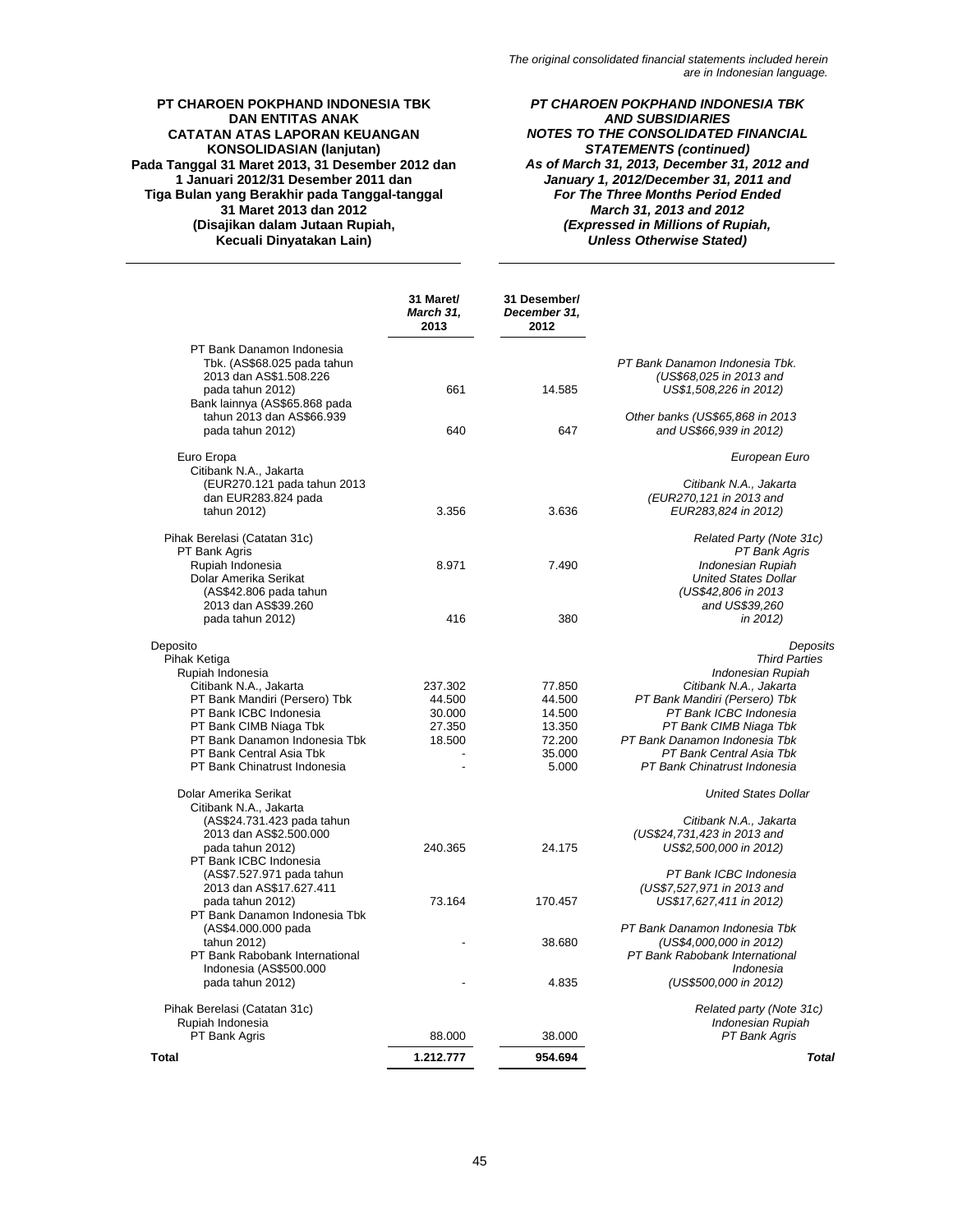*PT CHAROEN POKPHAND INDONESIA TBK AND SUBSIDIARIES NOTES TO THE CONSOLIDATED FINANCIAL STATEMENTS (continued) As of March 31, 2013, December 31, 2012 and January 1, 2012/December 31, 2011 and For The Three Months Period Ended March 31, 2013 and 2012 (Expressed in Millions of Rupiah, Unless Otherwise Stated)* 

|                                                                                                        | 31 Maret/<br>March 31,<br>2013 | 31 Desember/<br>December 31,<br>2012 |                                                                                            |
|--------------------------------------------------------------------------------------------------------|--------------------------------|--------------------------------------|--------------------------------------------------------------------------------------------|
| PT Bank Danamon Indonesia<br>Tbk. (AS\$68.025 pada tahun<br>2013 dan AS\$1.508.226<br>pada tahun 2012) | 661                            | 14.585                               | PT Bank Danamon Indonesia Tbk.<br>(US\$68.025 in 2013 and<br>US\$1,508,226 in 2012)        |
| Bank lainnya (AS\$65.868 pada<br>tahun 2013 dan AS\$66.939                                             |                                |                                      | Other banks (US\$65,868 in 2013                                                            |
| pada tahun 2012)                                                                                       | 640                            | 647                                  | and US\$66,939 in 2012)                                                                    |
| Euro Eropa<br>Citibank N.A., Jakarta                                                                   |                                |                                      | European Euro                                                                              |
| (EUR270.121 pada tahun 2013                                                                            |                                |                                      | Citibank N.A., Jakarta                                                                     |
| dan EUR283.824 pada<br>tahun 2012)                                                                     | 3.356                          | 3.636                                | (EUR270, 121 in 2013 and<br>EUR283,824 in 2012)                                            |
| Pihak Berelasi (Catatan 31c)<br>PT Bank Agris                                                          |                                |                                      | Related Party (Note 31c)<br>PT Bank Agris                                                  |
| Rupiah Indonesia<br>Dolar Amerika Serikat<br>(AS\$42.806 pada tahun<br>2013 dan AS\$39.260             | 8.971                          | 7.490                                | Indonesian Rupiah<br><b>United States Dollar</b><br>(US\$42,806 in 2013)<br>and US\$39,260 |
| pada tahun 2012)                                                                                       | 416                            | 380                                  | in 2012)                                                                                   |
| Deposito                                                                                               |                                |                                      | Deposits                                                                                   |
| Pihak Ketiga                                                                                           |                                |                                      | <b>Third Parties</b>                                                                       |
| Rupiah Indonesia                                                                                       |                                |                                      | Indonesian Rupiah                                                                          |
| Citibank N.A., Jakarta                                                                                 | 237.302                        | 77.850                               | Citibank N.A., Jakarta                                                                     |
| PT Bank Mandiri (Persero) Tbk                                                                          | 44.500                         | 44.500                               | PT Bank Mandiri (Persero) Tbk                                                              |
| PT Bank ICBC Indonesia<br>PT Bank CIMB Niaga Tbk                                                       | 30.000<br>27.350               | 14.500<br>13.350                     | PT Bank ICBC Indonesia<br>PT Bank CIMB Niaga Tbk                                           |
| PT Bank Danamon Indonesia Tbk                                                                          | 18.500                         | 72.200                               | PT Bank Danamon Indonesia Tbk                                                              |
| PT Bank Central Asia Tbk                                                                               |                                | 35.000                               | PT Bank Central Asia Tbk                                                                   |
| PT Bank Chinatrust Indonesia                                                                           |                                | 5.000                                | PT Bank Chinatrust Indonesia                                                               |
| Dolar Amerika Serikat                                                                                  |                                |                                      | <b>United States Dollar</b>                                                                |
| Citibank N.A., Jakarta<br>(AS\$24.731.423 pada tahun                                                   |                                |                                      | Citibank N.A., Jakarta                                                                     |
| 2013 dan AS\$2.500.000                                                                                 |                                |                                      | (US\$24,731,423 in 2013 and                                                                |
| pada tahun 2012)<br>PT Bank ICBC Indonesia                                                             | 240.365                        | 24.175                               | US\$2,500,000 in 2012)                                                                     |
| (AS\$7.527.971 pada tahun                                                                              |                                |                                      | PT Bank ICBC Indonesia                                                                     |
| 2013 dan AS\$17.627.411<br>pada tahun 2012)                                                            | 73.164                         | 170.457                              | (US\$7,527,971 in 2013 and<br>US\$17,627,411 in 2012)                                      |
| PT Bank Danamon Indonesia Tbk<br>(AS\$4.000.000 pada                                                   |                                |                                      | PT Bank Danamon Indonesia Tbk                                                              |
| tahun 2012)                                                                                            |                                | 38.680                               | (US\$4,000,000 in 2012)                                                                    |
| PT Bank Rabobank International<br>Indonesia (AS\$500.000                                               |                                |                                      | PT Bank Rabobank International<br>Indonesia                                                |
| pada tahun 2012)                                                                                       |                                | 4.835                                | (US\$500,000 in 2012)                                                                      |
| Pihak Berelasi (Catatan 31c)                                                                           |                                |                                      | Related party (Note 31c)                                                                   |
| Rupiah Indonesia                                                                                       |                                |                                      | Indonesian Rupiah                                                                          |
| PT Bank Agris                                                                                          | 88.000                         | 38.000                               | PT Bank Agris                                                                              |
| <b>Total</b>                                                                                           | 1.212.777                      | 954.694                              | <b>Total</b>                                                                               |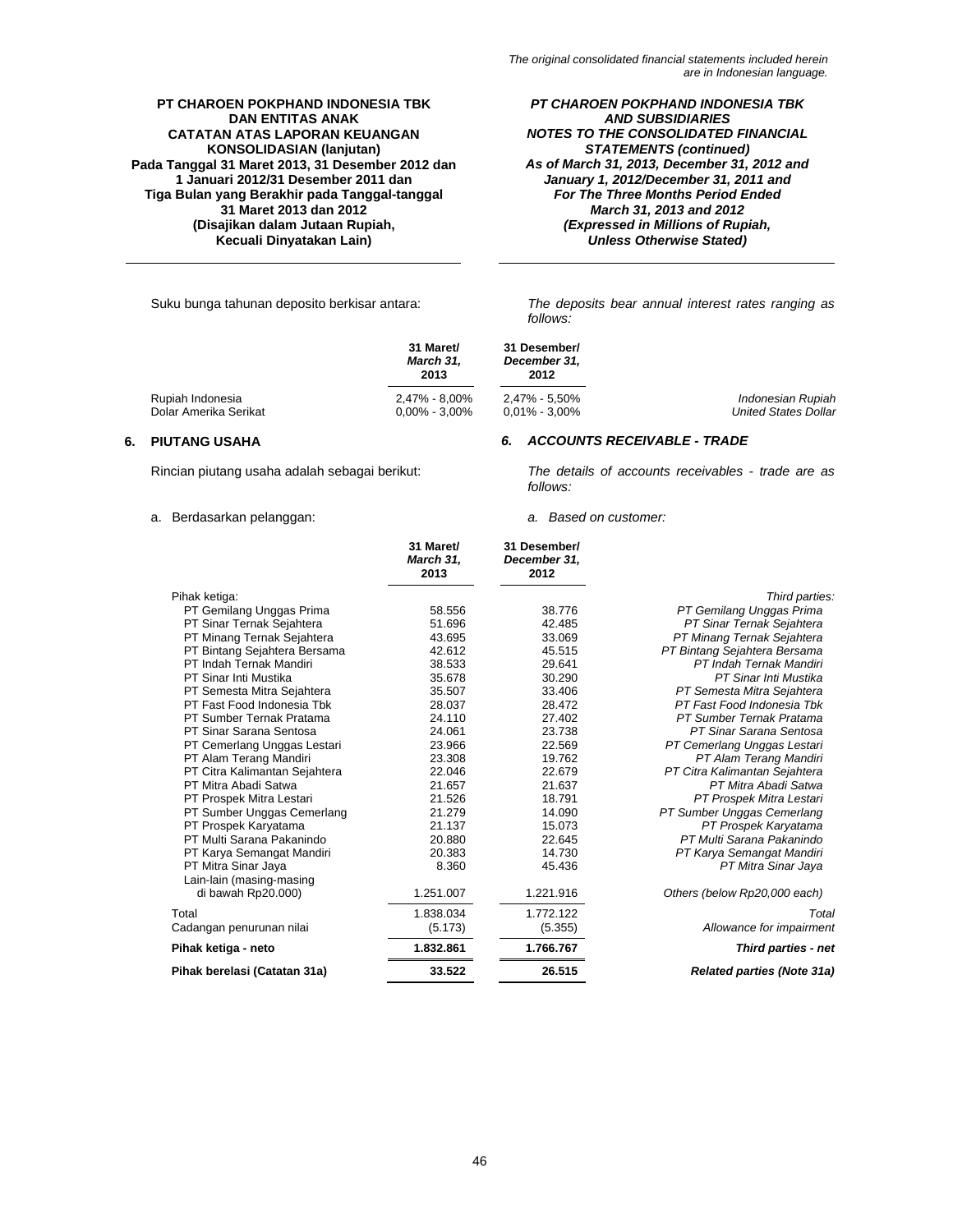*PT CHAROEN POKPHAND INDONESIA TBK AND SUBSIDIARIES NOTES TO THE CONSOLIDATED FINANCIAL STATEMENTS (continued) As of March 31, 2013, December 31, 2012 and January 1, 2012/December 31, 2011 and For The Three Months Period Ended March 31, 2013 and 2012 (Expressed in Millions of Rupiah, Unless Otherwise Stated)* 

Suku bunga tahunan deposito berkisar antara: *The deposits bear annual interest rates ranging as follows:*

|                       | 31 Maret/<br>March 31.<br>2013 | 31 Desember/<br>December 31.<br>2012 |                             |
|-----------------------|--------------------------------|--------------------------------------|-----------------------------|
| Rupiah Indonesia      | 2.47% - 8.00%                  | 2.47% - 5.50%                        | Indonesian Rupiah           |
| Dolar Amerika Serikat | $0.00\%$ - 3.00%               | $0.01\%$ - 3.00%                     | <b>United States Dollar</b> |

*follows:*

# **6. PIUTANG USAHA** *6. ACCOUNTS RECEIVABLE - TRADE*

Rincian piutang usaha adalah sebagai berikut: *The details of accounts receivables - trade are as* 

# a. Berdasarkan pelanggan: *a. Based on customer:*

|                               | 31 Maret/<br>March 31,<br>2013 | 31 Desember/<br>December 31,<br>2012 |                                   |
|-------------------------------|--------------------------------|--------------------------------------|-----------------------------------|
| Pihak ketiga:                 |                                |                                      | Third parties:                    |
| PT Gemilang Unggas Prima      | 58.556                         | 38.776                               | PT Gemilang Unggas Prima          |
| PT Sinar Ternak Sejahtera     | 51.696                         | 42.485                               | PT Sinar Ternak Sejahtera         |
| PT Minang Ternak Sejahtera    | 43.695                         | 33.069                               | PT Minang Ternak Sejahtera        |
| PT Bintang Sejahtera Bersama  | 42.612                         | 45.515                               | PT Bintang Sejahtera Bersama      |
| PT Indah Ternak Mandiri       | 38.533                         | 29.641                               | PT Indah Ternak Mandiri           |
| PT Sinar Inti Mustika         | 35.678                         | 30.290                               | PT Sinar Inti Mustika             |
| PT Semesta Mitra Sejahtera    | 35.507                         | 33.406                               | PT Semesta Mitra Sejahtera        |
| PT Fast Food Indonesia Tbk    | 28.037                         | 28.472                               | PT Fast Food Indonesia Tbk        |
| PT Sumber Ternak Pratama      | 24.110                         | 27.402                               | PT Sumber Ternak Pratama          |
| PT Sinar Sarana Sentosa       | 24.061                         | 23.738                               | PT Sinar Sarana Sentosa           |
| PT Cemerlang Unggas Lestari   | 23.966                         | 22.569                               | PT Cemerlang Unggas Lestari       |
| PT Alam Terang Mandiri        | 23.308                         | 19.762                               | PT Alam Terang Mandiri            |
| PT Citra Kalimantan Sejahtera | 22.046                         | 22.679                               | PT Citra Kalimantan Sejahtera     |
| PT Mitra Abadi Satwa          | 21.657                         | 21.637                               | PT Mitra Abadi Satwa              |
| PT Prospek Mitra Lestari      | 21.526                         | 18.791                               | PT Prospek Mitra Lestari          |
| PT Sumber Unggas Cemerlang    | 21.279                         | 14.090                               | PT Sumber Unggas Cemerlang        |
| PT Prospek Karyatama          | 21.137                         | 15.073                               | PT Prospek Karyatama              |
| PT Multi Sarana Pakanindo     | 20.880                         | 22.645                               | PT Multi Sarana Pakanindo         |
| PT Karya Semangat Mandiri     | 20.383                         | 14.730                               | PT Karya Semangat Mandiri         |
| PT Mitra Sinar Jaya           | 8.360                          | 45.436                               | PT Mitra Sinar Jaya               |
| Lain-lain (masing-masing      |                                |                                      |                                   |
| di bawah Rp20.000)            | 1.251.007                      | 1.221.916                            | Others (below Rp20,000 each)      |
| Total                         | 1.838.034                      | 1.772.122                            | Total                             |
| Cadangan penurunan nilai      | (5.173)                        | (5.355)                              | Allowance for impairment          |
| Pihak ketiga - neto           | 1.832.861                      | 1.766.767                            | <b>Third parties - net</b>        |
| Pihak berelasi (Catatan 31a)  | 33.522                         | 26.515                               | <b>Related parties (Note 31a)</b> |
|                               |                                |                                      |                                   |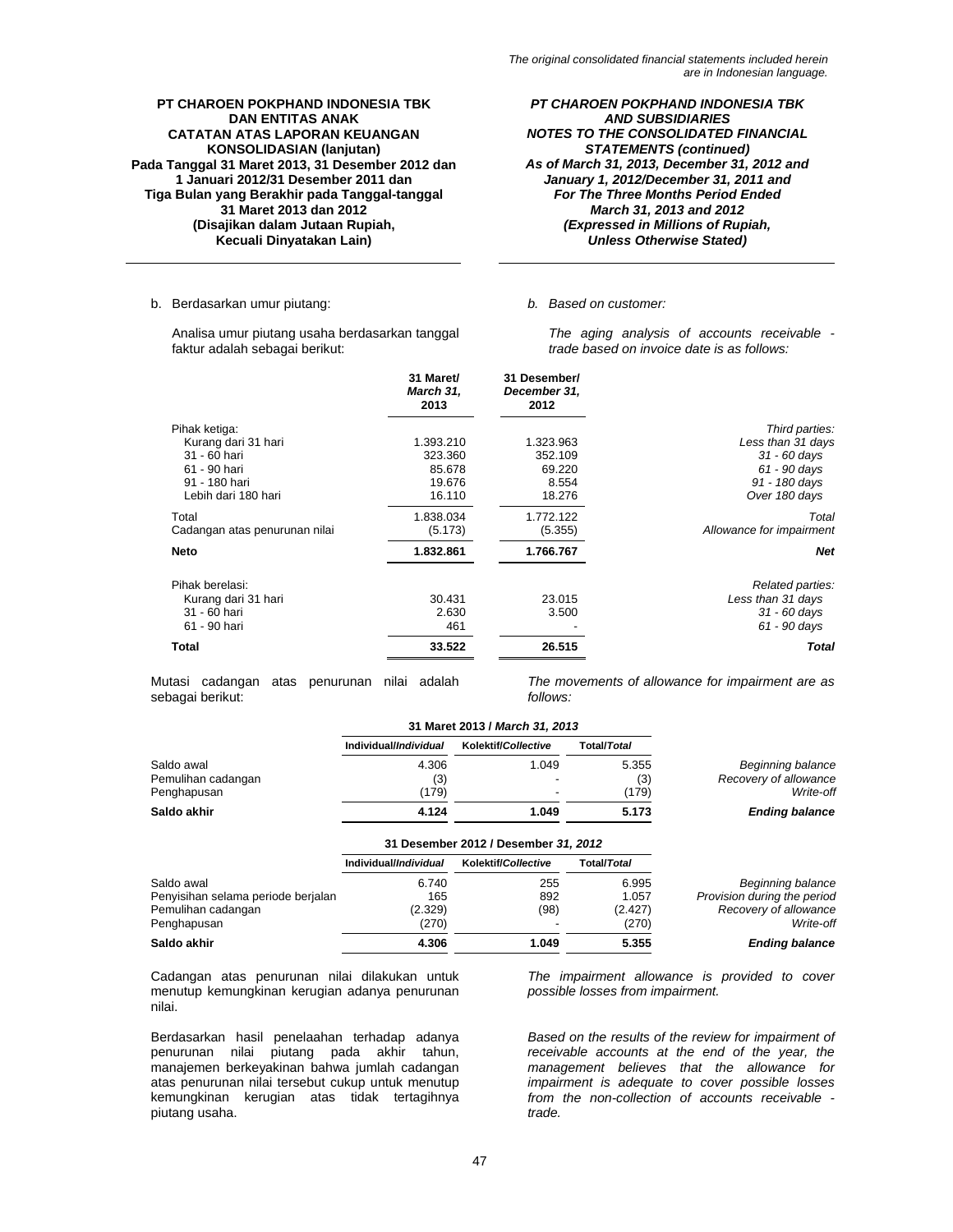*PT CHAROEN POKPHAND INDONESIA TBK AND SUBSIDIARIES NOTES TO THE CONSOLIDATED FINANCIAL STATEMENTS (continued) As of March 31, 2013, December 31, 2012 and January 1, 2012/December 31, 2011 and For The Three Months Period Ended March 31, 2013 and 2012 (Expressed in Millions of Rupiah, Unless Otherwise Stated)* 

### b. Berdasarkan umur piutang: *b. Based on customer:*

Analisa umur piutang usaha berdasarkan tanggal faktur adalah sebagai berikut:

*The aging analysis of accounts receivable trade based on invoice date is as follows:* 

|                               | 31 Maret/<br>March 31,<br>2013 | 31 Desember/<br>December 31.<br>2012 |                          |
|-------------------------------|--------------------------------|--------------------------------------|--------------------------|
| Pihak ketiga:                 |                                |                                      | Third parties:           |
| Kurang dari 31 hari           | 1.393.210                      | 1.323.963                            | Less than 31 days        |
| 31 - 60 hari                  | 323.360                        | 352.109                              | $31 - 60$ days           |
| 61 - 90 hari                  | 85.678                         | 69.220                               | $61 - 90$ days           |
| 91 - 180 hari                 | 19.676                         | 8.554                                | 91 - 180 days            |
| Lebih dari 180 hari           | 16.110                         | 18.276                               | Over 180 days            |
| Total                         | 1.838.034                      | 1.772.122                            | Total                    |
| Cadangan atas penurunan nilai | (5.173)                        | (5.355)                              | Allowance for impairment |
| <b>Neto</b>                   | 1.832.861                      | 1.766.767                            | <b>Net</b>               |
| Pihak berelasi:               |                                |                                      | Related parties:         |
| Kurang dari 31 hari           | 30.431                         | 23.015                               | Less than 31 days        |
| 31 - 60 hari                  | 2.630                          | 3.500                                | $31 - 60$ days           |
| 61 - 90 hari                  | 461                            |                                      | $61 - 90$ days           |
| <b>Total</b>                  | 33.522                         | 26.515                               | <b>Total</b>             |

Mutasi cadangan atas penurunan nilai adalah sebagai berikut:

*The movements of allowance for impairment are as follows:*

|                                    | 31 Maret 2013 / March 31, 2013 |                                      |                     |                             |
|------------------------------------|--------------------------------|--------------------------------------|---------------------|-----------------------------|
|                                    | Individual/ <i>Individual</i>  | Kolektif/Collective                  | <b>Total/Total</b>  |                             |
| Saldo awal                         | 4.306                          | 1.049                                | 5.355               | Beginning balance           |
| Pemulihan cadangan                 | (3)                            |                                      | (3)                 | Recovery of allowance       |
| Penghapusan                        | (179)                          |                                      | (179)               | Write-off                   |
| Saldo akhir                        | 4.124                          | 1.049                                | 5.173               | <b>Ending balance</b>       |
|                                    |                                | 31 Desember 2012 / Desember 31, 2012 |                     |                             |
|                                    | Individual/ <i>Individual</i>  | Kolektif/Collective                  | Total/ <i>Total</i> |                             |
| Saldo awal                         | 6.740                          | 255                                  | 6.995               | Beginning balance           |
| Penyisihan selama periode berjalan | 165                            | 892                                  | 1.057               | Provision during the period |
| Pemulihan cadangan                 | (2.329)                        | (98)                                 | (2.427)             | Recovery of allowance       |
| Penghapusan                        | (270)                          |                                      | (270)               | Write-off                   |
| Saldo akhir                        | 4.306                          | 1.049                                | 5.355               | <b>Ending balance</b>       |

Cadangan atas penurunan nilai dilakukan untuk menutup kemungkinan kerugian adanya penurunan nilai.

Berdasarkan hasil penelaahan terhadap adanya penurunan nilai piutang pada akhir tahun, manajemen berkeyakinan bahwa jumlah cadangan atas penurunan nilai tersebut cukup untuk menutup kemungkinan kerugian atas tidak tertagihnya piutang usaha.

*The impairment allowance is provided to cover possible losses from impairment.*

*Based on the results of the review for impairment of receivable accounts at the end of the year, the management believes that the allowance for impairment is adequate to cover possible losses from the non-collection of accounts receivable trade.*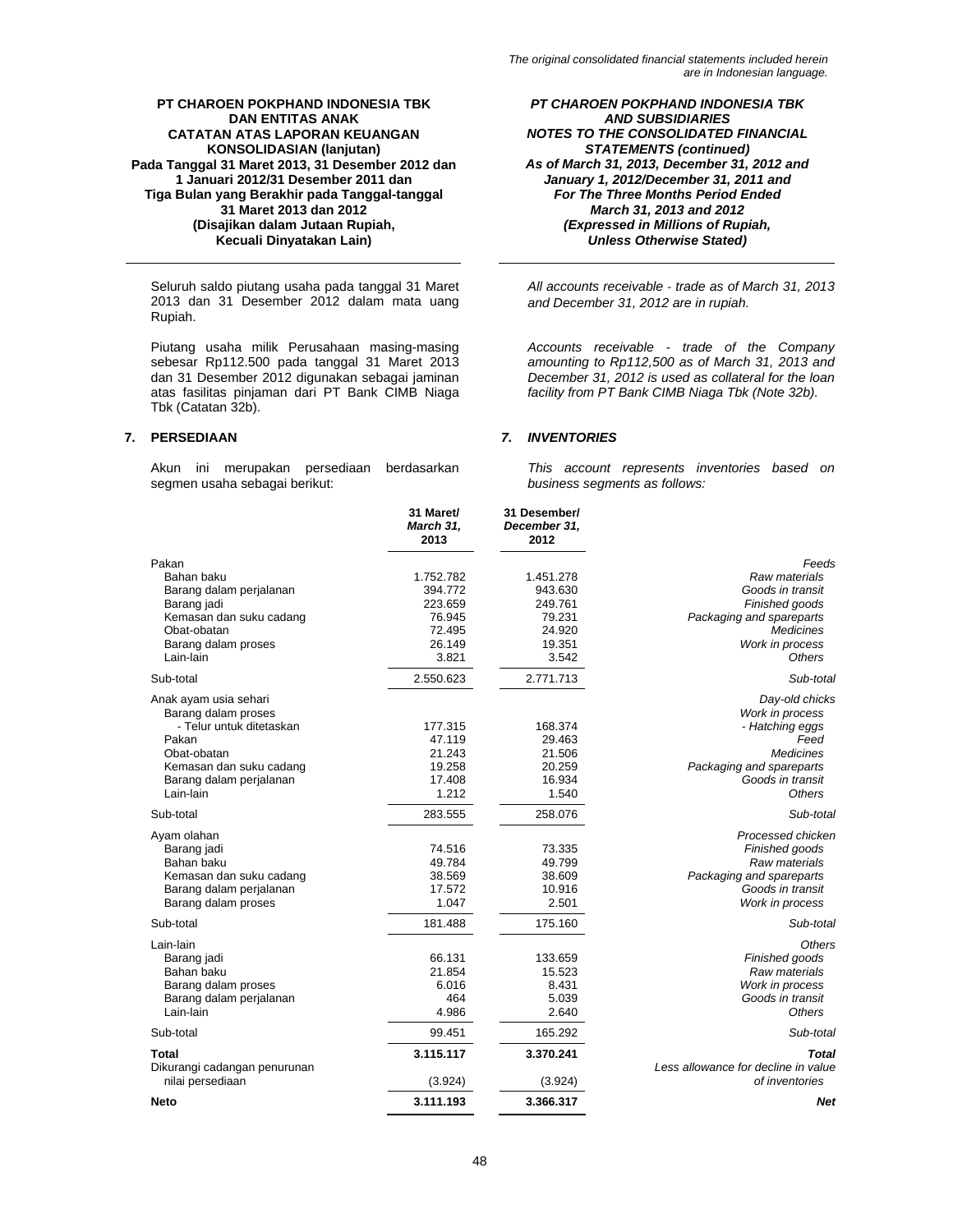Seluruh saldo piutang usaha pada tanggal 31 Maret 2013 dan 31 Desember 2012 dalam mata uang Rupiah.

Piutang usaha milik Perusahaan masing-masing sebesar Rp112.500 pada tanggal 31 Maret 2013 dan 31 Desember 2012 digunakan sebagai jaminan atas fasilitas pinjaman dari PT Bank CIMB Niaga Tbk (Catatan 32b).

Akun ini merupakan persediaan berdasarkan segmen usaha sebagai berikut:

*PT CHAROEN POKPHAND INDONESIA TBK AND SUBSIDIARIES NOTES TO THE CONSOLIDATED FINANCIAL STATEMENTS (continued) As of March 31, 2013, December 31, 2012 and January 1, 2012/December 31, 2011 and For The Three Months Period Ended March 31, 2013 and 2012 (Expressed in Millions of Rupiah, Unless Otherwise Stated)* 

*All accounts receivable ‐ trade as of March 31, 2013 and December 31, 2012 are in rupiah.*

*Accounts receivable - trade of the Company amounting to Rp112,500 as of March 31, 2013 and December 31, 2012 is used as collateral for the loan facility from PT Bank CIMB Niaga Tbk (Note 32b).*

# **7. PERSEDIAAN** *7. INVENTORIES*

*This account represents inventories based on business segments as follows:*

|                                                                                                                                                                     | 31 Maret/<br>March 31,<br>2013                                         | 31 Desember/<br>December 31,<br>2012                                   |                                                                                                                                                   |
|---------------------------------------------------------------------------------------------------------------------------------------------------------------------|------------------------------------------------------------------------|------------------------------------------------------------------------|---------------------------------------------------------------------------------------------------------------------------------------------------|
| Pakan<br>Bahan baku<br>Barang dalam perjalanan<br>Barang jadi<br>Kemasan dan suku cadang<br>Obat-obatan<br>Barang dalam proses<br>Lain-lain                         | 1.752.782<br>394.772<br>223.659<br>76.945<br>72.495<br>26.149<br>3.821 | 1.451.278<br>943.630<br>249.761<br>79.231<br>24.920<br>19.351<br>3.542 | Feeds<br>Raw materials<br>Goods in transit<br>Finished goods<br>Packaging and spareparts<br><b>Medicines</b><br>Work in process<br>Others         |
| Sub-total                                                                                                                                                           | 2.550.623                                                              | 2.771.713                                                              | Sub-total                                                                                                                                         |
| Anak ayam usia sehari<br>Barang dalam proses<br>- Telur untuk ditetaskan<br>Pakan<br>Obat-obatan<br>Kemasan dan suku cadang<br>Barang dalam perjalanan<br>Lain-lain | 177.315<br>47.119<br>21.243<br>19.258<br>17.408<br>1.212               | 168.374<br>29.463<br>21.506<br>20.259<br>16.934<br>1.540               | Day-old chicks<br>Work in process<br>- Hatching eggs<br>Feed<br><b>Medicines</b><br>Packaging and spareparts<br>Goods in transit<br><b>Others</b> |
| Sub-total                                                                                                                                                           | 283.555                                                                | 258.076                                                                | Sub-total                                                                                                                                         |
| Ayam olahan<br>Barang jadi<br>Bahan baku<br>Kemasan dan suku cadang<br>Barang dalam perjalanan<br>Barang dalam proses                                               | 74.516<br>49.784<br>38.569<br>17.572<br>1.047                          | 73.335<br>49.799<br>38.609<br>10.916<br>2.501                          | Processed chicken<br>Finished goods<br>Raw materials<br>Packaging and spareparts<br>Goods in transit<br>Work in process                           |
| Sub-total                                                                                                                                                           | 181.488                                                                | 175.160                                                                | Sub-total                                                                                                                                         |
| Lain-lain<br>Barang jadi<br>Bahan baku<br>Barang dalam proses<br>Barang dalam perjalanan<br>Lain-lain                                                               | 66.131<br>21.854<br>6.016<br>464<br>4.986                              | 133.659<br>15.523<br>8.431<br>5.039<br>2.640                           | Others<br>Finished goods<br>Raw materials<br>Work in process<br>Goods in transit<br><b>Others</b>                                                 |
| Sub-total                                                                                                                                                           | 99.451                                                                 | 165.292                                                                | Sub-total                                                                                                                                         |
| Total<br>Dikurangi cadangan penurunan<br>nilai persediaan                                                                                                           | 3.115.117<br>(3.924)                                                   | 3.370.241<br>(3.924)                                                   | <b>Total</b><br>Less allowance for decline in value<br>of inventories                                                                             |
| Neto                                                                                                                                                                | 3.111.193                                                              | 3.366.317                                                              | Net                                                                                                                                               |
|                                                                                                                                                                     |                                                                        |                                                                        |                                                                                                                                                   |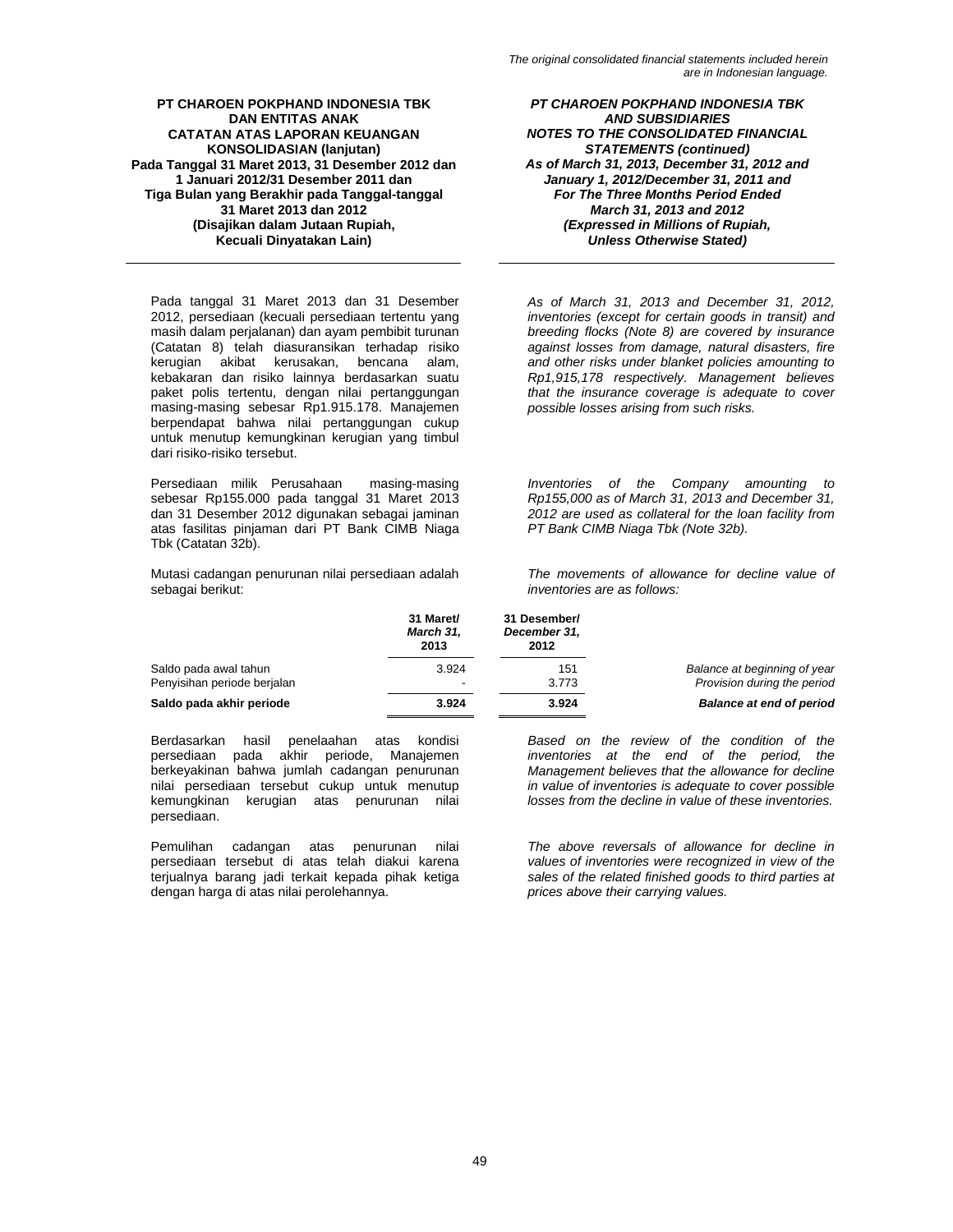Pada tanggal 31 Maret 2013 dan 31 Desember 2012, persediaan (kecuali persediaan tertentu yang masih dalam perjalanan) dan ayam pembibit turunan (Catatan 8) telah diasuransikan terhadap risiko kerugian akibat kerusakan, bencana alam, kebakaran dan risiko lainnya berdasarkan suatu paket polis tertentu, dengan nilai pertanggungan masing-masing sebesar Rp1.915.178. Manajemen berpendapat bahwa nilai pertanggungan cukup untuk menutup kemungkinan kerugian yang timbul dari risiko-risiko tersebut.

Persediaan milik Perusahaan masing-masing sebesar Rp155.000 pada tanggal 31 Maret 2013 dan 31 Desember 2012 digunakan sebagai jaminan atas fasilitas pinjaman dari PT Bank CIMB Niaga Tbk (Catatan 32b).

Mutasi cadangan penurunan nilai persediaan adalah sebagai berikut:

*PT CHAROEN POKPHAND INDONESIA TBK AND SUBSIDIARIES NOTES TO THE CONSOLIDATED FINANCIAL STATEMENTS (continued) As of March 31, 2013, December 31, 2012 and January 1, 2012/December 31, 2011 and For The Three Months Period Ended March 31, 2013 and 2012 (Expressed in Millions of Rupiah, Unless Otherwise Stated)* 

*As of March 31, 2013 and December 31, 2012, inventories (except for certain goods in transit) and breeding flocks (Note 8) are covered by insurance against losses from damage, natural disasters, fire and other risks under blanket policies amounting to Rp1,915,178 respectively. Management believes that the insurance coverage is adequate to cover possible losses arising from such risks.* 

*Inventories of the Company amounting to Rp155,000 as of March 31, 2013 and December 31, 2012 are used as collateral for the loan facility from PT Bank CIMB Niaga Tbk (Note 32b).*

*The movements of allowance for decline value of inventories are as follows:* 

|                             | 31 Maret/<br>March 31,<br>2013 | 31 Desember/<br>December 31,<br>2012 |                                 |
|-----------------------------|--------------------------------|--------------------------------------|---------------------------------|
| Saldo pada awal tahun       | 3.924                          | 151                                  | Balance at beginning of year    |
| Penyisihan periode berjalan | $\overline{\phantom{0}}$       | 3.773                                | Provision during the period     |
| Saldo pada akhir periode    | 3.924                          | 3.924                                | <b>Balance at end of period</b> |

Berdasarkan hasil penelaahan atas kondisi persediaan pada akhir periode, Manajemen berkeyakinan bahwa jumlah cadangan penurunan nilai persediaan tersebut cukup untuk menutup kemungkinan kerugian atas penurunan nilai persediaan.

Pemulihan cadangan atas penurunan nilai persediaan tersebut di atas telah diakui karena terjualnya barang jadi terkait kepada pihak ketiga dengan harga di atas nilai perolehannya.

*Based on the review of the condition of the inventories at the end of the period, the Management believes that the allowance for decline in value of inventories is adequate to cover possible losses from the decline in value of these inventories.* 

*The above reversals of allowance for decline in values of inventories were recognized in view of the sales of the related finished goods to third parties at prices above their carrying values.*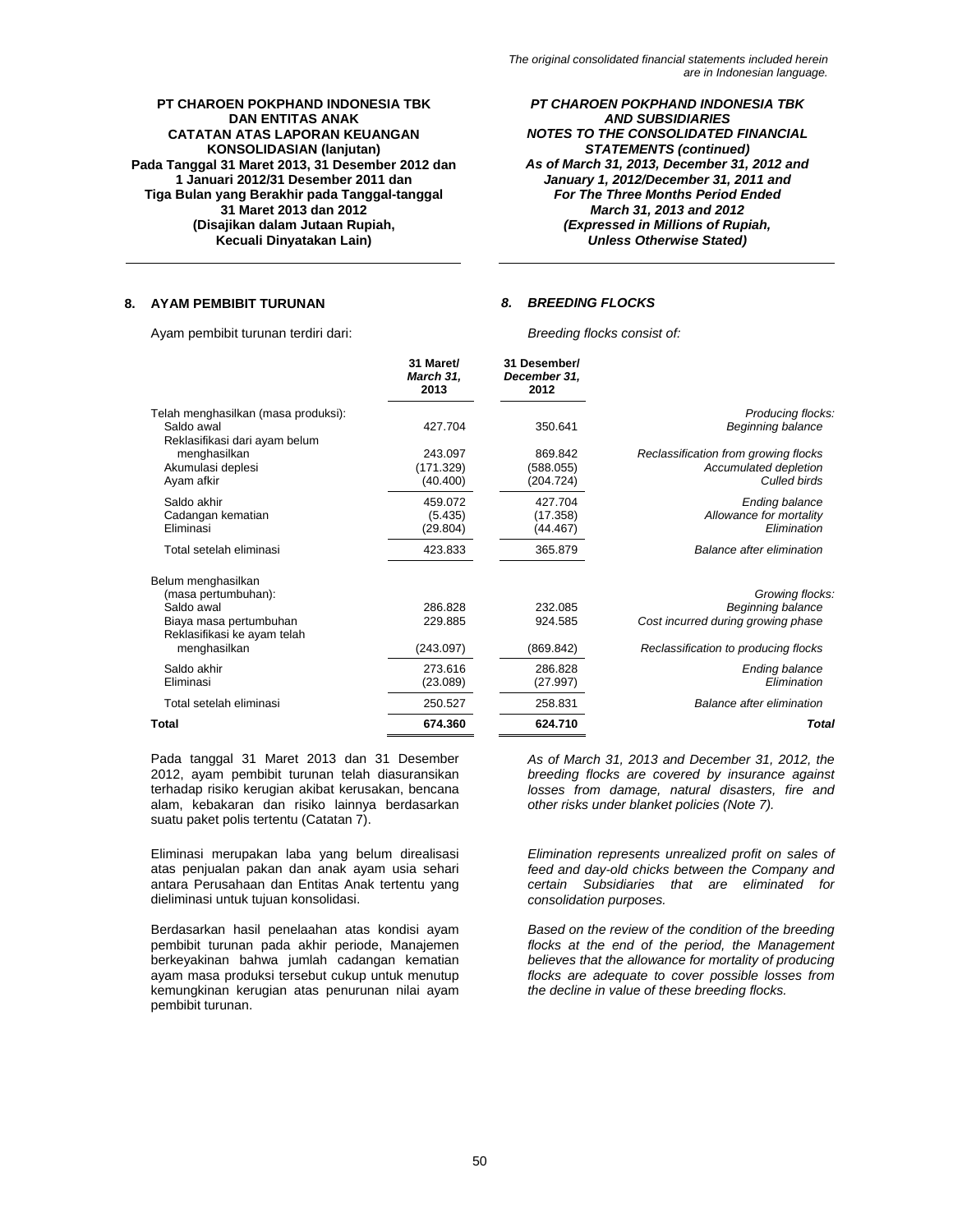*PT CHAROEN POKPHAND INDONESIA TBK AND SUBSIDIARIES NOTES TO THE CONSOLIDATED FINANCIAL STATEMENTS (continued) As of March 31, 2013, December 31, 2012 and January 1, 2012/December 31, 2011 and For The Three Months Period Ended March 31, 2013 and 2012 (Expressed in Millions of Rupiah, Unless Otherwise Stated)* 

# **8. AYAM PEMBIBIT TURUNAN** *8. BREEDING FLOCKS*

Ayam pembibit turunan terdiri dari: *Breeding flocks consist of:* 

|                                                       | 31 Maret/<br>March 31,<br>2013 | 31 Desember/<br>December 31,<br>2012 |                                        |
|-------------------------------------------------------|--------------------------------|--------------------------------------|----------------------------------------|
| Telah menghasilkan (masa produksi):<br>Saldo awal     | 427.704                        | 350.641                              | Producing flocks:<br>Beginning balance |
| Reklasifikasi dari ayam belum                         |                                |                                      |                                        |
| menghasilkan                                          | 243.097                        | 869.842                              | Reclassification from growing flocks   |
| Akumulasi deplesi                                     | (171.329)                      | (588.055)                            | Accumulated depletion                  |
| Ayam afkir                                            | (40.400)                       | (204.724)                            | Culled birds                           |
| Saldo akhir                                           | 459.072                        | 427.704                              | <b>Ending balance</b>                  |
| Cadangan kematian                                     | (5.435)                        | (17.358)                             | Allowance for mortality                |
| Eliminasi                                             | (29.804)                       | (44.467)                             | Elimination                            |
| Total setelah eliminasi                               | 423.833                        | 365.879                              | Balance after elimination              |
| Belum menghasilkan                                    |                                |                                      |                                        |
| (masa pertumbuhan):                                   |                                |                                      | Growing flocks:                        |
| Saldo awal                                            | 286,828                        | 232.085                              | Beginning balance                      |
| Biaya masa pertumbuhan<br>Reklasifikasi ke ayam telah | 229.885                        | 924.585                              | Cost incurred during growing phase     |
| menghasilkan                                          | (243.097)                      | (869.842)                            | Reclassification to producing flocks   |
| Saldo akhir                                           | 273.616                        | 286.828                              | <b>Ending balance</b>                  |
| Eliminasi                                             | (23.089)                       | (27.997)                             | Elimination                            |
| Total setelah eliminasi                               | 250.527                        | 258.831                              | Balance after elimination              |
| Total                                                 | 674.360                        | 624.710                              | <b>Total</b>                           |
|                                                       |                                |                                      |                                        |

Pada tanggal 31 Maret 2013 dan 31 Desember 2012, ayam pembibit turunan telah diasuransikan terhadap risiko kerugian akibat kerusakan, bencana alam, kebakaran dan risiko lainnya berdasarkan suatu paket polis tertentu (Catatan 7).

Eliminasi merupakan laba yang belum direalisasi atas penjualan pakan dan anak ayam usia sehari antara Perusahaan dan Entitas Anak tertentu yang dieliminasi untuk tujuan konsolidasi.

Berdasarkan hasil penelaahan atas kondisi ayam pembibit turunan pada akhir periode, Manajemen berkeyakinan bahwa jumlah cadangan kematian ayam masa produksi tersebut cukup untuk menutup kemungkinan kerugian atas penurunan nilai ayam pembibit turunan.

*As of March 31, 2013 and December 31, 2012, the breeding flocks are covered by insurance against losses from damage, natural disasters, fire and other risks under blanket policies (Note 7).* 

*Elimination represents unrealized profit on sales of feed and day-old chicks between the Company and certain Subsidiaries that are eliminated for consolidation purposes.* 

*Based on the review of the condition of the breeding flocks at the end of the period, the Management believes that the allowance for mortality of producing flocks are adequate to cover possible losses from the decline in value of these breeding flocks.*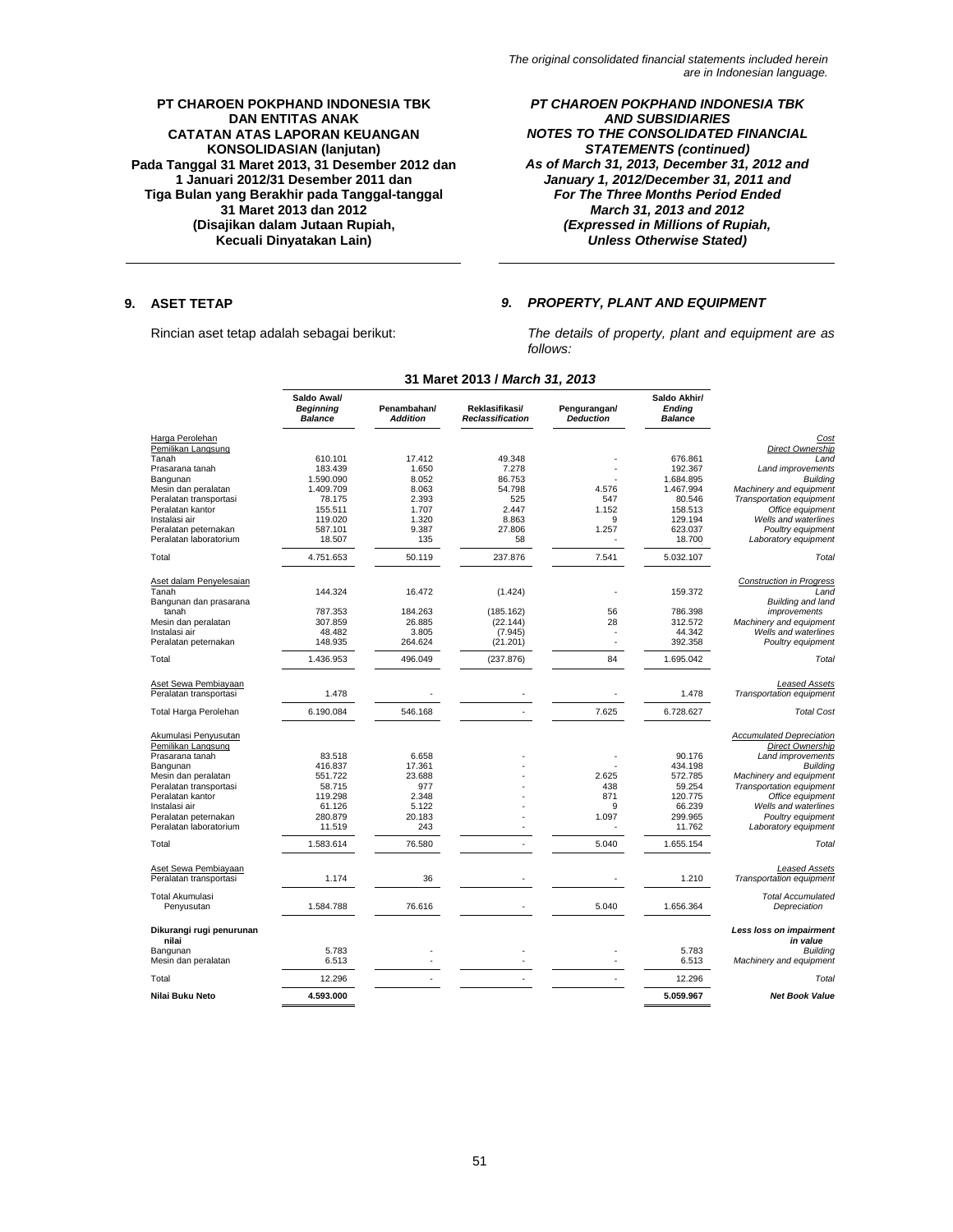# *PT CHAROEN POKPHAND INDONESIA TBK AND SUBSIDIARIES NOTES TO THE CONSOLIDATED FINANCIAL STATEMENTS (continued) As of March 31, 2013, December 31, 2012 and January 1, 2012/December 31, 2011 and For The Three Months Period Ended March 31, 2013 and 2012 (Expressed in Millions of Rupiah, Unless Otherwise Stated)*

# **9. ASET TETAP** *9. PROPERTY, PLANT AND EQUIPMENT*

Rincian aset tetap adalah sebagai berikut: *The details of property, plant and equipment are as follows:* 

|                                   | Saldo Awal/<br><b>Beginning</b><br><b>Balance</b> | Penambahan/<br><b>Addition</b> | Reklasifikasi/<br><b>Reclassification</b> | Pengurangan/<br><b>Deduction</b> | Saldo Akhir/<br><b>Ending</b><br><b>Balance</b> |                                     |
|-----------------------------------|---------------------------------------------------|--------------------------------|-------------------------------------------|----------------------------------|-------------------------------------------------|-------------------------------------|
| Harga Perolehan                   |                                                   |                                |                                           |                                  |                                                 | Cost                                |
| Pemilikan Langsung                |                                                   |                                |                                           |                                  |                                                 | Direct Ownership                    |
| Tanah                             | 610.101                                           | 17.412                         | 49.348                                    |                                  | 676.861                                         | Land                                |
| Prasarana tanah                   | 183.439                                           | 1.650                          | 7.278                                     |                                  | 192.367                                         | Land improvements                   |
| Bangunan                          | 1.590.090                                         | 8.052                          | 86.753                                    |                                  | 1.684.895                                       | <b>Building</b>                     |
| Mesin dan peralatan               | 1.409.709                                         | 8.063                          | 54.798                                    | 4.576                            | 1.467.994                                       | Machinery and equipment             |
| Peralatan transportasi            | 78.175                                            | 2.393                          | 525                                       | 547                              | 80.546                                          | Transportation equipment            |
| Peralatan kantor                  | 155.511                                           | 1.707                          | 2.447                                     | 1.152                            | 158.513                                         | Office equipment                    |
| Instalasi air                     | 119.020                                           | 1.320                          | 8.863                                     | 9                                | 129.194                                         | Wells and waterlines                |
| Peralatan peternakan              | 587.101                                           | 9.387                          | 27.806                                    | 1.257                            | 623.037                                         | Poultry equipment                   |
| Peralatan laboratorium            | 18.507                                            | 135                            | 58                                        |                                  | 18.700                                          | Laboratory equipment                |
| Total                             | 4.751.653                                         | 50.119                         | 237.876                                   | 7.541                            | 5.032.107                                       | Total                               |
| Aset dalam Penyelesaian           |                                                   |                                |                                           |                                  |                                                 | <b>Construction in Progress</b>     |
| Tanah                             | 144.324                                           | 16.472                         | (1.424)                                   |                                  | 159.372                                         | Land                                |
| Bangunan dan prasarana            |                                                   |                                |                                           |                                  |                                                 | Building and land                   |
| tanah                             | 787.353                                           | 184.263                        | (185.162)                                 | 56                               | 786.398                                         | improvements                        |
|                                   |                                                   | 26.885                         |                                           |                                  | 312.572                                         |                                     |
| Mesin dan peralatan               | 307.859                                           |                                | (22.144)                                  | 28                               |                                                 | Machinery and equipment             |
| Instalasi air                     | 48.482                                            | 3.805                          | (7.945)                                   | ×,                               | 44.342                                          | Wells and waterlines                |
| Peralatan peternakan              | 148.935                                           | 264.624                        | (21.201)                                  | ٠                                | 392.358                                         | Poultry equipment                   |
| Total                             | 1.436.953                                         | 496.049                        | (237.876)                                 | 84                               | 1.695.042                                       | Total                               |
| Aset Sewa Pembiayaan              |                                                   |                                |                                           |                                  |                                                 | <b>Leased Assets</b>                |
| Peralatan transportasi            | 1.478                                             |                                |                                           |                                  | 1.478                                           | Transportation equipment            |
| Total Harga Perolehan             | 6.190.084                                         | 546.168                        |                                           | 7.625                            | 6.728.627                                       | <b>Total Cost</b>                   |
| Akumulasi Penyusutan              |                                                   |                                |                                           |                                  |                                                 | <b>Accumulated Depreciation</b>     |
| Pemilikan Langsung                |                                                   |                                |                                           |                                  |                                                 | Direct Ownership                    |
| Prasarana tanah                   | 83.518                                            | 6.658                          |                                           |                                  | 90.176                                          | Land improvements                   |
| Bangunan                          | 416.837                                           | 17.361                         |                                           |                                  | 434.198                                         | <b>Building</b>                     |
| Mesin dan peralatan               | 551.722                                           | 23.688                         |                                           | 2.625                            | 572.785                                         | Machinery and equipment             |
| Peralatan transportasi            | 58.715                                            | 977                            |                                           | 438                              | 59.254                                          | <b>Transportation equipment</b>     |
| Peralatan kantor                  | 119.298                                           | 2.348                          |                                           | 871                              | 120.775                                         | Office equipment                    |
| Instalasi air                     |                                                   | 5.122                          |                                           | 9                                | 66.239                                          | Wells and waterlines                |
|                                   | 61.126                                            |                                |                                           |                                  |                                                 |                                     |
| Peralatan peternakan              | 280.879                                           | 20.183                         |                                           | 1.097                            | 299.965                                         | Poultry equipment                   |
| Peralatan laboratorium            | 11.519                                            | 243                            |                                           |                                  | 11.762                                          | Laboratory equipment                |
| Total                             | 1.583.614                                         | 76.580                         |                                           | 5.040                            | 1.655.154                                       | Total                               |
| Aset Sewa Pembiayaan              |                                                   |                                |                                           |                                  |                                                 | Leased Assets                       |
| Peralatan transportasi            | 1.174                                             | 36                             |                                           |                                  | 1.210                                           | Transportation equipment            |
| <b>Total Akumulasi</b>            |                                                   |                                |                                           |                                  |                                                 | <b>Total Accumulated</b>            |
| Penyusutan                        | 1.584.788                                         | 76.616                         |                                           | 5.040                            | 1.656.364                                       | Depreciation                        |
| Dikurangi rugi penurunan<br>nilai |                                                   |                                |                                           |                                  |                                                 | Less loss on impairment<br>in value |
| Bangunan                          | 5.783                                             |                                |                                           |                                  | 5.783                                           | <b>Building</b>                     |
| Mesin dan peralatan               | 6.513                                             |                                |                                           |                                  | 6.513                                           | Machinery and equipment             |
| Total                             | 12.296                                            |                                |                                           |                                  | 12.296                                          | Total                               |
| Nilai Buku Neto                   | 4.593.000                                         |                                |                                           |                                  | 5.059.967                                       | <b>Net Book Value</b>               |

# **31 Maret 2013 /** *March 31, 2013*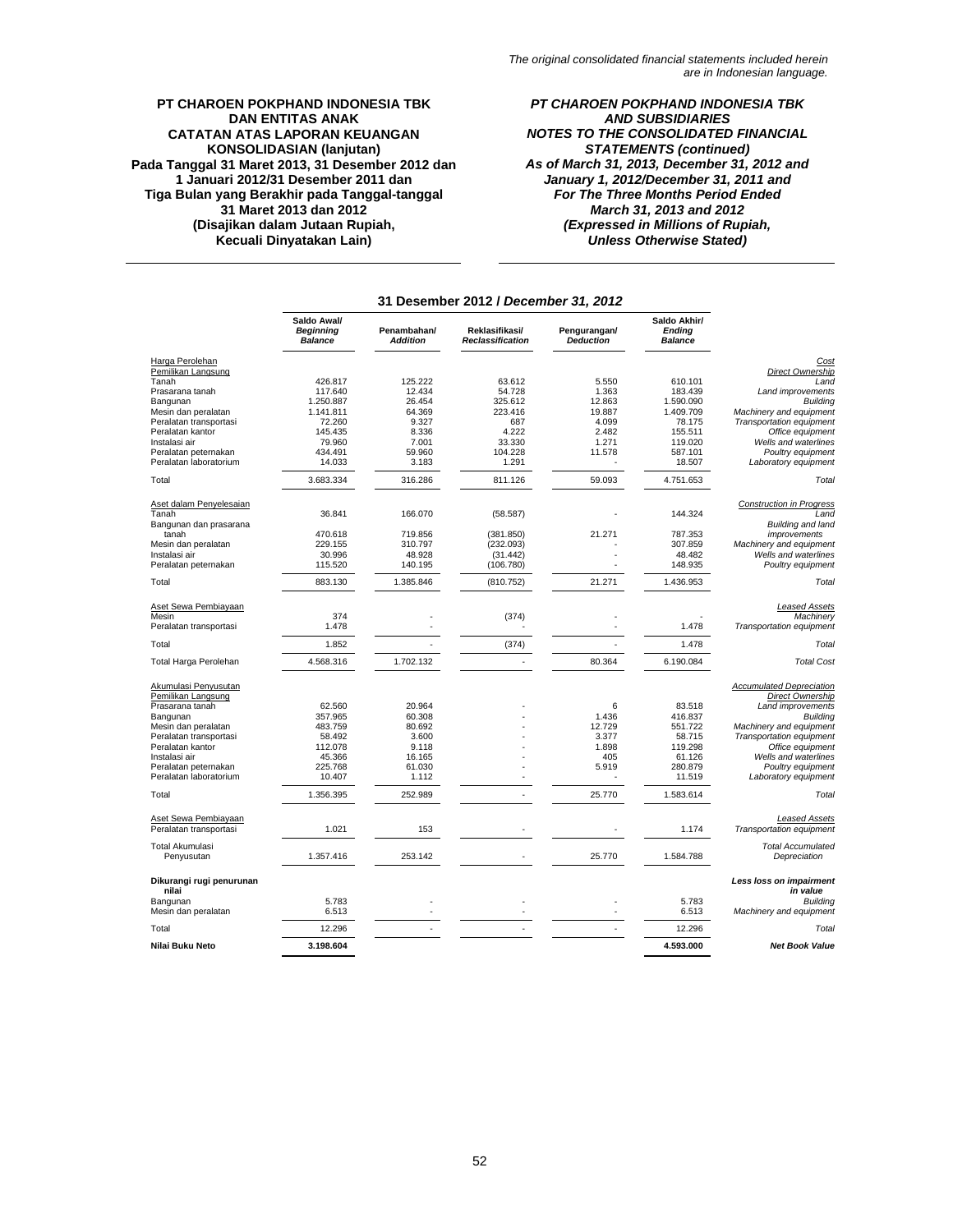*PT CHAROEN POKPHAND INDONESIA TBK AND SUBSIDIARIES NOTES TO THE CONSOLIDATED FINANCIAL STATEMENTS (continued) As of March 31, 2013, December 31, 2012 and January 1, 2012/December 31, 2011 and For The Three Months Period Ended March 31, 2013 and 2012 (Expressed in Millions of Rupiah, Unless Otherwise Stated)* 

|                                            |                                                   |                                | 31 Desember 2012 / December 31, 2012 |                                  |                                                 |                                                     |
|--------------------------------------------|---------------------------------------------------|--------------------------------|--------------------------------------|----------------------------------|-------------------------------------------------|-----------------------------------------------------|
|                                            | Saldo Awal/<br><b>Beginning</b><br><b>Balance</b> | Penambahan/<br><b>Addition</b> | Reklasifikasi/<br>Reclassification   | Pengurangan/<br><b>Deduction</b> | Saldo Akhir/<br><b>Ending</b><br><b>Balance</b> |                                                     |
| Harga Perolehan                            |                                                   |                                |                                      |                                  |                                                 | Cost                                                |
| Pemilikan Langsung                         |                                                   |                                |                                      |                                  |                                                 | Direct Ownership                                    |
| Tanah                                      | 426.817                                           | 125.222                        | 63.612                               | 5.550                            | 610.101                                         | Land                                                |
| Prasarana tanah                            | 117.640                                           | 12.434                         | 54.728                               | 1.363                            | 183.439                                         | Land improvements                                   |
| Bangunan                                   | 1.250.887                                         | 26.454                         | 325.612                              | 12.863                           | 1.590.090                                       | <b>Building</b>                                     |
| Mesin dan peralatan                        | 1.141.811                                         | 64.369                         | 223.416                              | 19.887                           | 1.409.709                                       | Machinery and equipment                             |
| Peralatan transportasi                     | 72.260                                            | 9.327                          | 687                                  | 4.099                            | 78.175                                          | Transportation equipment                            |
| Peralatan kantor                           | 145.435                                           | 8.336                          | 4.222                                | 2.482                            | 155.511                                         | Office equipment                                    |
| Instalasi air                              | 79.960                                            | 7.001                          | 33.330                               | 1.271                            | 119.020                                         | Wells and waterlines                                |
| Peralatan peternakan                       | 434.491                                           | 59.960                         | 104.228                              | 11.578                           | 587.101                                         | Poultry equipment                                   |
| Peralatan laboratorium                     | 14.033                                            | 3.183                          | 1.291                                |                                  | 18.507                                          | Laboratory equipment                                |
| Total                                      | 3.683.334                                         | 316.286                        | 811.126                              | 59.093                           | 4.751.653                                       | Total                                               |
| Aset dalam Penyelesaian                    |                                                   |                                |                                      |                                  |                                                 | <b>Construction in Progress</b>                     |
| Tanah                                      | 36.841                                            | 166.070                        | (58.587)                             |                                  | 144.324                                         | Land                                                |
| Bangunan dan prasarana                     |                                                   |                                |                                      |                                  |                                                 | Building and land                                   |
| tanah                                      | 470.618                                           | 719.856                        | (381.850)                            | 21.271                           | 787.353                                         | improvements                                        |
| Mesin dan peralatan                        | 229.155                                           | 310.797                        | (232.093)                            |                                  | 307.859                                         | Machinery and equipment                             |
| Instalasi air                              | 30.996                                            | 48.928                         | (31.442)                             |                                  | 48.482                                          | Wells and waterlines                                |
| Peralatan peternakan                       | 115.520                                           | 140.195                        |                                      |                                  | 148.935                                         | Poultry equipment                                   |
|                                            |                                                   |                                | (106.780)                            |                                  |                                                 |                                                     |
| Total                                      | 883.130                                           | 1.385.846                      | (810.752)                            | 21.271                           | 1.436.953                                       | Total                                               |
| Aset Sewa Pembiayaan                       |                                                   |                                |                                      |                                  |                                                 | <b>Leased Assets</b>                                |
| Mesin                                      | 374                                               |                                | (374)                                |                                  |                                                 | Machinery                                           |
| Peralatan transportasi                     | 1.478                                             |                                |                                      |                                  | 1.478                                           | Transportation equipment                            |
| Total                                      | 1.852                                             |                                | (374)                                |                                  | 1.478                                           | Total                                               |
| Total Harga Perolehan                      | 4.568.316                                         | 1.702.132                      |                                      | 80.364                           | 6.190.084                                       | <b>Total Cost</b>                                   |
| Akumulasi Penyusutan<br>Pemilikan Langsung |                                                   |                                |                                      |                                  |                                                 | <b>Accumulated Depreciation</b><br>Direct Ownership |
| Prasarana tanah                            | 62.560                                            | 20.964                         |                                      | 6                                | 83.518                                          | Land improvements                                   |
| Bangunan                                   | 357.965                                           | 60.308                         |                                      | 1.436                            | 416.837                                         | <b>Building</b>                                     |
| Mesin dan peralatan                        | 483.759                                           | 80.692                         |                                      | 12.729                           | 551.722                                         | Machinery and equipment                             |
| Peralatan transportasi                     | 58.492                                            | 3.600                          |                                      | 3.377                            | 58.715                                          | Transportation equipment                            |
| Peralatan kantor                           | 112.078                                           | 9.118                          |                                      | 1.898                            | 119.298                                         | Office equipment                                    |
| Instalasi air                              | 45.366                                            | 16.165                         |                                      | 405                              | 61.126                                          | Wells and waterlines                                |
| Peralatan peternakan                       | 225.768                                           | 61.030                         |                                      | 5.919                            | 280.879                                         | Poultry equipment                                   |
| Peralatan laboratorium                     | 10.407                                            | 1.112                          |                                      |                                  | 11.519                                          | Laboratory equipment                                |
| Total                                      | 1.356.395                                         | 252.989                        |                                      | 25.770                           | 1.583.614                                       | Total                                               |
| Aset Sewa Pembiayaan                       |                                                   |                                |                                      |                                  |                                                 | <b>Leased Assets</b>                                |
| Peralatan transportasi                     | 1.021                                             | 153                            |                                      |                                  | 1.174                                           | Transportation equipment                            |
| <b>Total Akumulasi</b>                     |                                                   |                                |                                      |                                  |                                                 | <b>Total Accumulated</b>                            |
| Penyusutan                                 | 1.357.416                                         | 253.142                        |                                      | 25.770                           | 1.584.788                                       | Depreciation                                        |
| Dikurangi rugi penurunan                   |                                                   |                                |                                      |                                  |                                                 | Less loss on impairment                             |
| nilai                                      |                                                   |                                |                                      |                                  |                                                 | in value                                            |
| Bangunan<br>Mesin dan peralatan            | 5.783<br>6.513                                    |                                |                                      |                                  | 5.783<br>6.513                                  | <b>Building</b><br>Machinery and equipment          |
| Total                                      | 12.296                                            |                                |                                      |                                  | 12.296                                          | Total                                               |
| Nilai Buku Neto                            | 3.198.604                                         |                                |                                      |                                  | 4.593.000                                       | <b>Net Book Value</b>                               |
|                                            |                                                   |                                |                                      |                                  |                                                 |                                                     |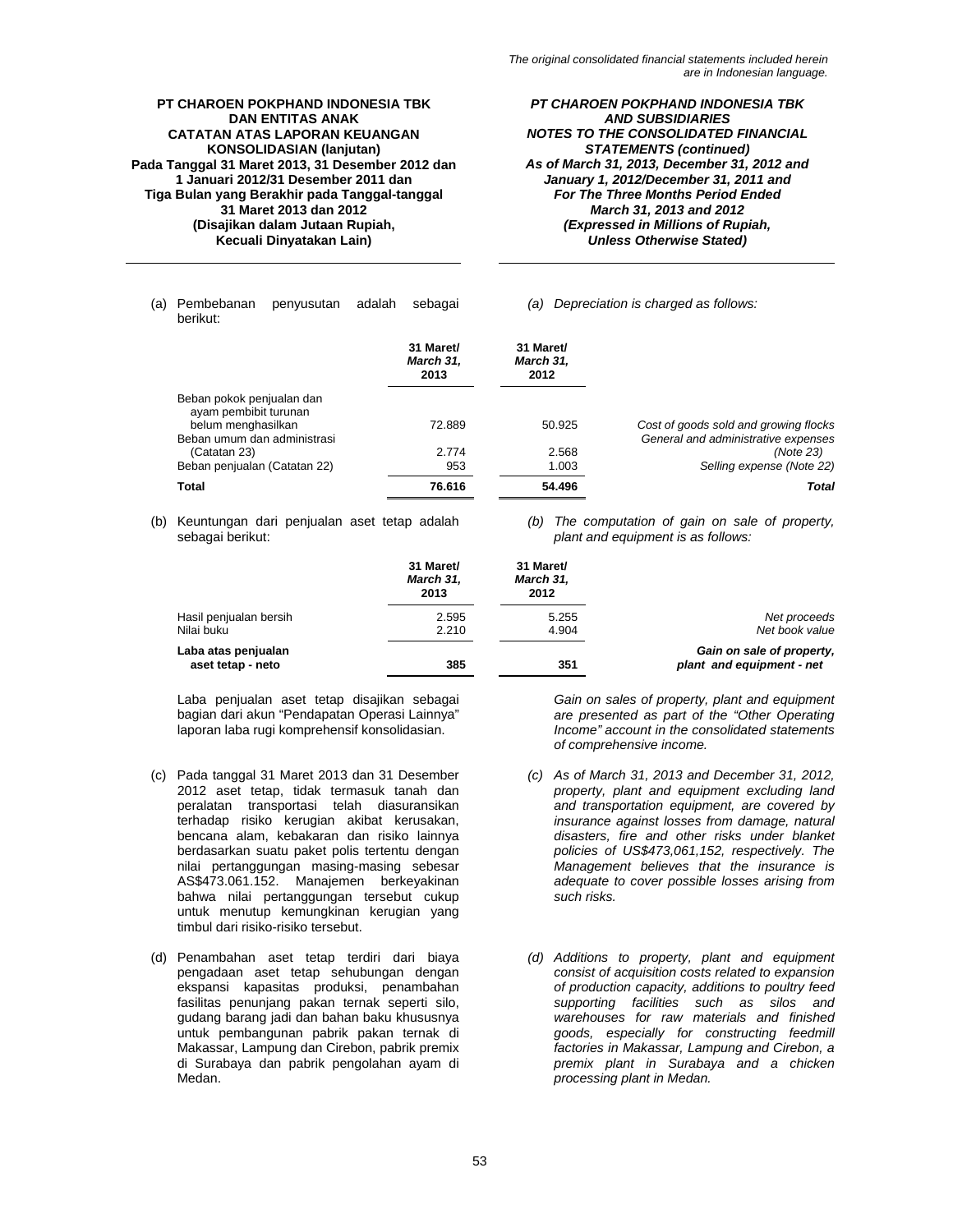*PT CHAROEN POKPHAND INDONESIA TBK AND SUBSIDIARIES NOTES TO THE CONSOLIDATED FINANCIAL STATEMENTS (continued) As of March 31, 2013, December 31, 2012 and January 1, 2012/December 31, 2011 and For The Three Months Period Ended March 31, 2013 and 2012 (Expressed in Millions of Rupiah, Unless Otherwise Stated)* 

(a) Pembebanan penyusutan adalah sebagai berikut:

### *(a) Depreciation is charged as follows:*

|                                                                          | 31 Maret/<br>March 31,<br>2013 | 31 Maret/<br>March 31,<br>2012 |                                       |
|--------------------------------------------------------------------------|--------------------------------|--------------------------------|---------------------------------------|
| Beban pokok penjualan dan<br>ayam pembibit turunan<br>belum menghasilkan | 72.889                         | 50.925                         | Cost of goods sold and growing flocks |
| Beban umum dan administrasi                                              |                                |                                | General and administrative expenses   |
| (Catatan 23)                                                             | 2.774                          | 2.568                          | (Note 23)                             |
| Beban penjualan (Catatan 22)                                             | 953                            | 1.003                          | Selling expense (Note 22)             |
| <b>Total</b>                                                             | 76.616                         | 54.496                         | <b>Total</b>                          |

(b) Keuntungan dari penjualan aset tetap adalah sebagai berikut:

*(b) The computation of gain on sale of property, plant and equipment is as follows:* 

|                                          | 31 Maret/<br>March 31,<br>2013 | 31 Maret/<br>March 31,<br>2012 |                                                        |
|------------------------------------------|--------------------------------|--------------------------------|--------------------------------------------------------|
| Hasil penjualan bersih<br>Nilai buku     | 2.595<br>2.210                 | 5.255<br>4.904                 | Net proceeds<br>Net book value                         |
| Laba atas penjualan<br>aset tetap - neto | 385                            | 351                            | Gain on sale of property,<br>plant and equipment - net |

Laba penjualan aset tetap disajikan sebagai bagian dari akun "Pendapatan Operasi Lainnya" laporan laba rugi komprehensif konsolidasian.

- (c) Pada tanggal 31 Maret 2013 dan 31 Desember 2012 aset tetap, tidak termasuk tanah dan peralatan transportasi telah diasuransikan terhadap risiko kerugian akibat kerusakan, bencana alam, kebakaran dan risiko lainnya berdasarkan suatu paket polis tertentu dengan nilai pertanggungan masing-masing sebesar AS\$473.061.152. Manajemen berkeyakinan bahwa nilai pertanggungan tersebut cukup untuk menutup kemungkinan kerugian yang timbul dari risiko-risiko tersebut.
- (d) Penambahan aset tetap terdiri dari biaya pengadaan aset tetap sehubungan dengan ekspansi kapasitas produksi, penambahan fasilitas penunjang pakan ternak seperti silo, gudang barang jadi dan bahan baku khususnya untuk pembangunan pabrik pakan ternak di Makassar, Lampung dan Cirebon, pabrik premix di Surabaya dan pabrik pengolahan ayam di Medan.

*Gain on sales of property, plant and equipment are presented as part of the "Other Operating Income" account in the consolidated statements of comprehensive income.* 

- *(c) As of March 31, 2013 and December 31, 2012, property, plant and equipment excluding land and transportation equipment, are covered by insurance against losses from damage, natural disasters, fire and other risks under blanket policies of US\$473,061,152, respectively. The Management believes that the insurance is adequate to cover possible losses arising from such risks.*
- *(d) Additions to property, plant and equipment consist of acquisition costs related to expansion of production capacity, additions to poultry feed supporting facilities such as silos and warehouses for raw materials and finished goods, especially for constructing feedmill factories in Makassar, Lampung and Cirebon, a premix plant in Surabaya and a chicken processing plant in Medan.*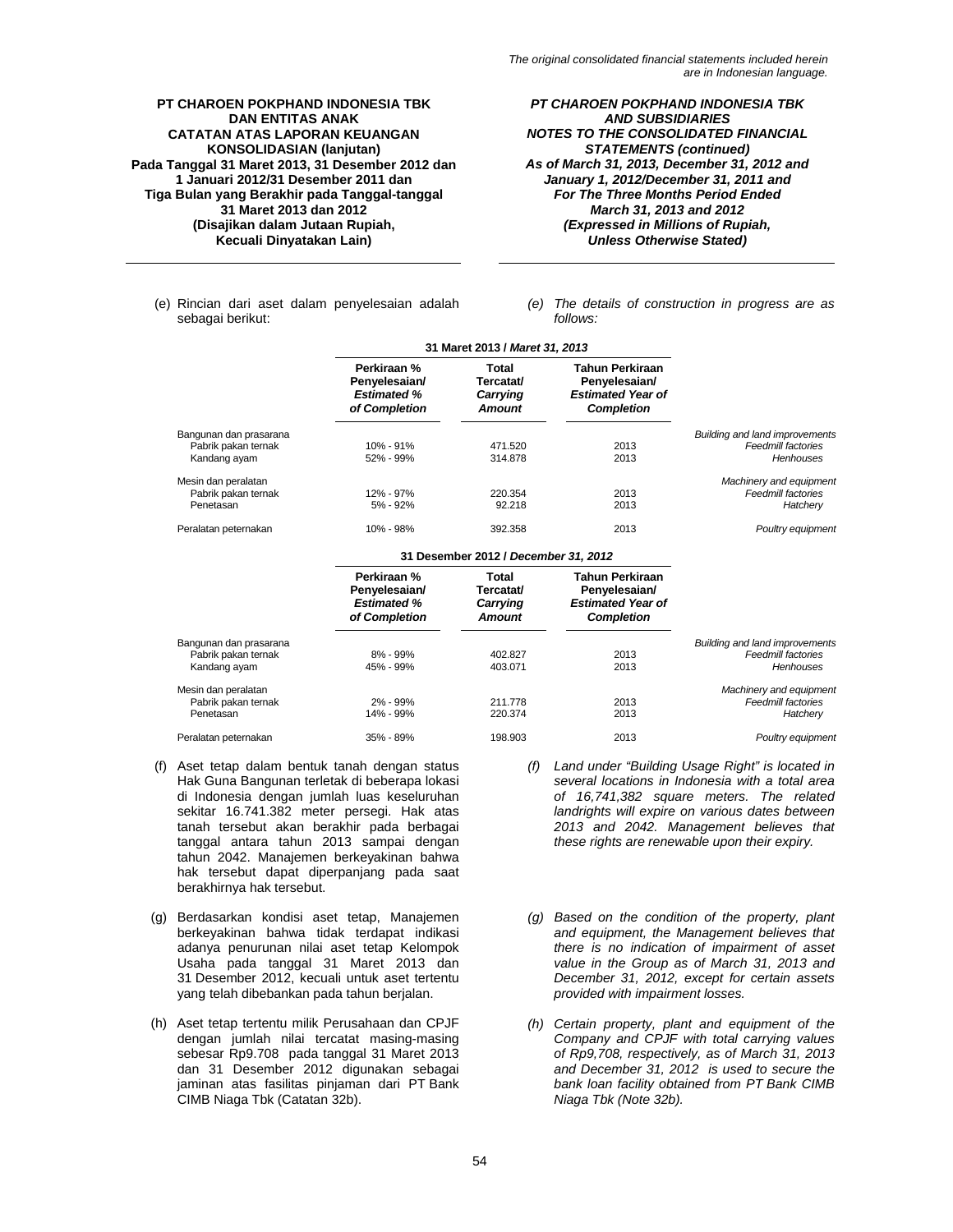*PT CHAROEN POKPHAND INDONESIA TBK AND SUBSIDIARIES NOTES TO THE CONSOLIDATED FINANCIAL STATEMENTS (continued) As of March 31, 2013, December 31, 2012 and January 1, 2012/December 31, 2011 and For The Three Months Period Ended March 31, 2013 and 2012 (Expressed in Millions of Rupiah, Unless Otherwise Stated)* 

- (e) Rincian dari aset dalam penyelesaian adalah sebagai berikut:
- *(e) The details of construction in progress are as follows:*

|                                                               | 31 Maret 2013 / Maret 31, 2013                                      |                                                 |                                                                                          |                                                                                 |
|---------------------------------------------------------------|---------------------------------------------------------------------|-------------------------------------------------|------------------------------------------------------------------------------------------|---------------------------------------------------------------------------------|
|                                                               | Perkiraan %<br>Penyelesaian/<br><b>Estimated %</b><br>of Completion | Total<br>Tercatat/<br>Carrying<br><b>Amount</b> | <b>Tahun Perkiraan</b><br>Penyelesaian/<br><b>Estimated Year of</b><br><b>Completion</b> |                                                                                 |
| Bangunan dan prasarana<br>Pabrik pakan ternak<br>Kandang ayam | $10\% - 91\%$<br>52% - 99%                                          | 471.520<br>314,878                              | 2013<br>2013                                                                             | <b>Building and land improvements</b><br>Feedmill factories<br><b>Henhouses</b> |
| Mesin dan peralatan<br>Pabrik pakan ternak<br>Penetasan       | 12% - 97%<br>5% - 92%                                               | 220.354<br>92.218                               | 2013<br>2013                                                                             | Machinery and equipment<br>Feedmill factories<br>Hatchery                       |
| Peralatan peternakan                                          | 10% - 98%                                                           | 392.358                                         | 2013                                                                                     | Poultry equipment                                                               |
|                                                               |                                                                     | 31 Desember 2012 / December 31, 2012            |                                                                                          |                                                                                 |

| Perkiraan %<br>Penyelesaian/<br><b>Estimated %</b><br>of Completion | Total<br>Tercatat/<br>Carrying<br><b>Amount</b> | Tahun Perkiraan<br>Penyelesaian/<br><b>Estimated Year of</b><br><b>Completion</b> |                                                                    |
|---------------------------------------------------------------------|-------------------------------------------------|-----------------------------------------------------------------------------------|--------------------------------------------------------------------|
|                                                                     |                                                 |                                                                                   | <b>Building and land improvements</b><br><b>Feedmill factories</b> |
| 45% - 99%                                                           | 403.071                                         | 2013                                                                              | <b>Henhouses</b>                                                   |
|                                                                     |                                                 |                                                                                   | Machinery and equipment                                            |
| 2% - 99%                                                            | 211.778                                         | 2013                                                                              | Feedmill factories                                                 |
| 14% - 99%                                                           | 220.374                                         | 2013                                                                              | Hatchery                                                           |
| 35% - 89%                                                           | 198.903                                         | 2013                                                                              | Poultry equipment                                                  |
|                                                                     | 8% - 99%                                        | 402.827                                                                           | 2013                                                               |

- (f) Aset tetap dalam bentuk tanah dengan status Hak Guna Bangunan terletak di beberapa lokasi di Indonesia dengan jumlah luas keseluruhan sekitar 16.741.382 meter persegi. Hak atas tanah tersebut akan berakhir pada berbagai tanggal antara tahun 2013 sampai dengan tahun 2042. Manajemen berkeyakinan bahwa hak tersebut dapat diperpanjang pada saat berakhirnya hak tersebut.
- (g) Berdasarkan kondisi aset tetap, Manajemen berkeyakinan bahwa tidak terdapat indikasi adanya penurunan nilai aset tetap Kelompok Usaha pada tanggal 31 Maret 2013 dan 31 Desember 2012, kecuali untuk aset tertentu yang telah dibebankan pada tahun berjalan.
- (h) Aset tetap tertentu milik Perusahaan dan CPJF dengan jumlah nilai tercatat masing-masing sebesar Rp9.708 pada tanggal 31 Maret 2013 dan 31 Desember 2012 digunakan sebagai jaminan atas fasilitas pinjaman dari PT Bank CIMB Niaga Tbk (Catatan 32b).
- *(f) Land under "Building Usage Right" is located in several locations in Indonesia with a total area of 16,741,382 square meters. The related landrights will expire on various dates between 2013 and 2042. Management believes that these rights are renewable upon their expiry.*
- *(g) Based on the condition of the property, plant and equipment, the Management believes that there is no indication of impairment of asset value in the Group as of March 31, 2013 and December 31, 2012, except for certain assets provided with impairment losses.*
- *(h) Certain property, plant and equipment of the Company and CPJF with total carrying values of Rp9,708, respectively, as of March 31, 2013 and December 31, 2012 is used to secure the bank loan facility obtained from PT Bank CIMB Niaga Tbk (Note 32b).*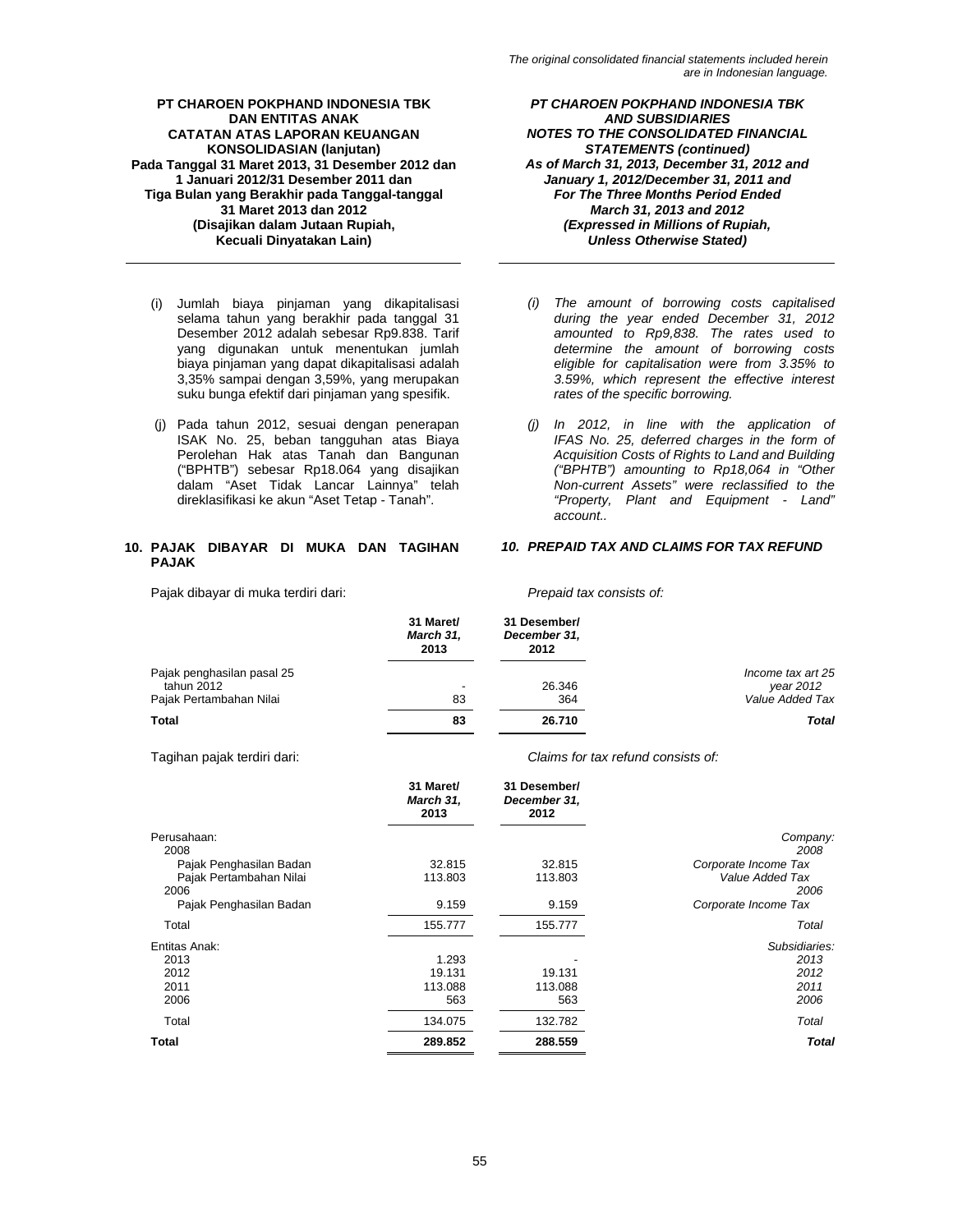- (i) Jumlah biaya pinjaman yang dikapitalisasi selama tahun yang berakhir pada tanggal 31 Desember 2012 adalah sebesar Rp9.838. Tarif yang digunakan untuk menentukan jumlah biaya pinjaman yang dapat dikapitalisasi adalah 3,35% sampai dengan 3,59%, yang merupakan suku bunga efektif dari pinjaman yang spesifik.
- (j) Pada tahun 2012, sesuai dengan penerapan ISAK No. 25, beban tangguhan atas Biaya Perolehan Hak atas Tanah dan Bangunan ("BPHTB") sebesar Rp18.064 yang disajikan dalam "Aset Tidak Lancar Lainnya" telah direklasifikasi ke akun "Aset Tetap - Tanah".

# **10. PAJAK DIBAYAR DI MUKA DAN TAGIHAN PAJAK**

Pajak dibayar di muka terdiri dari: *Prepaid tax consists of:* 

*PT CHAROEN POKPHAND INDONESIA TBK AND SUBSIDIARIES NOTES TO THE CONSOLIDATED FINANCIAL STATEMENTS (continued) As of March 31, 2013, December 31, 2012 and January 1, 2012/December 31, 2011 and For The Three Months Period Ended March 31, 2013 and 2012 (Expressed in Millions of Rupiah, Unless Otherwise Stated)* 

- *(i) The amount of borrowing costs capitalised during the year ended December 31, 2012 amounted to Rp9,838. The rates used to determine the amount of borrowing costs eligible for capitalisation were from 3.35% to 3.59%, which represent the effective interest rates of the specific borrowing.*
- *(j) In 2012, in line with the application of IFAS No. 25, deferred charges in the form of Acquisition Costs of Rights to Land and Building ("BPHTB") amounting to Rp18,064 in "Other Non-current Assets" were reclassified to the "Property, Plant and Equipment - Land" account..*

# *10. PREPAID TAX AND CLAIMS FOR TAX REFUND*

|                            | 31 Maret/<br>March 31,<br>2013 | 31 Desember/<br>December 31,<br>2012 |                   |
|----------------------------|--------------------------------|--------------------------------------|-------------------|
| Pajak penghasilan pasal 25 |                                |                                      | Income tax art 25 |
| tahun 2012                 | $\overline{\phantom{a}}$       | 26.346                               | year 2012         |
| Pajak Pertambahan Nilai    | 83                             | 364                                  | Value Added Tax   |
| Total                      | 83                             | 26.710                               | <b>Total</b>      |

Tagihan pajak terdiri dari: *Claims for tax refund consists of:* 

|                         | 31 Maret/<br>March 31,<br>2013 | 31 Desember/<br>December 31,<br>2012 |                      |
|-------------------------|--------------------------------|--------------------------------------|----------------------|
| Perusahaan:             |                                |                                      | Company:             |
| 2008                    |                                |                                      | 2008                 |
| Pajak Penghasilan Badan | 32.815                         | 32.815                               | Corporate Income Tax |
| Pajak Pertambahan Nilai | 113.803                        | 113.803                              | Value Added Tax      |
| 2006                    |                                |                                      | 2006                 |
| Pajak Penghasilan Badan | 9.159                          | 9.159                                | Corporate Income Tax |
| Total                   | 155.777                        | 155.777                              | Total                |
| Entitas Anak:           |                                |                                      | Subsidiaries:        |
| 2013                    | 1.293                          |                                      | 2013                 |
| 2012                    | 19.131                         | 19.131                               | 2012                 |
| 2011                    | 113.088                        | 113.088                              | 2011                 |
| 2006                    | 563                            | 563                                  | 2006                 |
| Total                   | 134.075                        | 132.782                              | Total                |
| <b>Total</b>            | 289.852                        | 288.559                              | <b>Total</b>         |
|                         |                                |                                      |                      |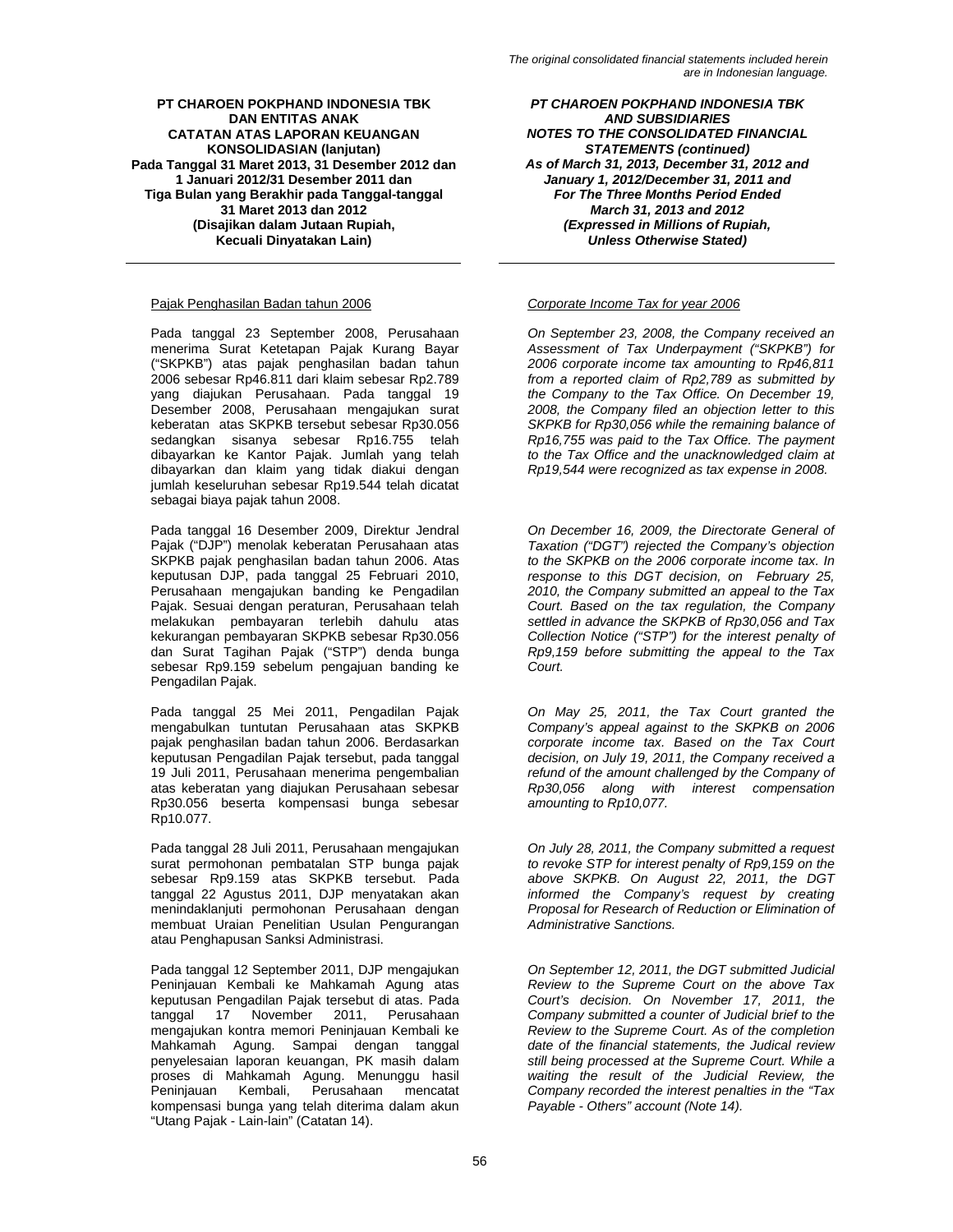# Pajak Penghasilan Badan tahun 2006 *Corporate Income Tax for year 2006*

Pada tanggal 23 September 2008, Perusahaan menerima Surat Ketetapan Pajak Kurang Bayar ("SKPKB") atas pajak penghasilan badan tahun 2006 sebesar Rp46.811 dari klaim sebesar Rp2.789 yang diajukan Perusahaan. Pada tanggal 19 Desember 2008, Perusahaan mengajukan surat keberatan atas SKPKB tersebut sebesar Rp30.056 sedangkan sisanya sebesar Rp16.755 telah dibayarkan ke Kantor Pajak. Jumlah yang telah dibayarkan dan klaim yang tidak diakui dengan jumlah keseluruhan sebesar Rp19.544 telah dicatat sebagai biaya pajak tahun 2008.

Pada tanggal 16 Desember 2009, Direktur Jendral Pajak ("DJP") menolak keberatan Perusahaan atas SKPKB pajak penghasilan badan tahun 2006. Atas keputusan DJP, pada tanggal 25 Februari 2010, Perusahaan mengajukan banding ke Pengadilan Pajak. Sesuai dengan peraturan, Perusahaan telah melakukan pembayaran terlebih dahulu atas kekurangan pembayaran SKPKB sebesar Rp30.056 dan Surat Tagihan Pajak ("STP") denda bunga sebesar Rp9.159 sebelum pengajuan banding ke Pengadilan Pajak.

Pada tanggal 25 Mei 2011, Pengadilan Pajak mengabulkan tuntutan Perusahaan atas SKPKB pajak penghasilan badan tahun 2006. Berdasarkan keputusan Pengadilan Pajak tersebut, pada tanggal 19 Juli 2011, Perusahaan menerima pengembalian atas keberatan yang diajukan Perusahaan sebesar Rp30.056 beserta kompensasi bunga sebesar Rp10.077.

Pada tanggal 28 Juli 2011, Perusahaan mengajukan surat permohonan pembatalan STP bunga pajak sebesar Rp9.159 atas SKPKB tersebut. Pada tanggal 22 Agustus 2011, DJP menyatakan akan menindaklanjuti permohonan Perusahaan dengan membuat Uraian Penelitian Usulan Pengurangan atau Penghapusan Sanksi Administrasi.

Pada tanggal 12 September 2011, DJP mengajukan Peninjauan Kembali ke Mahkamah Agung atas keputusan Pengadilan Pajak tersebut di atas. Pada tanggal 17 November 2011, Perusahaan mengajukan kontra memori Peninjauan Kembali ke Mahkamah Agung. Sampai dengan tanggal penyelesaian laporan keuangan, PK masih dalam proses di Mahkamah Agung. Menunggu hasil Peninjauan Kembali, Perusahaan kompensasi bunga yang telah diterima dalam akun "Utang Pajak - Lain-lain" (Catatan 14).

*PT CHAROEN POKPHAND INDONESIA TBK AND SUBSIDIARIES NOTES TO THE CONSOLIDATED FINANCIAL STATEMENTS (continued) As of March 31, 2013, December 31, 2012 and January 1, 2012/December 31, 2011 and For The Three Months Period Ended March 31, 2013 and 2012 (Expressed in Millions of Rupiah, Unless Otherwise Stated)* 

*On September 23, 2008, the Company received an Assessment of Tax Underpayment ("SKPKB") for 2006 corporate income tax amounting to Rp46,811 from a reported claim of Rp2,789 as submitted by the Company to the Tax Office. On December 19, 2008, the Company filed an objection letter to this SKPKB for Rp30,056 while the remaining balance of Rp16,755 was paid to the Tax Office. The payment to the Tax Office and the unacknowledged claim at Rp19,544 were recognized as tax expense in 2008.* 

*On December 16, 2009, the Directorate General of Taxation ("DGT") rejected the Company's objection to the SKPKB on the 2006 corporate income tax. In response to this DGT decision, on February 25, 2010, the Company submitted an appeal to the Tax Court. Based on the tax regulation, the Company settled in advance the SKPKB of Rp30,056 and Tax Collection Notice ("STP") for the interest penalty of Rp9,159 before submitting the appeal to the Tax Court.* 

*On May 25, 2011, the Tax Court granted the Company's appeal against to the SKPKB on 2006 corporate income tax. Based on the Tax Court decision, on July 19, 2011, the Company received a refund of the amount challenged by the Company of Rp30,056 along with interest compensation amounting to Rp10,077.* 

*On July 28, 2011, the Company submitted a request to revoke STP for interest penalty of Rp9,159 on the above SKPKB. On August 22, 2011, the DGT informed the Company's request by creating Proposal for Research of Reduction or Elimination of Administrative Sanctions.* 

*On September 12, 2011, the DGT submitted Judicial Review to the Supreme Court on the above Tax Court's decision. On November 17, 2011, the Company submitted a counter of Judicial brief to the Review to the Supreme Court. As of the completion date of the financial statements, the Judical review still being processed at the Supreme Court. While a waiting the result of the Judicial Review, the Company recorded the interest penalties in the "Tax Payable - Others" account (Note 14).*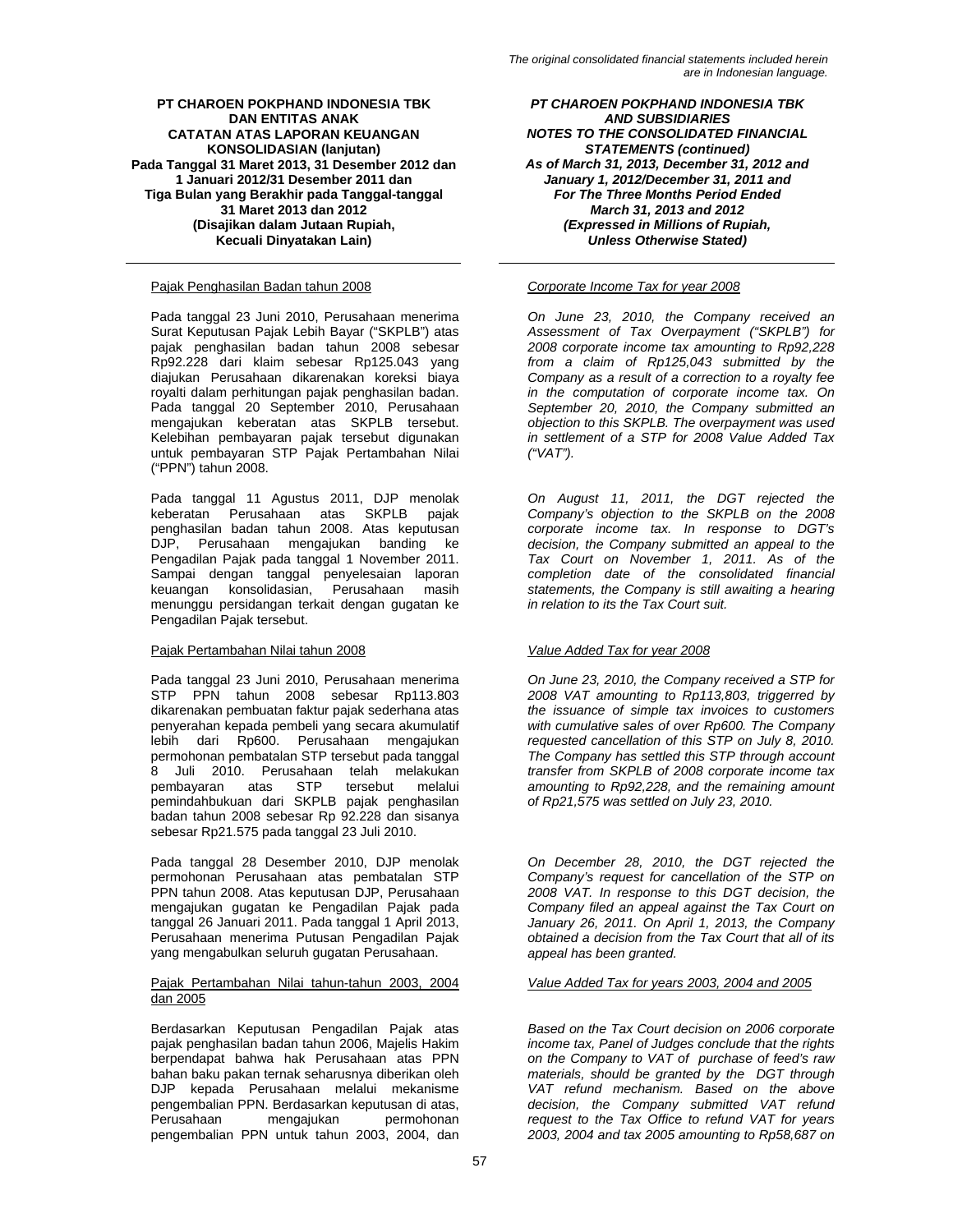# Pajak Penghasilan Badan tahun 2008 *Corporate Income Tax for year 2008*

Pada tanggal 23 Juni 2010, Perusahaan menerima Surat Keputusan Pajak Lebih Bayar ("SKPLB") atas pajak penghasilan badan tahun 2008 sebesar Rp92.228 dari klaim sebesar Rp125.043 yang diajukan Perusahaan dikarenakan koreksi biaya royalti dalam perhitungan pajak penghasilan badan. Pada tanggal 20 September 2010, Perusahaan mengajukan keberatan atas SKPLB tersebut. Kelebihan pembayaran pajak tersebut digunakan untuk pembayaran STP Pajak Pertambahan Nilai ("PPN") tahun 2008.

Pada tanggal 11 Agustus 2011, DJP menolak keberatan Perusahaan atas SKPLB pajak penghasilan badan tahun 2008. Atas keputusan DJP, Perusahaan mengajukan banding ke Pengadilan Pajak pada tanggal 1 November 2011. Sampai dengan tanggal penyelesaian laporan keuangan konsolidasian, Perusahaan masih menunggu persidangan terkait dengan gugatan ke Pengadilan Pajak tersebut.

# Pajak Pertambahan Nilai tahun 2008 *Value Added Tax for year 2008*

Pada tanggal 23 Juni 2010, Perusahaan menerima STP PPN tahun 2008 sebesar Rp113.803 dikarenakan pembuatan faktur pajak sederhana atas penyerahan kepada pembeli yang secara akumulatif lebih dari Rp600. Perusahaan mengajukan permohonan pembatalan STP tersebut pada tanggal 8 Juli 2010. Perusahaan telah melakukan pembayaran atas STP tersebut melalui pemindahbukuan dari SKPLB pajak penghasilan badan tahun 2008 sebesar Rp 92.228 dan sisanya sebesar Rp21.575 pada tanggal 23 Juli 2010.

Pada tanggal 28 Desember 2010, DJP menolak permohonan Perusahaan atas pembatalan STP PPN tahun 2008. Atas keputusan DJP, Perusahaan mengajukan gugatan ke Pengadilan Pajak pada tanggal 26 Januari 2011. Pada tanggal 1 April 2013, Perusahaan menerima Putusan Pengadilan Pajak yang mengabulkan seluruh gugatan Perusahaan.

### Pajak Pertambahan Nilai tahun-tahun 2003, 2004 dan 2005

Berdasarkan Keputusan Pengadilan Pajak atas pajak penghasilan badan tahun 2006, Majelis Hakim berpendapat bahwa hak Perusahaan atas PPN bahan baku pakan ternak seharusnya diberikan oleh DJP kepada Perusahaan melalui mekanisme pengembalian PPN. Berdasarkan keputusan di atas, Perusahaan mengajukan permohonan pengembalian PPN untuk tahun 2003, 2004, dan

*PT CHAROEN POKPHAND INDONESIA TBK AND SUBSIDIARIES NOTES TO THE CONSOLIDATED FINANCIAL STATEMENTS (continued) As of March 31, 2013, December 31, 2012 and January 1, 2012/December 31, 2011 and For The Three Months Period Ended March 31, 2013 and 2012 (Expressed in Millions of Rupiah, Unless Otherwise Stated)* 

*On June 23, 2010, the Company received an Assessment of Tax Overpayment ("SKPLB") for 2008 corporate income tax amounting to Rp92,228 from a claim of Rp125,043 submitted by the Company as a result of a correction to a royalty fee in the computation of corporate income tax. On September 20, 2010, the Company submitted an objection to this SKPLB. The overpayment was used in settlement of a STP for 2008 Value Added Tax ("VAT").* 

*On August 11, 2011, the DGT rejected the Company's objection to the SKPLB on the 2008 corporate income tax. In response to DGT's decision, the Company submitted an appeal to the Tax Court on November 1, 2011. As of the completion date of the consolidated financial statements, the Company is still awaiting a hearing in relation to its the Tax Court suit.* 

*On June 23, 2010, the Company received a STP for 2008 VAT amounting to Rp113,803, triggerred by the issuance of simple tax invoices to customers with cumulative sales of over Rp600. The Company requested cancellation of this STP on July 8, 2010. The Company has settled this STP through account transfer from SKPLB of 2008 corporate income tax amounting to Rp92,228, and the remaining amount of Rp21,575 was settled on July 23, 2010.* 

*On December 28, 2010, the DGT rejected the Company's request for cancellation of the STP on 2008 VAT. In response to this DGT decision, the Company filed an appeal against the Tax Court on January 26, 2011. On April 1, 2013, the Company obtained a decision from the Tax Court that all of its appeal has been granted.* 

# *Value Added Tax for years 2003, 2004 and 2005*

*Based on the Tax Court decision on 2006 corporate income tax, Panel of Judges conclude that the rights on the Company to VAT of purchase of feed's raw materials, should be granted by the DGT through VAT refund mechanism. Based on the above decision, the Company submitted VAT refund request to the Tax Office to refund VAT for years 2003, 2004 and tax 2005 amounting to Rp58,687 on*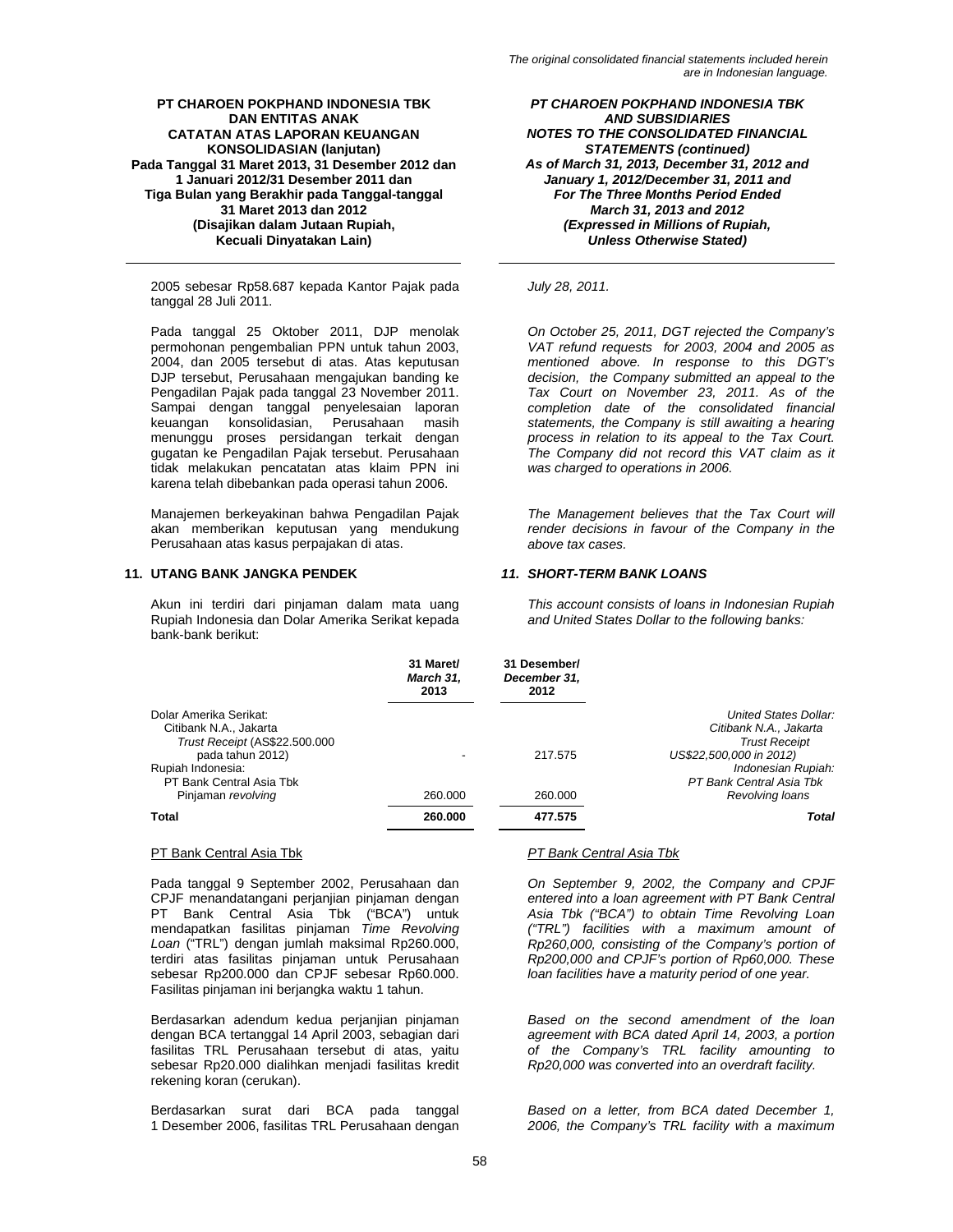2005 sebesar Rp58.687 kepada Kantor Pajak pada tanggal 28 Juli 2011.

Pada tanggal 25 Oktober 2011, DJP menolak permohonan pengembalian PPN untuk tahun 2003, 2004, dan 2005 tersebut di atas. Atas keputusan DJP tersebut, Perusahaan mengajukan banding ke Pengadilan Pajak pada tanggal 23 November 2011. Sampai dengan tanggal penyelesaian laporan keuangan konsolidasian, Perusahaan masih menunggu proses persidangan terkait dengan gugatan ke Pengadilan Pajak tersebut. Perusahaan tidak melakukan pencatatan atas klaim PPN ini karena telah dibebankan pada operasi tahun 2006.

Manajemen berkeyakinan bahwa Pengadilan Pajak akan memberikan keputusan yang mendukung Perusahaan atas kasus perpajakan di atas.

# **11. UTANG BANK JANGKA PENDEK** *11. SHORT-TERM BANK LOANS*

Akun ini terdiri dari pinjaman dalam mata uang Rupiah Indonesia dan Dolar Amerika Serikat kepada bank-bank berikut:

*PT CHAROEN POKPHAND INDONESIA TBK AND SUBSIDIARIES NOTES TO THE CONSOLIDATED FINANCIAL STATEMENTS (continued) As of March 31, 2013, December 31, 2012 and January 1, 2012/December 31, 2011 and For The Three Months Period Ended March 31, 2013 and 2012 (Expressed in Millions of Rupiah, Unless Otherwise Stated)* 

*July 28, 2011.* 

*On October 25, 2011, DGT rejected the Company's VAT refund requests for 2003, 2004 and 2005 as mentioned above. In response to this DGT's decision, the Company submitted an appeal to the Tax Court on November 23, 2011. As of the completion date of the consolidated financial statements, the Company is still awaiting a hearing process in relation to its appeal to the Tax Court. The Company did not record this VAT claim as it was charged to operations in 2006.* 

*The Management believes that the Tax Court will render decisions in favour of the Company in the above tax cases.* 

*This account consists of loans in Indonesian Rupiah and United States Dollar to the following banks:* 

|                                                                                                       | 31 Maret/<br>March 31,<br>2013 | 31 Desember/<br>December 31,<br>2012 |                                                                                                    |
|-------------------------------------------------------------------------------------------------------|--------------------------------|--------------------------------------|----------------------------------------------------------------------------------------------------|
| Dolar Amerika Serikat:<br>Citibank N.A., Jakarta<br>Trust Receipt (AS\$22.500.000<br>pada tahun 2012) |                                | 217.575                              | United States Dollar:<br>Citibank N.A., Jakarta<br><b>Trust Receipt</b><br>US\$22,500,000 in 2012) |
| Rupiah Indonesia:<br>PT Bank Central Asia Tbk<br>Pinjaman revolving                                   | 260,000                        | 260,000                              | Indonesian Rupiah:<br>PT Bank Central Asia Tbk<br>Revolving loans                                  |
| Total                                                                                                 | 260.000                        | 477.575                              | Total                                                                                              |

Pada tanggal 9 September 2002, Perusahaan dan CPJF menandatangani perjanjian pinjaman dengan PT Bank Central Asia Tbk ("BCA") untuk mendapatkan fasilitas pinjaman *Time Revolving Loan* ("TRL") dengan jumlah maksimal Rp260.000, terdiri atas fasilitas pinjaman untuk Perusahaan sebesar Rp200.000 dan CPJF sebesar Rp60.000. Fasilitas pinjaman ini berjangka waktu 1 tahun.

Berdasarkan adendum kedua perjanjian pinjaman dengan BCA tertanggal 14 April 2003, sebagian dari fasilitas TRL Perusahaan tersebut di atas, yaitu sebesar Rp20.000 dialihkan menjadi fasilitas kredit rekening koran (cerukan).

Berdasarkan surat dari BCA pada tanggal 1 Desember 2006, fasilitas TRL Perusahaan dengan

# PT Bank Central Asia Tbk *PT Bank Central Asia Tbk*

*On September 9, 2002, the Company and CPJF entered into a loan agreement with PT Bank Central Asia Tbk ("BCA") to obtain Time Revolving Loan ("TRL") facilities with a maximum amount of Rp260,000, consisting of the Company's portion of Rp200,000 and CPJF's portion of Rp60,000. These loan facilities have a maturity period of one year.* 

*Based on the second amendment of the loan agreement with BCA dated April 14, 2003, a portion of the Company's TRL facility amounting to Rp20,000 was converted into an overdraft facility.*

*Based on a letter, from BCA dated December 1, 2006, the Company's TRL facility with a maximum*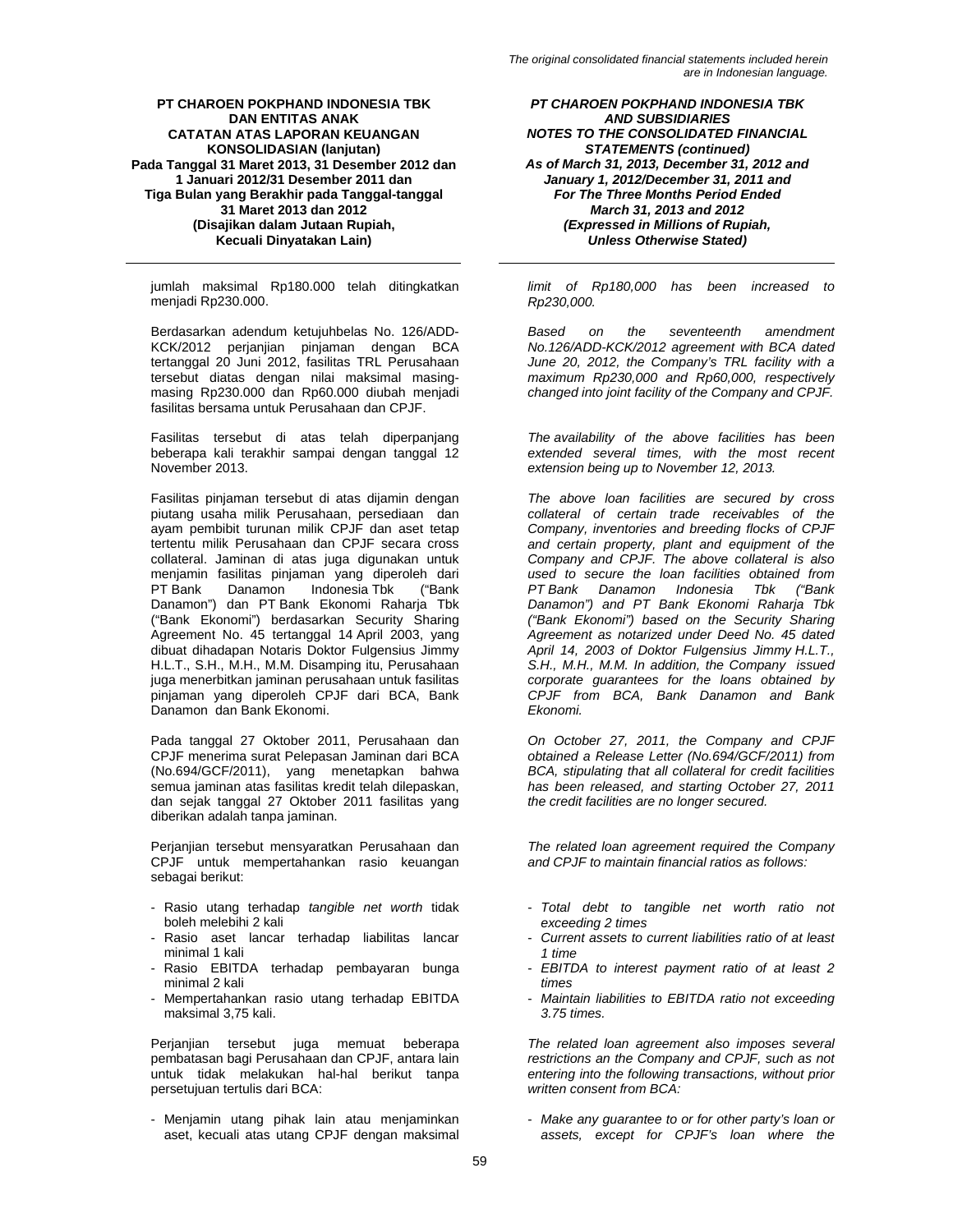jumlah maksimal Rp180.000 telah ditingkatkan menjadi Rp230.000.

Berdasarkan adendum ketujuhbelas No. 126/ADD-KCK/2012 perjanjian pinjaman dengan BCA tertanggal 20 Juni 2012, fasilitas TRL Perusahaan tersebut diatas dengan nilai maksimal masingmasing Rp230.000 dan Rp60.000 diubah menjadi fasilitas bersama untuk Perusahaan dan CPJF.

Fasilitas tersebut di atas telah diperpanjang beberapa kali terakhir sampai dengan tanggal 12 November 2013.

Fasilitas pinjaman tersebut di atas dijamin dengan piutang usaha milik Perusahaan, persediaan dan ayam pembibit turunan milik CPJF dan aset tetap tertentu milik Perusahaan dan CPJF secara cross collateral. Jaminan di atas juga digunakan untuk menjamin fasilitas pinjaman yang diperoleh dari<br>PT Bank Danamon Indonesia Tbk ("Bank PT Bank Danamon Indonesia Tbk Danamon") dan PT Bank Ekonomi Raharja Tbk ("Bank Ekonomi") berdasarkan Security Sharing Agreement No. 45 tertanggal 14 April 2003, yang dibuat dihadapan Notaris Doktor Fulgensius Jimmy H.L.T., S.H., M.H., M.M. Disamping itu, Perusahaan juga menerbitkan jaminan perusahaan untuk fasilitas pinjaman yang diperoleh CPJF dari BCA, Bank Danamon dan Bank Ekonomi.

Pada tanggal 27 Oktober 2011, Perusahaan dan CPJF menerima surat Pelepasan Jaminan dari BCA (No.694/GCF/2011), yang menetapkan bahwa semua jaminan atas fasilitas kredit telah dilepaskan, dan sejak tanggal 27 Oktober 2011 fasilitas yang diberikan adalah tanpa jaminan.

Perjanjian tersebut mensyaratkan Perusahaan dan CPJF untuk mempertahankan rasio keuangan sebagai berikut:

- Rasio utang terhadap *tangible net worth* tidak boleh melebihi 2 kali
- Rasio aset lancar terhadap liabilitas lancar minimal 1 kali
- Rasio EBITDA terhadap pembayaran bunga minimal 2 kali
- Mempertahankan rasio utang terhadap EBITDA maksimal 3,75 kali.

Perjanjian tersebut juga memuat beberapa pembatasan bagi Perusahaan dan CPJF, antara lain untuk tidak melakukan hal-hal berikut tanpa persetujuan tertulis dari BCA:

- Menjamin utang pihak lain atau menjaminkan aset, kecuali atas utang CPJF dengan maksimal

*PT CHAROEN POKPHAND INDONESIA TBK AND SUBSIDIARIES NOTES TO THE CONSOLIDATED FINANCIAL STATEMENTS (continued) As of March 31, 2013, December 31, 2012 and January 1, 2012/December 31, 2011 and For The Three Months Period Ended March 31, 2013 and 2012 (Expressed in Millions of Rupiah, Unless Otherwise Stated)* 

*limit of Rp180,000 has been increased to Rp230,000.*

*Based on the seventeenth amendment No.126/ADD-KCK/2012 agreement with BCA dated June 20, 2012, the Company's TRL facility with a maximum Rp230,000 and Rp60,000, respectively changed into joint facility of the Company and CPJF.*

*The availability of the above facilities has been extended several times, with the most recent extension being up to November 12, 2013.*

*The above loan facilities are secured by cross collateral of certain trade receivables of the Company, inventories and breeding flocks of CPJF and certain property, plant and equipment of the Company and CPJF. The above collateral is also used to secure the loan facilities obtained from PT Bank Danamon Indonesia Tbk Danamon") and PT Bank Ekonomi Raharja Tbk ("Bank Ekonomi") based on the Security Sharing Agreement as notarized under Deed No. 45 dated April 14, 2003 of Doktor Fulgensius Jimmy H.L.T., S.H., M.H., M.M. In addition, the Company issued corporate guarantees for the loans obtained by CPJF from BCA, Bank Danamon and Bank Ekonomi.* 

*On October 27, 2011, the Company and CPJF obtained a Release Letter (No.694/GCF/2011) from BCA, stipulating that all collateral for credit facilities has been released, and starting October 27, 2011 the credit facilities are no longer secured.* 

*The related loan agreement required the Company and CPJF to maintain financial ratios as follows:* 

- *Total debt to tangible net worth ratio not exceeding 2 times*
- *Current assets to current liabilities ratio of at least 1 time*
- *EBITDA to interest payment ratio of at least 2 times*
- *Maintain liabilities to EBITDA ratio not exceeding 3.75 times.*

*The related loan agreement also imposes several restrictions an the Company and CPJF, such as not entering into the following transactions, without prior written consent from BCA:* 

- *Make any guarantee to or for other party's loan or assets, except for CPJF's loan where the*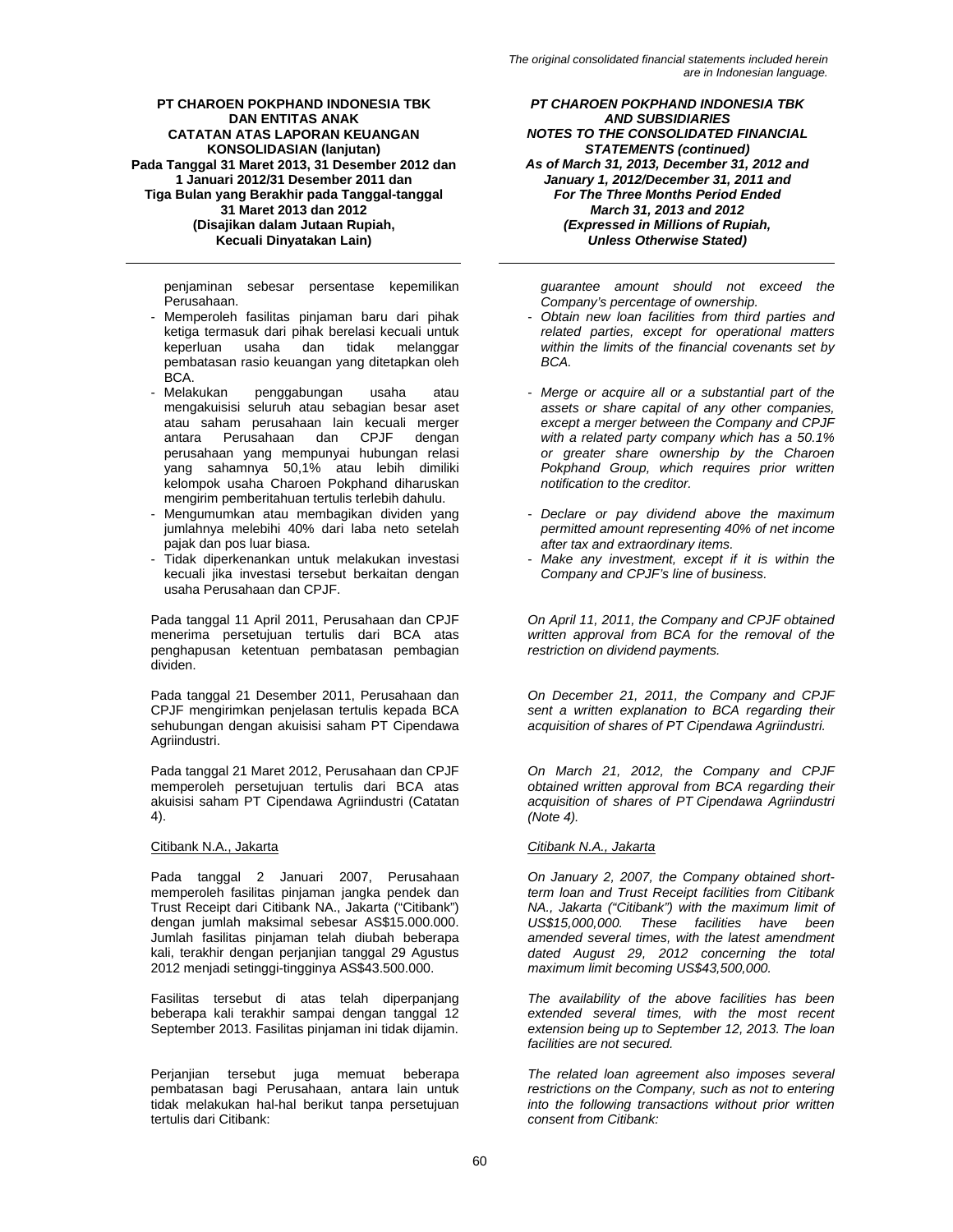penjaminan sebesar persentase kepemilikan Perusahaan.

- Memperoleh fasilitas pinjaman baru dari pihak ketiga termasuk dari pihak berelasi kecuali untuk keperluan usaha dan tidak melanggar pembatasan rasio keuangan yang ditetapkan oleh
- BCA.<br>Melakukan penggabungan usaha atau mengakuisisi seluruh atau sebagian besar aset atau saham perusahaan lain kecuali merger<br>antara Perusahaan dan CPJF dengan antara Perusahaan dan CPJF dengan perusahaan yang mempunyai hubungan relasi yang sahamnya 50,1% atau lebih dimiliki kelompok usaha Charoen Pokphand diharuskan mengirim pemberitahuan tertulis terlebih dahulu.
- Mengumumkan atau membagikan dividen yang jumlahnya melebihi 40% dari laba neto setelah pajak dan pos luar biasa.
- Tidak diperkenankan untuk melakukan investasi kecuali jika investasi tersebut berkaitan dengan usaha Perusahaan dan CPJF.

Pada tanggal 11 April 2011, Perusahaan dan CPJF menerima persetujuan tertulis dari BCA atas penghapusan ketentuan pembatasan pembagian dividen.

Pada tanggal 21 Desember 2011, Perusahaan dan CPJF mengirimkan penjelasan tertulis kepada BCA sehubungan dengan akuisisi saham PT Cipendawa Agriindustri.

Pada tanggal 21 Maret 2012, Perusahaan dan CPJF memperoleh persetujuan tertulis dari BCA atas akuisisi saham PT Cipendawa Agriindustri (Catatan 4).

Pada tanggal 2 Januari 2007, Perusahaan memperoleh fasilitas pinjaman jangka pendek dan Trust Receipt dari Citibank NA., Jakarta ("Citibank") dengan jumlah maksimal sebesar AS\$15.000.000. Jumlah fasilitas pinjaman telah diubah beberapa kali, terakhir dengan perjanjian tanggal 29 Agustus 2012 menjadi setinggi-tingginya AS\$43.500.000.

Fasilitas tersebut di atas telah diperpanjang beberapa kali terakhir sampai dengan tanggal 12 September 2013. Fasilitas pinjaman ini tidak dijamin.

Perjanjian tersebut juga memuat beberapa pembatasan bagi Perusahaan, antara lain untuk tidak melakukan hal-hal berikut tanpa persetujuan tertulis dari Citibank:

*PT CHAROEN POKPHAND INDONESIA TBK AND SUBSIDIARIES NOTES TO THE CONSOLIDATED FINANCIAL STATEMENTS (continued) As of March 31, 2013, December 31, 2012 and January 1, 2012/December 31, 2011 and For The Three Months Period Ended March 31, 2013 and 2012 (Expressed in Millions of Rupiah, Unless Otherwise Stated)* 

*guarantee amount should not exceed the Company's percentage of ownership.* 

- *Obtain new loan facilities from third parties and related parties, except for operational matters within the limits of the financial covenants set by BCA.*
- *Merge or acquire all or a substantial part of the assets or share capital of any other companies, except a merger between the Company and CPJF with a related party company which has a 50.1% or greater share ownership by the Charoen Pokphand Group, which requires prior written notification to the creditor.*
- *Declare or pay dividend above the maximum permitted amount representing 40% of net income after tax and extraordinary items.*
- *Make any investment, except if it is within the Company and CPJF's line of business.*

*On April 11, 2011, the Company and CPJF obtained written approval from BCA for the removal of the restriction on dividend payments.* 

*On December 21, 2011, the Company and CPJF sent a written explanation to BCA regarding their acquisition of shares of PT Cipendawa Agriindustri.* 

*On March 21, 2012, the Company and CPJF obtained written approval from BCA regarding their acquisition of shares of PT Cipendawa Agriindustri (Note 4).* 

# Citibank N.A., Jakarta *Citibank N.A., Jakarta*

*On January 2, 2007, the Company obtained shortterm loan and Trust Receipt facilities from Citibank NA., Jakarta ("Citibank") with the maximum limit of US\$15,000,000. These facilities have been amended several times, with the latest amendment dated August 29, 2012 concerning the total maximum limit becoming US\$43,500,000.* 

*The availability of the above facilities has been extended several times, with the most recent extension being up to September 12, 2013. The loan facilities are not secured.* 

*The related loan agreement also imposes several restrictions on the Company, such as not to entering into the following transactions without prior written consent from Citibank:*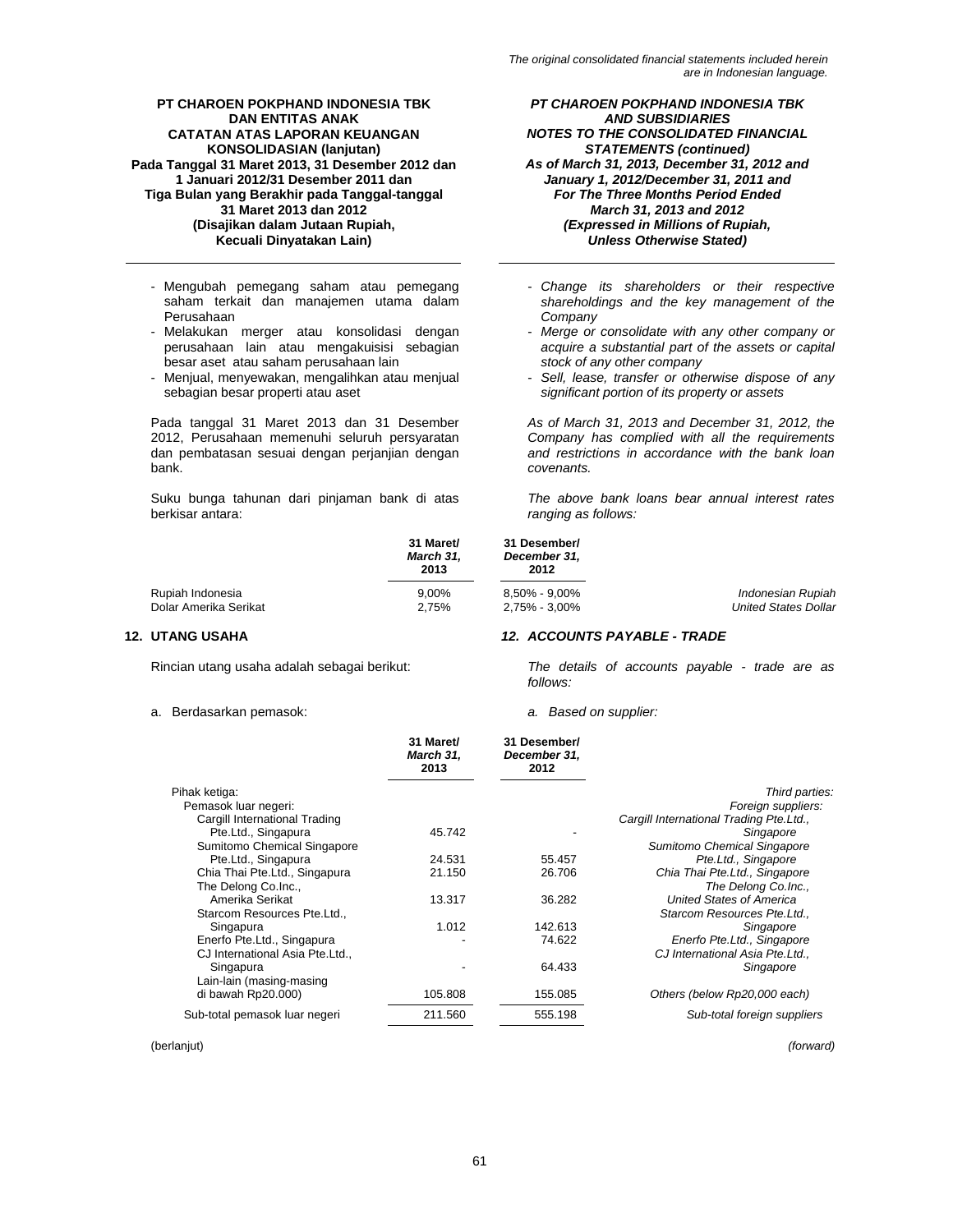- Mengubah pemegang saham atau pemegang saham terkait dan manajemen utama dalam Perusahaan
- Melakukan merger atau konsolidasi dengan perusahaan lain atau mengakuisisi sebagian besar aset atau saham perusahaan lain
- Menjual, menyewakan, mengalihkan atau menjual sebagian besar properti atau aset

Pada tanggal 31 Maret 2013 dan 31 Desember 2012, Perusahaan memenuhi seluruh persyaratan dan pembatasan sesuai dengan perjanjian dengan bank.

Suku bunga tahunan dari pinjaman bank di atas berkisar antara:

*PT CHAROEN POKPHAND INDONESIA TBK AND SUBSIDIARIES NOTES TO THE CONSOLIDATED FINANCIAL STATEMENTS (continued) As of March 31, 2013, December 31, 2012 and January 1, 2012/December 31, 2011 and For The Three Months Period Ended March 31, 2013 and 2012 (Expressed in Millions of Rupiah, Unless Otherwise Stated)* 

- *Change its shareholders or their respective shareholdings and the key management of the Company*
- *Merge or consolidate with any other company or acquire a substantial part of the assets or capital stock of any other company*
- *Sell, lease, transfer or otherwise dispose of any significant portion of its property or assets*

*As of March 31, 2013 and December 31, 2012, the Company has complied with all the requirements and restrictions in accordance with the bank loan covenants.* 

*The above bank loans bear annual interest rates ranging as follows:* 

|                       | 31 Maret/<br><b>March 31.</b><br>2013 | 31 Desember/<br>December 31.<br>2012 |                             |
|-----------------------|---------------------------------------|--------------------------------------|-----------------------------|
| Rupiah Indonesia      | $9.00\%$                              | $8.50\%$ - $9.00\%$                  | Indonesian Rupiah           |
| Dolar Amerika Serikat | 2.75%                                 | 2,75% - 3,00%                        | <b>United States Dollar</b> |

## a. Berdasarkan pemasok: *a. Based on supplier:*

# **12. UTANG USAHA** *12. ACCOUNTS PAYABLE - TRADE*

Rincian utang usaha adalah sebagai berikut: *The details of accounts payable - trade are as follows:* 

|                                 | 31 Maret/<br>March 31,<br>2013 | 31 Desember/<br>December 31,<br>2012 |                                         |
|---------------------------------|--------------------------------|--------------------------------------|-----------------------------------------|
| Pihak ketiga:                   |                                |                                      | Third parties:                          |
| Pemasok luar negeri:            |                                |                                      | Foreign suppliers:                      |
| Cargill International Trading   |                                |                                      | Cargill International Trading Pte.Ltd., |
| Pte.Ltd., Singapura             | 45.742                         |                                      | Singapore                               |
| Sumitomo Chemical Singapore     |                                |                                      | Sumitomo Chemical Singapore             |
| Pte.Ltd., Singapura             | 24.531                         | 55.457                               | Pte.Ltd., Singapore                     |
| Chia Thai Pte.Ltd., Singapura   | 21.150                         | 26.706                               | Chia Thai Pte.Ltd., Singapore           |
| The Delong Co.Inc.,             |                                |                                      | The Delong Co.Inc.,                     |
| Amerika Serikat                 | 13.317                         | 36.282                               | <b>United States of America</b>         |
| Starcom Resources Pte.Ltd.,     |                                |                                      | Starcom Resources Pte.Ltd.,             |
| Singapura                       | 1.012                          | 142.613                              | Singapore                               |
| Enerfo Pte.Ltd., Singapura      |                                | 74.622                               | Enerfo Pte.Ltd., Singapore              |
| CJ International Asia Pte.Ltd., |                                |                                      | CJ International Asia Pte.Ltd           |
| Singapura                       |                                | 64.433                               | Singapore                               |
| Lain-lain (masing-masing        |                                |                                      |                                         |
| di bawah Rp20.000)              | 105.808                        | 155.085                              | Others (below Rp20,000 each)            |
| Sub-total pemasok luar negeri   | 211.560                        | 555.198                              | Sub-total foreign suppliers             |

(berlanjut) *(forward)*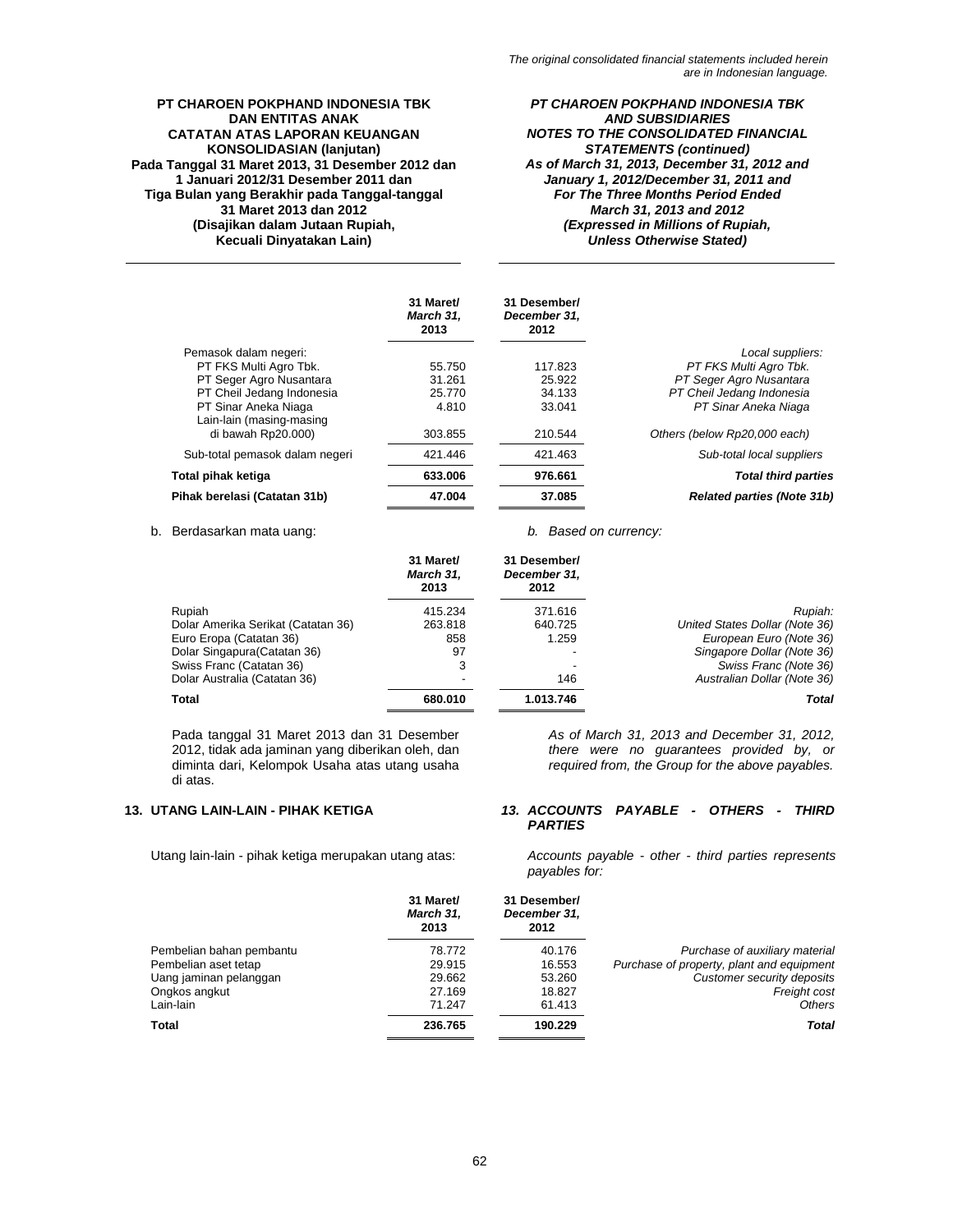*PT CHAROEN POKPHAND INDONESIA TBK AND SUBSIDIARIES NOTES TO THE CONSOLIDATED FINANCIAL STATEMENTS (continued) As of March 31, 2013, December 31, 2012 and January 1, 2012/December 31, 2011 and For The Three Months Period Ended March 31, 2013 and 2012 (Expressed in Millions of Rupiah, Unless Otherwise Stated)* 

|                                                  | 31 Maret/<br>March 31.<br>2013 | 31 Desember/<br>December 31.<br>2012 |                                   |
|--------------------------------------------------|--------------------------------|--------------------------------------|-----------------------------------|
| Pemasok dalam negeri:                            |                                |                                      | Local suppliers:                  |
| PT FKS Multi Agro Tbk.                           | 55.750                         | 117.823                              | PT FKS Multi Agro Tbk.            |
| PT Seger Agro Nusantara                          | 31.261                         | 25.922                               | PT Seger Agro Nusantara           |
| PT Cheil Jedang Indonesia                        | 25.770                         | 34.133                               | PT Cheil Jedang Indonesia         |
| PT Sinar Aneka Niaga<br>Lain-lain (masing-masing | 4.810                          | 33.041                               | PT Sinar Aneka Niaga              |
| di bawah Rp20.000)                               | 303.855                        | 210.544                              | Others (below Rp20,000 each)      |
| Sub-total pemasok dalam negeri                   | 421.446                        | 421.463                              | Sub-total local suppliers         |
| Total pihak ketiga                               | 633.006                        | 976.661                              | <b>Total third parties</b>        |
| Pihak berelasi (Catatan 31b)                     | 47.004                         | 37.085                               | <b>Related parties (Note 31b)</b> |

# b. Berdasarkan mata uang: *b. Based on currency:*

|                                    | 31 Maret/<br>March 31,<br>2013 | 31 Desember/<br>December 31,<br>2012 |                                |
|------------------------------------|--------------------------------|--------------------------------------|--------------------------------|
| <b>Rupiah</b>                      | 415.234                        | 371.616                              | Rupiah:                        |
| Dolar Amerika Serikat (Catatan 36) | 263.818                        | 640.725                              | United States Dollar (Note 36) |
| Euro Eropa (Catatan 36)            | 858                            | 1.259                                | European Euro (Note 36)        |
| Dolar Singapura (Catatan 36)       | 97                             |                                      | Singapore Dollar (Note 36)     |
| Swiss Franc (Catatan 36)           | 3                              |                                      | Swiss Franc (Note 36)          |
| Dolar Australia (Catatan 36)       | -                              | 146                                  | Australian Dollar (Note 36)    |
| Total                              | 680.010                        | 1.013.746                            | Total                          |

Pada tanggal 31 Maret 2013 dan 31 Desember 2012, tidak ada jaminan yang diberikan oleh, dan diminta dari, Kelompok Usaha atas utang usaha di atas.

*As of March 31, 2013 and December 31, 2012, there were no guarantees provided by, or required from, the Group for the above payables.* 

### **13. UTANG LAIN-LAIN - PIHAK KETIGA** *13. ACCOUNTS PAYABLE - OTHERS - THIRD PARTIES*

Utang lain-lain - pihak ketiga merupakan utang atas: *Accounts payable - other - third parties represents payables for:* 

|                          | 31 Maret/<br>March 31.<br>2013 | 31 Desember/<br>December 31,<br>2012 |                                           |
|--------------------------|--------------------------------|--------------------------------------|-------------------------------------------|
| Pembelian bahan pembantu | 78.772                         | 40.176                               | Purchase of auxiliary material            |
| Pembelian aset tetap     | 29.915                         | 16.553                               | Purchase of property, plant and equipment |
| Uang jaminan pelanggan   | 29.662                         | 53.260                               | Customer security deposits                |
| Ongkos angkut            | 27.169                         | 18.827                               | Freight cost                              |
| Lain-lain                | 71.247                         | 61.413                               | <b>Others</b>                             |
| <b>Total</b>             | 236.765                        | 190.229                              | <b>Total</b>                              |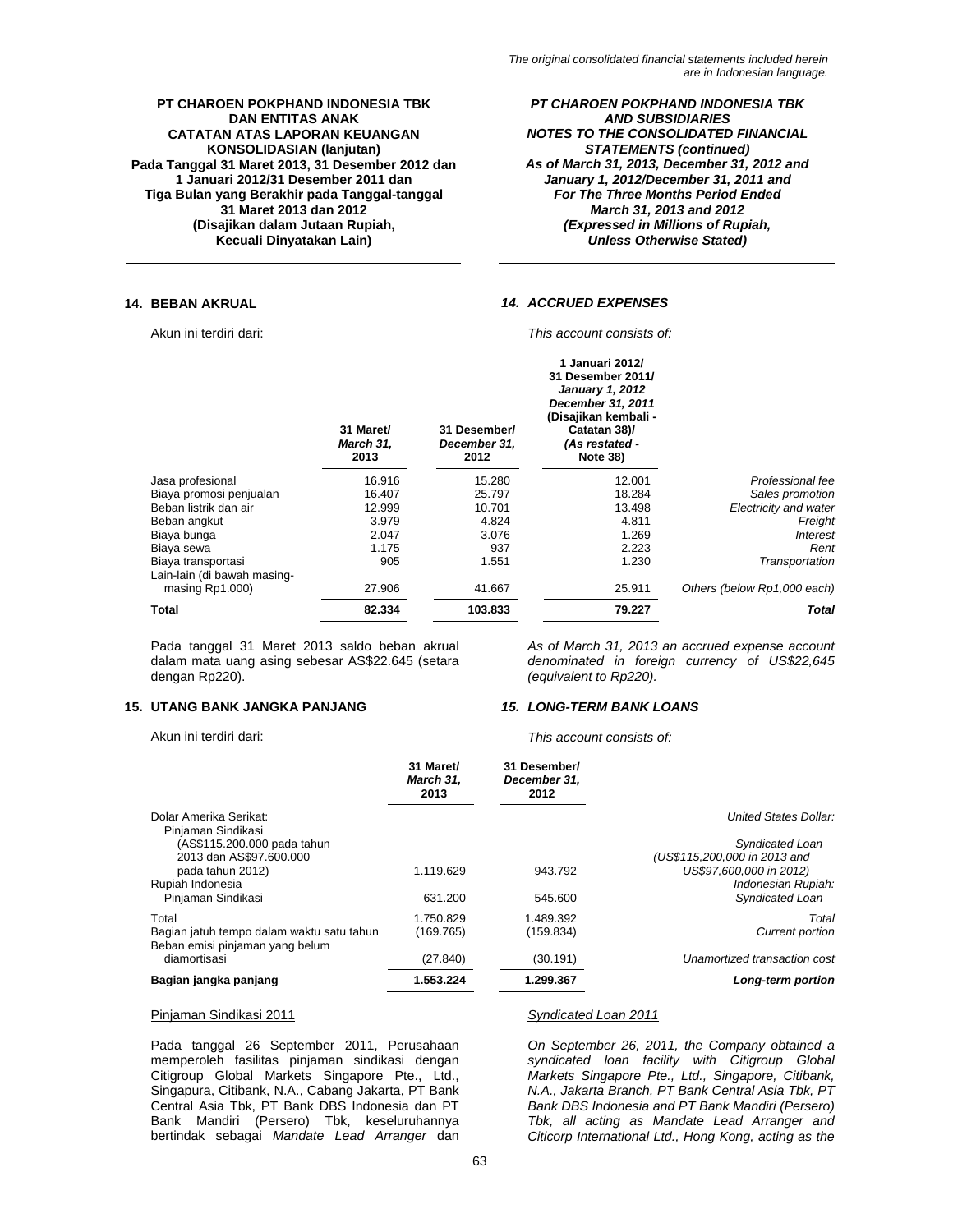*PT CHAROEN POKPHAND INDONESIA TBK AND SUBSIDIARIES NOTES TO THE CONSOLIDATED FINANCIAL STATEMENTS (continued) As of March 31, 2013, December 31, 2012 and January 1, 2012/December 31, 2011 and For The Three Months Period Ended March 31, 2013 and 2012 (Expressed in Millions of Rupiah, Unless Otherwise Stated)* 

### **14. BEBAN AKRUAL** *14. ACCRUED EXPENSES*

Akun ini terdiri dari: *This account consists of:*  **1 Januari 2012/** 

|                                                | 31 Maret/<br>March 31,<br>2013 | 31 Desember/<br>December 31.<br>2012 | -Januari 2012/<br>31 Desember 2011/<br><b>January 1, 2012</b><br>December 31, 2011<br>(Disajikan kembali -<br>Catatan 38)/<br>(As restated -<br><b>Note 38)</b> |                             |
|------------------------------------------------|--------------------------------|--------------------------------------|-----------------------------------------------------------------------------------------------------------------------------------------------------------------|-----------------------------|
| Jasa profesional                               | 16.916                         | 15.280                               | 12.001                                                                                                                                                          | Professional fee            |
| Biaya promosi penjualan                        | 16.407                         | 25.797                               | 18.284                                                                                                                                                          | Sales promotion             |
| Beban listrik dan air                          | 12.999                         | 10.701                               | 13.498                                                                                                                                                          | Electricity and water       |
| Beban angkut                                   | 3.979                          | 4.824                                | 4.811                                                                                                                                                           | Freight                     |
| Biaya bunga                                    | 2.047                          | 3.076                                | 1.269                                                                                                                                                           | Interest                    |
| Biaya sewa                                     | 1.175                          | 937                                  | 2.223                                                                                                                                                           | Rent                        |
| Biaya transportasi                             | 905                            | 1.551                                | 1.230                                                                                                                                                           | Transportation              |
| Lain-lain (di bawah masing-<br>masing Rp1.000) | 27.906                         | 41.667                               | 25.911                                                                                                                                                          | Others (below Rp1,000 each) |
| Total                                          | 82.334                         | 103.833                              | 79.227                                                                                                                                                          | Total                       |

Pada tanggal 31 Maret 2013 saldo beban akrual dalam mata uang asing sebesar AS\$22.645 (setara dengan Rp220).

### **15. UTANG BANK JANGKA PANJANG** *15. LONG-TERM BANK LOANS*

*As of March 31, 2013 an accrued expense account denominated in foreign currency of US\$22,645 (equivalent to Rp220).* 

Akun ini terdiri dari: *This account consists of:* 

|                                                                                       | 31 Maret/<br>March 31.<br>2013 | 31 Desember/<br>December 31.<br>2012 |                                                                               |
|---------------------------------------------------------------------------------------|--------------------------------|--------------------------------------|-------------------------------------------------------------------------------|
| Dolar Amerika Serikat:<br>Piniaman Sindikasi                                          |                                |                                      | United States Dollar:                                                         |
| (AS\$115.200.000 pada tahun                                                           |                                |                                      | Syndicated Loan                                                               |
| 2013 dan AS\$97,600,000<br>pada tahun 2012)<br>Rupiah Indonesia                       | 1.119.629                      | 943.792                              | (US\$115,200,000 in 2013 and<br>US\$97,600,000 in 2012)<br>Indonesian Rupiah: |
| Pinjaman Sindikasi                                                                    | 631.200                        | 545.600                              | Syndicated Loan                                                               |
| Total<br>Bagian jatuh tempo dalam waktu satu tahun<br>Beban emisi pinjaman yang belum | 1.750.829<br>(169.765)         | 1.489.392<br>(159.834)               | Total<br><b>Current portion</b>                                               |
| diamortisasi                                                                          | (27.840)                       | (30.191)                             | Unamortized transaction cost                                                  |
| Bagian jangka panjang                                                                 | 1.553.224                      | 1.299.367                            | Long-term portion                                                             |

### Pinjaman Sindikasi 2011 *Syndicated Loan 2011*

Pada tanggal 26 September 2011, Perusahaan memperoleh fasilitas pinjaman sindikasi dengan Citigroup Global Markets Singapore Pte., Ltd., Singapura, Citibank, N.A., Cabang Jakarta, PT Bank Central Asia Tbk, PT Bank DBS Indonesia dan PT Bank Mandiri (Persero) Tbk, keseluruhannya bertindak sebagai *Mandate Lead Arranger* dan

*On September 26, 2011, the Company obtained a syndicated loan facility with Citigroup Global Markets Singapore Pte., Ltd., Singapore, Citibank, N.A., Jakarta Branch, PT Bank Central Asia Tbk, PT Bank DBS Indonesia and PT Bank Mandiri (Persero) Tbk, all acting as Mandate Lead Arranger and Citicorp International Ltd., Hong Kong, acting as the*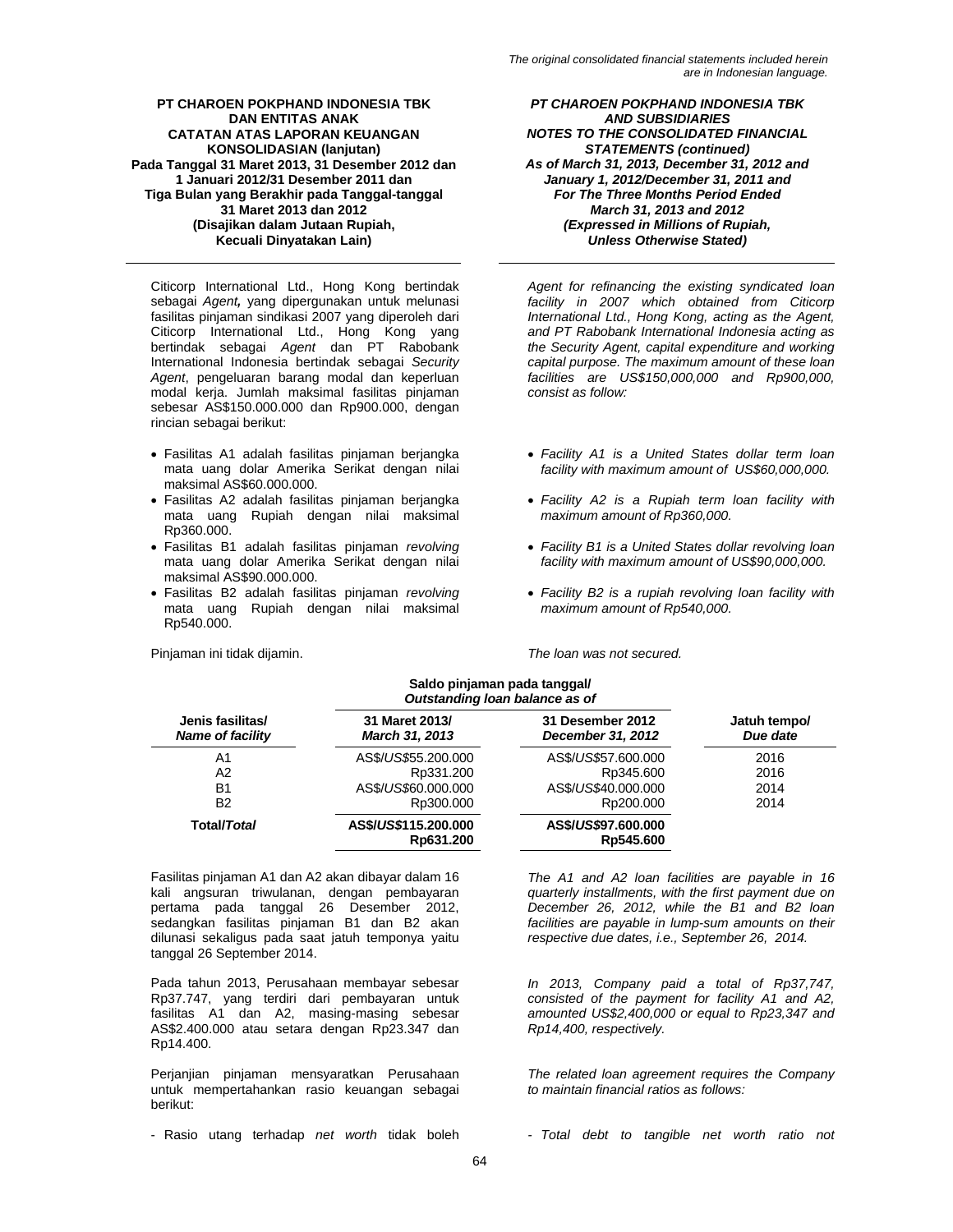Citicorp International Ltd., Hong Kong bertindak sebagai *Agent,* yang dipergunakan untuk melunasi fasilitas pinjaman sindikasi 2007 yang diperoleh dari Citicorp International Ltd., Hong Kong yang bertindak sebagai *Agent* dan PT Rabobank International Indonesia bertindak sebagai *Security Agent*, pengeluaran barang modal dan keperluan modal kerja. Jumlah maksimal fasilitas pinjaman sebesar AS\$150.000.000 dan Rp900.000, dengan rincian sebagai berikut:

- Fasilitas A1 adalah fasilitas pinjaman berjangka mata uang dolar Amerika Serikat dengan nilai maksimal AS\$60.000.000.
- Fasilitas A2 adalah fasilitas pinjaman berjangka mata uang Rupiah dengan nilai maksimal Rp360.000.
- Fasilitas B1 adalah fasilitas pinjaman *revolving* mata uang dolar Amerika Serikat dengan nilai maksimal AS\$90.000.000.
- Fasilitas B2 adalah fasilitas pinjaman *revolving* mata uang Rupiah dengan nilai maksimal Rp540.000.

Pinjaman ini tidak dijamin. *The loan was not secured.* 

*PT CHAROEN POKPHAND INDONESIA TBK AND SUBSIDIARIES NOTES TO THE CONSOLIDATED FINANCIAL STATEMENTS (continued) As of March 31, 2013, December 31, 2012 and January 1, 2012/December 31, 2011 and For The Three Months Period Ended March 31, 2013 and 2012 (Expressed in Millions of Rupiah, Unless Otherwise Stated)* 

*Agent for refinancing the existing syndicated loan facility in 2007 which obtained from Citicorp International Ltd., Hong Kong, acting as the Agent, and PT Rabobank International Indonesia acting as the Security Agent, capital expenditure and working capital purpose. The maximum amount of these loan facilities are US\$150,000,000 and Rp900,000, consist as follow:* 

- *Facility A1 is a United States dollar term loan facility with maximum amount of US\$60,000,000.*
- *Facility A2 is a Rupiah term loan facility with maximum amount of Rp360,000.*
- *Facility B1 is a United States dollar revolving loan facility with maximum amount of US\$90,000,000.*
- *Facility B2 is a rupiah revolving loan facility with maximum amount of Rp540,000.*

|                                             | Saldo pinjaman pada tanggal/<br>Outstanding loan balance as of |                                       |                          |
|---------------------------------------------|----------------------------------------------------------------|---------------------------------------|--------------------------|
| Jenis fasilitas/<br><b>Name of facility</b> | 31 Maret 2013/<br><b>March 31, 2013</b>                        | 31 Desember 2012<br>December 31, 2012 | Jatuh tempo/<br>Due date |
| A1                                          | AS\$/US\$55,200,000                                            | AS\$/US\$57.600.000                   | 2016                     |
| A2                                          | Rp331.200                                                      | Rp345.600                             | 2016                     |

| <b>Total/Total</b> | AS\$/US\$115,200,000<br>Rp631.200 | AS\$/US\$97.600.000<br>Rp545.600 |      |
|--------------------|-----------------------------------|----------------------------------|------|
| B <sub>2</sub>     | Rp300,000                         | Rp200,000                        | 2014 |
| B1                 | AS\$/ <i>US\$</i> 60.000.000      | AS\$/US\$40.000.000              | 2014 |
|                    |                                   |                                  |      |

Fasilitas pinjaman A1 dan A2 akan dibayar dalam 16 kali angsuran triwulanan, dengan pembayaran pertama pada tanggal 26 Desember 2012, sedangkan fasilitas pinjaman B1 dan B2 akan dilunasi sekaligus pada saat jatuh temponya yaitu tanggal 26 September 2014.

Pada tahun 2013, Perusahaan membayar sebesar Rp37.747, yang terdiri dari pembayaran untuk fasilitas A1 dan A2, masing-masing sebesar AS\$2.400.000 atau setara dengan Rp23.347 dan Rp14.400.

Perjanjian pinjaman mensyaratkan Perusahaan untuk mempertahankan rasio keuangan sebagai berikut:

- Rasio utang terhadap net worth tidak boleh **- Total debt to tangible net worth ratio** not

*The A1 and A2 loan facilities are payable in 16 quarterly installments, with the first payment due on December 26, 2012, while the B1 and B2 loan facilities are payable in lump-sum amounts on their respective due dates, i.e., September 26, 2014.* 

*In 2013, Company paid a total of Rp37,747, consisted of the payment for facility A1 and A2, amounted US\$2,400,000 or equal to Rp23,347 and Rp14,400, respectively.* 

*The related loan agreement requires the Company to maintain financial ratios as follows:*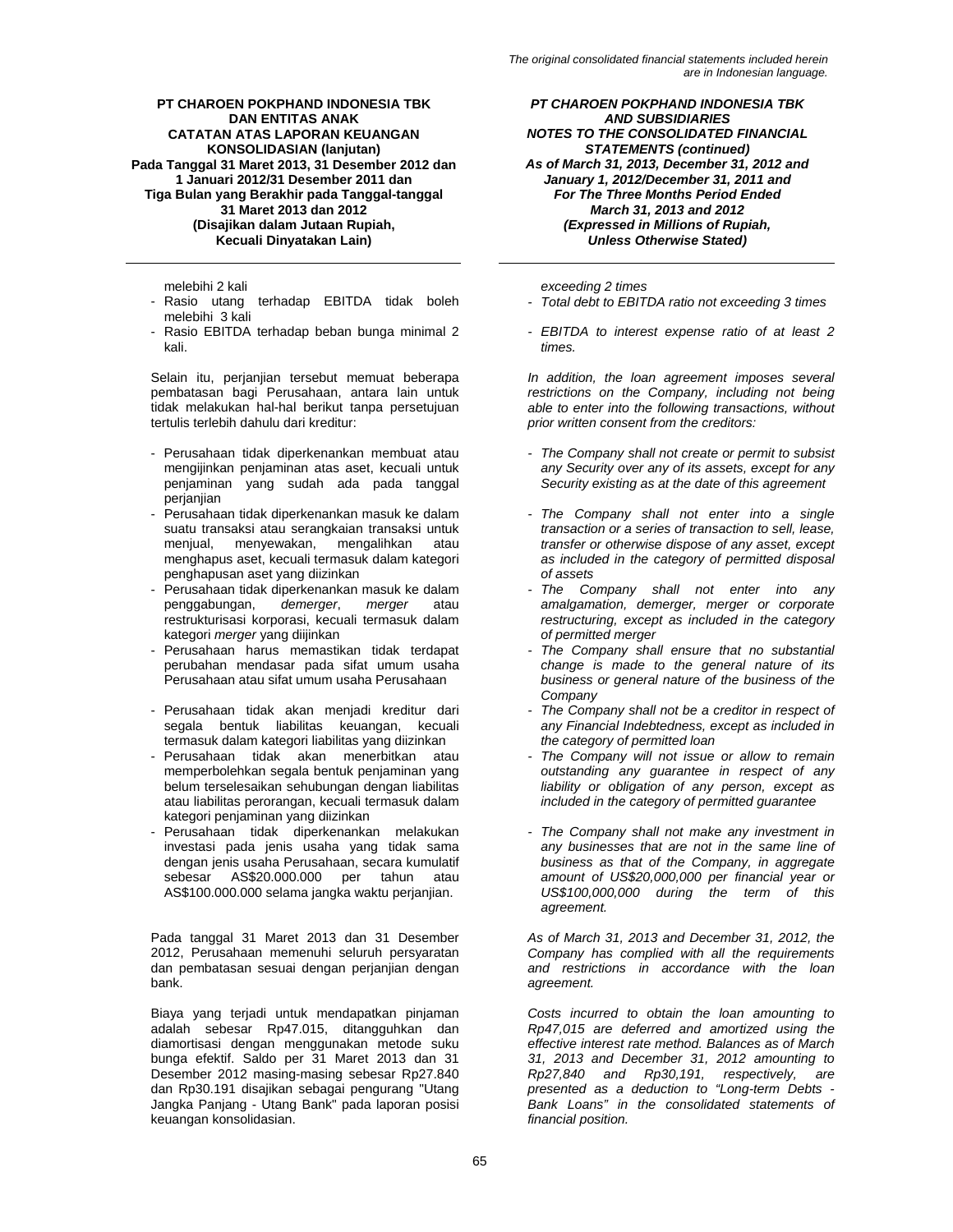- Rasio utang terhadap EBITDA tidak boleh melebihi 3 kali
- Rasio EBITDA terhadap beban bunga minimal 2 kali.

Selain itu, perjanjian tersebut memuat beberapa pembatasan bagi Perusahaan, antara lain untuk tidak melakukan hal-hal berikut tanpa persetujuan tertulis terlebih dahulu dari kreditur:

- Perusahaan tidak diperkenankan membuat atau mengijinkan penjaminan atas aset, kecuali untuk penjaminan yang sudah ada pada tanggal perjanjian
- Perusahaan tidak diperkenankan masuk ke dalam suatu transaksi atau serangkaian transaksi untuk menjual, menyewakan, mengalihkan atau menghapus aset, kecuali termasuk dalam kategori penghapusan aset yang diizinkan
- Perusahaan tidak diperkenankan masuk ke dalam penggabungan, *demerger*, *merger* atau restrukturisasi korporasi, kecuali termasuk dalam kategori *merger* yang diijinkan
- Perusahaan harus memastikan tidak terdapat perubahan mendasar pada sifat umum usaha Perusahaan atau sifat umum usaha Perusahaan
- Perusahaan tidak akan menjadi kreditur dari segala bentuk liabilitas keuangan, kecuali termasuk dalam kategori liabilitas yang diizinkan
- Perusahaan tidak akan menerbitkan atau memperbolehkan segala bentuk penjaminan yang belum terselesaikan sehubungan dengan liabilitas atau liabilitas perorangan, kecuali termasuk dalam kategori penjaminan yang diizinkan
- Perusahaan tidak diperkenankan melakukan investasi pada jenis usaha yang tidak sama dengan jenis usaha Perusahaan, secara kumulatif sebesar AS\$20.000.000 per tahun atau AS\$100.000.000 selama jangka waktu perjanjian.

Pada tanggal 31 Maret 2013 dan 31 Desember 2012, Perusahaan memenuhi seluruh persyaratan dan pembatasan sesuai dengan perjanjian dengan bank.

Biaya yang terjadi untuk mendapatkan pinjaman adalah sebesar Rp47.015, ditangguhkan dan diamortisasi dengan menggunakan metode suku bunga efektif. Saldo per 31 Maret 2013 dan 31 Desember 2012 masing-masing sebesar Rp27.840 dan Rp30.191 disajikan sebagai pengurang "Utang Jangka Panjang - Utang Bank" pada laporan posisi keuangan konsolidasian.

*PT CHAROEN POKPHAND INDONESIA TBK AND SUBSIDIARIES NOTES TO THE CONSOLIDATED FINANCIAL STATEMENTS (continued) As of March 31, 2013, December 31, 2012 and January 1, 2012/December 31, 2011 and For The Three Months Period Ended March 31, 2013 and 2012 (Expressed in Millions of Rupiah, Unless Otherwise Stated)* 

melebihi 2 kali *exceeding 2 times* 

- *Total debt to EBITDA ratio not exceeding 3 times*
- *EBITDA to interest expense ratio of at least 2 times.*

*In addition, the loan agreement imposes several restrictions on the Company, including not being able to enter into the following transactions, without prior written consent from the creditors:* 

- *The Company shall not create or permit to subsist any Security over any of its assets, except for any Security existing as at the date of this agreement*
- *The Company shall not enter into a single transaction or a series of transaction to sell, lease, transfer or otherwise dispose of any asset, except as included in the category of permitted disposal of assets*
- *The Company shall not enter into any amalgamation, demerger, merger or corporate restructuring, except as included in the category of permitted merger*
- *The Company shall ensure that no substantial change is made to the general nature of its business or general nature of the business of the Company*
- *The Company shall not be a creditor in respect of any Financial Indebtedness, except as included in the category of permitted loan*
- *The Company will not issue or allow to remain outstanding any guarantee in respect of any liability or obligation of any person, except as included in the category of permitted guarantee*
- *The Company shall not make any investment in any businesses that are not in the same line of business as that of the Company, in aggregate amount of US\$20,000,000 per financial year or US\$100,000,000 during the term of this agreement.*

*As of March 31, 2013 and December 31, 2012, the Company has complied with all the requirements and restrictions in accordance with the loan agreement.* 

*Costs incurred to obtain the loan amounting to Rp47,015 are deferred and amortized using the effective interest rate method. Balances as of March 31, 2013 and December 31, 2012 amounting to Rp27,840 and Rp30,191, respectively, are presented as a deduction to "Long-term Debts - Bank Loans" in the consolidated statements of financial position.*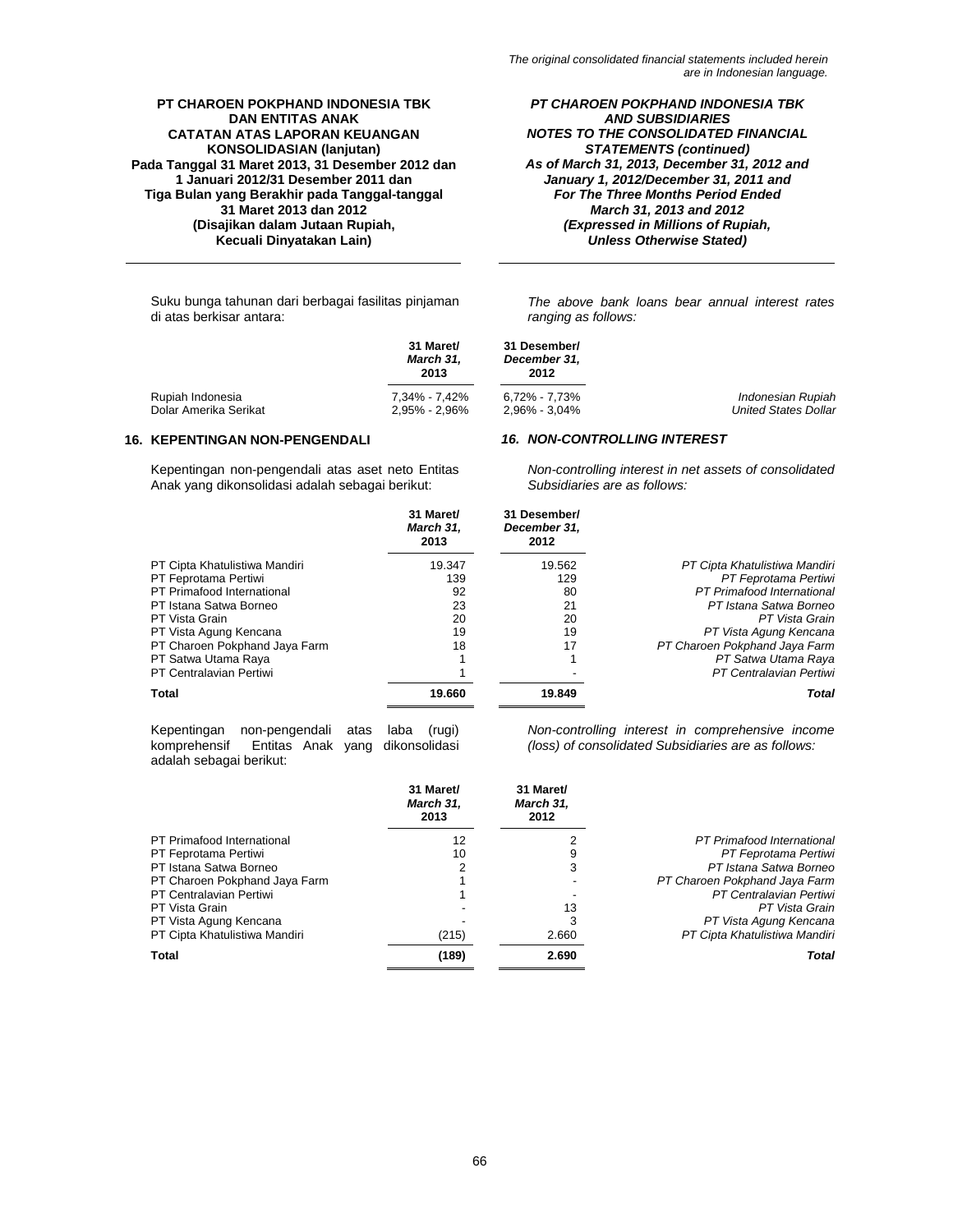*PT CHAROEN POKPHAND INDONESIA TBK AND SUBSIDIARIES NOTES TO THE CONSOLIDATED FINANCIAL STATEMENTS (continued) As of March 31, 2013, December 31, 2012 and January 1, 2012/December 31, 2011 and For The Three Months Period Ended March 31, 2013 and 2012 (Expressed in Millions of Rupiah, Unless Otherwise Stated)* 

Suku bunga tahunan dari berbagai fasilitas pinjaman di atas berkisar antara:

*The above bank loans bear annual interest rates ranging as follows:* 

|                       | 31 Maret/<br>March 31,<br>2013 | 31 Desember/<br>December 31.<br>2012 |                             |
|-----------------------|--------------------------------|--------------------------------------|-----------------------------|
| Rupiah Indonesia      | 7.34% - 7.42%                  | 6.72% - 7.73%                        | Indonesian Rupiah           |
| Dolar Amerika Serikat | $2.95\% - 2.96\%$              | 2.96% - 3.04%                        | <b>United States Dollar</b> |

# **16. KEPENTINGAN NON-PENGENDALI** *16. NON-CONTROLLING INTEREST*

Kepentingan non-pengendali atas aset neto Entitas Anak yang dikonsolidasi adalah sebagai berikut:

*Non-controlling interest in net assets of consolidated Subsidiaries are as follows:* 

|                               | 31 Maret/<br>March 31.<br>2013 | 31 Desember/<br>December 31,<br>2012 |                               |
|-------------------------------|--------------------------------|--------------------------------------|-------------------------------|
| PT Cipta Khatulistiwa Mandiri | 19.347                         | 19.562                               | PT Cipta Khatulistiwa Mandiri |
| PT Feprotama Pertiwi          | 139                            | 129                                  | PT Feprotama Pertiwi          |
| PT Primafood International    | 92                             | 80                                   | PT Primafood International    |
| PT Istana Satwa Borneo        | 23                             | 21                                   | PT Istana Satwa Borneo        |
| PT Vista Grain                | 20                             | 20                                   | PT Vista Grain                |
| PT Vista Agung Kencana        | 19                             | 19                                   | PT Vista Agung Kencana        |
| PT Charoen Pokphand Jaya Farm | 18                             | 17                                   | PT Charoen Pokphand Jaya Farm |
| PT Satwa Utama Raya           |                                |                                      | PT Satwa Utama Raya           |
| PT Centralavian Pertiwi       |                                |                                      | PT Centralavian Pertiwi       |
| Total                         | 19.660                         | 19.849                               | Total                         |
|                               |                                |                                      |                               |

Kepentingan non-pengendali atas laba (rugi) Entitas Anak yang dikonsolidasi adalah sebagai berikut:

*Non-controlling interest in comprehensive income (loss) of consolidated Subsidiaries are as follows:* 

|                               | 31 Maret/<br>March 31,<br>2013 | 31 Maret/<br>March 31,<br>2012 |                               |
|-------------------------------|--------------------------------|--------------------------------|-------------------------------|
| PT Primafood International    | 12                             |                                | PT Primafood International    |
| PT Feprotama Pertiwi          | 10                             | 9                              | PT Feprotama Pertiwi          |
| PT Istana Satwa Borneo        | 2                              | 3                              | PT Istana Satwa Borneo        |
| PT Charoen Pokphand Jaya Farm |                                |                                | PT Charoen Pokphand Jaya Farm |
| PT Centralavian Pertiwi       |                                |                                | PT Centralavian Pertiwi       |
| PT Vista Grain                |                                | 13                             | PT Vista Grain                |
| PT Vista Agung Kencana        |                                | 3                              | PT Vista Agung Kencana        |
| PT Cipta Khatulistiwa Mandiri | (215)                          | 2.660                          | PT Cipta Khatulistiwa Mandiri |
| Total                         | (189)                          | 2.690                          | Total                         |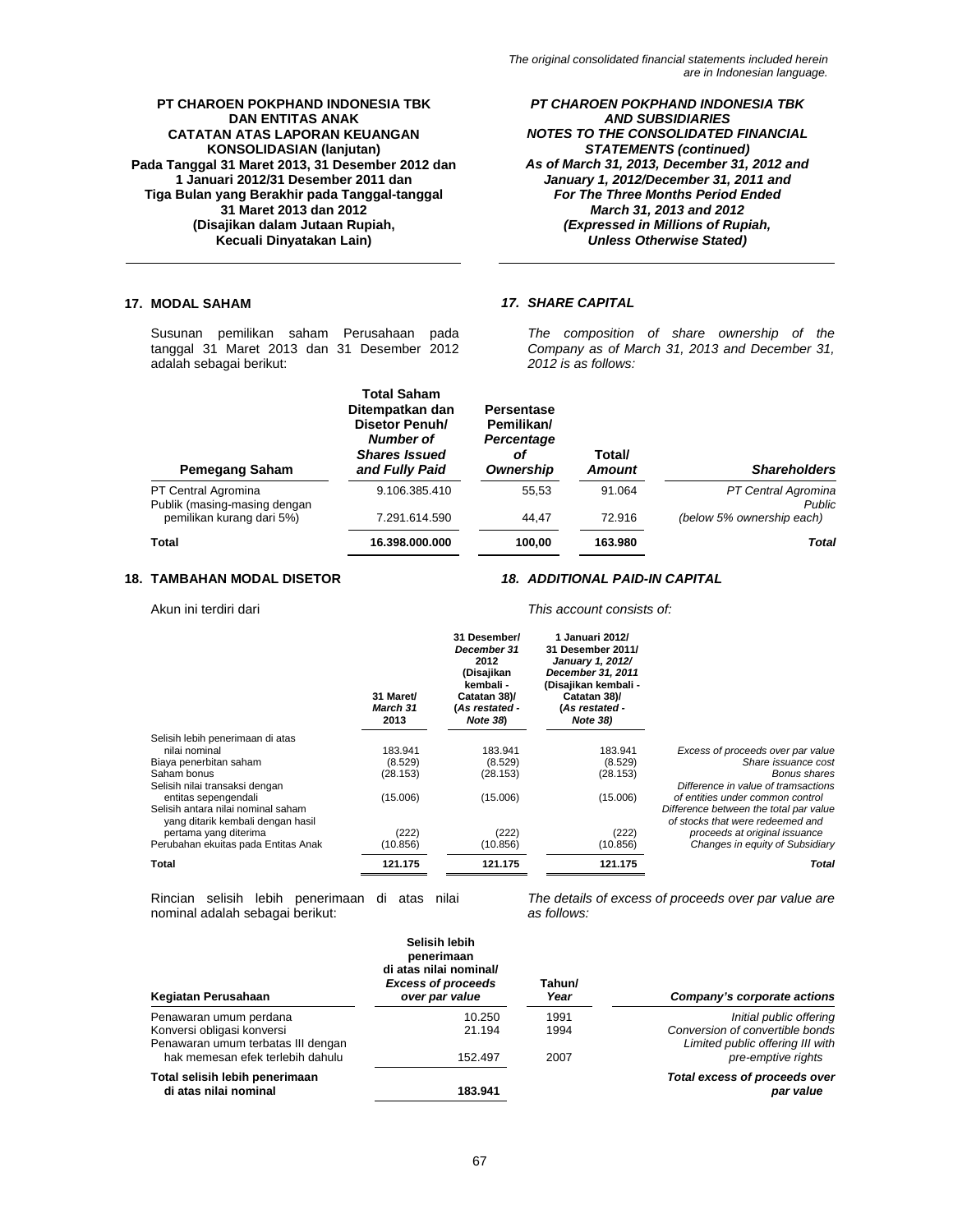*PT CHAROEN POKPHAND INDONESIA TBK AND SUBSIDIARIES NOTES TO THE CONSOLIDATED FINANCIAL STATEMENTS (continued) As of March 31, 2013, December 31, 2012 and January 1, 2012/December 31, 2011 and For The Three Months Period Ended March 31, 2013 and 2012 (Expressed in Millions of Rupiah, Unless Otherwise Stated)* 

# **17. MODAL SAHAM** *17. SHARE CAPITAL*

Susunan pemilikan saham Perusahaan pada tanggal 31 Maret 2013 dan 31 Desember 2012 adalah sebagai berikut:

*The composition of share ownership of the Company as of March 31, 2013 and December 31, 2012 is as follows:* 

| <b>Pemegang Saham</b>                               | <b>Total Saham</b><br>Ditempatkan dan<br>Disetor Penuh/<br>Number of<br><b>Shares Issued</b><br>and Fully Paid | Persentase<br>Pemilikan/<br>Percentage<br>οf<br>Ownership | Total/<br><b>Amount</b> | <b>Shareholders</b>                  |
|-----------------------------------------------------|----------------------------------------------------------------------------------------------------------------|-----------------------------------------------------------|-------------------------|--------------------------------------|
| PT Central Agromina<br>Publik (masing-masing dengan | 9.106.385.410                                                                                                  | 55.53                                                     | 91.064                  | PT Central Agromina<br><b>Public</b> |
| pemilikan kurang dari 5%)                           | 7.291.614.590                                                                                                  | 44.47                                                     | 72.916                  | (below 5% ownership each)            |
| <b>Total</b>                                        | 16.398.000.000                                                                                                 | 100.00                                                    | 163.980                 | <b>Total</b>                         |

# **18. TAMBAHAN MODAL DISETOR** *18. ADDITIONAL PAID-IN CAPITAL*

Akun ini terdiri dari *This account consists of:* 

|                                     | 31 Maret/<br>March 31<br>2013 | 31 Desember/<br>December 31<br>2012<br>(Disajikan<br>kembali -<br>Catatan 38)/<br>(As restated -<br>Note 38) | 1 Januari 2012/<br>31 Desember 2011/<br>January 1, 2012/<br>December 31, 2011<br>(Disajikan kembali -<br>Catatan 38)/<br>(As restated -<br><b>Note 38)</b> |                                        |
|-------------------------------------|-------------------------------|--------------------------------------------------------------------------------------------------------------|------------------------------------------------------------------------------------------------------------------------------------------------------------|----------------------------------------|
| Selisih lebih penerimaan di atas    |                               |                                                                                                              |                                                                                                                                                            |                                        |
| nilai nominal                       | 183.941                       | 183.941                                                                                                      | 183.941                                                                                                                                                    | Excess of proceeds over par value      |
| Biaya penerbitan saham              | (8.529)                       | (8.529)                                                                                                      | (8.529)                                                                                                                                                    | Share issuance cost                    |
| Saham bonus                         | (28.153)                      | (28.153)                                                                                                     | (28.153)                                                                                                                                                   | Bonus shares                           |
| Selisih nilai transaksi dengan      |                               |                                                                                                              |                                                                                                                                                            | Difference in value of tramsactions    |
| entitas sepengendali                | (15.006)                      | (15.006)                                                                                                     | (15.006)                                                                                                                                                   | of entities under common control       |
| Selisih antara nilai nominal saham  |                               |                                                                                                              |                                                                                                                                                            | Difference between the total par value |
| yang ditarik kembali dengan hasil   |                               |                                                                                                              |                                                                                                                                                            | of stocks that were redeemed and       |
| pertama yang diterima               | (222)                         | (222)                                                                                                        | (222)                                                                                                                                                      | proceeds at original issuance          |
| Perubahan ekuitas pada Entitas Anak | (10.856)                      | (10.856)                                                                                                     | (10.856)                                                                                                                                                   | Changes in equity of Subsidiary        |
| Total                               | 121.175                       | 121.175                                                                                                      | 121.175                                                                                                                                                    | Total                                  |

Rincian selisih lebih penerimaan di atas nilai nominal adalah sebagai berikut:

*The details of excess of proceeds over par value are as follows:* 

| Kegiatan Perusahaan                                              | Selisih lebih<br>penerimaan<br>di atas nilai nominal/<br><b>Excess of proceeds</b><br>over par value | Tahun/<br>Year | Company's corporate actions                                         |
|------------------------------------------------------------------|------------------------------------------------------------------------------------------------------|----------------|---------------------------------------------------------------------|
| Penawaran umum perdana                                           | 10.250                                                                                               | 1991           | Initial public offering                                             |
| Konversi obligasi konversi<br>Penawaran umum terbatas III dengan | 21.194                                                                                               | 1994           | Conversion of convertible bonds<br>Limited public offering III with |
| hak memesan efek terlebih dahulu                                 | 152.497                                                                                              | 2007           | pre-emptive rights                                                  |
| Total selisih lebih penerimaan<br>di atas nilai nominal          | 183.941                                                                                              |                | Total excess of proceeds over<br>par value                          |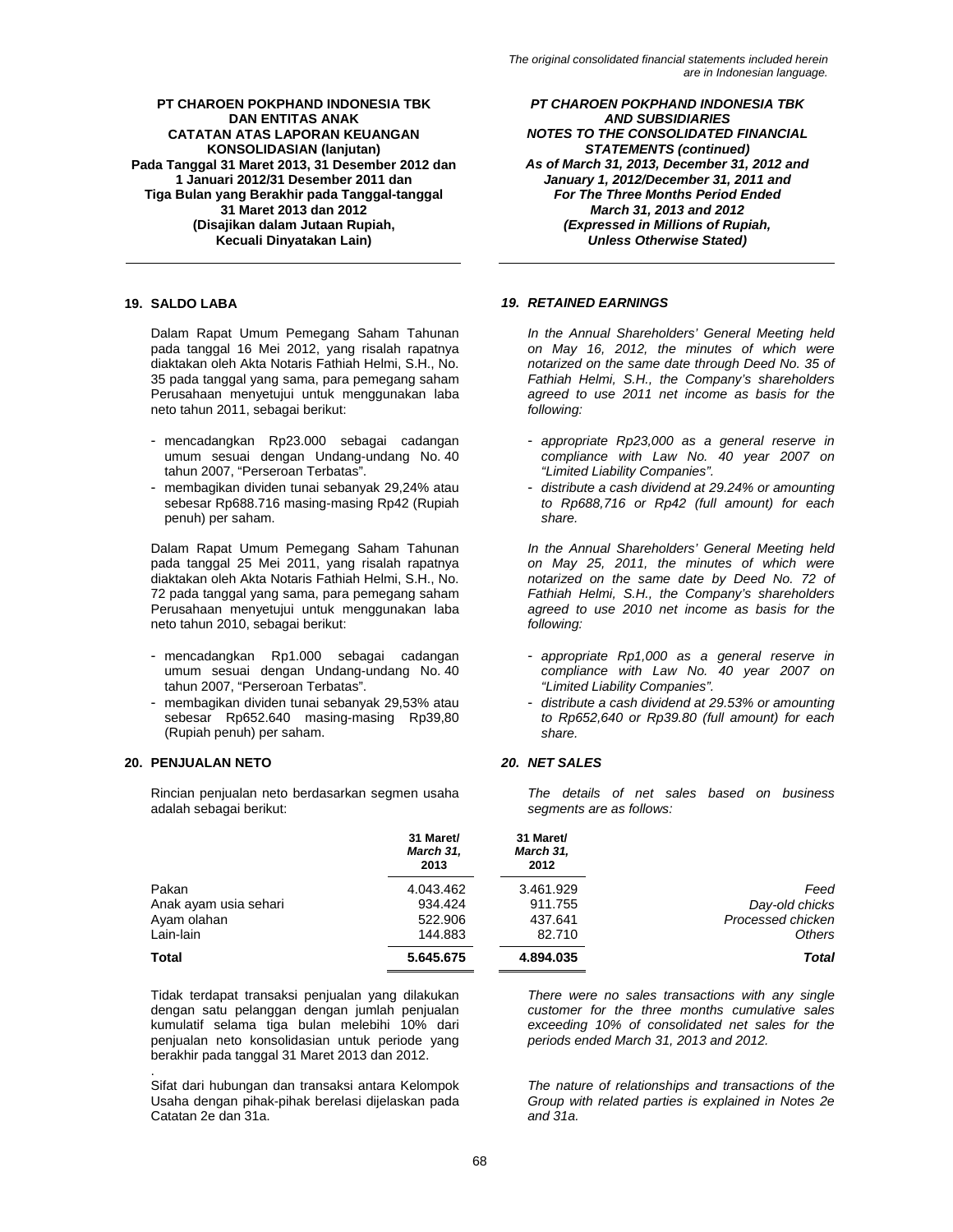Dalam Rapat Umum Pemegang Saham Tahunan pada tanggal 16 Mei 2012, yang risalah rapatnya diaktakan oleh Akta Notaris Fathiah Helmi, S.H., No. 35 pada tanggal yang sama, para pemegang saham Perusahaan menyetujui untuk menggunakan laba neto tahun 2011, sebagai berikut:

- mencadangkan Rp23.000 sebagai cadangan umum sesuai dengan Undang-undang No. 40 tahun 2007, "Perseroan Terbatas".
- membagikan dividen tunai sebanyak 29,24% atau sebesar Rp688.716 masing-masing Rp42 (Rupiah penuh) per saham.

Dalam Rapat Umum Pemegang Saham Tahunan pada tanggal 25 Mei 2011, yang risalah rapatnya diaktakan oleh Akta Notaris Fathiah Helmi, S.H., No. 72 pada tanggal yang sama, para pemegang saham Perusahaan menyetujui untuk menggunakan laba neto tahun 2010, sebagai berikut:

- mencadangkan Rp1.000 sebagai cadangan umum sesuai dengan Undang-undang No. 40 tahun 2007, "Perseroan Terbatas".
- membagikan dividen tunai sebanyak 29,53% atau sebesar Rp652.640 masing-masing Rp39,80 (Rupiah penuh) per saham.

# **20. PENJUALAN NETO** *20. NET SALES*

.

Rincian penjualan neto berdasarkan segmen usaha adalah sebagai berikut:

*PT CHAROEN POKPHAND INDONESIA TBK AND SUBSIDIARIES NOTES TO THE CONSOLIDATED FINANCIAL STATEMENTS (continued) As of March 31, 2013, December 31, 2012 and January 1, 2012/December 31, 2011 and For The Three Months Period Ended March 31, 2013 and 2012 (Expressed in Millions of Rupiah, Unless Otherwise Stated)* 

# **19. SALDO LABA** *19. RETAINED EARNINGS*

*In the Annual Shareholders' General Meeting held on May 16, 2012, the minutes of which were notarized on the same date through Deed No. 35 of Fathiah Helmi, S.H., the Company's shareholders agreed to use 2011 net income as basis for the following:*

- *appropriate Rp23,000 as a general reserve in compliance with Law No. 40 year 2007 on "Limited Liability Companies".*
- *distribute a cash dividend at 29.24% or amounting to Rp688,716 or Rp42 (full amount) for each share.*

*In the Annual Shareholders' General Meeting held on May 25, 2011, the minutes of which were notarized on the same date by Deed No. 72 of Fathiah Helmi, S.H., the Company's shareholders agreed to use 2010 net income as basis for the following:* 

- *appropriate Rp1,000 as a general reserve in compliance with Law No. 40 year 2007 on "Limited Liability Companies".*
- *distribute a cash dividend at 29.53% or amounting to Rp652,640 or Rp39.80 (full amount) for each share.*

*The details of net sales based on business segments are as follows:* 

|                       | 31 Maret/<br>March 31,<br>2013 | 31 Maret/<br>March 31,<br>2012 |                   |
|-----------------------|--------------------------------|--------------------------------|-------------------|
| Pakan                 | 4.043.462                      | 3.461.929                      | Feed              |
| Anak ayam usia sehari | 934.424                        | 911.755                        | Day-old chicks    |
| Ayam olahan           | 522,906                        | 437.641                        | Processed chicken |
| Lain-lain             | 144.883                        | 82.710                         | Others            |
| Total                 | 5.645.675                      | 4.894.035                      | Total             |

Tidak terdapat transaksi penjualan yang dilakukan dengan satu pelanggan dengan jumlah penjualan kumulatif selama tiga bulan melebihi 10% dari penjualan neto konsolidasian untuk periode yang berakhir pada tanggal 31 Maret 2013 dan 2012.

Sifat dari hubungan dan transaksi antara Kelompok Usaha dengan pihak-pihak berelasi dijelaskan pada Catatan 2e dan 31a.

*There were no sales transactions with any single customer for the three months cumulative sales exceeding 10% of consolidated net sales for the periods ended March 31, 2013 and 2012.*

*The nature of relationships and transactions of the Group with related parties is explained in Notes 2e and 31a.*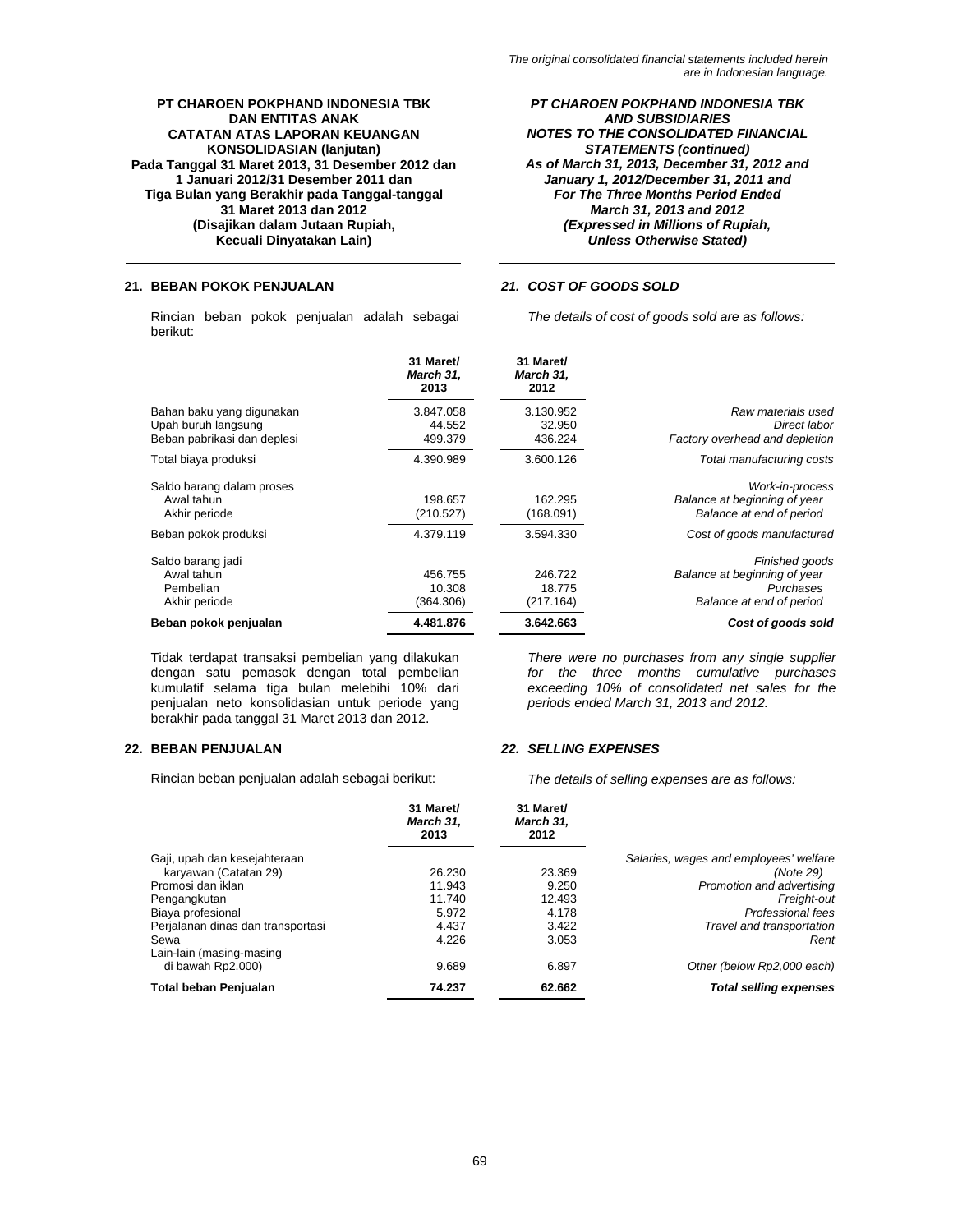*PT CHAROEN POKPHAND INDONESIA TBK AND SUBSIDIARIES NOTES TO THE CONSOLIDATED FINANCIAL STATEMENTS (continued) As of March 31, 2013, December 31, 2012 and January 1, 2012/December 31, 2011 and For The Three Months Period Ended March 31, 2013 and 2012 (Expressed in Millions of Rupiah, Unless Otherwise Stated)* 

# **21. BEBAN POKOK PENJUALAN** *21. COST OF GOODS SOLD*

Rincian beban pokok penjualan adalah sebagai berikut:

*The details of cost of goods sold are as follows:* 

|                                                                                 | 31 Maret/<br>March 31.<br>2013 | 31 Maret/<br>March 31,<br>2012 |                                                                                         |
|---------------------------------------------------------------------------------|--------------------------------|--------------------------------|-----------------------------------------------------------------------------------------|
| Bahan baku yang digunakan<br>Upah buruh langsung<br>Beban pabrikasi dan deplesi | 3.847.058<br>44.552<br>499.379 | 3.130.952<br>32.950<br>436.224 | Raw materials used<br>Direct labor<br>Factory overhead and depletion                    |
| Total biaya produksi                                                            | 4.390.989                      | 3.600.126                      | Total manufacturing costs                                                               |
| Saldo barang dalam proses<br>Awal tahun<br>Akhir periode                        | 198.657<br>(210.527)           | 162.295<br>(168.091)           | Work-in-process<br>Balance at beginning of year<br>Balance at end of period             |
| Beban pokok produksi                                                            | 4.379.119                      | 3.594.330                      | Cost of goods manufactured                                                              |
| Saldo barang jadi<br>Awal tahun<br>Pembelian<br>Akhir periode                   | 456.755<br>10.308<br>(364.306) | 246.722<br>18.775<br>(217.164) | Finished goods<br>Balance at beginning of year<br>Purchases<br>Balance at end of period |
| Beban pokok penjualan                                                           | 4.481.876                      | 3.642.663                      | Cost of goods sold                                                                      |

Tidak terdapat transaksi pembelian yang dilakukan dengan satu pemasok dengan total pembelian kumulatif selama tiga bulan melebihi 10% dari penjualan neto konsolidasian untuk periode yang berakhir pada tanggal 31 Maret 2013 dan 2012.

Rincian beban penjualan adalah sebagai berikut: *The details of selling expenses are as follows:* 

*There were no purchases from any single supplier for the three months cumulative purchases exceeding 10% of consolidated net sales for the periods ended March 31, 2013 and 2012.* 

### **22. BEBAN PENJUALAN** *22. SELLING EXPENSES*

|                                   | 31 Maret/<br>March 31.<br>2013 | 31 Maret/<br>March 31.<br>2012 |                                        |
|-----------------------------------|--------------------------------|--------------------------------|----------------------------------------|
| Gaji, upah dan kesejahteraan      |                                |                                | Salaries, wages and employees' welfare |
| karyawan (Catatan 29)             | 26.230                         | 23.369                         | (Note 29)                              |
| Promosi dan iklan                 | 11.943                         | 9.250                          | Promotion and advertising              |
| Pengangkutan                      | 11.740                         | 12.493                         | Freight-out                            |
| Biaya profesional                 | 5.972                          | 4.178                          | Professional fees                      |
| Perjalanan dinas dan transportasi | 4.437                          | 3.422                          | Travel and transportation              |
| Sewa                              | 4.226                          | 3.053                          | Rent                                   |
| Lain-lain (masing-masing          |                                |                                |                                        |
| di bawah Rp2.000)                 | 9.689                          | 6.897                          | Other (below Rp2,000 each)             |
| <b>Total beban Penjualan</b>      | 74.237                         | 62.662                         | <b>Total selling expenses</b>          |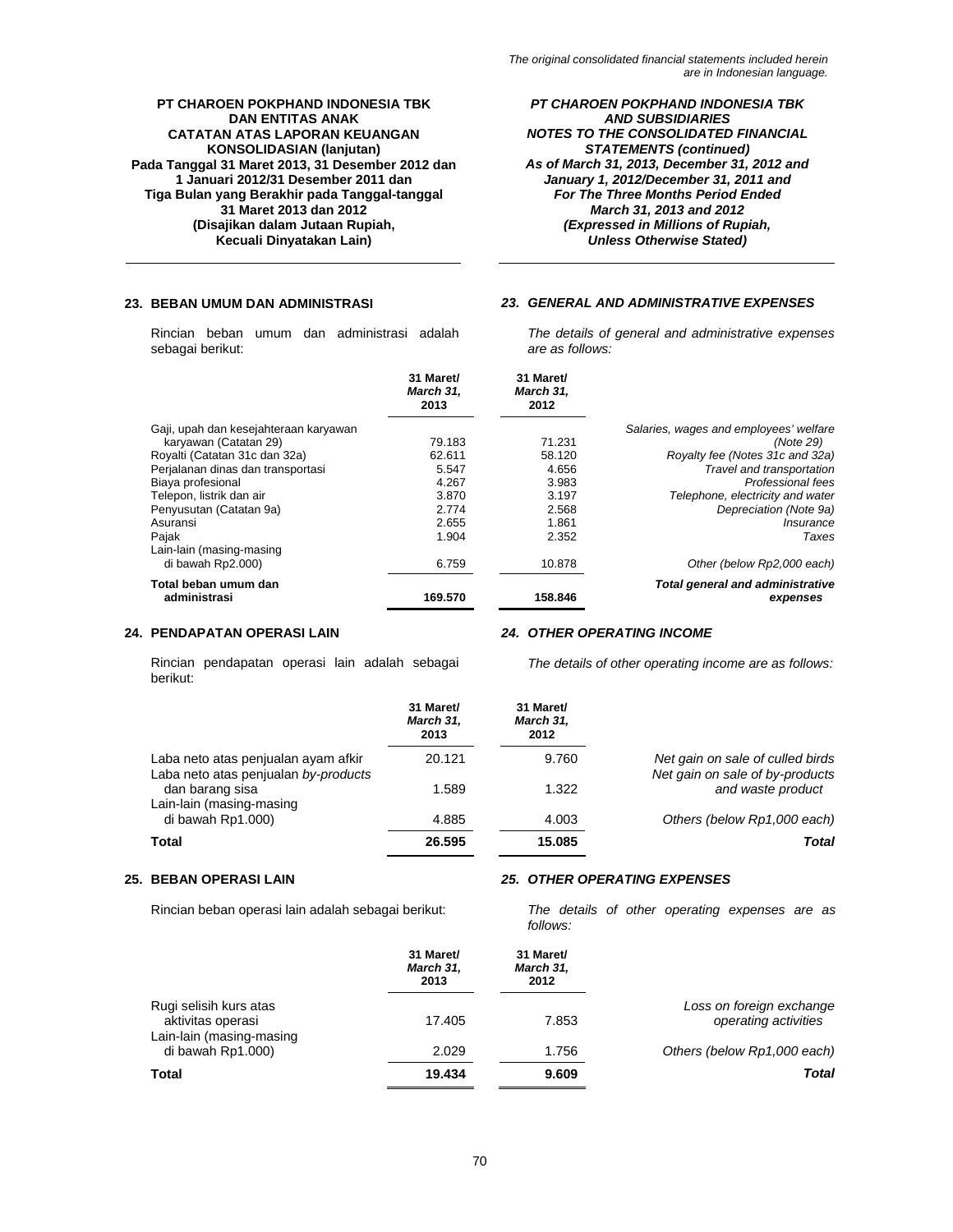Rincian beban umum dan administrasi adalah sebagai berikut:

*PT CHAROEN POKPHAND INDONESIA TBK AND SUBSIDIARIES NOTES TO THE CONSOLIDATED FINANCIAL STATEMENTS (continued) As of March 31, 2013, December 31, 2012 and January 1, 2012/December 31, 2011 and For The Three Months Period Ended March 31, 2013 and 2012 (Expressed in Millions of Rupiah, Unless Otherwise Stated)* 

# **23. BEBAN UMUM DAN ADMINISTRASI** *23. GENERAL AND ADMINISTRATIVE EXPENSES*

*The details of general and administrative expenses are as follows:* 

|                                       | 31 Maret/<br>March 31.<br>2013 | 31 Maret/<br>March 31.<br>2012 |                                                     |
|---------------------------------------|--------------------------------|--------------------------------|-----------------------------------------------------|
| Gaji, upah dan kesejahteraan karyawan |                                |                                | Salaries, wages and employees' welfare              |
| karyawan (Catatan 29)                 | 79.183                         | 71.231                         | (Note 29)                                           |
| Royalti (Catatan 31c dan 32a)         | 62.611                         | 58.120                         | Royalty fee (Notes 31c and 32a)                     |
| Perjalanan dinas dan transportasi     | 5.547                          | 4.656                          | Travel and transportation                           |
| Biaya profesional                     | 4.267                          | 3.983                          | Professional fees                                   |
| Telepon, listrik dan air              | 3.870                          | 3.197                          | Telephone, electricity and water                    |
| Penyusutan (Catatan 9a)               | 2.774                          | 2.568                          | Depreciation (Note 9a)                              |
| Asuransi                              | 2.655                          | 1.861                          | Insurance                                           |
| Pajak                                 | 1.904                          | 2.352                          | Taxes                                               |
| Lain-lain (masing-masing              |                                |                                |                                                     |
| di bawah Rp2.000)                     | 6.759                          | 10.878                         | Other (below Rp2,000 each)                          |
| Total beban umum dan<br>administrasi  | 169.570                        | 158.846                        | <b>Total general and administrative</b><br>expenses |

### **24. PENDAPATAN OPERASI LAIN** *24. OTHER OPERATING INCOME*

Rincian pendapatan operasi lain adalah sebagai berikut:

*The details of other operating income are as follows:* 

|                                                                             | 31 Maret/<br>March 31,<br>2013 | 31 Maret/<br>March 31,<br>2012 |                                                                     |
|-----------------------------------------------------------------------------|--------------------------------|--------------------------------|---------------------------------------------------------------------|
| Laba neto atas penjualan ayam afkir<br>Laba neto atas penjualan by-products | 20.121                         | 9.760                          | Net gain on sale of culled birds<br>Net gain on sale of by-products |
| dan barang sisa<br>Lain-lain (masing-masing                                 | 1.589                          | 1.322                          | and waste product                                                   |
| di bawah Rp1.000)                                                           | 4.885                          | 4.003                          | Others (below Rp1,000 each)                                         |
| Total                                                                       | 26.595                         | 15.085                         | Total                                                               |

# **25. BEBAN OPERASI LAIN** *25. OTHER OPERATING EXPENSES*

Rincian beban operasi lain adalah sebagai berikut: *The details of other operating expenses are as follows:* 

|                                                                         | 31 Maret/<br>March 31,<br>2013 | 31 Maret/<br>March 31,<br>2012 |                                                  |
|-------------------------------------------------------------------------|--------------------------------|--------------------------------|--------------------------------------------------|
| Rugi selisih kurs atas<br>aktivitas operasi<br>Lain-lain (masing-masing | 17.405                         | 7.853                          | Loss on foreign exchange<br>operating activities |
| di bawah Rp1.000)                                                       | 2.029                          | 1.756                          | Others (below Rp1,000 each)                      |
| Total                                                                   | 19.434                         | 9.609                          | Total                                            |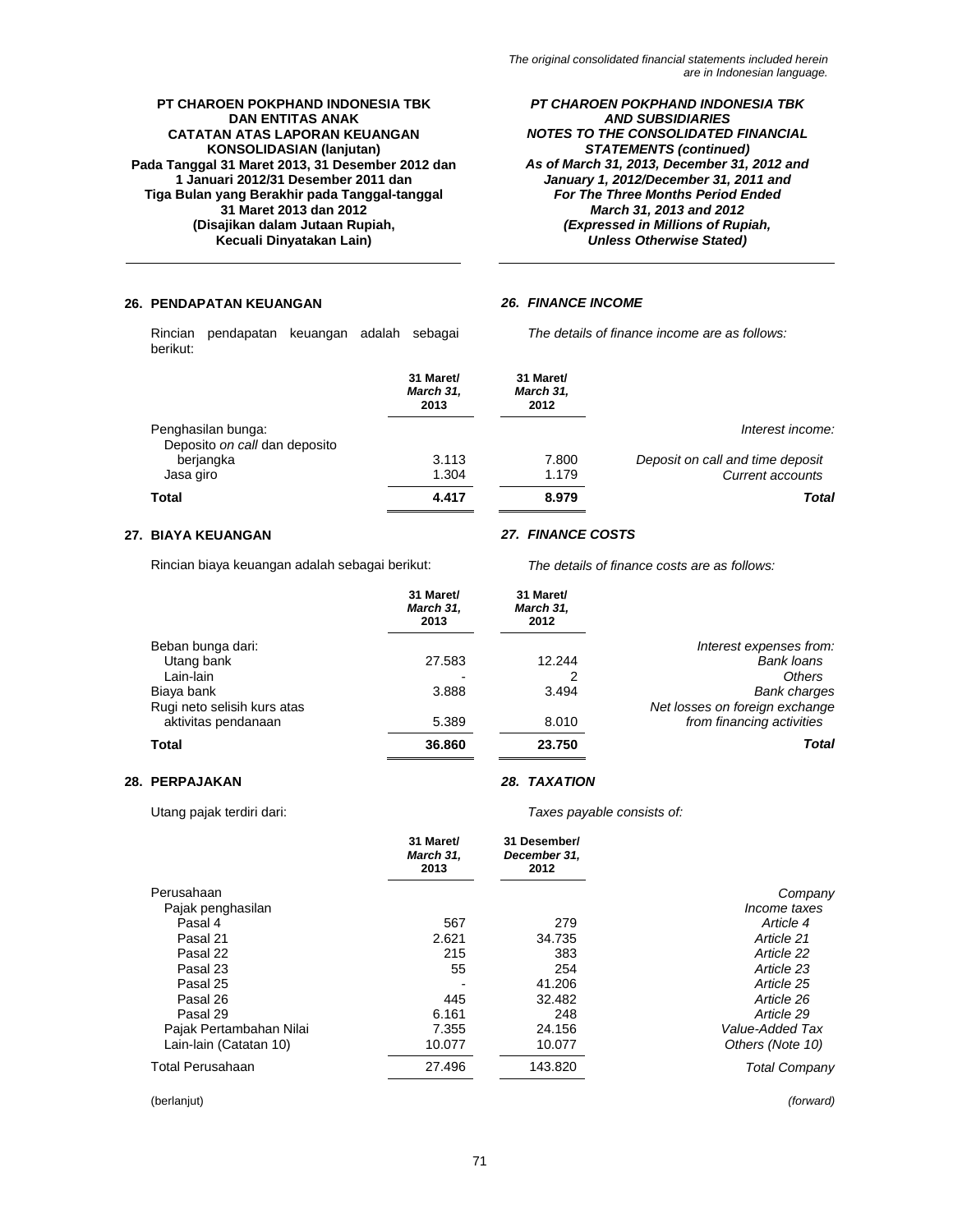*PT CHAROEN POKPHAND INDONESIA TBK AND SUBSIDIARIES NOTES TO THE CONSOLIDATED FINANCIAL STATEMENTS (continued) As of March 31, 2013, December 31, 2012 and January 1, 2012/December 31, 2011 and For The Three Months Period Ended March 31, 2013 and 2012 (Expressed in Millions of Rupiah, Unless Otherwise Stated)* 

# **26. PENDAPATAN KEUANGAN** *26. FINANCE INCOME*

Rincian pendapatan keuangan adalah sebagai berikut:

*The details of finance income are as follows:* 

|                                                     | 31 Maret/<br>March 31,<br>2013 | 31 Maret/<br>March 31,<br>2012 |                                  |
|-----------------------------------------------------|--------------------------------|--------------------------------|----------------------------------|
| Penghasilan bunga:<br>Deposito on call dan deposito |                                |                                | Interest income:                 |
| berjangka                                           | 3.113                          | 7.800                          | Deposit on call and time deposit |
| Jasa giro                                           | 1.304                          | 1.179                          | Current accounts                 |
| Total                                               | 4.417                          | 8.979                          | Total                            |

Rincian biaya keuangan adalah sebagai berikut: *The details of finance costs are as follows:* 

### **27. BIAYA KEUANGAN** *27. FINANCE COSTS*

|                             | 31 Maret/<br>March 31,<br>2013 | 31 Maret/<br>March 31,<br>2012 |                                |
|-----------------------------|--------------------------------|--------------------------------|--------------------------------|
| Beban bunga dari:           |                                |                                | Interest expenses from:        |
| Utang bank                  | 27.583                         | 12.244                         | Bank loans                     |
| Lain-lain                   |                                | 2                              | <b>Others</b>                  |
| Biaya bank                  | 3.888                          | 3.494                          | <b>Bank charges</b>            |
| Rugi neto selisih kurs atas |                                |                                | Net losses on foreign exchange |
| aktivitas pendanaan         | 5.389                          | 8.010                          | from financing activities      |
| Total                       | 36,860                         | 23.750                         | Total                          |

# **28. PERPAJAKAN** *28. TAXATION*

Utang pajak terdiri dari: *Taxes payable consists of:* 

|                         | 31 Maret/<br>March 31,<br>2013 | 31 Desember/<br>December 31,<br>2012 |                      |
|-------------------------|--------------------------------|--------------------------------------|----------------------|
| Perusahaan              |                                |                                      | Company              |
| Pajak penghasilan       |                                |                                      | Income taxes         |
| Pasal 4                 | 567                            | 279                                  | Article 4            |
| Pasal 21                | 2.621                          | 34.735                               | Article 21           |
| Pasal 22                | 215                            | 383                                  | Article 22           |
| Pasal 23                | 55                             | 254                                  | Article 23           |
| Pasal 25                |                                | 41.206                               | Article 25           |
| Pasal 26                | 445                            | 32.482                               | Article 26           |
| Pasal 29                | 6.161                          | 248                                  | Article 29           |
| Pajak Pertambahan Nilai | 7.355                          | 24.156                               | Value-Added Tax      |
| Lain-lain (Catatan 10)  | 10.077                         | 10.077                               | Others (Note 10)     |
| Total Perusahaan        | 27.496                         | 143.820                              | <b>Total Company</b> |

(berlanjut) *(forward)*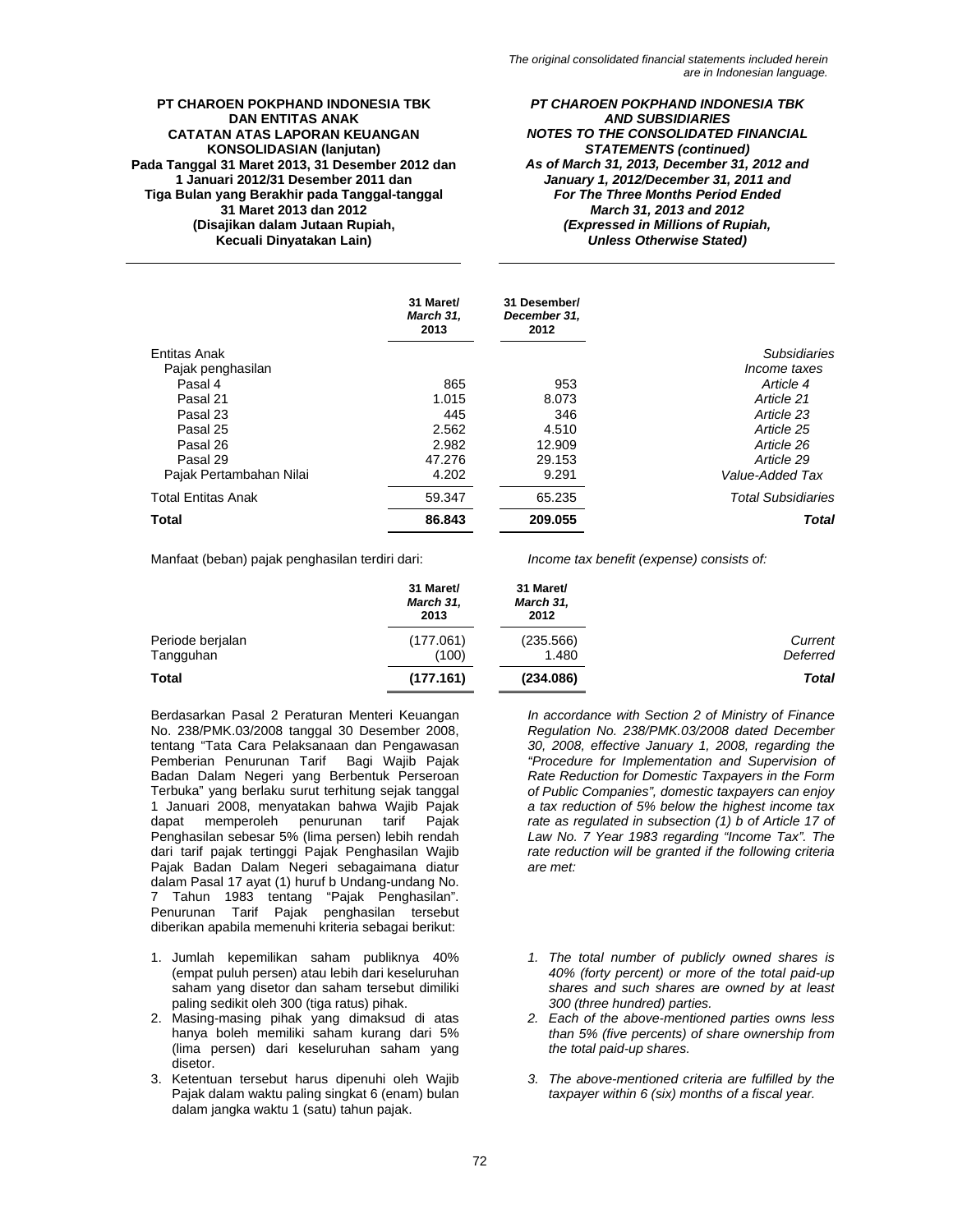*PT CHAROEN POKPHAND INDONESIA TBK AND SUBSIDIARIES NOTES TO THE CONSOLIDATED FINANCIAL STATEMENTS (continued) As of March 31, 2013, December 31, 2012 and January 1, 2012/December 31, 2011 and For The Three Months Period Ended March 31, 2013 and 2012 (Expressed in Millions of Rupiah, Unless Otherwise Stated)* 

|                           | 31 Maret/<br>March 31,<br>2013 | 31 Desember/<br>December 31,<br>2012 |                           |
|---------------------------|--------------------------------|--------------------------------------|---------------------------|
| Entitas Anak              |                                |                                      | <b>Subsidiaries</b>       |
| Pajak penghasilan         |                                |                                      | <i>Income taxes</i>       |
| Pasal 4                   | 865                            | 953                                  | Article 4                 |
| Pasal 21                  | 1.015                          | 8.073                                | Article 21                |
| Pasal 23                  | 445                            | 346                                  | Article 23                |
| Pasal 25                  | 2.562                          | 4.510                                | Article 25                |
| Pasal 26                  | 2.982                          | 12.909                               | Article 26                |
| Pasal 29                  | 47.276                         | 29.153                               | Article 29                |
| Pajak Pertambahan Nilai   | 4.202                          | 9.291                                | Value-Added Tax           |
| <b>Total Entitas Anak</b> | 59.347                         | 65.235                               | <b>Total Subsidiaries</b> |
| <b>Total</b>              | 86.843                         | 209.055                              | <b>Total</b>              |

Manfaat (beban) pajak penghasilan terdiri dari: *Income tax benefit (expense) consists of:* 

|                  | 31 Maret/<br>March 31,<br>2013 | 31 Maret/<br>March 31,<br>2012 |              |
|------------------|--------------------------------|--------------------------------|--------------|
| Periode berjalan | (177.061)                      | (235.566)                      | Current      |
| Tangguhan        | (100)                          | 1.480                          | Deferred     |
| <b>Total</b>     | (177.161)                      | (234.086)                      | <b>Total</b> |

Berdasarkan Pasal 2 Peraturan Menteri Keuangan No. 238/PMK.03/2008 tanggal 30 Desember 2008, tentang "Tata Cara Pelaksanaan dan Pengawasan Pemberian Penurunan Tarif Bagi Wajib Pajak Badan Dalam Negeri yang Berbentuk Perseroan Terbuka" yang berlaku surut terhitung sejak tanggal 1 Januari 2008, menyatakan bahwa Wajib Pajak penurunan tarif Pajak Penghasilan sebesar 5% (lima persen) lebih rendah dari tarif pajak tertinggi Pajak Penghasilan Wajib Pajak Badan Dalam Negeri sebagaimana diatur dalam Pasal 17 ayat (1) huruf b Undang-undang No. 7 Tahun 1983 tentang "Pajak Penghasilan". Penurunan Tarif Pajak penghasilan tersebut diberikan apabila memenuhi kriteria sebagai berikut:

- 1. Jumlah kepemilikan saham publiknya 40% (empat puluh persen) atau lebih dari keseluruhan saham yang disetor dan saham tersebut dimiliki paling sedikit oleh 300 (tiga ratus) pihak.
- 2. Masing-masing pihak yang dimaksud di atas hanya boleh memiliki saham kurang dari 5% (lima persen) dari keseluruhan saham yang disetor.
- 3. Ketentuan tersebut harus dipenuhi oleh Wajib Pajak dalam waktu paling singkat 6 (enam) bulan dalam jangka waktu 1 (satu) tahun pajak.

*In accordance with Section 2 of Ministry of Finance Regulation No. 238/PMK.03/2008 dated December 30, 2008, effective January 1, 2008, regarding the "Procedure for Implementation and Supervision of Rate Reduction for Domestic Taxpayers in the Form of Public Companies", domestic taxpayers can enjoy a tax reduction of 5% below the highest income tax rate as regulated in subsection (1) b of Article 17 of Law No. 7 Year 1983 regarding "Income Tax". The rate reduction will be granted if the following criteria are met:* 

- *1. The total number of publicly owned shares is 40% (forty percent) or more of the total paid-up shares and such shares are owned by at least 300 (three hundred) parties.*
- *2. Each of the above-mentioned parties owns less than 5% (five percents) of share ownership from the total paid-up shares.*
- *3. The above-mentioned criteria are fulfilled by the taxpayer within 6 (six) months of a fiscal year.*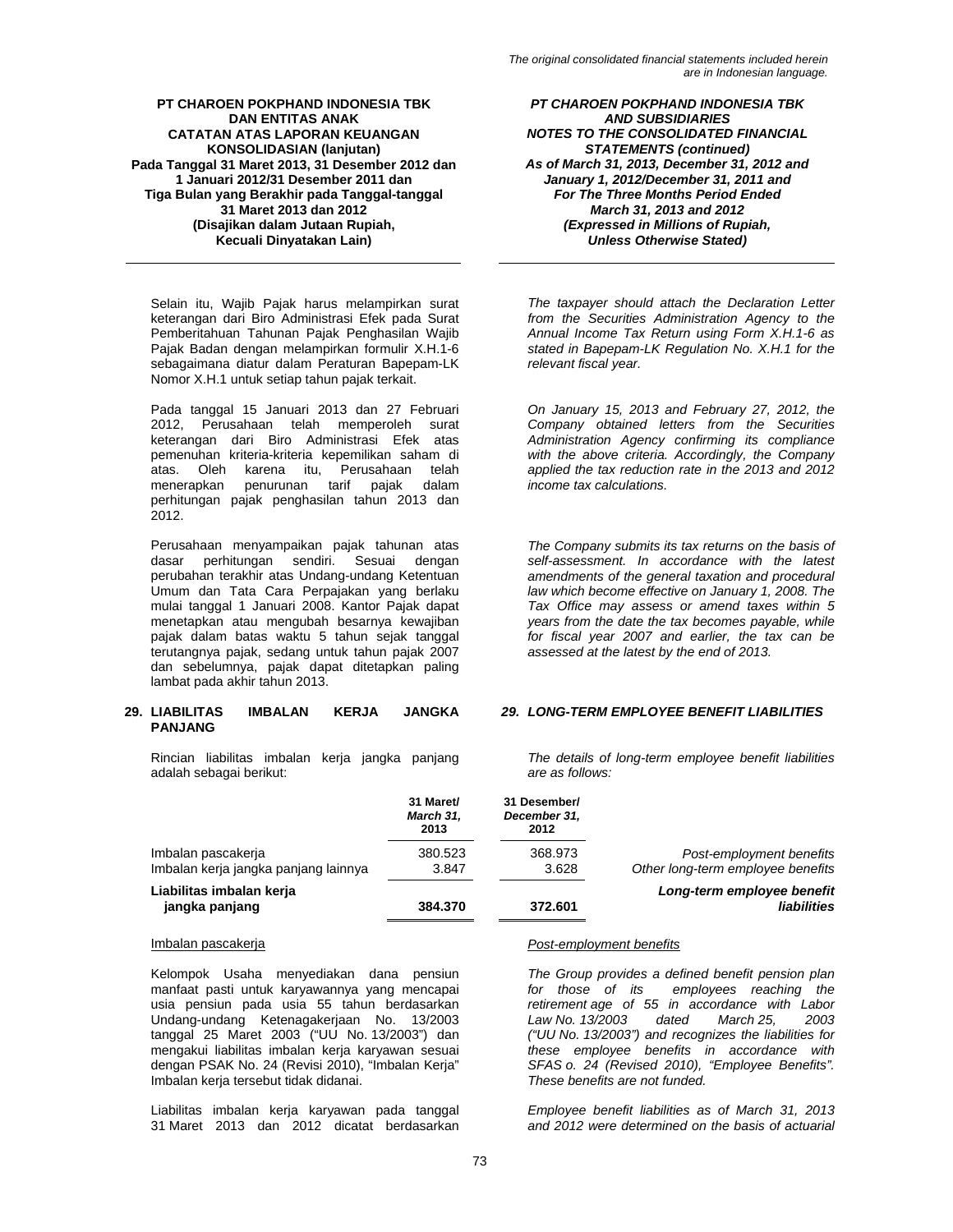Selain itu, Wajib Pajak harus melampirkan surat keterangan dari Biro Administrasi Efek pada Surat Pemberitahuan Tahunan Pajak Penghasilan Wajib Pajak Badan dengan melampirkan formulir X.H.1-6 sebagaimana diatur dalam Peraturan Bapepam-LK Nomor X.H.1 untuk setiap tahun pajak terkait.

Pada tanggal 15 Januari 2013 dan 27 Februari 2012, Perusahaan telah memperoleh surat keterangan dari Biro Administrasi Efek atas pemenuhan kriteria-kriteria kepemilikan saham di atas. Oleh karena itu, Perusahaan telah menerapkan penurunan tarif pajak dalam perhitungan pajak penghasilan tahun 2013 dan 2012.

Perusahaan menyampaikan pajak tahunan atas dasar perhitungan sendiri. Sesuai dengan perubahan terakhir atas Undang-undang Ketentuan Umum dan Tata Cara Perpajakan yang berlaku mulai tanggal 1 Januari 2008. Kantor Pajak dapat menetapkan atau mengubah besarnya kewajiban pajak dalam batas waktu 5 tahun sejak tanggal terutangnya pajak, sedang untuk tahun pajak 2007 dan sebelumnya, pajak dapat ditetapkan paling lambat pada akhir tahun 2013.

### **29. LIABILITAS IMBALAN KERJA JANGKA PANJANG**

Rincian liabilitas imbalan kerja jangka panjang adalah sebagai berikut:

*PT CHAROEN POKPHAND INDONESIA TBK AND SUBSIDIARIES NOTES TO THE CONSOLIDATED FINANCIAL STATEMENTS (continued) As of March 31, 2013, December 31, 2012 and January 1, 2012/December 31, 2011 and For The Three Months Period Ended March 31, 2013 and 2012 (Expressed in Millions of Rupiah, Unless Otherwise Stated)* 

*The taxpayer should attach the Declaration Letter from the Securities Administration Agency to the Annual Income Tax Return using Form X.H.1-6 as stated in Bapepam-LK Regulation No. X.H.1 for the relevant fiscal year.* 

*On January 15, 2013 and February 27, 2012, the Company obtained letters from the Securities Administration Agency confirming its compliance with the above criteria. Accordingly, the Company applied the tax reduction rate in the 2013 and 2012 income tax calculations.* 

*The Company submits its tax returns on the basis of self-assessment. In accordance with the latest amendments of the general taxation and procedural law which become effective on January 1, 2008. The Tax Office may assess or amend taxes within 5 years from the date the tax becomes payable, while for fiscal year 2007 and earlier, the tax can be assessed at the latest by the end of 2013.* 

# *29. LONG-TERM EMPLOYEE BENEFIT LIABILITIES*

*The details of long-term employee benefit liabilities are as follows:* 

|                                                            | 31 Maret/<br>March 31,<br>2013 | 31 Desember/<br>December 31,<br>2012 |                                                               |
|------------------------------------------------------------|--------------------------------|--------------------------------------|---------------------------------------------------------------|
| Imbalan pascakerja<br>Imbalan kerja jangka panjang lainnya | 380.523<br>3.847               | 368.973<br>3.628                     | Post-employment benefits<br>Other long-term employee benefits |
| Liabilitas imbalan kerja<br>jangka panjang                 | 384.370                        | 372.601                              | Long-term employee benefit<br>liabilities                     |

Kelompok Usaha menyediakan dana pensiun manfaat pasti untuk karyawannya yang mencapai usia pensiun pada usia 55 tahun berdasarkan Undang-undang Ketenagakerjaan No. 13/2003 tanggal 25 Maret 2003 ("UU No. 13/2003") dan mengakui liabilitas imbalan kerja karyawan sesuai dengan PSAK No. 24 (Revisi 2010), "Imbalan Kerja" Imbalan kerja tersebut tidak didanai.

Liabilitas imbalan kerja karyawan pada tanggal 31 Maret 2013 dan 2012 dicatat berdasarkan

#### Imbalan pascakerja *Post-employment benefits*

*The Group provides a defined benefit pension plan for those of its employees reaching the retirement age of 55 in accordance with Labor Law No. 13/2003 dated March 25, 2003 ("UU No. 13/2003") and recognizes the liabilities for these employee benefits in accordance with SFAS o. 24 (Revised 2010), "Employee Benefits". These benefits are not funded.* 

*Employee benefit liabilities as of March 31, 2013 and 2012 were determined on the basis of actuarial*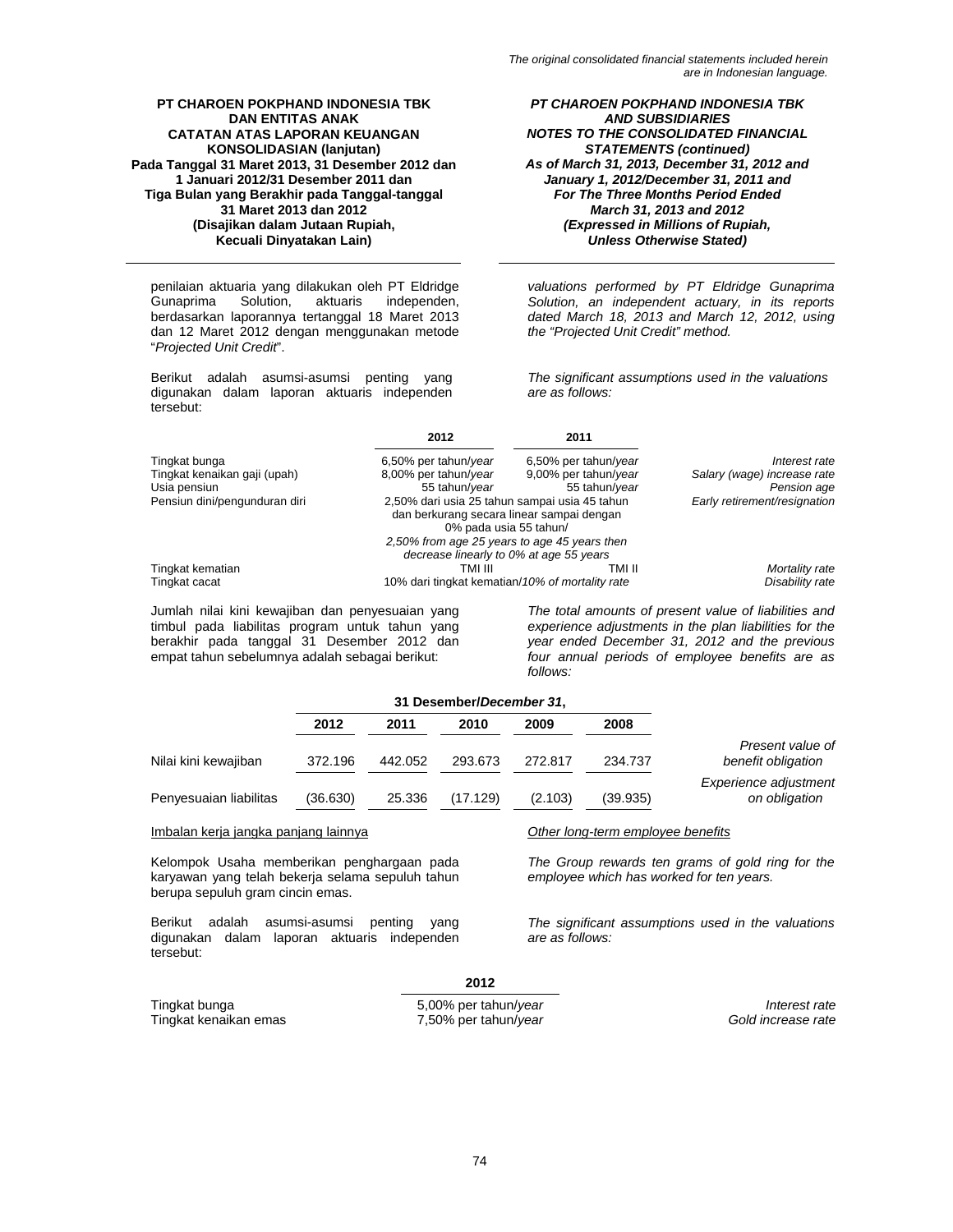penilaian aktuaria yang dilakukan oleh PT Eldridge Gunaprima Solution, aktuaris independen, berdasarkan laporannya tertanggal 18 Maret 2013 dan 12 Maret 2012 dengan menggunakan metode "*Projected Unit Credit*".

Berikut adalah asumsi-asumsi penting yang digunakan dalam laporan aktuaris independen tersebut:

*PT CHAROEN POKPHAND INDONESIA TBK AND SUBSIDIARIES NOTES TO THE CONSOLIDATED FINANCIAL STATEMENTS (continued) As of March 31, 2013, December 31, 2012 and January 1, 2012/December 31, 2011 and For The Three Months Period Ended March 31, 2013 and 2012 (Expressed in Millions of Rupiah, Unless Otherwise Stated)* 

*valuations performed by PT Eldridge Gunaprima Solution, an independent actuary, in its reports dated March 18, 2013 and March 12, 2012, using the "Projected Unit Credit" method.* 

*The significant assumptions used in the valuations are as follows:* 

|                               | 2012                                                                                                                 | 2011                         |                             |
|-------------------------------|----------------------------------------------------------------------------------------------------------------------|------------------------------|-----------------------------|
| Tingkat bunga                 | 6,50% per tahun/year                                                                                                 | 6,50% per tahun/year         | Interest rate               |
| Tingkat kenaikan gaji (upah)  | 8,00% per tahun/year                                                                                                 | 9,00% per tahun/year         | Salary (wage) increase rate |
| Usia pensiun                  | 55 tahun/year                                                                                                        | 55 tahun/year                | Pension age                 |
| Pensiun dini/pengunduran diri | 2,50% dari usia 25 tahun sampai usia 45 tahun<br>dan berkurang secara linear sampai dengan<br>0% pada usia 55 tahun/ | Early retirement/resignation |                             |
|                               | 2,50% from age 25 years to age 45 years then                                                                         |                              |                             |
|                               | decrease linearly to 0% at age 55 years                                                                              |                              |                             |
| Tingkat kematian              | TMI III                                                                                                              | TMI II                       | Mortality rate              |
| Tingkat cacat                 | 10% dari tingkat kematian/10% of mortality rate                                                                      | Disability rate              |                             |

Jumlah nilai kini kewajiban dan penyesuaian yang timbul pada liabilitas program untuk tahun yang berakhir pada tanggal 31 Desember 2012 dan empat tahun sebelumnya adalah sebagai berikut:

*The total amounts of present value of liabilities and experience adjustments in the plan liabilities for the year ended December 31, 2012 and the previous four annual periods of employee benefits are as follows:* 

|                                      |          | 31 Desember/December 31, |          |         |                                   |                                        |
|--------------------------------------|----------|--------------------------|----------|---------|-----------------------------------|----------------------------------------|
|                                      | 2012     | 2011                     | 2010     | 2009    | 2008                              |                                        |
| Nilai kini kewajiban                 | 372.196  | 442.052                  | 293.673  | 272.817 | 234.737                           | Present value of<br>benefit obligation |
| Penyesuaian liabilitas               | (36.630) | 25.336                   | (17.129) | (2.103) | (39.935)                          | Experience adjustment<br>on obligation |
| Imbalan kerja jangka panjang lainnya |          |                          |          |         | Other long-term employee benefits |                                        |

Kelompok Usaha memberikan penghargaan pada karyawan yang telah bekerja selama sepuluh tahun berupa sepuluh gram cincin emas.

Berikut adalah asumsi-asumsi penting yang digunakan dalam laporan aktuaris independen tersebut:

*The Group rewards ten grams of gold ring for the employee which has worked for ten years.* 

*The significant assumptions used in the valuations are as follows:* 

### **2012**

Tingkat kenaikan emas 7,50% per tahun/*year Gold increase rate*

Tingkat bunga 5,00% per tahun/*year Interest rate*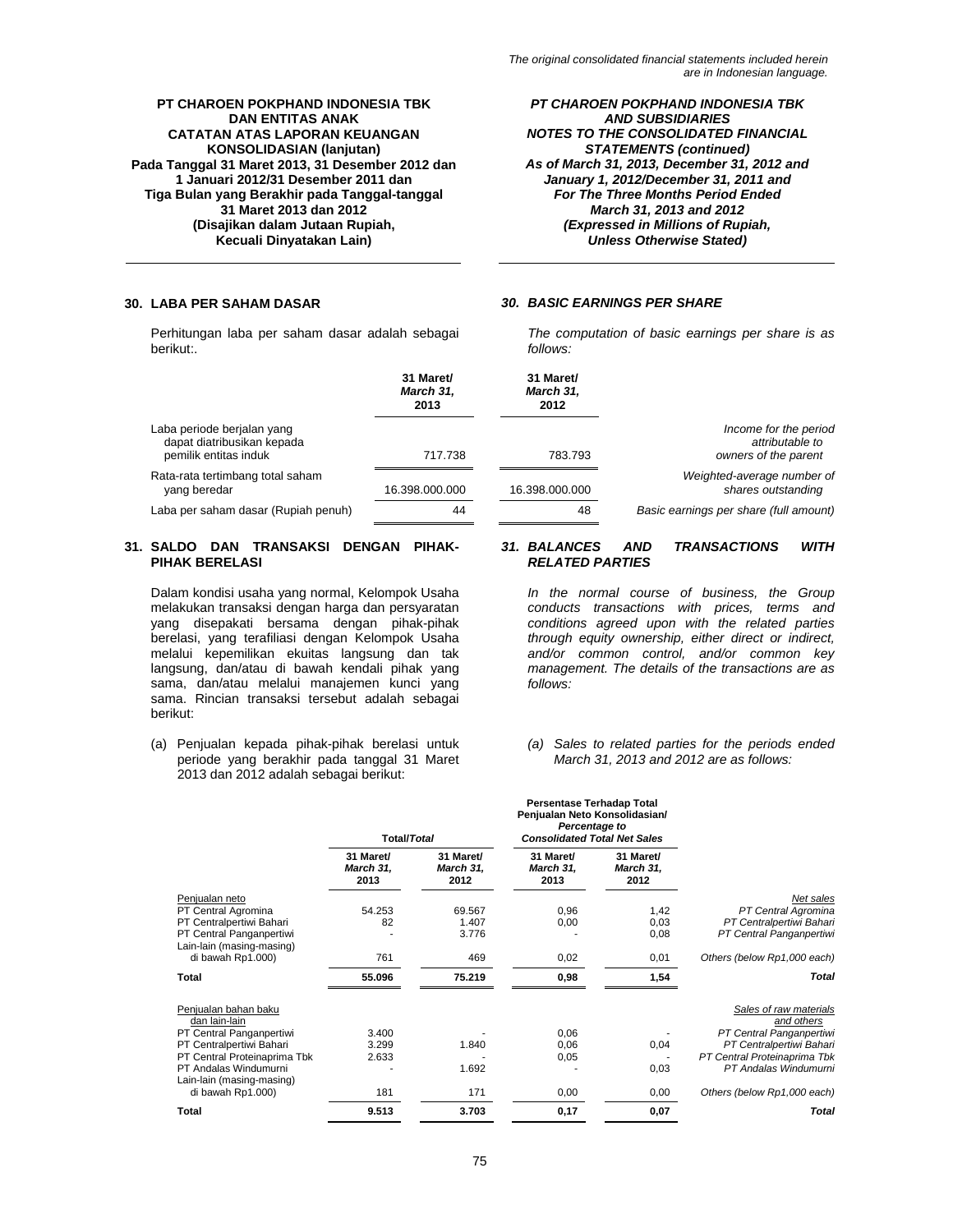Perhitungan laba per saham dasar adalah sebagai berikut:.

### *PT CHAROEN POKPHAND INDONESIA TBK AND SUBSIDIARIES NOTES TO THE CONSOLIDATED FINANCIAL STATEMENTS (continued) As of March 31, 2013, December 31, 2012 and January 1, 2012/December 31, 2011 and For The Three Months Period Ended March 31, 2013 and 2012 (Expressed in Millions of Rupiah, Unless Otherwise Stated)*

### **30. LABA PER SAHAM DASAR** *30. BASIC EARNINGS PER SHARE*

*The computation of basic earnings per share is as follows:* 

|                                                                                   | 31 Maret/<br>March 31,<br>2013 | 31 Maret/<br>March 31,<br>2012 |                                                                  |
|-----------------------------------------------------------------------------------|--------------------------------|--------------------------------|------------------------------------------------------------------|
| Laba periode berjalan yang<br>dapat diatribusikan kepada<br>pemilik entitas induk | 717.738                        | 783.793                        | Income for the period<br>attributable to<br>owners of the parent |
| Rata-rata tertimbang total saham<br>yang beredar                                  | 16.398.000.000                 | 16.398.000.000                 | Weighted-average number of<br>shares outstanding                 |
| Laba per saham dasar (Rupiah penuh)                                               | 44                             | 48                             | Basic earnings per share (full amount)                           |

### **31. SALDO DAN TRANSAKSI DENGAN PIHAK-PIHAK BERELASI**

Dalam kondisi usaha yang normal, Kelompok Usaha melakukan transaksi dengan harga dan persyaratan yang disepakati bersama dengan pihak-pihak berelasi, yang terafiliasi dengan Kelompok Usaha melalui kepemilikan ekuitas langsung dan tak langsung, dan/atau di bawah kendali pihak yang sama, dan/atau melalui manajemen kunci yang sama. Rincian transaksi tersebut adalah sebagai berikut:

(a) Penjualan kepada pihak-pihak berelasi untuk periode yang berakhir pada tanggal 31 Maret 2013 dan 2012 adalah sebagai berikut:

#### *31. BALANCES AND TRANSACTIONS WITH RELATED PARTIES*

*In the normal course of business, the Group conducts transactions with prices, terms and conditions agreed upon with the related parties through equity ownership, either direct or indirect, and/or common control, and/or common key management. The details of the transactions are as follows:*

#### *(a) Sales to related parties for the periods ended March 31, 2013 and 2012 are as follows:*

|                                                                                                                                                                                                          | <b>Total/Total</b>             |                                | <b>Persentase Terhadap Total</b><br>Penjualan Neto Konsolidasian/<br>Percentage to<br><b>Consolidated Total Net Sales</b> |                                |                                                                                                                                                                                      |
|----------------------------------------------------------------------------------------------------------------------------------------------------------------------------------------------------------|--------------------------------|--------------------------------|---------------------------------------------------------------------------------------------------------------------------|--------------------------------|--------------------------------------------------------------------------------------------------------------------------------------------------------------------------------------|
|                                                                                                                                                                                                          | 31 Maret/<br>March 31,<br>2013 | 31 Maret/<br>March 31,<br>2012 | 31 Maret/<br>March 31,<br>2013                                                                                            | 31 Maret/<br>March 31,<br>2012 |                                                                                                                                                                                      |
| Penjualan neto<br>PT Central Agromina<br>PT Centralpertiwi Bahari<br>PT Central Panganpertiwi                                                                                                            | 54.253<br>82                   | 69.567<br>1.407<br>3.776       | 0,96<br>0,00                                                                                                              | 1,42<br>0,03<br>0,08           | Net sales<br>PT Central Agromina<br>PT Centralpertiwi Bahari<br>PT Central Panganpertiwi                                                                                             |
| Lain-lain (masing-masing)<br>di bawah Rp1.000)<br>Total                                                                                                                                                  | 761<br>55.096                  | 469<br>75.219                  | 0,02<br>0,98                                                                                                              | 0,01<br>1,54                   | Others (below Rp1,000 each)<br>Total                                                                                                                                                 |
| Penjualan bahan baku<br>dan lain-lain<br>PT Central Panganpertiwi<br>PT Centralpertiwi Bahari<br>PT Central Proteinaprima Tbk<br>PT Andalas Windumurni<br>Lain-lain (masing-masing)<br>di bawah Rp1.000) | 3.400<br>3.299<br>2.633<br>181 | 1.840<br>1.692<br>171          | 0,06<br>0,06<br>0,05<br>0,00                                                                                              | 0,04<br>0,03<br>0,00           | Sales of raw materials<br>and others<br>PT Central Panganpertiwi<br>PT Centralpertiwi Bahari<br>PT Central Proteinaprima Tbk<br>PT Andalas Windumurni<br>Others (below Rp1,000 each) |
| Total                                                                                                                                                                                                    | 9.513                          | 3.703                          | 0,17                                                                                                                      | 0,07                           | Total                                                                                                                                                                                |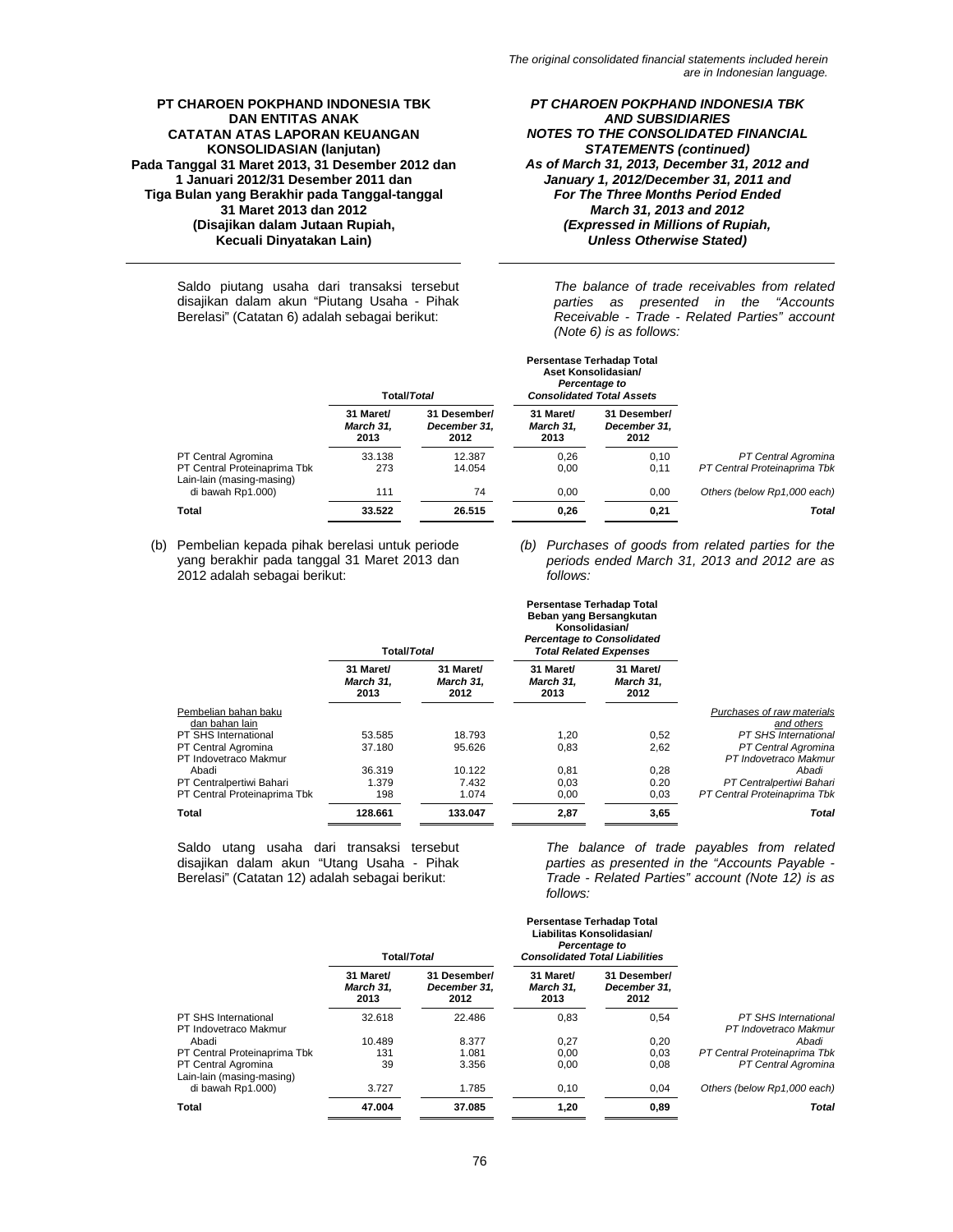Saldo piutang usaha dari transaksi tersebut disajikan dalam akun "Piutang Usaha - Pihak Berelasi" (Catatan 6) adalah sebagai berikut:

*PT CHAROEN POKPHAND INDONESIA TBK AND SUBSIDIARIES NOTES TO THE CONSOLIDATED FINANCIAL STATEMENTS (continued) As of March 31, 2013, December 31, 2012 and January 1, 2012/December 31, 2011 and For The Three Months Period Ended March 31, 2013 and 2012 (Expressed in Millions of Rupiah, Unless Otherwise Stated)* 

*The balance of trade receivables from related parties as presented in the "Accounts Receivable - Trade - Related Parties" account (Note 6) is as follows:* 

|                                                           |                                       | Total/Total                          |                                       | Aset Konsolidasian/<br>Percentage to<br><b>Consolidated Total Assets</b> |                              |
|-----------------------------------------------------------|---------------------------------------|--------------------------------------|---------------------------------------|--------------------------------------------------------------------------|------------------------------|
|                                                           | 31 Maret/<br><b>March 31.</b><br>2013 | 31 Desember/<br>December 31.<br>2012 | 31 Maret/<br><b>March 31.</b><br>2013 | 31 Desember/<br>December 31.<br>2012                                     |                              |
| PT Central Agromina                                       | 33.138                                | 12.387                               | 0.26                                  | 0,10                                                                     | PT Central Agromina          |
| PT Central Proteinaprima Tbk<br>Lain-lain (masing-masing) | 273                                   | 14.054                               | 0.00                                  | 0.11                                                                     | PT Central Proteinaprima Tbk |
| di bawah Rp1.000)                                         | 111                                   | 74                                   | 0.00                                  | 0.00                                                                     | Others (below Rp1,000 each)  |
| Total                                                     | 33.522                                | 26.515                               | 0,26                                  | 0,21                                                                     | <b>Total</b>                 |

**Persentase Terhadap Total** 

**Persentase Terhadap Total** 

(b) Pembelian kepada pihak berelasi untuk periode yang berakhir pada tanggal 31 Maret 2013 dan 2012 adalah sebagai berikut:

*(b) Purchases of goods from related parties for the periods ended March 31, 2013 and 2012 are as follows:* 

|                                              | <b>Total/Total</b>             |                                | Beban yang Bersangkutan<br>Konsolidasian/<br><b>Percentage to Consolidated</b><br><b>Total Related Expenses</b> |                                |                                              |
|----------------------------------------------|--------------------------------|--------------------------------|-----------------------------------------------------------------------------------------------------------------|--------------------------------|----------------------------------------------|
|                                              | 31 Maret/<br>March 31.<br>2013 | 31 Maret/<br>March 31,<br>2012 | 31 Maret/<br>March 31,<br>2013                                                                                  | 31 Maret/<br>March 31,<br>2012 |                                              |
| Pembelian bahan baku<br>dan bahan lain       |                                |                                |                                                                                                                 |                                | Purchases of raw materials<br>and others     |
| <b>PT SHS International</b>                  | 53.585                         | 18.793                         | 1,20                                                                                                            | 0,52                           | <b>PT SHS International</b>                  |
| PT Central Agromina<br>PT Indovetraco Makmur | 37.180                         | 95.626                         | 0,83                                                                                                            | 2,62                           | PT Central Agromina<br>PT Indovetraco Makmur |
| Abadi                                        | 36.319                         | 10.122                         | 0,81                                                                                                            | 0,28                           | Abadi                                        |
| PT Centralpertiwi Bahari                     | 1.379                          | 7.432                          | 0.03                                                                                                            | 0.20                           | PT Centralpertiwi Bahari                     |
| PT Central Proteinaprima Tbk                 | 198                            | 1.074                          | 0,00                                                                                                            | 0,03                           | PT Central Proteinaprima Tbk                 |
| Total                                        | 128.661                        | 133.047                        | 2,87                                                                                                            | 3,65                           | Total                                        |

Saldo utang usaha dari transaksi tersebut disajikan dalam akun "Utang Usaha - Pihak Berelasi" (Catatan 12) adalah sebagai berikut:

*The balance of trade payables from related parties as presented in the "Accounts Payable - Trade - Related Parties" account (Note 12) is as follows:* 

|                                                  | <b>Total/Total</b>                    |                                      |                                | <b>Persentase Terhadap Total</b><br>Liabilitas Konsolidasian/<br>Percentage to<br><b>Consolidated Total Liabilities</b> |                                               |
|--------------------------------------------------|---------------------------------------|--------------------------------------|--------------------------------|-------------------------------------------------------------------------------------------------------------------------|-----------------------------------------------|
|                                                  | 31 Maret/<br><b>March 31.</b><br>2013 | 31 Desember/<br>December 31,<br>2012 | 31 Maret/<br>March 31.<br>2013 | 31 Desember/<br>December 31,<br>2012                                                                                    |                                               |
| PT SHS International<br>PT Indovetraco Makmur    | 32.618                                | 22.486                               | 0.83                           | 0.54                                                                                                                    | PT SHS International<br>PT Indovetraco Makmur |
| Abadi                                            | 10.489                                | 8.377                                | 0,27                           | 0,20                                                                                                                    | Abadi                                         |
| PT Central Proteinaprima Tbk                     | 131                                   | 1.081                                | 0.00                           | 0.03                                                                                                                    | PT Central Proteinaprima Tbk                  |
| PT Central Agromina<br>Lain-lain (masing-masing) | 39                                    | 3.356                                | 0.00                           | 0.08                                                                                                                    | PT Central Agromina                           |
| di bawah Rp1.000)                                | 3.727                                 | 1.785                                | 0,10                           | 0,04                                                                                                                    | Others (below Rp1,000 each)                   |
| Total                                            | 47.004                                | 37.085                               | 1.20                           | 0,89                                                                                                                    | Total                                         |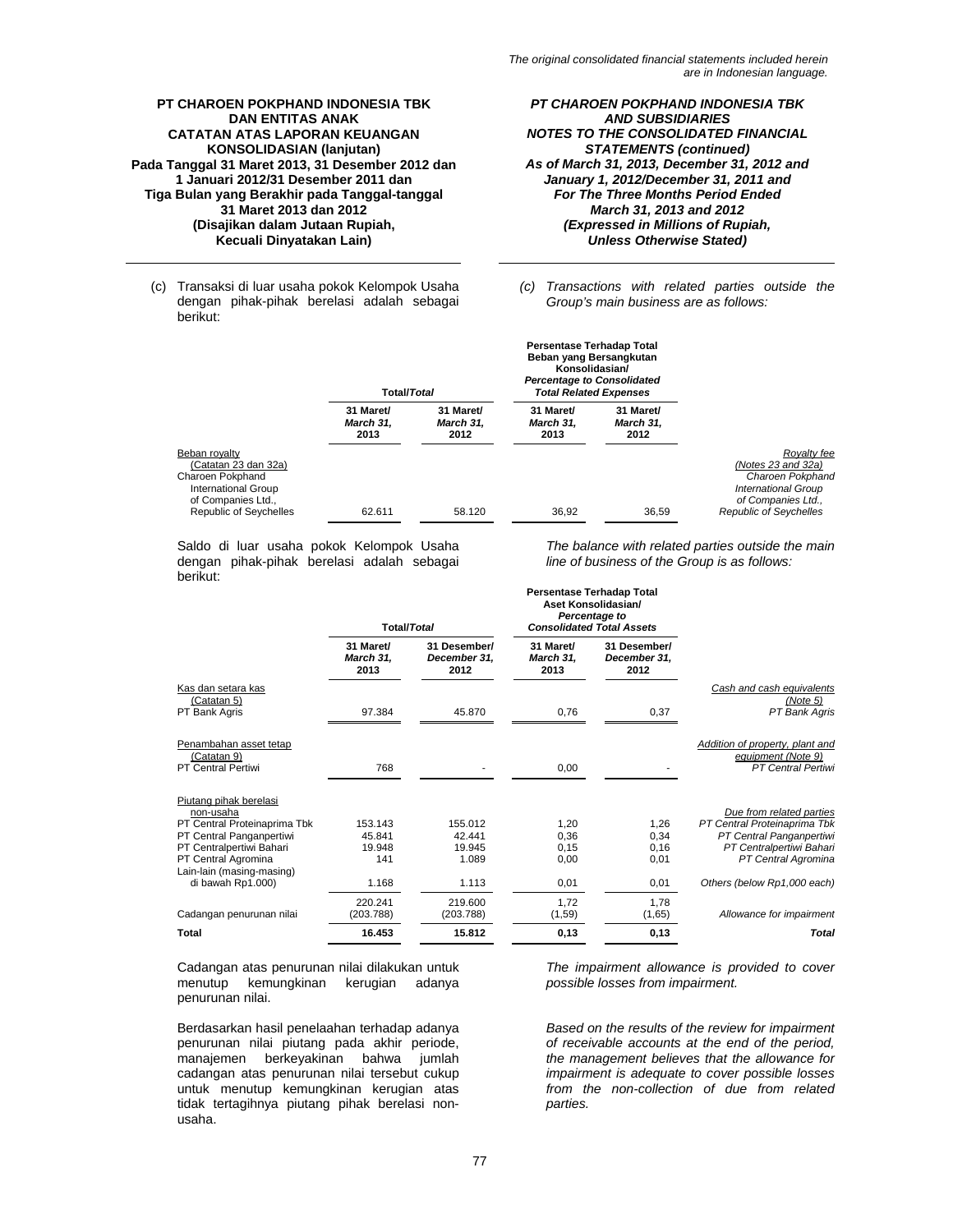*PT CHAROEN POKPHAND INDONESIA TBK AND SUBSIDIARIES NOTES TO THE CONSOLIDATED FINANCIAL STATEMENTS (continued) As of March 31, 2013, December 31, 2012 and January 1, 2012/December 31, 2011 and For The Three Months Period Ended March 31, 2013 and 2012 (Expressed in Millions of Rupiah, Unless Otherwise Stated)* 

(c) Transaksi di luar usaha pokok Kelompok Usaha dengan pihak-pihak berelasi adalah sebagai berikut:

*(c) Transactions with related parties outside the Group's main business are as follows:* 

**Persentase Terhadap Total** 

**Persentase Terhadap Total** 

|                                                                                                                                                | Total/Total                    |                                       | Beban yang Bersangkutan<br>Konsolidasian/<br><b>Percentage to Consolidated</b><br><b>Total Related Expenses</b> |                                       |                                                                                                                                                 |
|------------------------------------------------------------------------------------------------------------------------------------------------|--------------------------------|---------------------------------------|-----------------------------------------------------------------------------------------------------------------|---------------------------------------|-------------------------------------------------------------------------------------------------------------------------------------------------|
|                                                                                                                                                | 31 Maret/<br>March 31,<br>2013 | 31 Maret/<br><b>March 31.</b><br>2012 | 31 Maret/<br>March 31.<br>2013                                                                                  | 31 Maret/<br><b>March 31.</b><br>2012 |                                                                                                                                                 |
| Beban rovalty<br>(Catatan 23 dan 32a)<br>Charoen Pokphand<br><b>International Group</b><br>of Companies Ltd.,<br><b>Republic of Seychelles</b> | 62.611                         | 58.120                                | 36.92                                                                                                           | 36.59                                 | Rovalty fee<br>(Notes $23$ and $32a$ )<br>Charoen Pokphand<br><b>International Group</b><br>of Companies Ltd.,<br><b>Republic of Seychelles</b> |

Saldo di luar usaha pokok Kelompok Usaha dengan pihak-pihak berelasi adalah sebagai berikut:

*The balance with related parties outside the main line of business of the Group is as follows:* 

|                                                                                                                                                                                 | <b>Total/Total</b>                 |                                      |                                | <b>Feisentase Ternauap Total</b><br>Aset Konsolidasian/<br>Percentage to<br><b>Consolidated Total Assets</b> |                                                                                                                                         |
|---------------------------------------------------------------------------------------------------------------------------------------------------------------------------------|------------------------------------|--------------------------------------|--------------------------------|--------------------------------------------------------------------------------------------------------------|-----------------------------------------------------------------------------------------------------------------------------------------|
|                                                                                                                                                                                 | 31 Maret/<br>March 31,<br>2013     | 31 Desember/<br>December 31.<br>2012 | 31 Maret/<br>March 31,<br>2013 | 31 Desember/<br>December 31,<br>2012                                                                         |                                                                                                                                         |
| Kas dan setara kas<br>(Catatan 5)<br>PT Bank Agris                                                                                                                              | 97.384                             | 45.870                               | 0,76                           | 0,37                                                                                                         | Cash and cash equivalents<br>(Note 5)<br>PT Bank Agris                                                                                  |
| Penambahan asset tetap<br>(Catatan 9)<br><b>PT Central Pertiwi</b>                                                                                                              | 768                                |                                      | 0,00                           |                                                                                                              | Addition of property, plant and<br>equipment (Note 9)<br><b>PT Central Pertiwi</b>                                                      |
| Piutang pihak berelasi<br>non-usaha<br>PT Central Proteinaprima Tbk<br>PT Central Panganpertiwi<br>PT Centralpertiwi Bahari<br>PT Central Agromina<br>Lain-lain (masing-masing) | 153.143<br>45.841<br>19.948<br>141 | 155.012<br>42.441<br>19.945<br>1.089 | 1,20<br>0,36<br>0,15<br>0,00   | 1,26<br>0.34<br>0,16<br>0,01                                                                                 | Due from related parties<br>PT Central Proteinaprima Tbk<br>PT Central Panganpertiwi<br>PT Centralpertiwi Bahari<br>PT Central Agromina |
| di bawah Rp1.000)                                                                                                                                                               | 1.168                              | 1.113                                | 0,01                           | 0,01                                                                                                         | Others (below Rp1,000 each)                                                                                                             |
| Cadangan penurunan nilai                                                                                                                                                        | 220.241<br>(203.788)               | 219.600<br>(203.788)                 | 1.72<br>(1, 59)                | 1,78<br>(1,65)                                                                                               | Allowance for impairment                                                                                                                |
| Total                                                                                                                                                                           | 16.453                             | 15.812                               | 0,13                           | 0,13                                                                                                         | Total                                                                                                                                   |

Cadangan atas penurunan nilai dilakukan untuk menutup kemungkinan kerugian penurunan nilai.

Berdasarkan hasil penelaahan terhadap adanya penurunan nilai piutang pada akhir periode, manajemen berkeyakinan bahwa jumlah cadangan atas penurunan nilai tersebut cukup untuk menutup kemungkinan kerugian atas tidak tertagihnya piutang pihak berelasi nonusaha.

*The impairment allowance is provided to cover possible losses from impairment.* 

*Based on the results of the review for impairment of receivable accounts at the end of the period, the management believes that the allowance for impairment is adequate to cover possible losses from the non-collection of due from related parties.*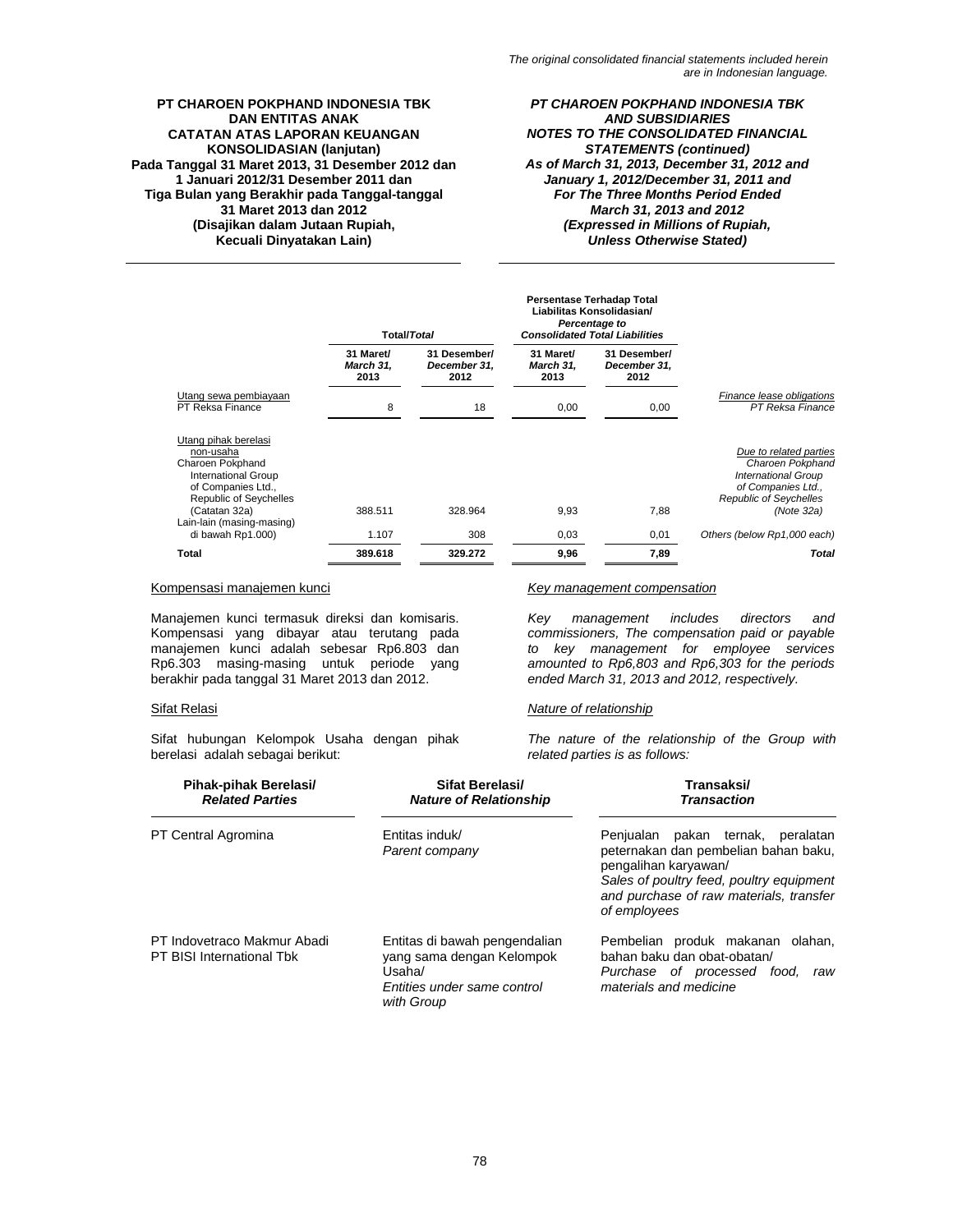*PT CHAROEN POKPHAND INDONESIA TBK AND SUBSIDIARIES NOTES TO THE CONSOLIDATED FINANCIAL STATEMENTS (continued) As of March 31, 2013, December 31, 2012 and January 1, 2012/December 31, 2011 and For The Three Months Period Ended March 31, 2013 and 2012 (Expressed in Millions of Rupiah, Unless Otherwise Stated)* 

|                                                                                                                                                             | Total/Total                    |                                      |                                | <b>Persentase Terhadap Total</b><br>Liabilitas Konsolidasian/<br>Percentage to<br><b>Consolidated Total Liabilities</b> |                                                                                                                                               |
|-------------------------------------------------------------------------------------------------------------------------------------------------------------|--------------------------------|--------------------------------------|--------------------------------|-------------------------------------------------------------------------------------------------------------------------|-----------------------------------------------------------------------------------------------------------------------------------------------|
|                                                                                                                                                             | 31 Maret/<br>March 31,<br>2013 | 31 Desember/<br>December 31,<br>2012 | 31 Maret/<br>March 31,<br>2013 | 31 Desember/<br>December 31,<br>2012                                                                                    |                                                                                                                                               |
| Utang sewa pembiayaan<br>PT Reksa Finance                                                                                                                   | 8                              | 18                                   | 0,00                           | 0,00                                                                                                                    | Finance lease obligations<br>PT Reksa Finance                                                                                                 |
| Utang pihak berelasi<br>non-usaha<br>Charoen Pokphand<br><b>International Group</b><br>of Companies Ltd.,<br><b>Republic of Seychelles</b><br>(Catatan 32a) | 388.511                        | 328.964                              | 9,93                           | 7,88                                                                                                                    | Due to related parties<br>Charoen Pokphand<br><b>International Group</b><br>of Companies Ltd.,<br><b>Republic of Seychelles</b><br>(Note 32a) |
| Lain-lain (masing-masing)<br>di bawah Rp1.000)                                                                                                              | 1.107                          | 308                                  | 0,03                           | 0,01                                                                                                                    | Others (below Rp1,000 each)                                                                                                                   |
| Total                                                                                                                                                       | 389.618                        | 329.272                              | 9,96                           | 7,89                                                                                                                    | Total                                                                                                                                         |

Manajemen kunci termasuk direksi dan komisaris. Kompensasi yang dibayar atau terutang pada manajemen kunci adalah sebesar Rp6.803 dan Rp6.303 masing-masing untuk periode yang berakhir pada tanggal 31 Maret 2013 dan 2012.

Sifat hubungan Kelompok Usaha dengan pihak berelasi adalah sebagai berikut:

### Kompensasi manajemen kunci *Key management compensation*

*Key management includes directors and commissioners, The compensation paid or payable to key management for employee services amounted to Rp6,803 and Rp6,303 for the periods ended March 31, 2013 and 2012, respectively.*

### Sifat Relasi *Nature of relationship*

*The nature of the relationship of the Group with related parties is as follows:* 

| Pihak-pihak Berelasi/<br><b>Related Parties</b>          | Sifat Berelasi/<br><b>Nature of Relationship</b>                                                                  | Transaksi/<br><b>Transaction</b>                                                                                                                                                                            |  |  |
|----------------------------------------------------------|-------------------------------------------------------------------------------------------------------------------|-------------------------------------------------------------------------------------------------------------------------------------------------------------------------------------------------------------|--|--|
| PT Central Agromina                                      | Entitas induk/<br>Parent company                                                                                  | Penjualan pakan ternak,<br>peralatan<br>peternakan dan pembelian bahan baku,<br>pengalihan karyawan/<br>Sales of poultry feed, poultry equipment<br>and purchase of raw materials, transfer<br>of employees |  |  |
| PT Indovetraco Makmur Abadi<br>PT BISI International Tbk | Entitas di bawah pengendalian<br>yang sama dengan Kelompok<br>Usaha/<br>Entities under same control<br>with Group | Pembelian produk makanan olahan,<br>bahan baku dan obat-obatan/<br>Purchase of processed food,<br>raw<br>materials and medicine                                                                             |  |  |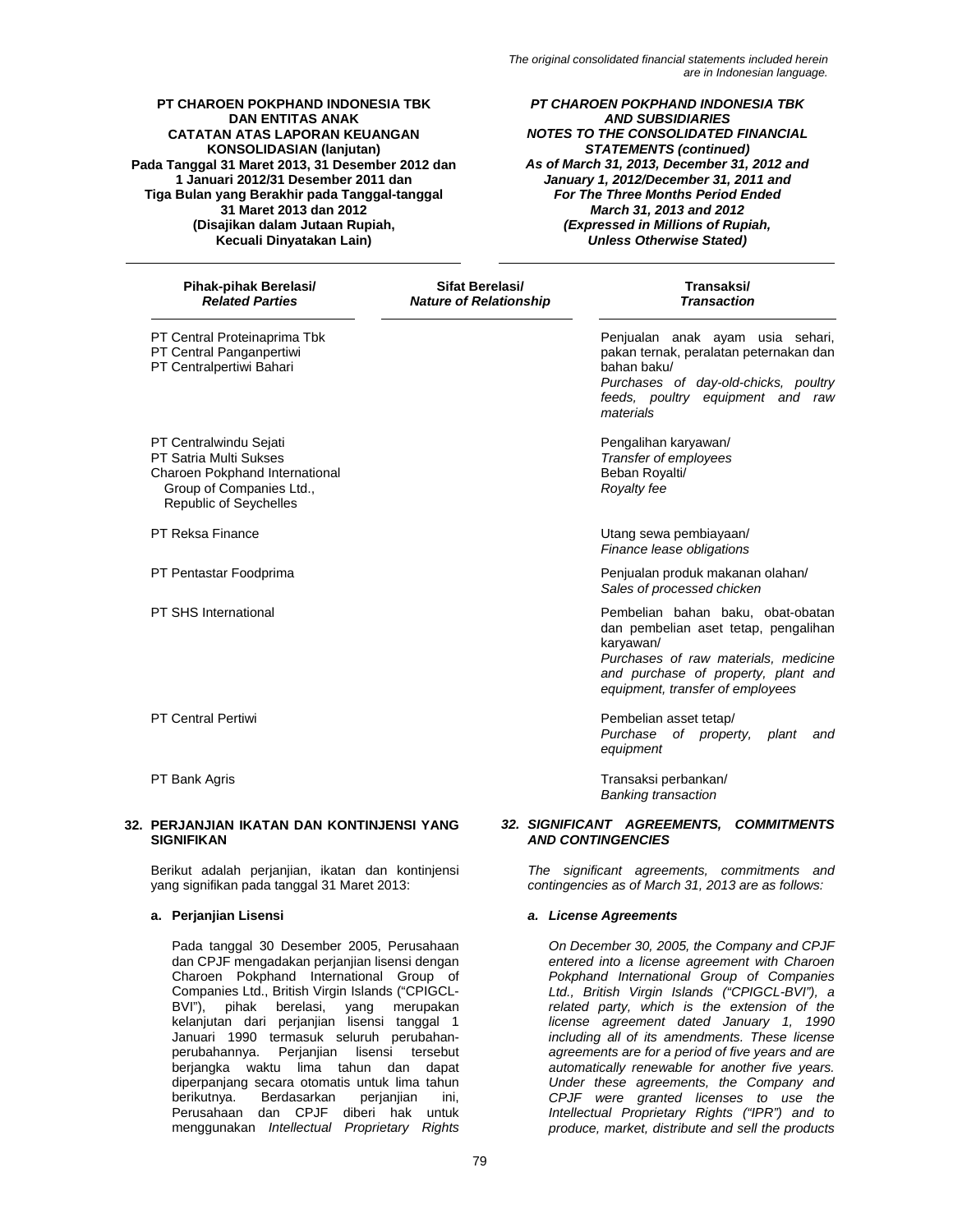*PT CHAROEN POKPHAND INDONESIA TBK AND SUBSIDIARIES NOTES TO THE CONSOLIDATED FINANCIAL STATEMENTS (continued) As of March 31, 2013, December 31, 2012 and January 1, 2012/December 31, 2011 and For The Three Months Period Ended March 31, 2013 and 2012 (Expressed in Millions of Rupiah, Unless Otherwise Stated)* 

PT Central Proteinaprima Tbk PT Central Panganpertiwi PT Centralpertiwi Bahari

PT Centralwindu Sejati PT Satria Multi Sukses Charoen Pokphand International Group of Companies Ltd., Republic of Seychelles

PT Central Pertiwi

PT Bank Agris

### **32. PERJANJIAN IKATAN DAN KONTINJENSI YANG SIGNIFIKAN**

Berikut adalah perjanjian, ikatan dan kontinjensi yang signifikan pada tanggal 31 Maret 2013:

Pada tanggal 30 Desember 2005, Perusahaan dan CPJF mengadakan perjanjian lisensi dengan Charoen Pokphand International Group of Companies Ltd., British Virgin Islands ("CPIGCL-BVI"), pihak berelasi, yang merupakan kelanjutan dari perjanjian lisensi tanggal 1 Januari 1990 termasuk seluruh perubahanperubahannya. Perjanjian lisensi tersebut berjangka waktu lima tahun dan dapat diperpanjang secara otomatis untuk lima tahun<br>berikutnya. Berdasarkan perjanjian ini, berikutnya. Berdasarkan perjanjian ini, Perusahaan dan CPJF diberi hak untuk menggunakan *Intellectual Proprietary Rights*

 **Pihak-pihak Berelasi/ Sifat Berelasi/ Transaksi/ Nature of Relationship**  Penjualan anak ayam usia sehari, pakan ternak, peralatan peternakan dan bahan baku/ *Purchases of day-old-chicks, poultry feeds, poultry equipment and raw materials*  Pengalihan karyawan/ *Transfer of employees* Beban Royalti/ *Royalty fee*  PT Reksa Finance **PT Reksa Finance** PT Reksa Pinance **Utang sewa pembiayaan/** *Finance lease obligations*  PT Pentastar Foodprima **Penjualan produk makanan olahan/** *Sales of processed chicken*  PT SHS International **PED SHS International** Pembelian bahan baku, obat-obatan dan pembelian aset tetap, pengalihan karyawan/ *Purchases of raw materials, medicine and purchase of property, plant and equipment, transfer of employees*  Pembelian asset tetap/ *Purchase of property, plant and equipment*  Transaksi perbankan/ *Banking transaction* 

### *32. SIGNIFICANT AGREEMENTS, COMMITMENTS AND CONTINGENCIES*

*The significant agreements, commitments and contingencies as of March 31, 2013 are as follows:* 

### **a. Perjanjian Lisensi** *a. License Agreements*

*On December 30, 2005, the Company and CPJF entered into a license agreement with Charoen Pokphand International Group of Companies Ltd., British Virgin Islands ("CPIGCL-BVI"), a related party, which is the extension of the license agreement dated January 1, 1990 including all of its amendments. These license agreements are for a period of five years and are automatically renewable for another five years. Under these agreements, the Company and CPJF were granted licenses to use the Intellectual Proprietary Rights ("IPR") and to produce, market, distribute and sell the products*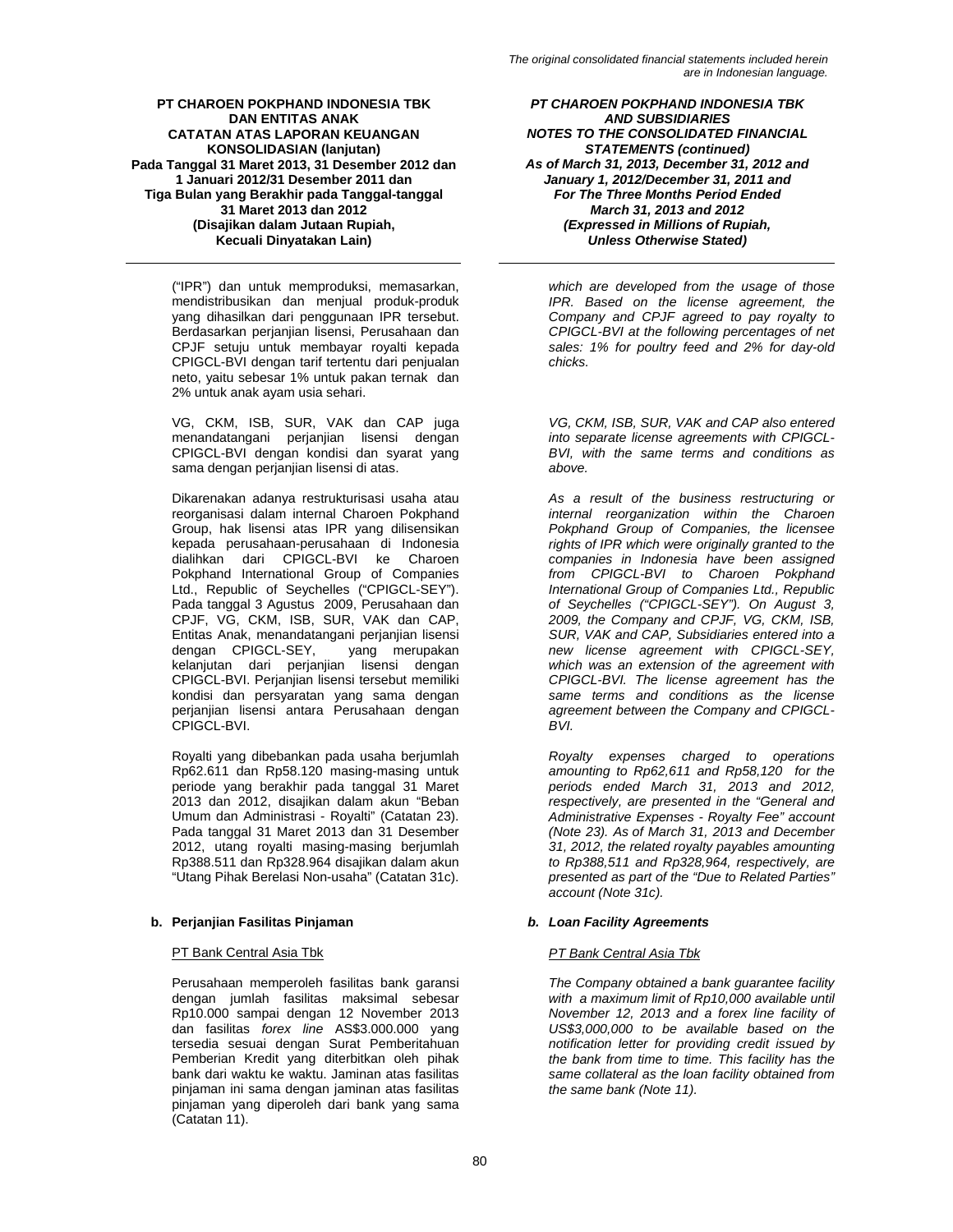("IPR") dan untuk memproduksi, memasarkan, mendistribusikan dan menjual produk-produk yang dihasilkan dari penggunaan IPR tersebut. Berdasarkan perjanjian lisensi, Perusahaan dan CPJF setuju untuk membayar royalti kepada CPIGCL-BVI dengan tarif tertentu dari penjualan neto, yaitu sebesar 1% untuk pakan ternak dan 2% untuk anak ayam usia sehari.

VG, CKM, ISB, SUR, VAK dan CAP juga menandatangani perjanjian lisensi dengan CPIGCL-BVI dengan kondisi dan syarat yang sama dengan perjanjian lisensi di atas.

Dikarenakan adanya restrukturisasi usaha atau reorganisasi dalam internal Charoen Pokphand Group, hak lisensi atas IPR yang dilisensikan kepada perusahaan-perusahaan di Indonesia dialihkan dari CPIGCL-BVI ke Charoen Pokphand International Group of Companies Ltd., Republic of Seychelles ("CPIGCL-SEY"). Pada tanggal 3 Agustus 2009, Perusahaan dan CPJF, VG, CKM, ISB, SUR, VAK dan CAP, Entitas Anak, menandatangani perjanjian lisensi dengan CPIGCL-SEY, kelanjutan dari perjanjian lisensi dengan CPIGCL-BVI. Perjanjian lisensi tersebut memiliki kondisi dan persyaratan yang sama dengan perjanjian lisensi antara Perusahaan dengan CPIGCL-BVI.

Royalti yang dibebankan pada usaha berjumlah Rp62.611 dan Rp58.120 masing-masing untuk periode yang berakhir pada tanggal 31 Maret 2013 dan 2012, disajikan dalam akun "Beban Umum dan Administrasi - Royalti" (Catatan 23). Pada tanggal 31 Maret 2013 dan 31 Desember 2012, utang royalti masing-masing berjumlah Rp388.511 dan Rp328.964 disajikan dalam akun "Utang Pihak Berelasi Non-usaha" (Catatan 31c).

# **b. Perjanjian Fasilitas Pinjaman** *b. Loan Facility Agreements*

Perusahaan memperoleh fasilitas bank garansi dengan jumlah fasilitas maksimal sebesar Rp10.000 sampai dengan 12 November 2013 dan fasilitas *forex line* AS\$3.000.000 yang tersedia sesuai dengan Surat Pemberitahuan Pemberian Kredit yang diterbitkan oleh pihak bank dari waktu ke waktu. Jaminan atas fasilitas pinjaman ini sama dengan jaminan atas fasilitas pinjaman yang diperoleh dari bank yang sama (Catatan 11).

*PT CHAROEN POKPHAND INDONESIA TBK AND SUBSIDIARIES NOTES TO THE CONSOLIDATED FINANCIAL STATEMENTS (continued) As of March 31, 2013, December 31, 2012 and January 1, 2012/December 31, 2011 and For The Three Months Period Ended March 31, 2013 and 2012 (Expressed in Millions of Rupiah, Unless Otherwise Stated)* 

*which are developed from the usage of those IPR. Based on the license agreement, the Company and CPJF agreed to pay royalty to CPIGCL-BVI at the following percentages of net sales: 1% for poultry feed and 2% for day-old chicks.* 

*VG, CKM, ISB, SUR, VAK and CAP also entered into separate license agreements with CPIGCL-BVI, with the same terms and conditions as above.* 

*As a result of the business restructuring or internal reorganization within the Charoen Pokphand Group of Companies, the licensee rights of IPR which were originally granted to the companies in Indonesia have been assigned from CPIGCL-BVI to Charoen Pokphand International Group of Companies Ltd., Republic of Seychelles ("CPIGCL-SEY"). On August 3, 2009, the Company and CPJF, VG, CKM, ISB, SUR, VAK and CAP, Subsidiaries entered into a new license agreement with CPIGCL-SEY, which was an extension of the agreement with CPIGCL-BVI. The license agreement has the same terms and conditions as the license agreement between the Company and CPIGCL-BVI.* 

*Royalty expenses charged to operations amounting to Rp62,611 and Rp58,120 for the periods ended March 31, 2013 and 2012, respectively, are presented in the "General and Administrative Expenses - Royalty Fee" account (Note 23). As of March 31, 2013 and December 31, 2012, the related royalty payables amounting to Rp388,511 and Rp328,964, respectively, are presented as part of the "Due to Related Parties" account (Note 31c).* 

# PT Bank Central Asia Tbk *PT Bank Central Asia Tbk*

*The Company obtained a bank guarantee facility with a maximum limit of Rp10,000 available until November 12, 2013 and a forex line facility of US\$3,000,000 to be available based on the notification letter for providing credit issued by the bank from time to time. This facility has the same collateral as the loan facility obtained from the same bank (Note 11).*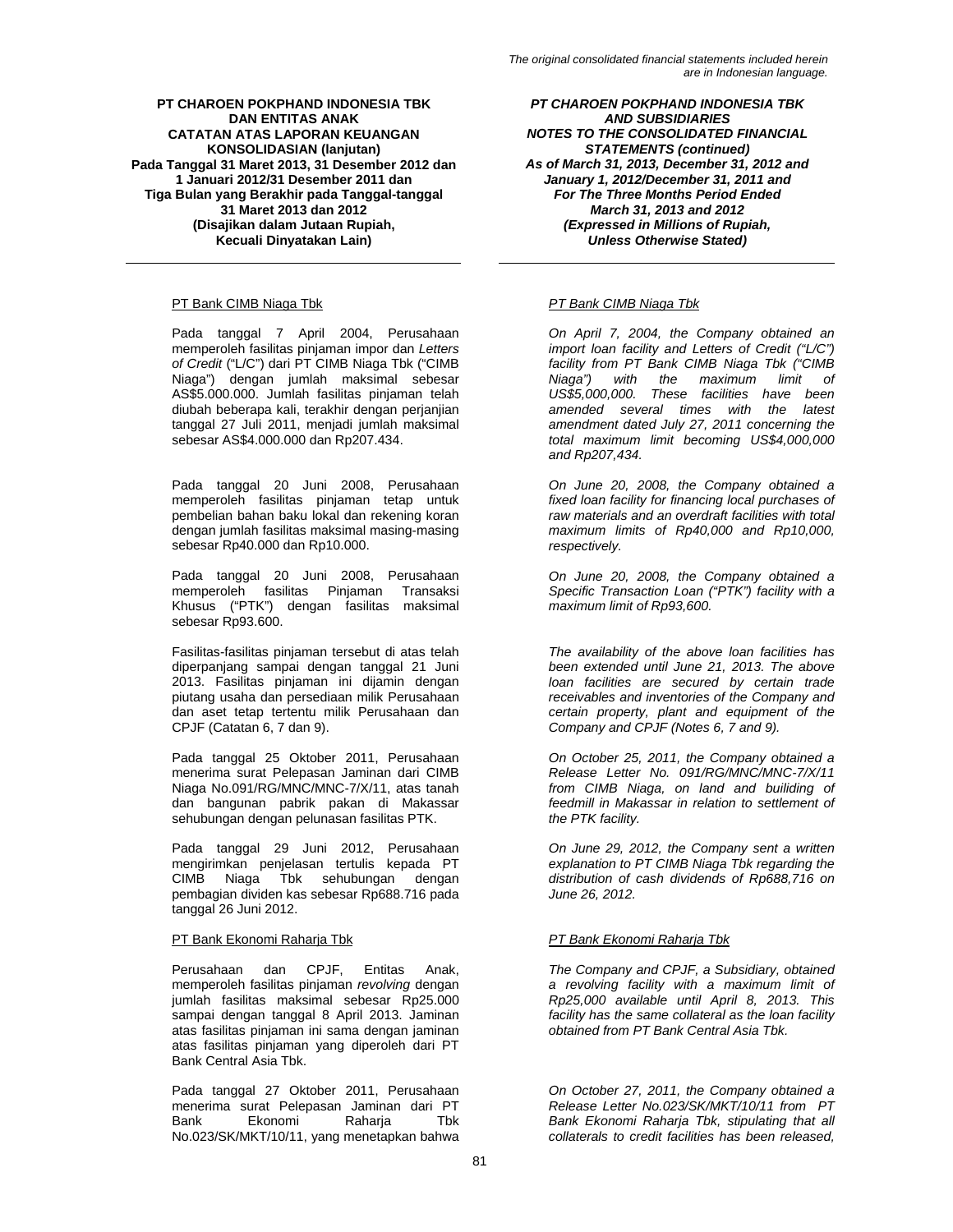# PT Bank CIMB Niaga Tbk *PT Bank CIMB Niaga Tbk*

Pada tanggal 7 April 2004, Perusahaan memperoleh fasilitas pinjaman impor dan *Letters of Credit* ("L/C") dari PT CIMB Niaga Tbk ("CIMB Niaga") dengan jumlah maksimal sebesar AS\$5.000.000. Jumlah fasilitas pinjaman telah diubah beberapa kali, terakhir dengan perjanjian tanggal 27 Juli 2011, menjadi jumlah maksimal sebesar AS\$4.000.000 dan Rp207.434.

Pada tanggal 20 Juni 2008, Perusahaan memperoleh fasilitas pinjaman tetap untuk pembelian bahan baku lokal dan rekening koran dengan jumlah fasilitas maksimal masing-masing sebesar Rp40.000 dan Rp10.000.

Pada tanggal 20 Juni 2008, Perusahaan memperoleh fasilitas Pinjaman Transaksi Khusus ("PTK") dengan fasilitas maksimal sebesar Rp93.600.

Fasilitas-fasilitas pinjaman tersebut di atas telah diperpanjang sampai dengan tanggal 21 Juni 2013. Fasilitas pinjaman ini dijamin dengan piutang usaha dan persediaan milik Perusahaan dan aset tetap tertentu milik Perusahaan dan CPJF (Catatan 6, 7 dan 9).

Pada tanggal 25 Oktober 2011, Perusahaan menerima surat Pelepasan Jaminan dari CIMB Niaga No.091/RG/MNC/MNC-7/X/11, atas tanah dan bangunan pabrik pakan di Makassar sehubungan dengan pelunasan fasilitas PTK.

Pada tanggal 29 Juni 2012, Perusahaan mengirimkan penjelasan tertulis kepada PT CIMB Niaga Tbk sehubungan dengan pembagian dividen kas sebesar Rp688.716 pada tanggal 26 Juni 2012.

Perusahaan dan CPJF, Entitas Anak, memperoleh fasilitas pinjaman *revolving* dengan jumlah fasilitas maksimal sebesar Rp25.000 sampai dengan tanggal 8 April 2013. Jaminan atas fasilitas pinjaman ini sama dengan jaminan atas fasilitas pinjaman yang diperoleh dari PT Bank Central Asia Tbk.

Pada tanggal 27 Oktober 2011, Perusahaan menerima surat Pelepasan Jaminan dari PT<br>Bank Ekonomi Raharia Tbk Bank Ekonomi Raharja No.023/SK/MKT/10/11, yang menetapkan bahwa

*PT CHAROEN POKPHAND INDONESIA TBK AND SUBSIDIARIES NOTES TO THE CONSOLIDATED FINANCIAL STATEMENTS (continued) As of March 31, 2013, December 31, 2012 and January 1, 2012/December 31, 2011 and For The Three Months Period Ended March 31, 2013 and 2012 (Expressed in Millions of Rupiah, Unless Otherwise Stated)* 

*On April 7, 2004, the Company obtained an import loan facility and Letters of Credit ("L/C") facility from PT Bank CIMB Niaga Tbk ("CIMB Niaga") with the maximum limit of US\$5,000,000. These facilities have been amended several times with the latest amendment dated July 27, 2011 concerning the total maximum limit becoming US\$4,000,000 and Rp207,434.* 

*On June 20, 2008, the Company obtained a fixed loan facility for financing local purchases of raw materials and an overdraft facilities with total maximum limits of Rp40,000 and Rp10,000, respectively.* 

*On June 20, 2008, the Company obtained a Specific Transaction Loan ("PTK") facility with a maximum limit of Rp93,600.* 

*The availability of the above loan facilities has been extended until June 21, 2013. The above loan facilities are secured by certain trade receivables and inventories of the Company and certain property, plant and equipment of the Company and CPJF (Notes 6, 7 and 9).* 

*On October 25, 2011, the Company obtained a Release Letter No. 091/RG/MNC/MNC-7/X/11 from CIMB Niaga, on land and builiding of feedmill in Makassar in relation to settlement of the PTK facility.* 

*On June 29, 2012, the Company sent a written explanation to PT CIMB Niaga Tbk regarding the distribution of cash dividends of Rp688,716 on June 26, 2012.* 

# PT Bank Ekonomi Raharja Tbk *PT Bank Ekonomi Raharja Tbk*

*The Company and CPJF, a Subsidiary, obtained a revolving facility with a maximum limit of Rp25,000 available until April 8, 2013. This facility has the same collateral as the loan facility obtained from PT Bank Central Asia Tbk.* 

*On October 27, 2011, the Company obtained a Release Letter No.023/SK/MKT/10/11 from PT Bank Ekonomi Raharja Tbk, stipulating that all collaterals to credit facilities has been released,*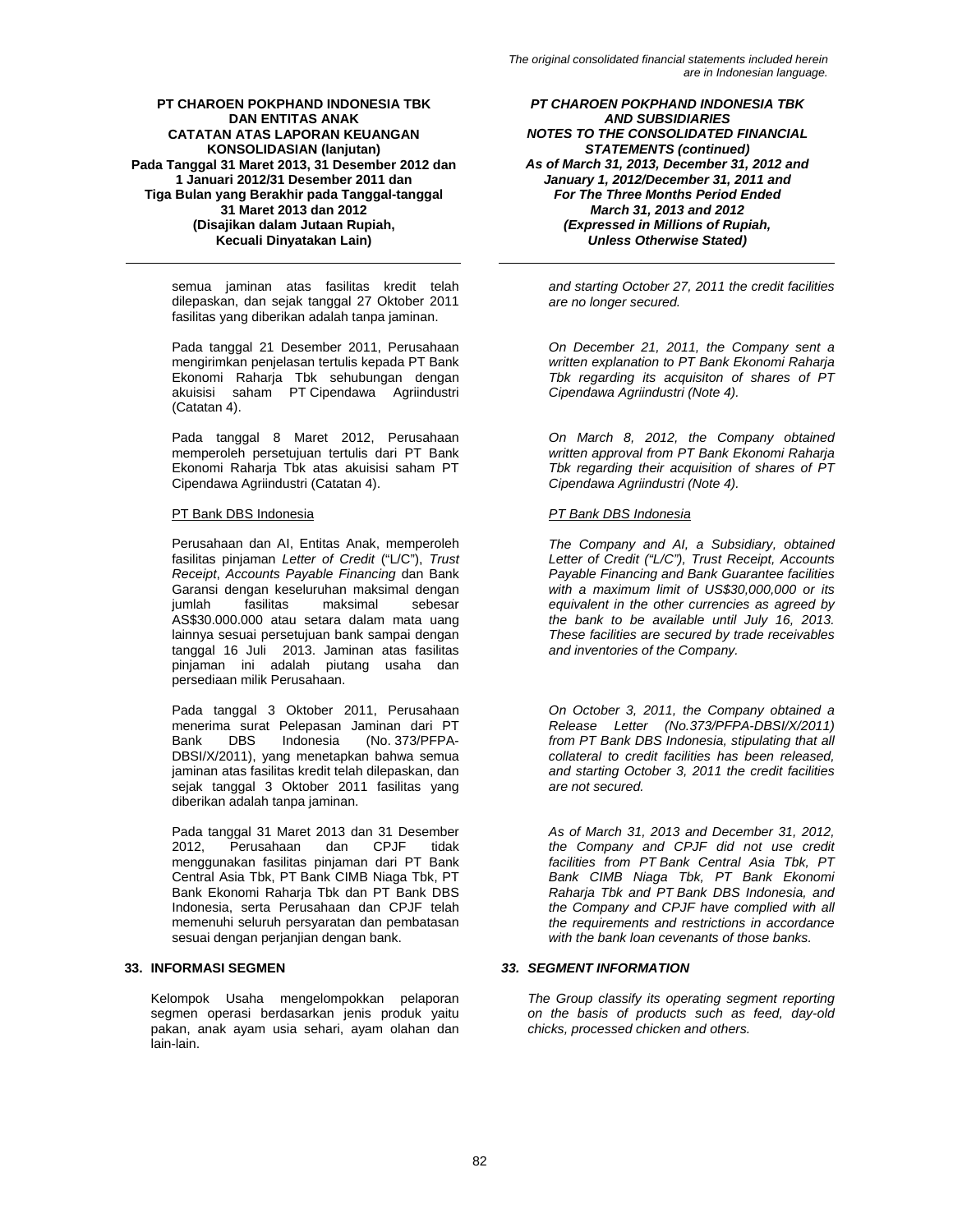semua jaminan atas fasilitas kredit telah dilepaskan, dan sejak tanggal 27 Oktober 2011 fasilitas yang diberikan adalah tanpa jaminan.

Pada tanggal 21 Desember 2011, Perusahaan mengirimkan penjelasan tertulis kepada PT Bank Ekonomi Raharja Tbk sehubungan dengan akuisisi saham PT Cipendawa Agriindustri (Catatan 4).

Pada tanggal 8 Maret 2012, Perusahaan memperoleh persetujuan tertulis dari PT Bank Ekonomi Raharja Tbk atas akuisisi saham PT Cipendawa Agriindustri (Catatan 4).

# PT Bank DBS Indonesia *PT Bank DBS Indonesia*

Perusahaan dan AI, Entitas Anak, memperoleh fasilitas pinjaman *Letter of Credit* ("L/C"), *Trust Receipt*, *Accounts Payable Financing* dan Bank Garansi dengan keseluruhan maksimal dengan jumlah fasilitas maksimal sebesar AS\$30.000.000 atau setara dalam mata uang lainnya sesuai persetujuan bank sampai dengan tanggal 16 Juli 2013. Jaminan atas fasilitas pinjaman ini adalah piutang usaha dan persediaan milik Perusahaan.

Pada tanggal 3 Oktober 2011, Perusahaan menerima surat Pelepasan Jaminan dari PT<br>Bank DBS Indonesia (No. 373/PFPA-Bank DBS Indonesia (No. 373/PFPA-DBSI/X/2011), yang menetapkan bahwa semua jaminan atas fasilitas kredit telah dilepaskan, dan sejak tanggal 3 Oktober 2011 fasilitas yang diberikan adalah tanpa jaminan.

Pada tanggal 31 Maret 2013 dan 31 Desember<br>2012, Perusahaan dan CPJF tidak Perusahaan menggunakan fasilitas pinjaman dari PT Bank Central Asia Tbk, PT Bank CIMB Niaga Tbk, PT Bank Ekonomi Raharja Tbk dan PT Bank DBS Indonesia, serta Perusahaan dan CPJF telah memenuhi seluruh persyaratan dan pembatasan sesuai dengan perjanjian dengan bank.

Kelompok Usaha mengelompokkan pelaporan segmen operasi berdasarkan jenis produk yaitu pakan, anak ayam usia sehari, ayam olahan dan lain-lain.

*PT CHAROEN POKPHAND INDONESIA TBK AND SUBSIDIARIES NOTES TO THE CONSOLIDATED FINANCIAL STATEMENTS (continued) As of March 31, 2013, December 31, 2012 and January 1, 2012/December 31, 2011 and For The Three Months Period Ended March 31, 2013 and 2012 (Expressed in Millions of Rupiah, Unless Otherwise Stated)* 

*and starting October 27, 2011 the credit facilities are no longer secured.* 

*On December 21, 2011, the Company sent a written explanation to PT Bank Ekonomi Raharja Tbk regarding its acquisiton of shares of PT Cipendawa Agriindustri (Note 4).* 

*On March 8, 2012, the Company obtained written approval from PT Bank Ekonomi Raharja Tbk regarding their acquisition of shares of PT Cipendawa Agriindustri (Note 4).* 

*The Company and AI, a Subsidiary, obtained Letter of Credit ("L/C"), Trust Receipt, Accounts Payable Financing and Bank Guarantee facilities with a maximum limit of US\$30,000,000 or its equivalent in the other currencies as agreed by the bank to be available until July 16, 2013. These facilities are secured by trade receivables and inventories of the Company.* 

*On October 3, 2011, the Company obtained a Release Letter (No.373/PFPA-DBSI/X/2011) from PT Bank DBS Indonesia, stipulating that all collateral to credit facilities has been released, and starting October 3, 2011 the credit facilities are not secured.* 

*As of March 31, 2013 and December 31, 2012, the Company and CPJF did not use credit facilities from PT Bank Central Asia Tbk, PT Bank CIMB Niaga Tbk, PT Bank Ekonomi Raharja Tbk and PT Bank DBS Indonesia, and the Company and CPJF have complied with all the requirements and restrictions in accordance with the bank loan cevenants of those banks.* 

# **33. INFORMASI SEGMEN** *33. SEGMENT INFORMATION*

*The Group classify its operating segment reporting on the basis of products such as feed, day-old chicks, processed chicken and others.*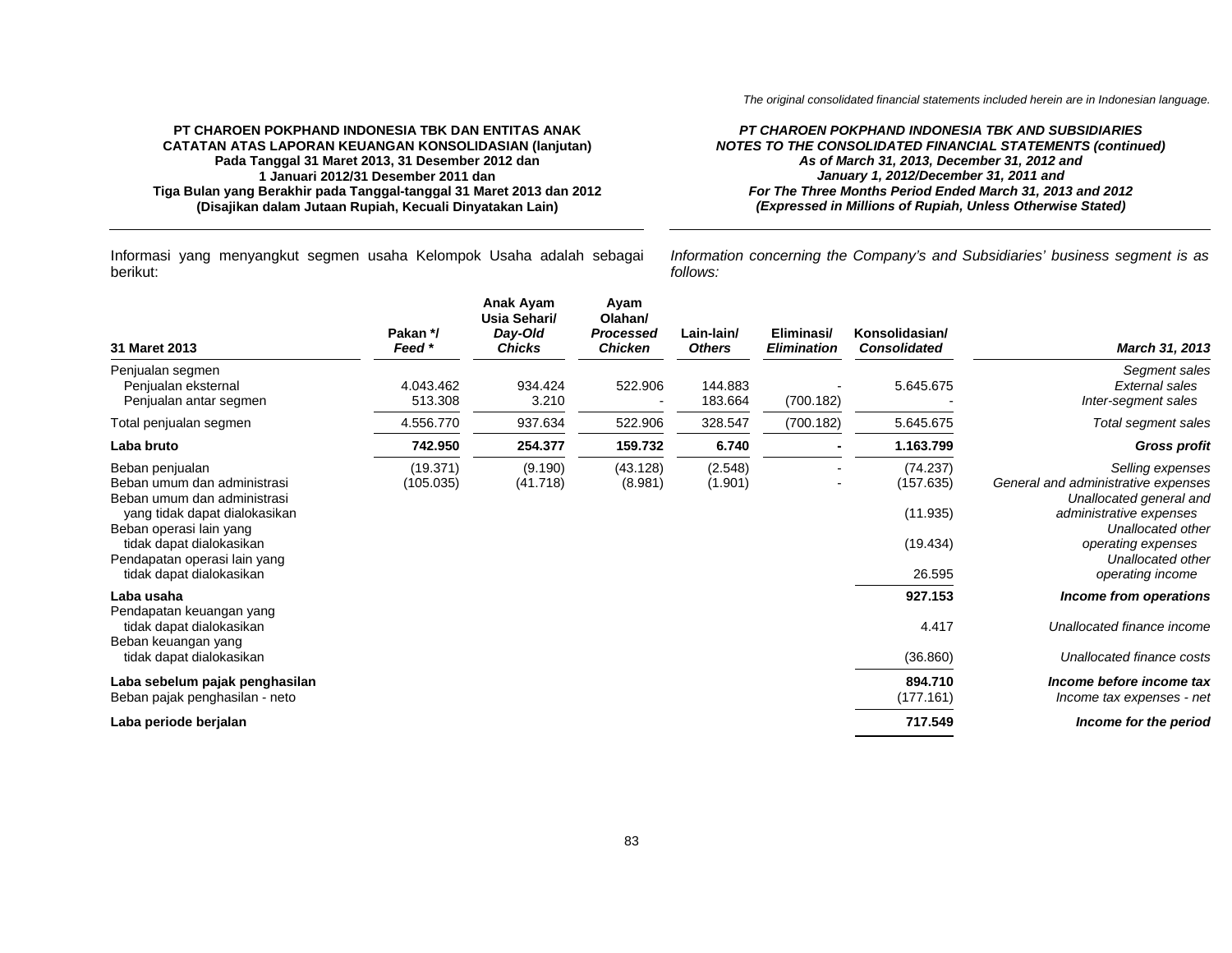### *PT CHAROEN POKPHAND INDONESIA TBK AND SUBSIDIARIES NOTES TO THE CONSOLIDATED FINANCIAL STATEMENTS (continued) As of March 31, 2013, December 31, 2012 and January 1, 2012/December 31, 2011 and For The Three Months Period Ended March 31, 2013 and 2012 (Expressed in Millions of Rupiah, Unless Otherwise Stated)*

Informasi yang menyangkut segmen usaha Kelompok Usaha adalah sebagai berikut:

*Information concerning the Company's and Subsidiaries' business segment is as follows:*

| 31 Maret 2013                                                                                                                                                         | Pakan */<br>Feed *    | Anak Ayam<br>Usia Sehari/<br>Day-Old<br><b>Chicks</b> | Ayam<br>Olahan/<br><b>Processed</b><br><b>Chicken</b> | Lain-lain/<br><b>Others</b> | Eliminasi/<br><b>Elimination</b> | Konsolidasian/<br><b>Consolidated</b>         | March 31, 2013                                                                                                                                           |
|-----------------------------------------------------------------------------------------------------------------------------------------------------------------------|-----------------------|-------------------------------------------------------|-------------------------------------------------------|-----------------------------|----------------------------------|-----------------------------------------------|----------------------------------------------------------------------------------------------------------------------------------------------------------|
| Penjualan segmen<br>Penjualan eksternal<br>Penjualan antar segmen                                                                                                     | 4.043.462<br>513.308  | 934.424<br>3.210                                      | 522.906                                               | 144.883<br>183.664          | (700.182)                        | 5.645.675                                     | Segment sales<br>External sales<br>Inter-segment sales                                                                                                   |
| Total penjualan segmen                                                                                                                                                | 4.556.770             | 937.634                                               | 522.906                                               | 328.547                     | (700.182)                        | 5.645.675                                     | Total segment sales                                                                                                                                      |
| Laba bruto                                                                                                                                                            | 742.950               | 254.377                                               | 159.732                                               | 6.740                       |                                  | 1.163.799                                     | <b>Gross profit</b>                                                                                                                                      |
| Beban penjualan<br>Beban umum dan administrasi<br>Beban umum dan administrasi<br>yang tidak dapat dialokasikan<br>Beban operasi lain yang<br>tidak dapat dialokasikan | (19.371)<br>(105.035) | (9.190)<br>(41.718)                                   | (43.128)<br>(8.981)                                   | (2.548)<br>(1.901)          |                                  | (74.237)<br>(157.635)<br>(11.935)<br>(19.434) | Selling expenses<br>General and administrative expenses<br>Unallocated general and<br>administrative expenses<br>Unallocated other<br>operating expenses |
| Pendapatan operasi lain yang<br>tidak dapat dialokasikan                                                                                                              |                       |                                                       |                                                       |                             |                                  | 26.595                                        | Unallocated other<br>operating income                                                                                                                    |
| Laba usaha                                                                                                                                                            |                       |                                                       |                                                       |                             |                                  | 927.153                                       | Income from operations                                                                                                                                   |
| Pendapatan keuangan yang<br>tidak dapat dialokasikan<br>Beban keuangan yang                                                                                           |                       |                                                       |                                                       |                             |                                  | 4.417                                         | Unallocated finance income                                                                                                                               |
| tidak dapat dialokasikan                                                                                                                                              |                       |                                                       |                                                       |                             |                                  | (36.860)                                      | Unallocated finance costs                                                                                                                                |
| Laba sebelum pajak penghasilan<br>Beban pajak penghasilan - neto                                                                                                      |                       |                                                       |                                                       |                             |                                  | 894.710<br>(177.161)                          | Income before income tax<br>Income tax expenses - net                                                                                                    |
| Laba periode berjalan                                                                                                                                                 |                       |                                                       |                                                       |                             |                                  | 717.549                                       | Income for the period                                                                                                                                    |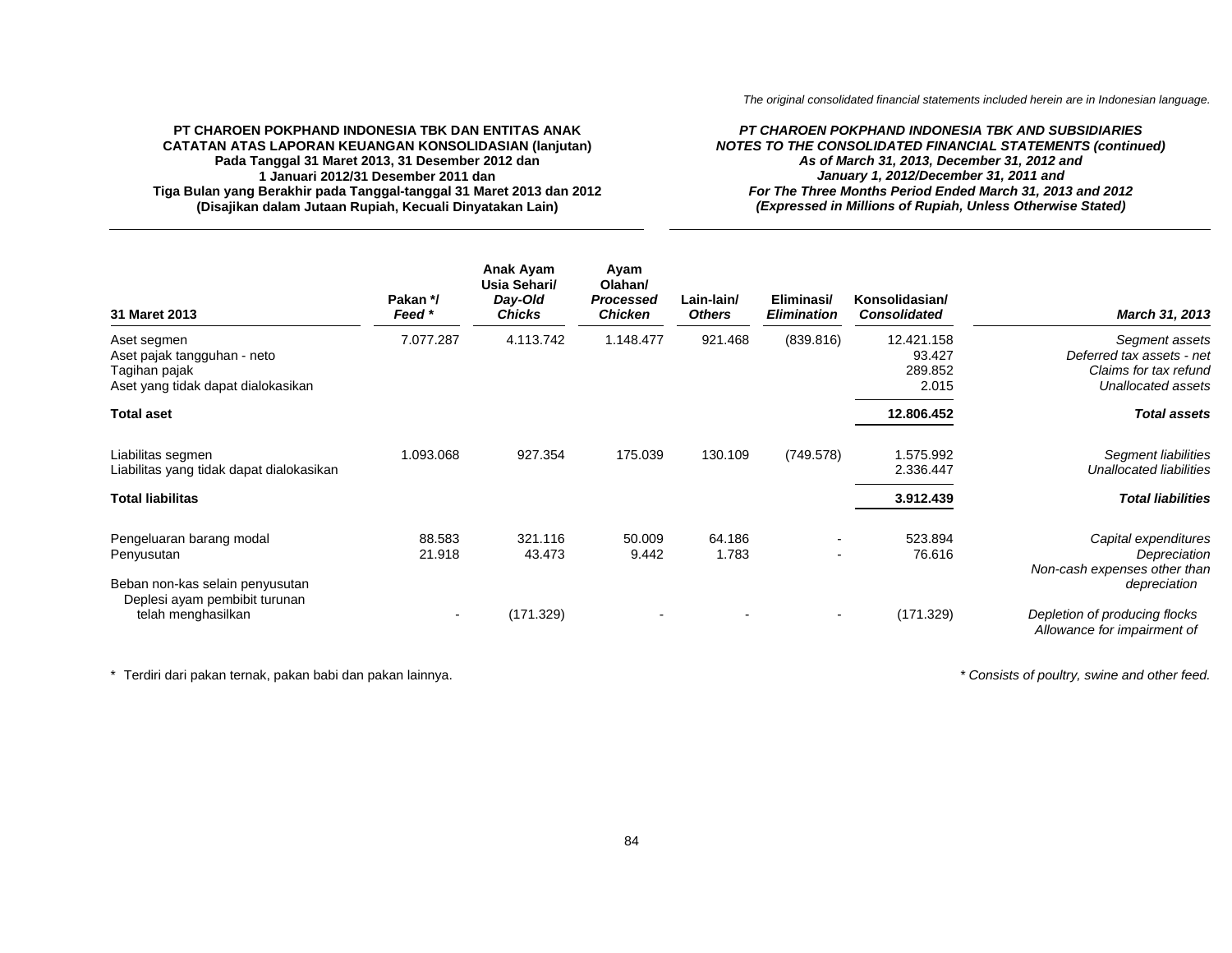### *PT CHAROEN POKPHAND INDONESIA TBK AND SUBSIDIARIES NOTES TO THE CONSOLIDATED FINANCIAL STATEMENTS (continued) As of March 31, 2013, December 31, 2012 and January 1, 2012/December 31, 2011 and For The Three Months Period Ended March 31, 2013 and 2012 (Expressed in Millions of Rupiah, Unless Otherwise Stated)*

| 31 Maret 2013                                                                                     | Pakan */<br>Feed *       | Anak Ayam<br>Usia Sehari/<br>Day-Old<br><b>Chicks</b> | Ayam<br>Olahan/<br>Processed<br><b>Chicken</b> | Lain-lain/<br><b>Others</b> | Eliminasi/<br><b>Elimination</b>               | Konsolidasian/<br><b>Consolidated</b>    | March 31, 2013                                                                             |
|---------------------------------------------------------------------------------------------------|--------------------------|-------------------------------------------------------|------------------------------------------------|-----------------------------|------------------------------------------------|------------------------------------------|--------------------------------------------------------------------------------------------|
| Aset segmen<br>Aset pajak tangguhan - neto<br>Tagihan pajak<br>Aset yang tidak dapat dialokasikan | 7.077.287                | 4.113.742                                             | 1.148.477                                      | 921.468                     | (839.816)                                      | 12.421.158<br>93.427<br>289.852<br>2.015 | Segment assets<br>Deferred tax assets - net<br>Claims for tax refund<br>Unallocated assets |
| <b>Total aset</b>                                                                                 |                          |                                                       |                                                |                             |                                                | 12.806.452                               | <b>Total assets</b>                                                                        |
| Liabilitas segmen<br>Liabilitas yang tidak dapat dialokasikan                                     | 1.093.068                | 927.354                                               | 175.039                                        | 130.109                     | (749.578)                                      | 1.575.992<br>2.336.447                   | Segment liabilities<br><b>Unallocated liabilities</b>                                      |
| <b>Total liabilitas</b>                                                                           |                          |                                                       |                                                |                             |                                                | 3.912.439                                | <b>Total liabilities</b>                                                                   |
| Pengeluaran barang modal<br>Penyusutan<br>Beban non-kas selain penyusutan                         | 88.583<br>21.918         | 321.116<br>43.473                                     | 50.009<br>9.442                                | 64.186<br>1.783             | $\qquad \qquad \blacksquare$<br>$\blacksquare$ | 523.894<br>76.616                        | Capital expenditures<br>Depreciation<br>Non-cash expenses other than<br>depreciation       |
| Deplesi ayam pembibit turunan<br>telah menghasilkan                                               | $\overline{\phantom{a}}$ | (171.329)                                             | $\overline{\phantom{a}}$                       |                             | $\blacksquare$                                 | (171.329)                                | Depletion of producing flocks<br>Allowance for impairment of                               |

\* Terdiri dari pakan ternak, pakan babi dan pakan lainnya. *\* Consists of poultry, swine and other feed.*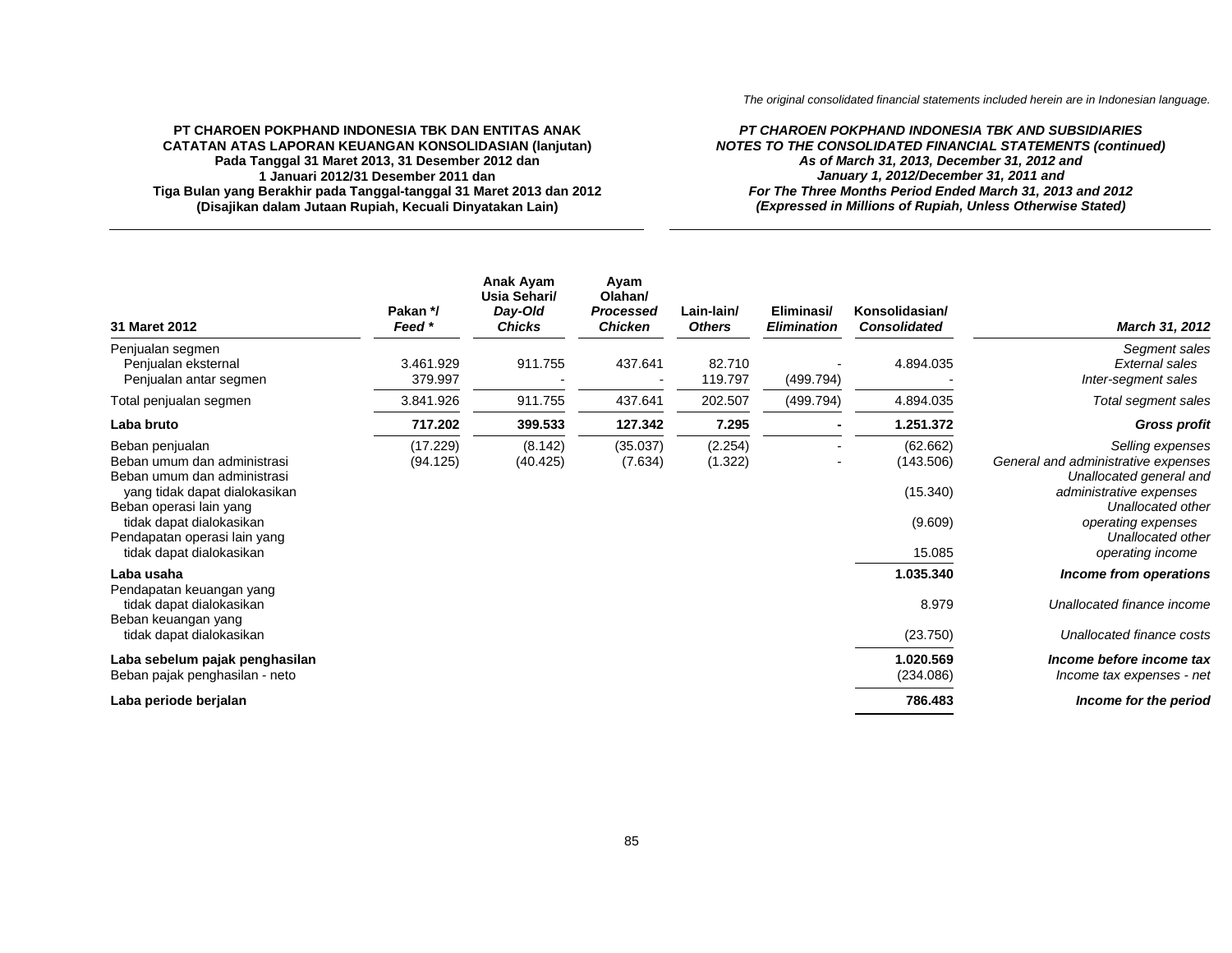*The original consolidated financial statements included herein are in Indonesian language.*

### **PT CHAROEN POKPHAND INDONESIA TBK DAN ENTITAS ANAK CATATAN ATAS LAPORAN KEUANGAN KONSOLIDASIAN (lanjutan) Pada Tanggal 31 Maret 2013, 31 Desember 2012 dan 1 Januari 2012/31 Desember 2011 dan Tiga Bulan yang Berakhir pada Tanggal-tanggal 31 Maret 2013 dan 2012 (Disajikan dalam Jutaan Rupiah, Kecuali Dinyatakan Lain)**

### *PT CHAROEN POKPHAND INDONESIA TBK AND SUBSIDIARIES NOTES TO THE CONSOLIDATED FINANCIAL STATEMENTS (continued) As of March 31, 2013, December 31, 2012 and January 1, 2012/December 31, 2011 and For The Three Months Period Ended March 31, 2013 and 2012 (Expressed in Millions of Rupiah, Unless Otherwise Stated)*

| 31 Maret 2012                                                                                                                                                                                                                     | Pakan */<br>Feed *   | Anak Ayam<br>Usia Sehari/<br>Day-Old<br><b>Chicks</b> | Ayam<br>Olahan/<br>Processed<br><b>Chicken</b> | Lain-lain/<br><b>Others</b> | Eliminasi/<br><b>Elimination</b> | Konsolidasian/<br><b>Consolidated</b>                  | March 31, 2012                                                                                                                                                                                    |
|-----------------------------------------------------------------------------------------------------------------------------------------------------------------------------------------------------------------------------------|----------------------|-------------------------------------------------------|------------------------------------------------|-----------------------------|----------------------------------|--------------------------------------------------------|---------------------------------------------------------------------------------------------------------------------------------------------------------------------------------------------------|
| Penjualan segmen<br>Penjualan eksternal<br>Penjualan antar segmen                                                                                                                                                                 | 3.461.929<br>379.997 | 911.755                                               | 437.641                                        | 82.710<br>119.797           | (499.794)                        | 4.894.035                                              | Segment sales<br>External sales<br>Inter-segment sales                                                                                                                                            |
| Total penjualan segmen                                                                                                                                                                                                            | 3.841.926            | 911.755                                               | 437.641                                        | 202.507                     | (499.794)                        | 4.894.035                                              | Total segment sales                                                                                                                                                                               |
| Laba bruto                                                                                                                                                                                                                        | 717.202              | 399.533                                               | 127.342                                        | 7.295                       | $\blacksquare$                   | 1.251.372                                              | <b>Gross profit</b>                                                                                                                                                                               |
| Beban penjualan<br>Beban umum dan administrasi<br>Beban umum dan administrasi<br>yang tidak dapat dialokasikan<br>Beban operasi lain yang<br>tidak dapat dialokasikan<br>Pendapatan operasi lain yang<br>tidak dapat dialokasikan | (17.229)<br>(94.125) | (8.142)<br>(40.425)                                   | (35.037)<br>(7.634)                            | (2.254)<br>(1.322)          |                                  | (62.662)<br>(143.506)<br>(15.340)<br>(9.609)<br>15.085 | Selling expenses<br>General and administrative expenses<br>Unallocated general and<br>administrative expenses<br>Unallocated other<br>operating expenses<br>Unallocated other<br>operating income |
| Laba usaha<br>Pendapatan keuangan yang<br>tidak dapat dialokasikan                                                                                                                                                                |                      |                                                       |                                                |                             |                                  | 1.035.340<br>8.979                                     | Income from operations<br>Unallocated finance income                                                                                                                                              |
| Beban keuangan yang<br>tidak dapat dialokasikan                                                                                                                                                                                   |                      |                                                       |                                                |                             |                                  | (23.750)                                               | Unallocated finance costs                                                                                                                                                                         |
| Laba sebelum pajak penghasilan<br>Beban pajak penghasilan - neto                                                                                                                                                                  |                      |                                                       |                                                |                             |                                  | 1.020.569<br>(234.086)                                 | Income before income tax<br>Income tax expenses - net                                                                                                                                             |
| Laba periode berjalan                                                                                                                                                                                                             |                      |                                                       |                                                |                             |                                  | 786.483                                                | Income for the period                                                                                                                                                                             |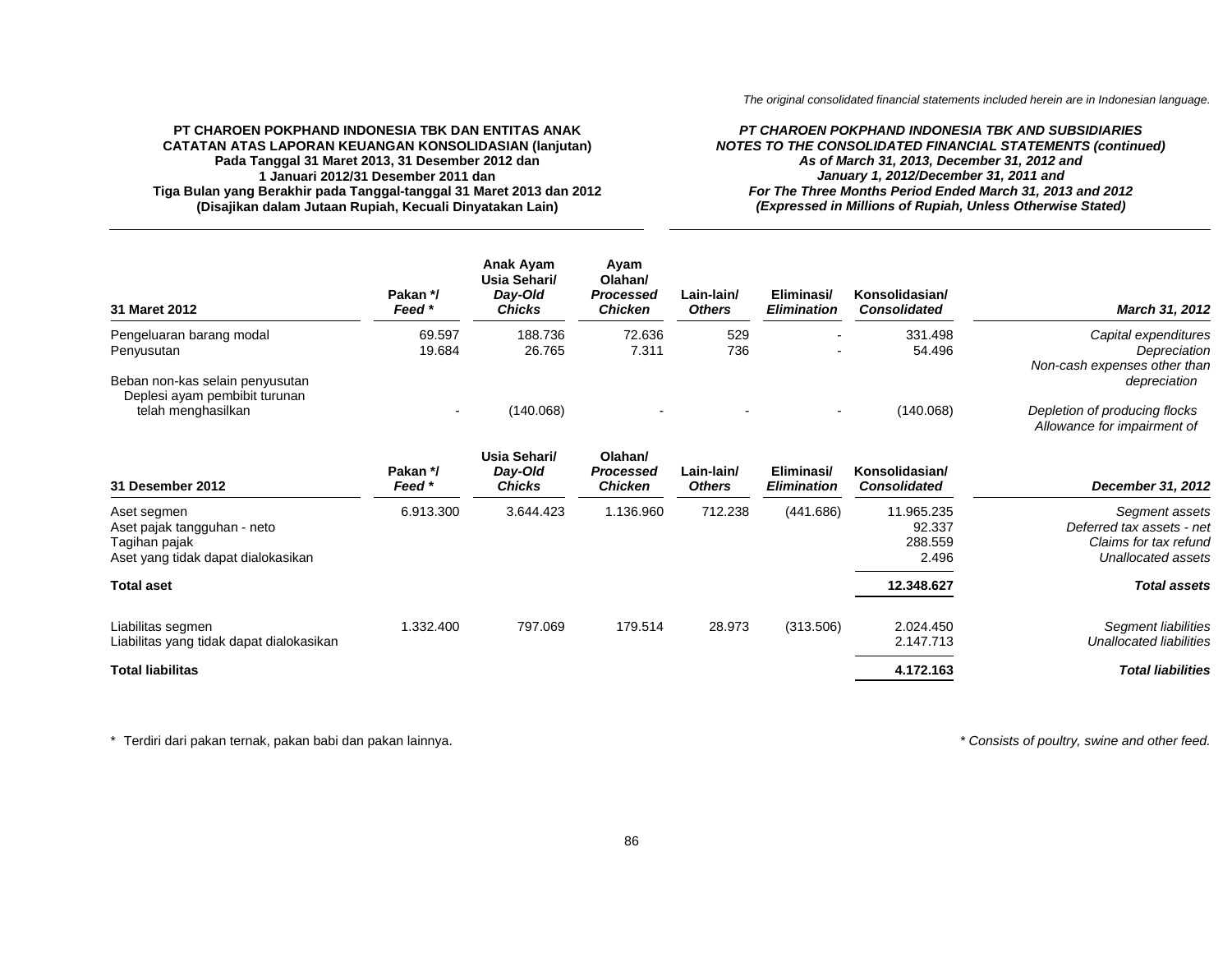### *PT CHAROEN POKPHAND INDONESIA TBK AND SUBSIDIARIES NOTES TO THE CONSOLIDATED FINANCIAL STATEMENTS (continued) As of March 31, 2013, December 31, 2012 and January 1, 2012/December 31, 2011 and For The Three Months Period Ended March 31, 2013 and 2012 (Expressed in Millions of Rupiah, Unless Otherwise Stated)*

| 31 Maret 2012                                                    | Pakan */<br>Feed * | Anak Ayam<br>Usia Sehari/<br>Day-Old<br><b>Chicks</b> | Avam<br>Olahan/<br><b>Processed</b><br>Chicken | Lain-lain/<br><b>Others</b> | Eliminasi/<br><b>Elimination</b> | Konsolidasian/<br><b>Consolidated</b> | <b>March 31, 2012</b>                                        |
|------------------------------------------------------------------|--------------------|-------------------------------------------------------|------------------------------------------------|-----------------------------|----------------------------------|---------------------------------------|--------------------------------------------------------------|
| Pengeluaran barang modal                                         | 69.597             | 188.736                                               | 72.636                                         | 529                         | $\overline{\phantom{a}}$         | 331.498                               | Capital expenditures                                         |
| Penyusutan                                                       | 19.684             | 26.765                                                | 7.311                                          | 736                         | $\overline{\phantom{a}}$         | 54.496                                | Depreciation<br>Non-cash expenses other than                 |
| Beban non-kas selain penyusutan<br>Deplesi ayam pembibit turunan |                    |                                                       |                                                |                             |                                  |                                       | depreciation                                                 |
| telah menghasilkan                                               |                    | (140.068)                                             | $\overline{\phantom{a}}$                       |                             | $\overline{\phantom{0}}$         | (140.068)                             | Depletion of producing flocks<br>Allowance for impairment of |

| 31 Desember 2012                                                                                  | Pakan */<br>Feed * | Usia Sehari/<br>Day-Old<br><b>Chicks</b> | Olahan/<br>Processed<br><b>Chicken</b> | Lain-lain/<br><b>Others</b> | Eliminasi/<br><b>Elimination</b> | Konsolidasian/<br><b>Consolidated</b>    | December 31, 2012                                                                          |
|---------------------------------------------------------------------------------------------------|--------------------|------------------------------------------|----------------------------------------|-----------------------------|----------------------------------|------------------------------------------|--------------------------------------------------------------------------------------------|
| Aset segmen<br>Aset pajak tangguhan - neto<br>Tagihan pajak<br>Aset yang tidak dapat dialokasikan | 6.913.300          | 3.644.423                                | 1.136.960                              | 712.238                     | (441.686)                        | 11.965.235<br>92.337<br>288.559<br>2.496 | Segment assets<br>Deferred tax assets - net<br>Claims for tax refund<br>Unallocated assets |
| <b>Total aset</b>                                                                                 |                    |                                          |                                        |                             |                                  | 12.348.627                               | <b>Total assets</b>                                                                        |
| Liabilitas segmen<br>Liabilitas yang tidak dapat dialokasikan                                     | 1.332.400          | 797.069                                  | 179.514                                | 28.973                      | (313.506)                        | 2.024.450<br>2.147.713                   | Segment liabilities<br>Unallocated liabilities                                             |
| <b>Total liabilitas</b>                                                                           |                    |                                          |                                        |                             |                                  | 4.172.163                                | <b>Total liabilities</b>                                                                   |

\* Terdiri dari pakan ternak, pakan babi dan pakan lainnya. *\* Consists of poultry, swine and other feed.*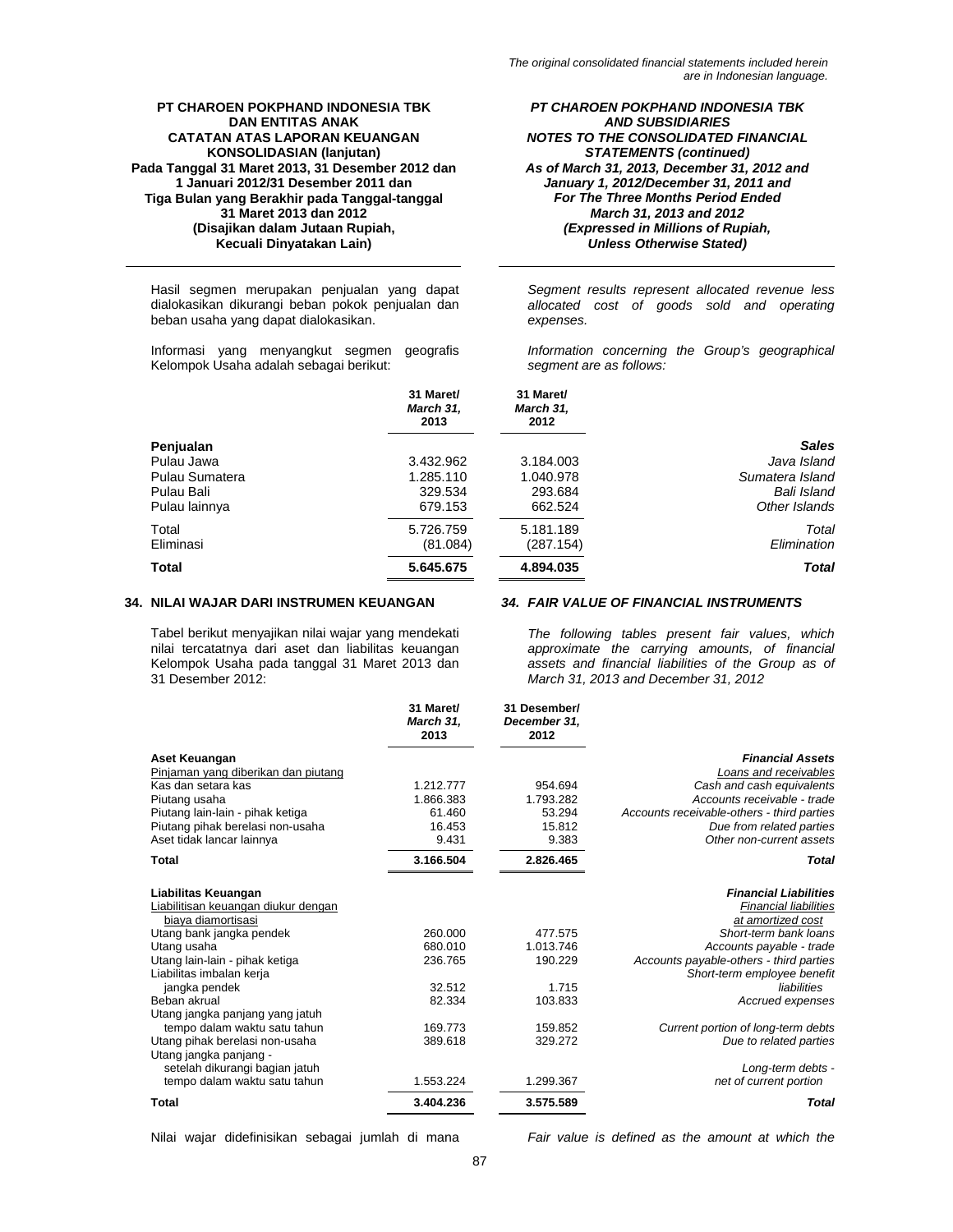Hasil segmen merupakan penjualan yang dapat dialokasikan dikurangi beban pokok penjualan dan beban usaha yang dapat dialokasikan.

Informasi yang menyangkut segmen geografis Kelompok Usaha adalah sebagai berikut:

*PT CHAROEN POKPHAND INDONESIA TBK AND SUBSIDIARIES NOTES TO THE CONSOLIDATED FINANCIAL STATEMENTS (continued) As of March 31, 2013, December 31, 2012 and January 1, 2012/December 31, 2011 and For The Three Months Period Ended March 31, 2013 and 2012 (Expressed in Millions of Rupiah, Unless Otherwise Stated)* 

*Segment results represent allocated revenue less allocated cost of goods sold and operating expenses.* 

*Information concerning the Group's geographical segment are as follows:* 

|                | 31 Maret/<br>March 31,<br>2013 | 31 Maret/<br>March 31,<br>2012 |                 |
|----------------|--------------------------------|--------------------------------|-----------------|
| Penjualan      |                                |                                | <b>Sales</b>    |
| Pulau Jawa     | 3.432.962                      | 3.184.003                      | Java Island     |
| Pulau Sumatera | 1.285.110                      | 1.040.978                      | Sumatera Island |
| Pulau Bali     | 329.534                        | 293.684                        | Bali Island     |
| Pulau lainnya  | 679.153                        | 662.524                        | Other Islands   |
| Total          | 5.726.759                      | 5.181.189                      | Total           |
| Eliminasi      | (81.084)                       | (287.154)                      | Elimination     |
| <b>Total</b>   | 5.645.675                      | 4.894.035                      | <b>Total</b>    |

### **34. NILAI WAJAR DARI INSTRUMEN KEUANGAN** *34. FAIR VALUE OF FINANCIAL INSTRUMENTS*

Tabel berikut menyajikan nilai wajar yang mendekati nilai tercatatnya dari aset dan liabilitas keuangan Kelompok Usaha pada tanggal 31 Maret 2013 dan 31 Desember 2012:

*The following tables present fair values, which approximate the carrying amounts, of financial assets and financial liabilities of the Group as of March 31, 2013 and December 31, 2012* 

|                                                          | 31 Maret/<br>March 31,<br>2013 | 31 Desember/<br>December 31,<br>2012 |                                            |
|----------------------------------------------------------|--------------------------------|--------------------------------------|--------------------------------------------|
| Aset Keuangan                                            |                                |                                      | <b>Financial Assets</b>                    |
| Pinjaman yang diberikan dan piutang                      |                                |                                      | Loans and receivables                      |
| Kas dan setara kas                                       | 1.212.777                      | 954.694                              | Cash and cash equivalents                  |
| Piutang usaha                                            | 1.866.383                      | 1.793.282                            | Accounts receivable - trade                |
| Piutang lain-lain - pihak ketiga                         | 61.460                         | 53.294                               | Accounts receivable-others - third parties |
| Piutang pihak berelasi non-usaha                         | 16.453                         | 15.812                               | Due from related parties                   |
| Aset tidak lancar lainnya                                | 9.431                          | 9.383                                | Other non-current assets                   |
| Total                                                    | 3.166.504                      | 2.826.465                            | Total                                      |
| Liabilitas Keuangan                                      |                                |                                      | <b>Financial Liabilities</b>               |
| Liabilitisan keuangan diukur dengan                      |                                |                                      | <b>Financial liabilities</b>               |
| biava diamortisasi                                       |                                |                                      | at amortized cost                          |
| Utang bank jangka pendek                                 | 260.000                        | 477.575                              | Short-term bank loans                      |
| Utang usaha                                              | 680.010                        | 1.013.746                            | Accounts payable - trade                   |
| Utang lain-lain - pihak ketiga                           | 236.765                        | 190.229                              | Accounts payable-others - third parties    |
| Liabilitas imbalan kerja                                 |                                |                                      | Short-term employee benefit                |
| jangka pendek                                            | 32.512                         | 1.715                                | liabilities                                |
| Beban akrual                                             | 82.334                         | 103.833                              | Accrued expenses                           |
| Utang jangka panjang yang jatuh                          |                                |                                      |                                            |
| tempo dalam waktu satu tahun                             | 169.773                        | 159.852                              | Current portion of long-term debts         |
| Utang pihak berelasi non-usaha                           | 389.618                        | 329.272                              | Due to related parties                     |
| Utang jangka panjang -<br>setelah dikurangi bagian jatuh |                                |                                      | Long-term debts -                          |
| tempo dalam waktu satu tahun                             | 1.553.224                      | 1.299.367                            | net of current portion                     |
| Total                                                    | 3.404.236                      | 3.575.589                            | <b>Total</b>                               |

Nilai wajar didefinisikan sebagai jumlah di mana *Fair value is defined as the amount at which the*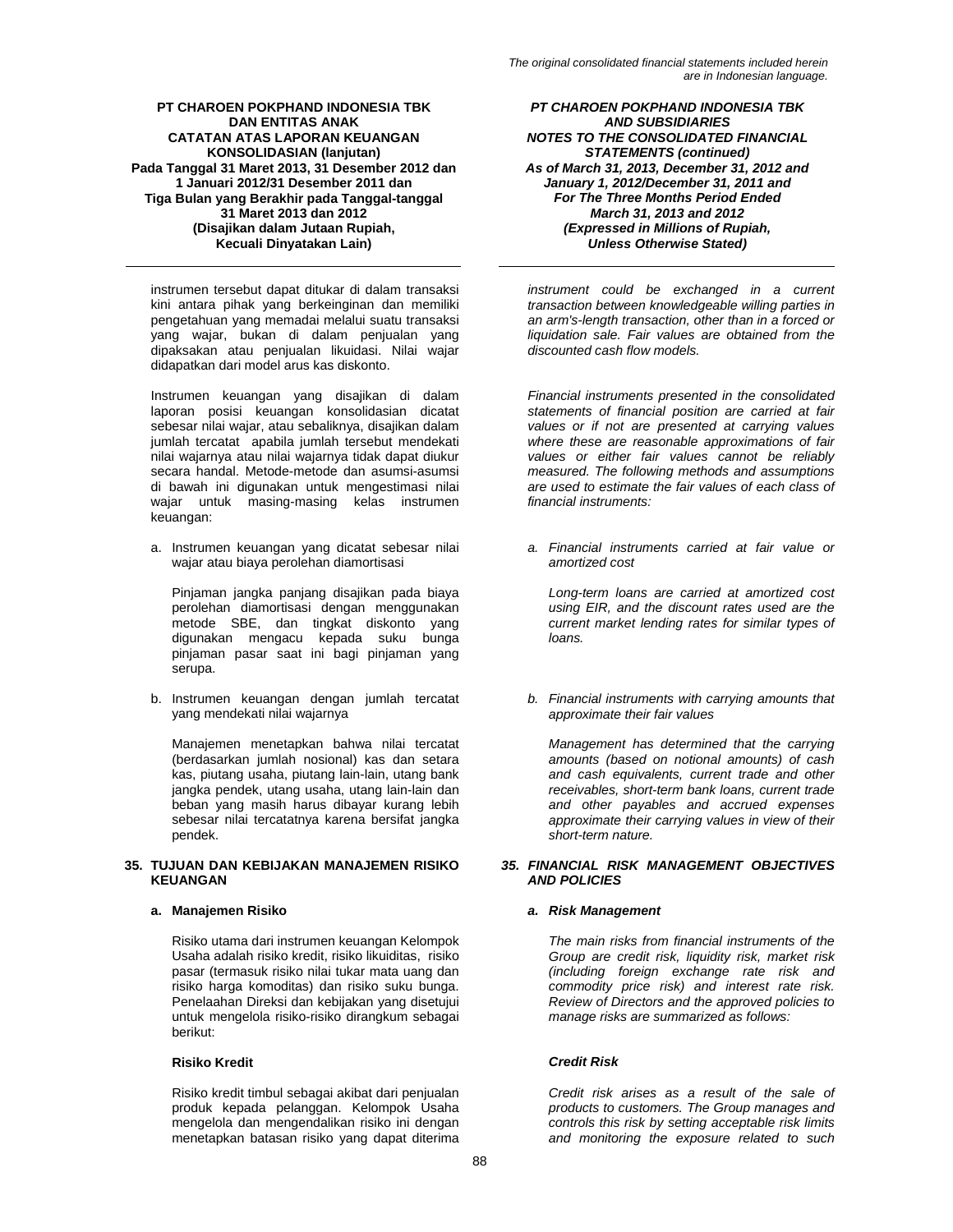instrumen tersebut dapat ditukar di dalam transaksi kini antara pihak yang berkeinginan dan memiliki pengetahuan yang memadai melalui suatu transaksi yang wajar, bukan di dalam penjualan yang dipaksakan atau penjualan likuidasi. Nilai wajar didapatkan dari model arus kas diskonto.

Instrumen keuangan yang disajikan di dalam laporan posisi keuangan konsolidasian dicatat sebesar nilai wajar, atau sebaliknya, disajikan dalam jumlah tercatat apabila jumlah tersebut mendekati nilai wajarnya atau nilai wajarnya tidak dapat diukur secara handal. Metode-metode dan asumsi-asumsi di bawah ini digunakan untuk mengestimasi nilai wajar untuk masing-masing kelas instrumen keuangan:

a. Instrumen keuangan yang dicatat sebesar nilai wajar atau biaya perolehan diamortisasi

Pinjaman jangka panjang disajikan pada biaya perolehan diamortisasi dengan menggunakan metode SBE, dan tingkat diskonto yang digunakan mengacu kepada suku bunga pinjaman pasar saat ini bagi pinjaman yang serupa.

b. Instrumen keuangan dengan jumlah tercatat yang mendekati nilai wajarnya

Manajemen menetapkan bahwa nilai tercatat (berdasarkan jumlah nosional) kas dan setara kas, piutang usaha, piutang lain-lain, utang bank jangka pendek, utang usaha, utang lain-lain dan beban yang masih harus dibayar kurang lebih sebesar nilai tercatatnya karena bersifat jangka pendek.

### **35. TUJUAN DAN KEBIJAKAN MANAJEMEN RISIKO KEUANGAN**

# **a. Manajemen Risiko** *a. Risk Management*

Risiko utama dari instrumen keuangan Kelompok Usaha adalah risiko kredit, risiko likuiditas, risiko pasar (termasuk risiko nilai tukar mata uang dan risiko harga komoditas) dan risiko suku bunga. Penelaahan Direksi dan kebijakan yang disetujui untuk mengelola risiko-risiko dirangkum sebagai berikut:

# **Risiko Kredit** *Credit Risk*

Risiko kredit timbul sebagai akibat dari penjualan produk kepada pelanggan. Kelompok Usaha mengelola dan mengendalikan risiko ini dengan menetapkan batasan risiko yang dapat diterima

*PT CHAROEN POKPHAND INDONESIA TBK AND SUBSIDIARIES NOTES TO THE CONSOLIDATED FINANCIAL STATEMENTS (continued) As of March 31, 2013, December 31, 2012 and January 1, 2012/December 31, 2011 and For The Three Months Period Ended March 31, 2013 and 2012 (Expressed in Millions of Rupiah, Unless Otherwise Stated)* 

*instrument could be exchanged in a current transaction between knowledgeable willing parties in an arm's-length transaction, other than in a forced or liquidation sale. Fair values are obtained from the discounted cash flow models.* 

*Financial instruments presented in the consolidated statements of financial position are carried at fair values or if not are presented at carrying values where these are reasonable approximations of fair values or either fair values cannot be reliably measured. The following methods and assumptions are used to estimate the fair values of each class of financial instruments:* 

*a. Financial instruments carried at fair value or amortized cost* 

*Long-term loans are carried at amortized cost using EIR, and the discount rates used are the current market lending rates for similar types of loans.* 

*b. Financial instruments with carrying amounts that approximate their fair values* 

*Management has determined that the carrying amounts (based on notional amounts) of cash and cash equivalents, current trade and other receivables, short-term bank loans, current trade and other payables and accrued expenses approximate their carrying values in view of their short-term nature.* 

# *35. FINANCIAL RISK MANAGEMENT OBJECTIVES AND POLICIES*

*The main risks from financial instruments of the Group are credit risk, liquidity risk, market risk (including foreign exchange rate risk and commodity price risk) and interest rate risk. Review of Directors and the approved policies to manage risks are summarized as follows:* 

*Credit risk arises as a result of the sale of products to customers. The Group manages and controls this risk by setting acceptable risk limits and monitoring the exposure related to such*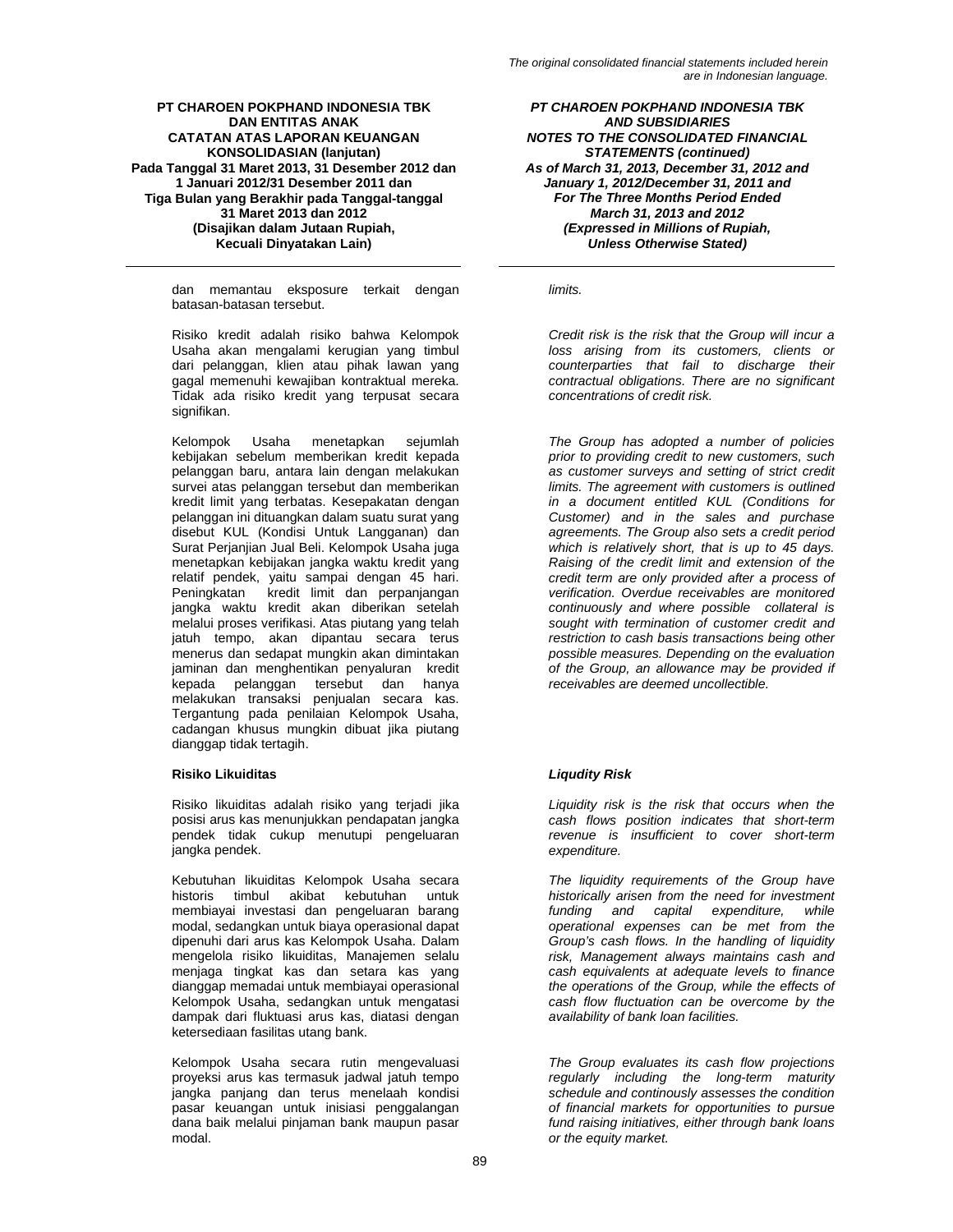dan memantau eksposure terkait dengan batasan-batasan tersebut.

Risiko kredit adalah risiko bahwa Kelompok Usaha akan mengalami kerugian yang timbul dari pelanggan, klien atau pihak lawan yang gagal memenuhi kewajiban kontraktual mereka. Tidak ada risiko kredit yang terpusat secara signifikan.

Kelompok Usaha menetapkan sejumlah kebijakan sebelum memberikan kredit kepada pelanggan baru, antara lain dengan melakukan survei atas pelanggan tersebut dan memberikan kredit limit yang terbatas. Kesepakatan dengan pelanggan ini dituangkan dalam suatu surat yang disebut KUL (Kondisi Untuk Langganan) dan Surat Perjanjian Jual Beli. Kelompok Usaha juga menetapkan kebijakan jangka waktu kredit yang relatif pendek, yaitu sampai dengan 45 hari. Peningkatan kredit limit dan perpanjangan jangka waktu kredit akan diberikan setelah melalui proses verifikasi. Atas piutang yang telah jatuh tempo, akan dipantau secara terus menerus dan sedapat mungkin akan dimintakan jaminan dan menghentikan penyaluran kredit<br>kepada pelanggan tersebut dan hanya pelanggan tersebut dan hanya melakukan transaksi penjualan secara kas. Tergantung pada penilaian Kelompok Usaha, cadangan khusus mungkin dibuat jika piutang dianggap tidak tertagih.

# **Risiko Likuiditas** *Liqudity Risk*

Risiko likuiditas adalah risiko yang terjadi jika posisi arus kas menunjukkan pendapatan jangka pendek tidak cukup menutupi pengeluaran jangka pendek.

Kebutuhan likuiditas Kelompok Usaha secara historis timbul akibat kebutuhan untuk membiayai investasi dan pengeluaran barang modal, sedangkan untuk biaya operasional dapat dipenuhi dari arus kas Kelompok Usaha. Dalam mengelola risiko likuiditas, Manajemen selalu menjaga tingkat kas dan setara kas yang dianggap memadai untuk membiayai operasional Kelompok Usaha, sedangkan untuk mengatasi dampak dari fluktuasi arus kas, diatasi dengan ketersediaan fasilitas utang bank.

Kelompok Usaha secara rutin mengevaluasi proyeksi arus kas termasuk jadwal jatuh tempo jangka panjang dan terus menelaah kondisi pasar keuangan untuk inisiasi penggalangan dana baik melalui pinjaman bank maupun pasar modal.

*PT CHAROEN POKPHAND INDONESIA TBK AND SUBSIDIARIES NOTES TO THE CONSOLIDATED FINANCIAL STATEMENTS (continued) As of March 31, 2013, December 31, 2012 and January 1, 2012/December 31, 2011 and For The Three Months Period Ended March 31, 2013 and 2012 (Expressed in Millions of Rupiah, Unless Otherwise Stated)* 

*limits.* 

*Credit risk is the risk that the Group will incur a loss arising from its customers, clients or counterparties that fail to discharge their contractual obligations. There are no significant concentrations of credit risk.* 

*The Group has adopted a number of policies prior to providing credit to new customers, such as customer surveys and setting of strict credit limits. The agreement with customers is outlined in a document entitled KUL (Conditions for Customer) and in the sales and purchase agreements. The Group also sets a credit period which is relatively short, that is up to 45 days. Raising of the credit limit and extension of the credit term are only provided after a process of verification. Overdue receivables are monitored continuously and where possible collateral is sought with termination of customer credit and restriction to cash basis transactions being other possible measures. Depending on the evaluation of the Group, an allowance may be provided if receivables are deemed uncollectible.* 

*Liquidity risk is the risk that occurs when the cash flows position indicates that short-term revenue is insufficient to cover short-term expenditure.* 

*The liquidity requirements of the Group have historically arisen from the need for investment funding and capital expenditure, while operational expenses can be met from the Group's cash flows. In the handling of liquidity risk, Management always maintains cash and cash equivalents at adequate levels to finance the operations of the Group, while the effects of cash flow fluctuation can be overcome by the availability of bank loan facilities.* 

*The Group evaluates its cash flow projections regularly including the long-term maturity schedule and continously assesses the condition of financial markets for opportunities to pursue fund raising initiatives, either through bank loans or the equity market.*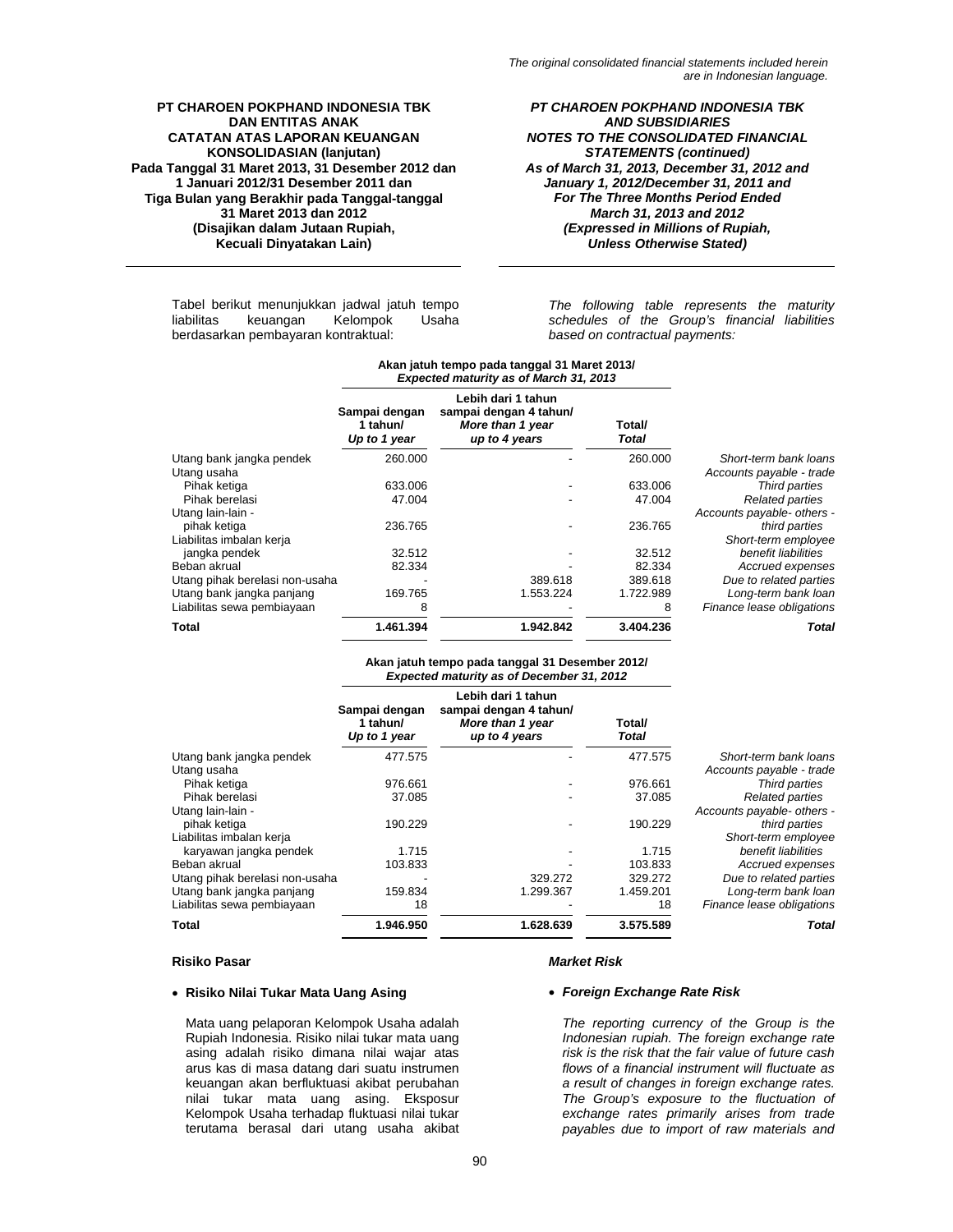#### *PT CHAROEN POKPHAND INDONESIA TBK AND SUBSIDIARIES NOTES TO THE CONSOLIDATED FINANCIAL STATEMENTS (continued) As of March 31, 2013, December 31, 2012 and January 1, 2012/December 31, 2011 and For The Three Months Period Ended March 31, 2013 and 2012 (Expressed in Millions of Rupiah, Unless Otherwise Stated)*

Tabel berikut menunjukkan jadwal jatuh tempo liabilitas keuangan Kelompok Usaha berdasarkan pembayaran kontraktual:

#### *The following table represents the maturity schedules of the Group's financial liabilities based on contractual payments:*

|                                | Expected maturity as of March 31, 2013    |                                                                                   |                 |                            |
|--------------------------------|-------------------------------------------|-----------------------------------------------------------------------------------|-----------------|----------------------------|
|                                | Sampai dengan<br>1 tahun/<br>Up to 1 year | Lebih dari 1 tahun<br>sampai dengan 4 tahun/<br>More than 1 year<br>up to 4 years | Total/<br>Total |                            |
| Utang bank jangka pendek       | 260.000                                   |                                                                                   | 260.000         | Short-term bank loans      |
| Utang usaha                    |                                           |                                                                                   |                 | Accounts payable - trade   |
| Pihak ketiga                   | 633.006                                   |                                                                                   | 633.006         | Third parties              |
| Pihak berelasi                 | 47.004                                    |                                                                                   | 47.004          | <b>Related parties</b>     |
| Utang lain-lain -              |                                           |                                                                                   |                 | Accounts payable- others - |
| pihak ketiga                   | 236.765                                   |                                                                                   | 236.765         | third parties              |
| Liabilitas imbalan kerja       |                                           |                                                                                   |                 | Short-term employee        |
| jangka pendek                  | 32.512                                    |                                                                                   | 32.512          | benefit liabilities        |
| Beban akrual                   | 82.334                                    |                                                                                   | 82.334          | Accrued expenses           |
| Utang pihak berelasi non-usaha |                                           | 389.618                                                                           | 389.618         | Due to related parties     |
| Utang bank jangka panjang      | 169.765                                   | 1.553.224                                                                         | 1.722.989       | Long-term bank loan        |
| Liabilitas sewa pembiayaan     | 8                                         |                                                                                   | 8               | Finance lease obligations  |
| <b>Total</b>                   | 1.461.394                                 | 1.942.842                                                                         | 3.404.236       | Total                      |

# **Akan jatuh tempo pada tanggal 31 Maret 2013/**

#### **Akan jatuh tempo pada tanggal 31 Desember 2012/**   *Expected maturity as of December 31, 2012*

|                                | Sampai dengan<br>1 tahun/<br>Up to 1 year | Lebih dari 1 tahun<br>sampai dengan 4 tahun/<br>More than 1 year<br>up to 4 years | Total/<br>Total |                            |
|--------------------------------|-------------------------------------------|-----------------------------------------------------------------------------------|-----------------|----------------------------|
| Utang bank jangka pendek       | 477.575                                   |                                                                                   | 477.575         | Short-term bank loans      |
| Utang usaha                    |                                           |                                                                                   |                 | Accounts payable - trade   |
| Pihak ketiga                   | 976.661                                   |                                                                                   | 976.661         | Third parties              |
| Pihak berelasi                 | 37.085                                    |                                                                                   | 37.085          | <b>Related parties</b>     |
| Utang lain-lain -              |                                           |                                                                                   |                 | Accounts payable- others - |
| pihak ketiga                   | 190.229                                   |                                                                                   | 190.229         | third parties              |
| Liabilitas imbalan kerja       |                                           |                                                                                   |                 | Short-term employee        |
| karyawan jangka pendek         | 1.715                                     |                                                                                   | 1.715           | benefit liabilities        |
| Beban akrual                   | 103.833                                   |                                                                                   | 103.833         | Accrued expenses           |
| Utang pihak berelasi non-usaha |                                           | 329.272                                                                           | 329.272         | Due to related parties     |
| Utang bank jangka panjang      | 159.834                                   | 1.299.367                                                                         | 1.459.201       | Long-term bank loan        |
| Liabilitas sewa pembiayaan     | 18                                        |                                                                                   | 18              | Finance lease obligations  |
| Total                          | 1.946.950                                 | 1.628.639                                                                         | 3.575.589       | Total                      |

### **Risiko Pasar** *Market Risk*

### • **Risiko Nilai Tukar Mata Uang Asing** • *Foreign Exchange Rate Risk*

Mata uang pelaporan Kelompok Usaha adalah Rupiah Indonesia. Risiko nilai tukar mata uang asing adalah risiko dimana nilai wajar atas arus kas di masa datang dari suatu instrumen keuangan akan berfluktuasi akibat perubahan nilai tukar mata uang asing. Eksposur Kelompok Usaha terhadap fluktuasi nilai tukar terutama berasal dari utang usaha akibat

*The reporting currency of the Group is the Indonesian rupiah. The foreign exchange rate risk is the risk that the fair value of future cash flows of a financial instrument will fluctuate as a result of changes in foreign exchange rates. The Group's exposure to the fluctuation of exchange rates primarily arises from trade payables due to import of raw materials and*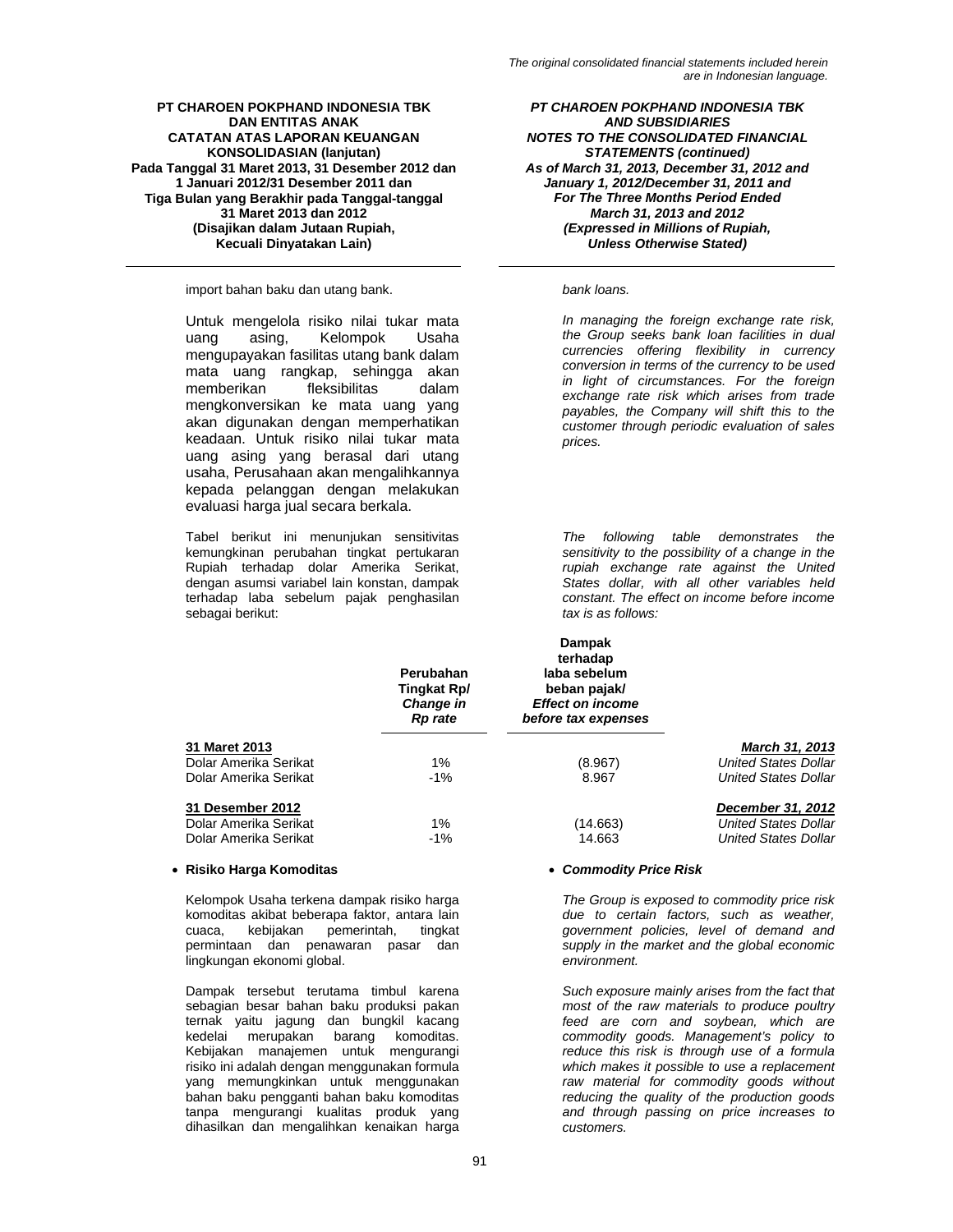import bahan baku dan utang bank. *bank loans.* 

Untuk mengelola risiko nilai tukar mata uang asing, Kelompok Usaha mengupayakan fasilitas utang bank dalam mata uang rangkap, sehingga akan memberikan fleksibilitas dalam mengkonversikan ke mata uang yang akan digunakan dengan memperhatikan keadaan. Untuk risiko nilai tukar mata uang asing yang berasal dari utang usaha, Perusahaan akan mengalihkannya kepada pelanggan dengan melakukan evaluasi harga jual secara berkala.

Tabel berikut ini menunjukan sensitivitas kemungkinan perubahan tingkat pertukaran Rupiah terhadap dolar Amerika Serikat, dengan asumsi variabel lain konstan, dampak terhadap laba sebelum pajak penghasilan sebagai berikut:

*PT CHAROEN POKPHAND INDONESIA TBK AND SUBSIDIARIES NOTES TO THE CONSOLIDATED FINANCIAL STATEMENTS (continued) As of March 31, 2013, December 31, 2012 and January 1, 2012/December 31, 2011 and For The Three Months Period Ended March 31, 2013 and 2012 (Expressed in Millions of Rupiah, Unless Otherwise Stated)* 

*In managing the foreign exchange rate risk, the Group seeks bank loan facilities in dual currencies offering flexibility in currency conversion in terms of the currency to be used in light of circumstances. For the foreign exchange rate risk which arises from trade payables, the Company will shift this to the customer through periodic evaluation of sales prices.* 

*The following table demonstrates the sensitivity to the possibility of a change in the rupiah exchange rate against the United States dollar, with all other variables held constant. The effect on income before income tax is as follows:* 

|                       | Perubahan<br>Tingkat Rp/<br>Change in<br><b>Rp</b> rate | <b>Dampak</b><br>terhadap<br>laba sebelum<br>beban pajak/<br><b>Effect on income</b><br>before tax expenses |                             |
|-----------------------|---------------------------------------------------------|-------------------------------------------------------------------------------------------------------------|-----------------------------|
| 31 Maret 2013         |                                                         |                                                                                                             | <b>March 31, 2013</b>       |
| Dolar Amerika Serikat | 1%                                                      | (8.967)                                                                                                     | <b>United States Dollar</b> |
| Dolar Amerika Serikat | $-1\%$                                                  | 8.967                                                                                                       | <b>United States Dollar</b> |
| 31 Desember 2012      |                                                         |                                                                                                             | December 31, 2012           |
| Dolar Amerika Serikat | $1\%$                                                   | (14.663)                                                                                                    | <b>United States Dollar</b> |
| Dolar Amerika Serikat | $-1\%$                                                  | 14.663                                                                                                      | <b>United States Dollar</b> |

### • **Risiko Harga Komoditas** • *Commodity Price Risk*

Kelompok Usaha terkena dampak risiko harga komoditas akibat beberapa faktor, antara lain cuaca, kebijakan pemerintah, permintaan dan penawaran pasar dan lingkungan ekonomi global.

Dampak tersebut terutama timbul karena sebagian besar bahan baku produksi pakan ternak yaitu jagung dan bungkil kacang kedelai merupakan barang komoditas. Kebijakan manajemen untuk mengurangi risiko ini adalah dengan menggunakan formula yang memungkinkan untuk menggunakan bahan baku pengganti bahan baku komoditas tanpa mengurangi kualitas produk yang dihasilkan dan mengalihkan kenaikan harga

*The Group is exposed to commodity price risk due to certain factors, such as weather, government policies, level of demand and supply in the market and the global economic environment.* 

*Such exposure mainly arises from the fact that most of the raw materials to produce poultry feed are corn and soybean, which are commodity goods. Management's policy to reduce this risk is through use of a formula which makes it possible to use a replacement raw material for commodity goods without reducing the quality of the production goods and through passing on price increases to customers.*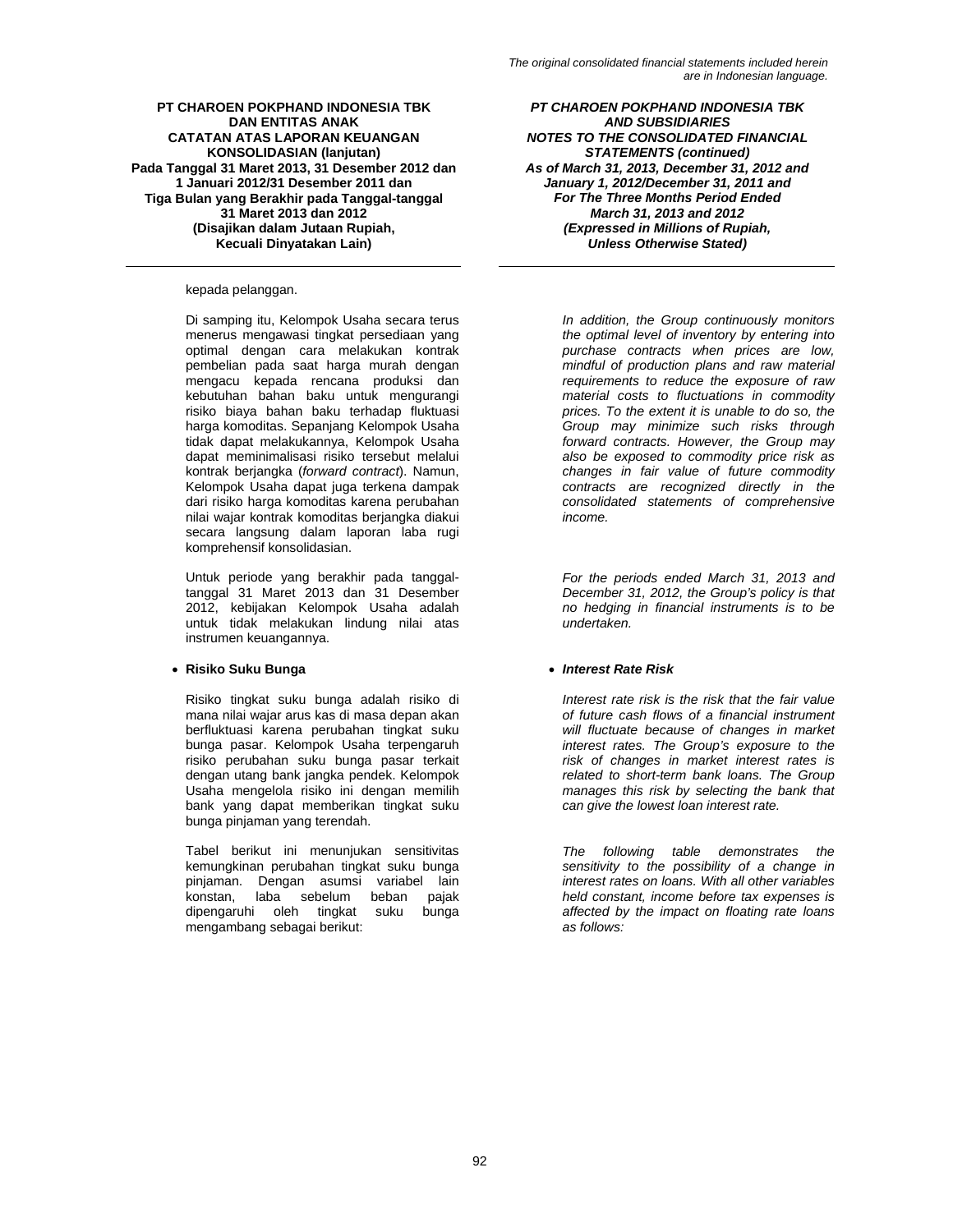kepada pelanggan.

Di samping itu, Kelompok Usaha secara terus menerus mengawasi tingkat persediaan yang optimal dengan cara melakukan kontrak pembelian pada saat harga murah dengan mengacu kepada rencana produksi dan kebutuhan bahan baku untuk mengurangi risiko biaya bahan baku terhadap fluktuasi harga komoditas. Sepanjang Kelompok Usaha tidak dapat melakukannya, Kelompok Usaha dapat meminimalisasi risiko tersebut melalui kontrak berjangka (*forward contract*). Namun, Kelompok Usaha dapat juga terkena dampak dari risiko harga komoditas karena perubahan nilai wajar kontrak komoditas berjangka diakui secara langsung dalam laporan laba rugi komprehensif konsolidasian.

Untuk periode yang berakhir pada tanggaltanggal 31 Maret 2013 dan 31 Desember 2012, kebijakan Kelompok Usaha adalah untuk tidak melakukan lindung nilai atas instrumen keuangannya.

### • **Risiko Suku Bunga** • *Interest Rate Risk*

Risiko tingkat suku bunga adalah risiko di mana nilai wajar arus kas di masa depan akan berfluktuasi karena perubahan tingkat suku bunga pasar. Kelompok Usaha terpengaruh risiko perubahan suku bunga pasar terkait dengan utang bank jangka pendek. Kelompok Usaha mengelola risiko ini dengan memilih bank yang dapat memberikan tingkat suku bunga pinjaman yang terendah.

Tabel berikut ini menunjukan sensitivitas kemungkinan perubahan tingkat suku bunga pinjaman. Dengan asumsi variabel lain<br>konstan. laba sebelum beban pajak sebelum beban pajak dipengaruhi oleh tingkat suku bunga mengambang sebagai berikut:

*PT CHAROEN POKPHAND INDONESIA TBK AND SUBSIDIARIES NOTES TO THE CONSOLIDATED FINANCIAL STATEMENTS (continued) As of March 31, 2013, December 31, 2012 and January 1, 2012/December 31, 2011 and For The Three Months Period Ended March 31, 2013 and 2012 (Expressed in Millions of Rupiah, Unless Otherwise Stated)* 

> *In addition, the Group continuously monitors the optimal level of inventory by entering into purchase contracts when prices are low, mindful of production plans and raw material requirements to reduce the exposure of raw material costs to fluctuations in commodity prices. To the extent it is unable to do so, the Group may minimize such risks through forward contracts. However, the Group may also be exposed to commodity price risk as changes in fair value of future commodity contracts are recognized directly in the consolidated statements of comprehensive income.*

> *For the periods ended March 31, 2013 and December 31, 2012, the Group's policy is that no hedging in financial instruments is to be undertaken.*

*Interest rate risk is the risk that the fair value of future cash flows of a financial instrument will fluctuate because of changes in market interest rates. The Group's exposure to the risk of changes in market interest rates is related to short-term bank loans. The Group manages this risk by selecting the bank that can give the lowest loan interest rate.* 

*The following table demonstrates the sensitivity to the possibility of a change in interest rates on loans. With all other variables held constant, income before tax expenses is affected by the impact on floating rate loans as follows:*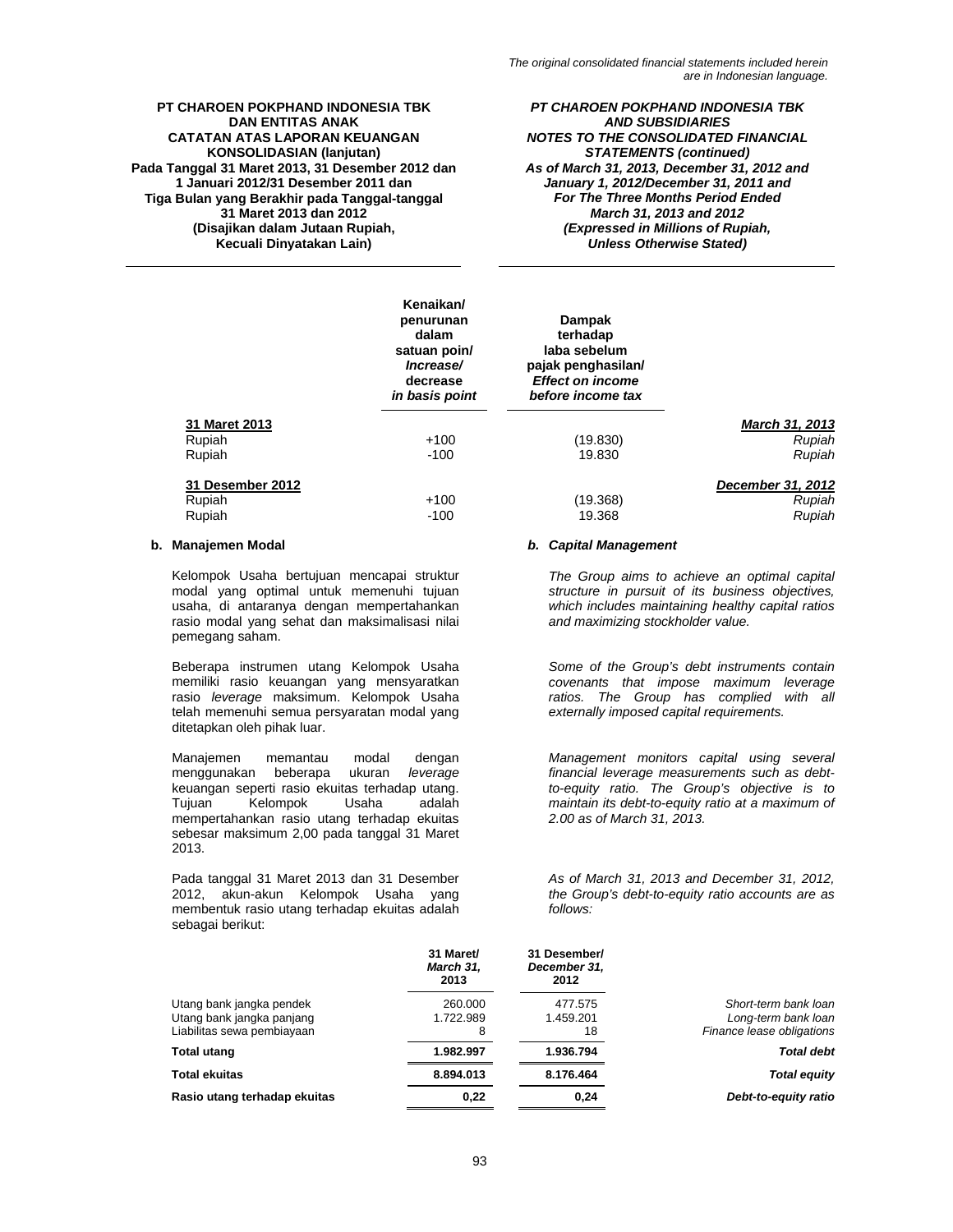#### *PT CHAROEN POKPHAND INDONESIA TBK AND SUBSIDIARIES NOTES TO THE CONSOLIDATED FINANCIAL STATEMENTS (continued) As of March 31, 2013, December 31, 2012 and January 1, 2012/December 31, 2011 and For The Three Months Period Ended March 31, 2013 and 2012 (Expressed in Millions of Rupiah, Unless Otherwise Stated)*

|                  | Kenaikan/<br>penurunan<br>dalam<br>satuan poin/<br>Increase/<br>decrease<br>in basis point | <b>Dampak</b><br>terhadap<br>laba sebelum<br>pajak penghasilan/<br><b>Effect on income</b><br>before income tax |                   |
|------------------|--------------------------------------------------------------------------------------------|-----------------------------------------------------------------------------------------------------------------|-------------------|
| 31 Maret 2013    |                                                                                            |                                                                                                                 | March 31, 2013    |
| Rupiah           | $+100$                                                                                     | (19.830)                                                                                                        | Rupiah            |
| Rupiah           | $-100$                                                                                     | 19.830                                                                                                          | Rupiah            |
| 31 Desember 2012 |                                                                                            |                                                                                                                 | December 31, 2012 |
| Rupiah           | $+100$                                                                                     | (19.368)                                                                                                        | Rupiah            |
| Rupiah           | $-100$                                                                                     | 19.368                                                                                                          | Rupiah            |

Kelompok Usaha bertujuan mencapai struktur modal yang optimal untuk memenuhi tujuan usaha, di antaranya dengan mempertahankan rasio modal yang sehat dan maksimalisasi nilai pemegang saham.

Beberapa instrumen utang Kelompok Usaha memiliki rasio keuangan yang mensyaratkan rasio *leverage* maksimum. Kelompok Usaha telah memenuhi semua persyaratan modal yang ditetapkan oleh pihak luar.

Manajemen memantau modal dengan menggunakan beberapa ukuran *leverage* keuangan seperti rasio ekuitas terhadap utang.<br>Tujuan Kelompok Usaha adalah Tujuan Kelompok Usaha adalah mempertahankan rasio utang terhadap ekuitas sebesar maksimum 2,00 pada tanggal 31 Maret 2013.

Pada tanggal 31 Maret 2013 dan 31 Desember 2012, akun-akun Kelompok Usaha yang membentuk rasio utang terhadap ekuitas adalah sebagai berikut:

### **b. Manajemen Modal** *b. Capital Management*

*The Group aims to achieve an optimal capital structure in pursuit of its business objectives, which includes maintaining healthy capital ratios and maximizing stockholder value.* 

*Some of the Group's debt instruments contain covenants that impose maximum leverage ratios. The Group has complied with all externally imposed capital requirements.*

*Management monitors capital using several financial leverage measurements such as debtto-equity ratio. The Group's objective is to maintain its debt-to-equity ratio at a maximum of 2.00 as of March 31, 2013.*

*As of March 31, 2013 and December 31, 2012, the Group's debt-to-equity ratio accounts are as follows:*

|                                                                                     | 31 Maret/<br>March 31.<br>2013 | 31 Desember/<br>December 31.<br>2012 |                                                                          |
|-------------------------------------------------------------------------------------|--------------------------------|--------------------------------------|--------------------------------------------------------------------------|
| Utang bank jangka pendek<br>Utang bank jangka panjang<br>Liabilitas sewa pembiayaan | 260,000<br>1.722.989<br>8      | 477.575<br>1.459.201<br>18           | Short-term bank loan<br>Long-term bank loan<br>Finance lease obligations |
| <b>Total utang</b>                                                                  | 1.982.997                      | 1.936.794                            | <b>Total debt</b>                                                        |
| <b>Total ekuitas</b>                                                                | 8.894.013                      | 8.176.464                            | Total equity                                                             |
| Rasio utang terhadap ekuitas                                                        | 0,22                           | 0.24                                 | Debt-to-equity ratio                                                     |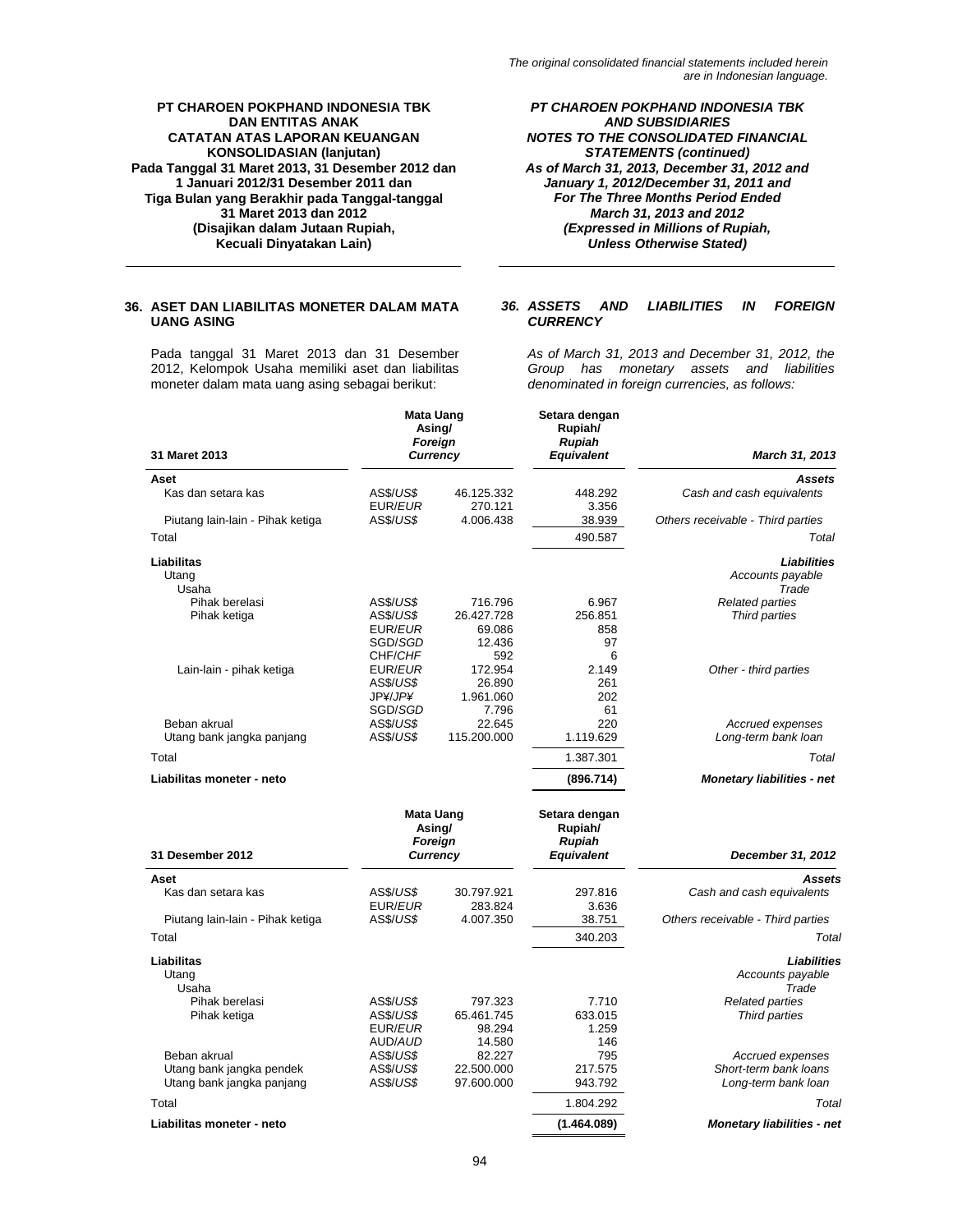*PT CHAROEN POKPHAND INDONESIA TBK AND SUBSIDIARIES NOTES TO THE CONSOLIDATED FINANCIAL STATEMENTS (continued) As of March 31, 2013, December 31, 2012 and January 1, 2012/December 31, 2011 and For The Three Months Period Ended March 31, 2013 and 2012 (Expressed in Millions of Rupiah, Unless Otherwise Stated)* 

# **36. ASET DAN LIABILITAS MONETER DALAM MATA UANG ASING**

Pada tanggal 31 Maret 2013 dan 31 Desember 2012, Kelompok Usaha memiliki aset dan liabilitas moneter dalam mata uang asing sebagai berikut:

### *36. ASSETS AND LIABILITIES IN FOREIGN CURRENCY*

*As of March 31, 2013 and December 31, 2012, the Group has monetary assets and liabilities denominated in foreign currencies, as follows:* 

|                                           | <b>Mata Uang</b><br>Asing/<br>Foreign        |                       | Setara dengan<br>Rupiah/<br><b>Rupiah</b> |                                         |
|-------------------------------------------|----------------------------------------------|-----------------------|-------------------------------------------|-----------------------------------------|
| 31 Maret 2013                             | <b>Currency</b>                              |                       | <b>Equivalent</b>                         | March 31, 2013                          |
| Aset                                      |                                              |                       |                                           | Assets                                  |
| Kas dan setara kas                        | AS\$/US\$<br>EUR/EUR                         | 46.125.332<br>270.121 | 448.292<br>3.356                          | Cash and cash equivalents               |
| Piutang lain-lain - Pihak ketiga          | AS\$/US\$                                    | 4.006.438             | 38.939                                    | Others receivable - Third parties       |
| Total                                     |                                              |                       | 490.587                                   | Total                                   |
| Liabilitas                                |                                              |                       |                                           | Liabilities                             |
| Utang<br>Usaha                            |                                              |                       |                                           | Accounts payable<br>Trade               |
| Pihak berelasi                            | <b>AS\$/US\$</b>                             | 716.796               | 6.967                                     | <b>Related parties</b>                  |
| Pihak ketiga                              | <b>AS\$/US\$</b><br>EUR/EUR                  | 26.427.728<br>69.086  | 256.851<br>858                            | Third parties                           |
|                                           | SGD/SGD                                      | 12.436                | 97                                        |                                         |
|                                           | CHF/CHF                                      | 592                   | 6                                         |                                         |
| Lain-lain - pihak ketiga                  | EUR/EUR<br>AS\$/US\$                         | 172.954<br>26.890     | 2.149<br>261                              | Other - third parties                   |
|                                           | JP¥/JP¥                                      | 1.961.060             | 202                                       |                                         |
|                                           | SGD/SGD                                      | 7.796                 | 61                                        |                                         |
| Beban akrual<br>Utang bank jangka panjang | AS\$/US\$<br>AS\$/US\$                       | 22.645<br>115.200.000 | 220<br>1.119.629                          | Accrued expenses<br>Long-term bank loan |
| Total                                     |                                              |                       | 1.387.301                                 | Total                                   |
| Liabilitas moneter - neto                 |                                              |                       | (896.714)                                 | <b>Monetary liabilities - net</b>       |
|                                           | <b>Mata Uang</b><br>Asing/<br><b>Foreign</b> |                       | Setara dengan<br>Rupiah/<br><b>Rupiah</b> |                                         |
| 31 Desember 2012                          | Currency                                     |                       | <b>Equivalent</b>                         | December 31, 2012                       |
| Aset                                      |                                              |                       |                                           | Assets                                  |
| Kas dan setara kas                        | <b>AS\$/US\$</b>                             | 30.797.921            | 297.816                                   | Cash and cash equivalents               |
| Piutang lain-lain - Pihak ketiga          | EUR/EUR<br><b>AS\$/US\$</b>                  | 283.824<br>4.007.350  | 3.636<br>38.751                           | Others receivable - Third parties       |
| Total                                     |                                              |                       | 340.203                                   | Total                                   |
| Liabilitas                                |                                              |                       |                                           | Liabilities                             |
| Utang<br>Usaha                            |                                              |                       |                                           | Accounts payable<br>Trade               |
| Pihak berelasi                            | AS\$/US\$                                    | 797.323               | 7.710                                     | <b>Related parties</b>                  |
| Pihak ketiga                              | AS\$/US\$<br>EUR/EUR                         | 65.461.745<br>98.294  | 633.015<br>1.259                          | Third parties                           |
|                                           | AUD/AUD                                      | 14.580                | 146                                       |                                         |
| Beban akrual                              | AS\$/US\$                                    | 82.227                | 795                                       | Accrued expenses                        |
| Utang bank jangka pendek                  | AS\$/US\$                                    | 22.500.000            | 217.575                                   | Short-term bank loans                   |
| Utang bank jangka panjang                 | AS\$/US\$                                    | 97.600.000            | 943.792                                   | Long-term bank loan                     |
| Total                                     |                                              |                       | 1.804.292                                 | Total                                   |
| Liabilitas moneter - neto                 |                                              |                       | (1.464.089)                               | <b>Monetary liabilities - net</b>       |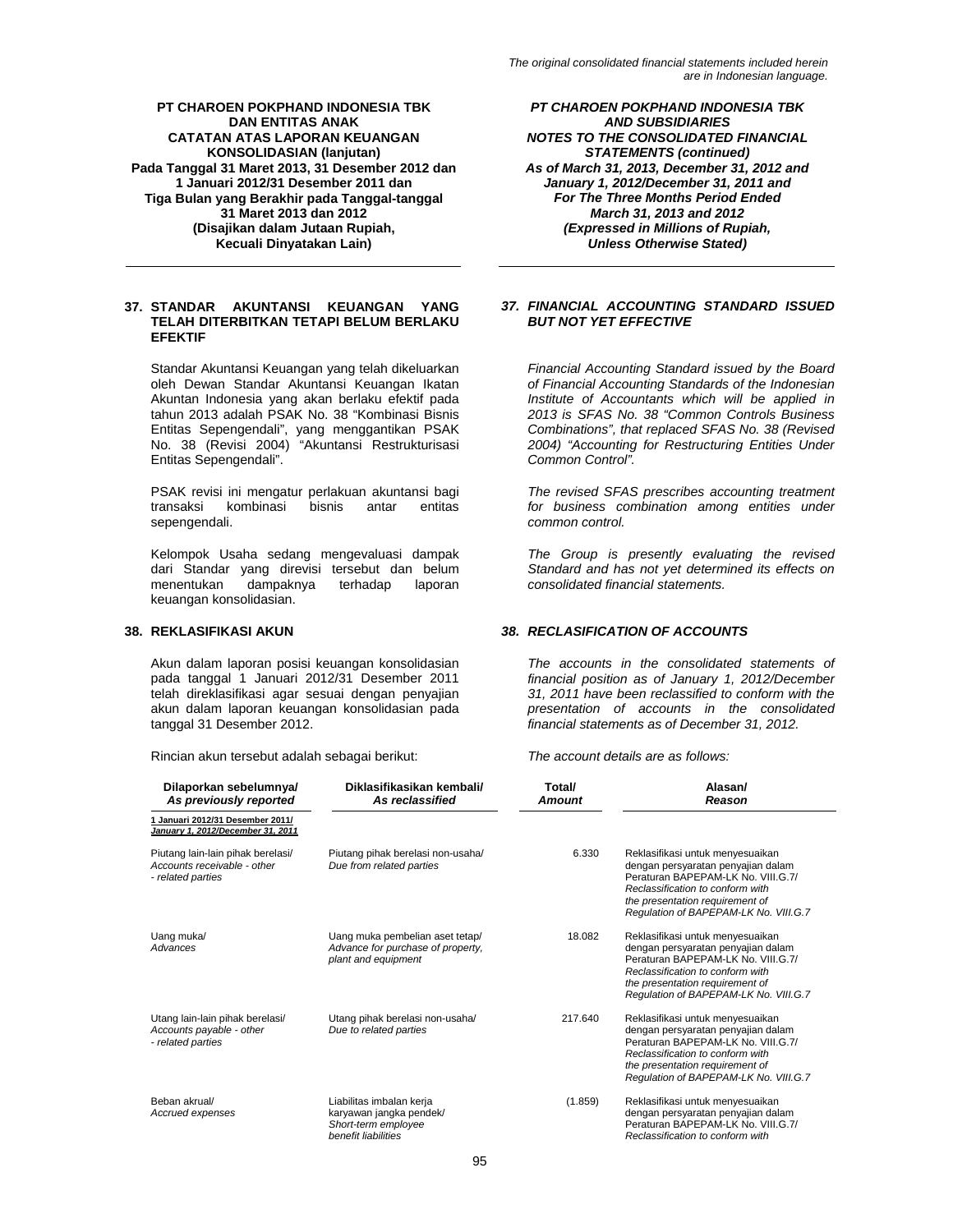### **37. STANDAR AKUNTANSI KEUANGAN YANG TELAH DITERBITKAN TETAPI BELUM BERLAKU EFEKTIF**

Standar Akuntansi Keuangan yang telah dikeluarkan oleh Dewan Standar Akuntansi Keuangan Ikatan Akuntan Indonesia yang akan berlaku efektif pada tahun 2013 adalah PSAK No. 38 "Kombinasi Bisnis Entitas Sepengendali", yang menggantikan PSAK No. 38 (Revisi 2004) "Akuntansi Restrukturisasi Entitas Sepengendali".

PSAK revisi ini mengatur perlakuan akuntansi bagi transaksi kombinasi bisnis antar entitas sepengendali.

Kelompok Usaha sedang mengevaluasi dampak dari Standar yang direvisi tersebut dan belum menentukan dampaknya terhadap laporan keuangan konsolidasian.

Akun dalam laporan posisi keuangan konsolidasian pada tanggal 1 Januari 2012/31 Desember 2011 telah direklasifikasi agar sesuai dengan penyajian akun dalam laporan keuangan konsolidasian pada tanggal 31 Desember 2012.

Rincian akun tersebut adalah sebagai berikut: *The account details are as follows:* 

*PT CHAROEN POKPHAND INDONESIA TBK AND SUBSIDIARIES NOTES TO THE CONSOLIDATED FINANCIAL STATEMENTS (continued) As of March 31, 2013, December 31, 2012 and January 1, 2012/December 31, 2011 and For The Three Months Period Ended March 31, 2013 and 2012 (Expressed in Millions of Rupiah, Unless Otherwise Stated)* 

# *37. FINANCIAL ACCOUNTING STANDARD ISSUED BUT NOT YET EFFECTIVE*

*Financial Accounting Standard issued by the Board of Financial Accounting Standards of the Indonesian Institute of Accountants which will be applied in 2013 is SFAS No. 38 "Common Controls Business Combinations", that replaced SFAS No. 38 (Revised 2004) "Accounting for Restructuring Entities Under Common Control".* 

*The revised SFAS prescribes accounting treatment for business combination among entities under common control.* 

*The Group is presently evaluating the revised Standard and has not yet determined its effects on consolidated financial statements.* 

### **38. REKLASIFIKASI AKUN** *38. RECLASIFICATION OF ACCOUNTS*

*The accounts in the consolidated statements of financial position as of January 1, 2012/December 31, 2011 have been reclassified to conform with the presentation of accounts in the consolidated financial statements as of December 31, 2012.* 

| Dilaporkan sebelumnya/<br>As previously reported                                      | Diklasifikasikan kembali/<br>As reclassified                                                      | Total/<br><b>Amount</b> | Alasan/<br>Reason                                                                                                                                                                                                            |
|---------------------------------------------------------------------------------------|---------------------------------------------------------------------------------------------------|-------------------------|------------------------------------------------------------------------------------------------------------------------------------------------------------------------------------------------------------------------------|
| 1 Januari 2012/31 Desember 2011/<br>January 1, 2012/December 31, 2011                 |                                                                                                   |                         |                                                                                                                                                                                                                              |
| Piutang lain-lain pihak berelasi/<br>Accounts receivable - other<br>- related parties | Piutang pihak berelasi non-usaha/<br>Due from related parties                                     | 6.330                   | Reklasifikasi untuk menyesuaikan<br>dengan persyaratan penyajian dalam<br>Peraturan BAPEPAM-LK No. VIII.G.7/<br>Reclassification to conform with<br>the presentation requirement of<br>Requlation of BAPEPAM-LK No. VIII.G.7 |
| Uang muka/<br>Advances                                                                | Uang muka pembelian aset tetap/<br>Advance for purchase of property,<br>plant and equipment       | 18.082                  | Reklasifikasi untuk menyesuaikan<br>dengan persyaratan penyajian dalam<br>Peraturan BAPEPAM-LK No. VIII.G.7/<br>Reclassification to conform with<br>the presentation requirement of<br>Requlation of BAPEPAM-LK No. VIII.G.7 |
| Utang lain-lain pihak berelasi/<br>Accounts payable - other<br>- related parties      | Utang pihak berelasi non-usaha/<br>Due to related parties                                         | 217.640                 | Reklasifikasi untuk menyesuaikan<br>dengan persyaratan penyajian dalam<br>Peraturan BAPEPAM-LK No. VIII.G.7/<br>Reclassification to conform with<br>the presentation requirement of<br>Regulation of BAPEPAM-LK No. VIII.G.7 |
| Beban akrual/<br>Accrued expenses                                                     | Liabilitas imbalan kerja<br>karyawan jangka pendek/<br>Short-term employee<br>benefit liabilities | (1.859)                 | Reklasifikasi untuk menyesuaikan<br>dengan persyaratan penyajian dalam<br>Peraturan BAPEPAM-LK No. VIII.G.7/<br>Reclassification to conform with                                                                             |